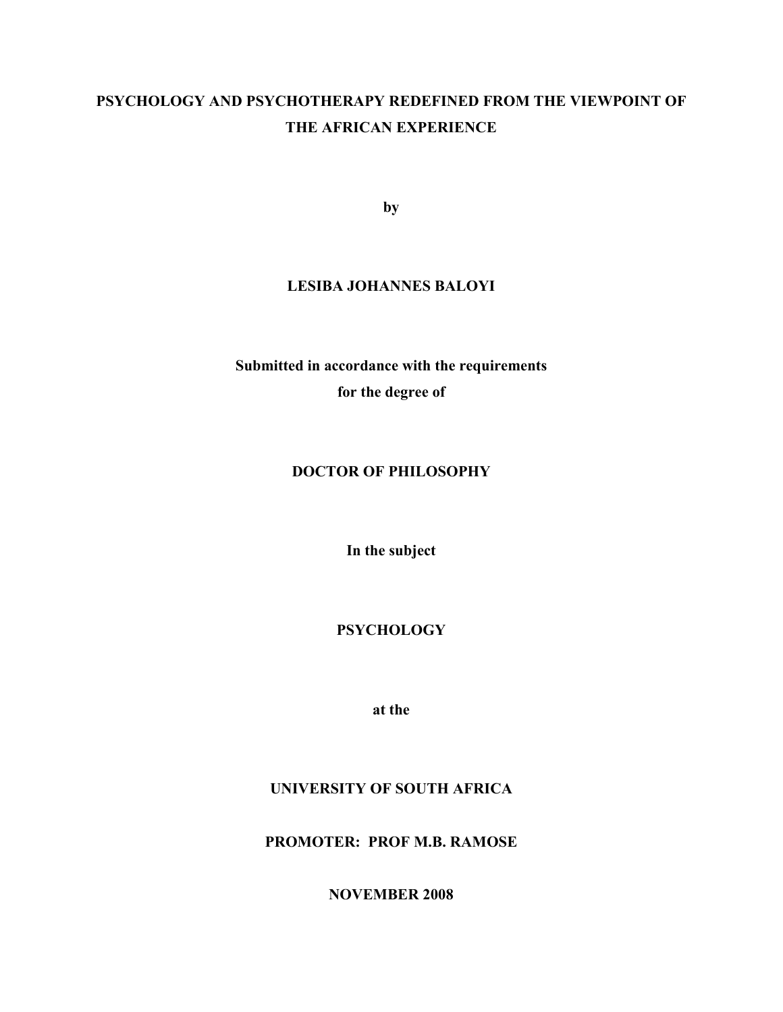# **PSYCHOLOGY AND PSYCHOTHERAPY REDEFINED FROM THE VIEWPOINT OF THE AFRICAN EXPERIENCE**

**by** 

# **LESIBA JOHANNES BALOYI**

**Submitted in accordance with the requirements for the degree of** 

# **DOCTOR OF PHILOSOPHY**

**In the subject** 

**PSYCHOLOGY** 

**at the** 

# **UNIVERSITY OF SOUTH AFRICA**

**PROMOTER: PROF M.B. RAMOSE** 

**NOVEMBER 2008**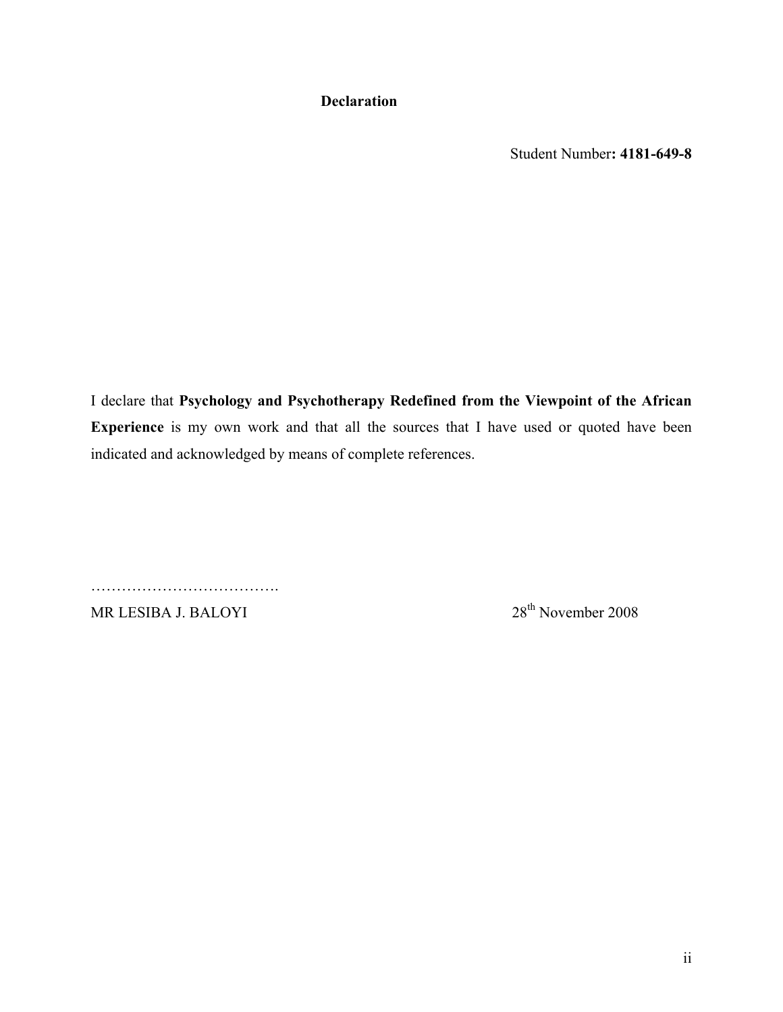**Declaration** 

Student Number**: 4181-649-8** 

I declare that **Psychology and Psychotherapy Redefined from the Viewpoint of the African Experience** is my own work and that all the sources that I have used or quoted have been indicated and acknowledged by means of complete references.

………………………………. MR LESIBA J. BALOYI 28<sup>th</sup> November 2008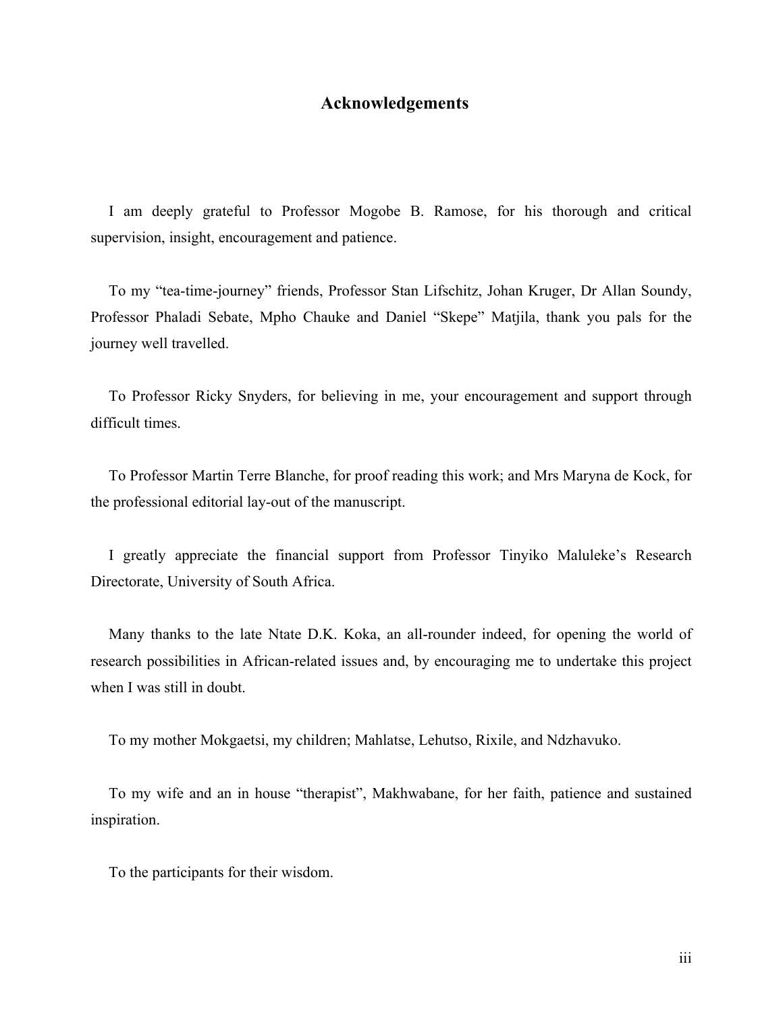# **Acknowledgements**

I am deeply grateful to Professor Mogobe B. Ramose, for his thorough and critical supervision, insight, encouragement and patience.

To my "tea-time-journey" friends, Professor Stan Lifschitz, Johan Kruger, Dr Allan Soundy, Professor Phaladi Sebate, Mpho Chauke and Daniel "Skepe" Matjila, thank you pals for the journey well travelled.

To Professor Ricky Snyders, for believing in me, your encouragement and support through difficult times.

To Professor Martin Terre Blanche, for proof reading this work; and Mrs Maryna de Kock, for the professional editorial lay-out of the manuscript.

I greatly appreciate the financial support from Professor Tinyiko Maluleke's Research Directorate, University of South Africa.

Many thanks to the late Ntate D.K. Koka, an all-rounder indeed, for opening the world of research possibilities in African-related issues and, by encouraging me to undertake this project when I was still in doubt.

To my mother Mokgaetsi, my children; Mahlatse, Lehutso, Rixile, and Ndzhavuko.

To my wife and an in house "therapist", Makhwabane, for her faith, patience and sustained inspiration.

To the participants for their wisdom.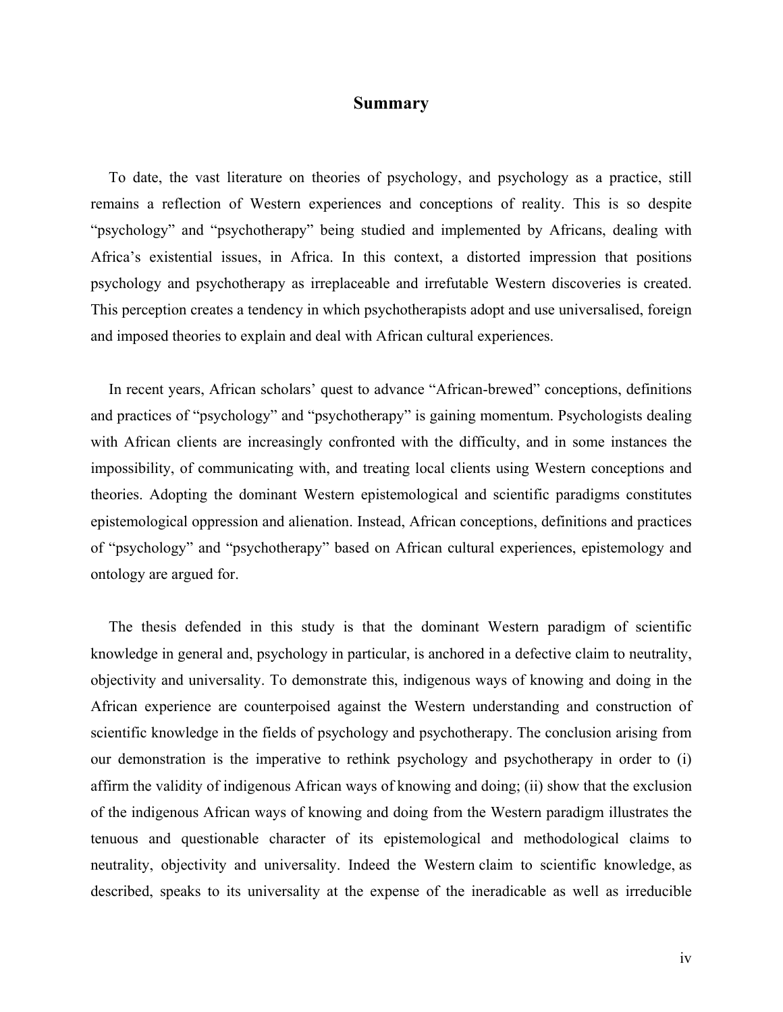# **Summary**

To date, the vast literature on theories of psychology, and psychology as a practice, still remains a reflection of Western experiences and conceptions of reality. This is so despite "psychology" and "psychotherapy" being studied and implemented by Africans, dealing with Africa's existential issues, in Africa. In this context, a distorted impression that positions psychology and psychotherapy as irreplaceable and irrefutable Western discoveries is created. This perception creates a tendency in which psychotherapists adopt and use universalised, foreign and imposed theories to explain and deal with African cultural experiences.

In recent years, African scholars' quest to advance "African-brewed" conceptions, definitions and practices of "psychology" and "psychotherapy" is gaining momentum. Psychologists dealing with African clients are increasingly confronted with the difficulty, and in some instances the impossibility, of communicating with, and treating local clients using Western conceptions and theories. Adopting the dominant Western epistemological and scientific paradigms constitutes epistemological oppression and alienation. Instead, African conceptions, definitions and practices of "psychology" and "psychotherapy" based on African cultural experiences, epistemology and ontology are argued for.

The thesis defended in this study is that the dominant Western paradigm of scientific knowledge in general and, psychology in particular, is anchored in a defective claim to neutrality, objectivity and universality. To demonstrate this, indigenous ways of knowing and doing in the African experience are counterpoised against the Western understanding and construction of scientific knowledge in the fields of psychology and psychotherapy. The conclusion arising from our demonstration is the imperative to rethink psychology and psychotherapy in order to (i) affirm the validity of indigenous African ways of knowing and doing; (ii) show that the exclusion of the indigenous African ways of knowing and doing from the Western paradigm illustrates the tenuous and questionable character of its epistemological and methodological claims to neutrality, objectivity and universality. Indeed the Western claim to scientific knowledge, as described, speaks to its universality at the expense of the ineradicable as well as irreducible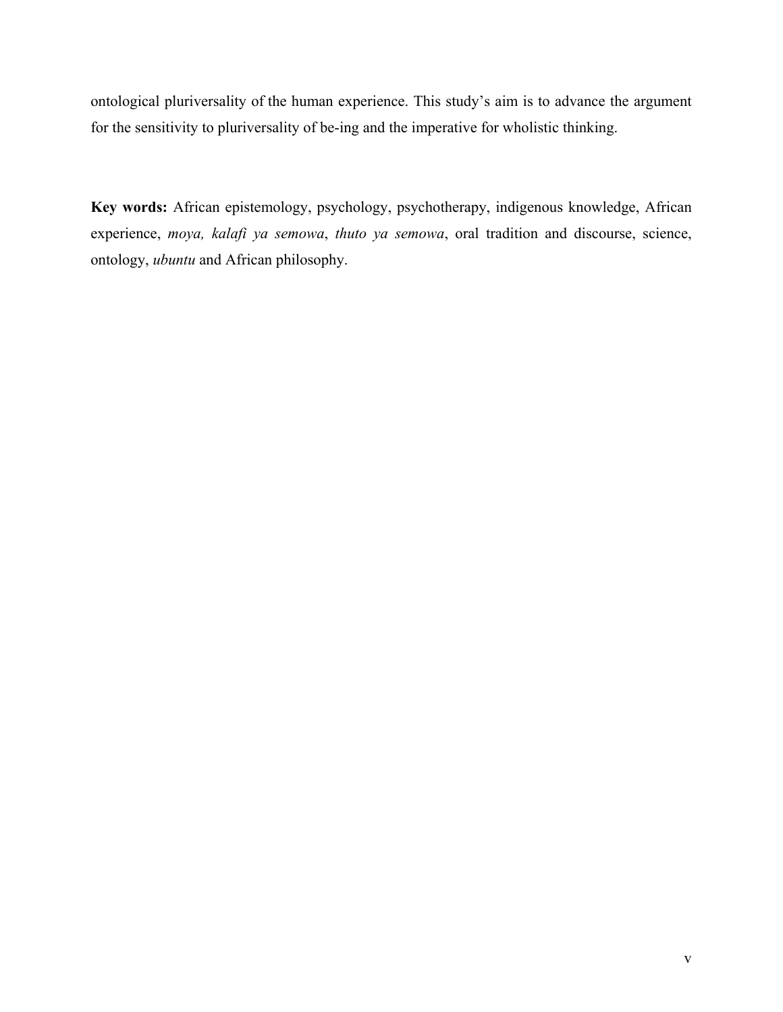ontological pluriversality of the human experience. This study's aim is to advance the argument for the sensitivity to pluriversality of be-ing and the imperative for wholistic thinking.

**Key words:** African epistemology, psychology, psychotherapy, indigenous knowledge, African experience, *moya, kalafi ya semowa*, *thuto ya semowa*, oral tradition and discourse, science, ontology, *ubuntu* and African philosophy.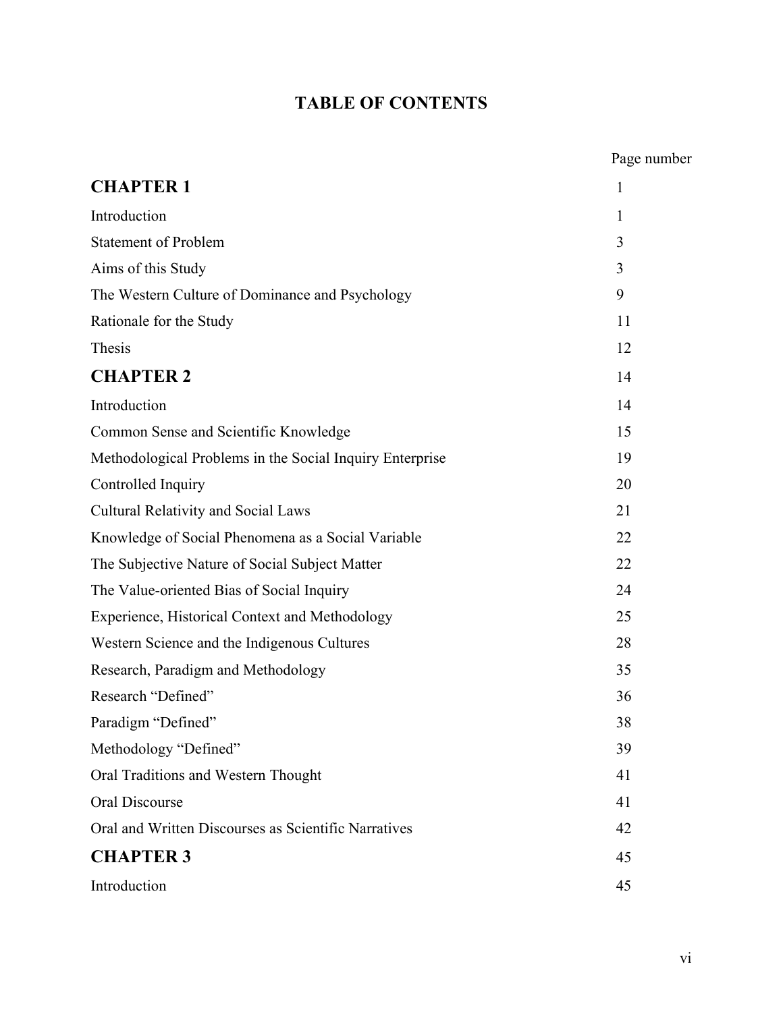# **TABLE OF CONTENTS**

|                                                          | Page number  |
|----------------------------------------------------------|--------------|
| <b>CHAPTER 1</b>                                         | $\mathbf{1}$ |
| Introduction                                             | 1            |
| <b>Statement of Problem</b>                              | 3            |
| Aims of this Study                                       | 3            |
| The Western Culture of Dominance and Psychology          | 9            |
| Rationale for the Study                                  | 11           |
| Thesis                                                   | 12           |
| <b>CHAPTER 2</b>                                         | 14           |
| Introduction                                             | 14           |
| Common Sense and Scientific Knowledge                    | 15           |
| Methodological Problems in the Social Inquiry Enterprise | 19           |
| Controlled Inquiry                                       | 20           |
| <b>Cultural Relativity and Social Laws</b>               | 21           |
| Knowledge of Social Phenomena as a Social Variable       | 22           |
| The Subjective Nature of Social Subject Matter           | 22           |
| The Value-oriented Bias of Social Inquiry                | 24           |
| Experience, Historical Context and Methodology           | 25           |
| Western Science and the Indigenous Cultures              | 28           |
| Research, Paradigm and Methodology                       | 35           |
| Research "Defined"                                       | 36           |
| Paradigm "Defined"                                       | 38           |
| Methodology "Defined"                                    | 39           |
| Oral Traditions and Western Thought                      | 41           |
| Oral Discourse                                           | 41           |
| Oral and Written Discourses as Scientific Narratives     | 42           |
| <b>CHAPTER 3</b>                                         | 45           |
| Introduction                                             | 45           |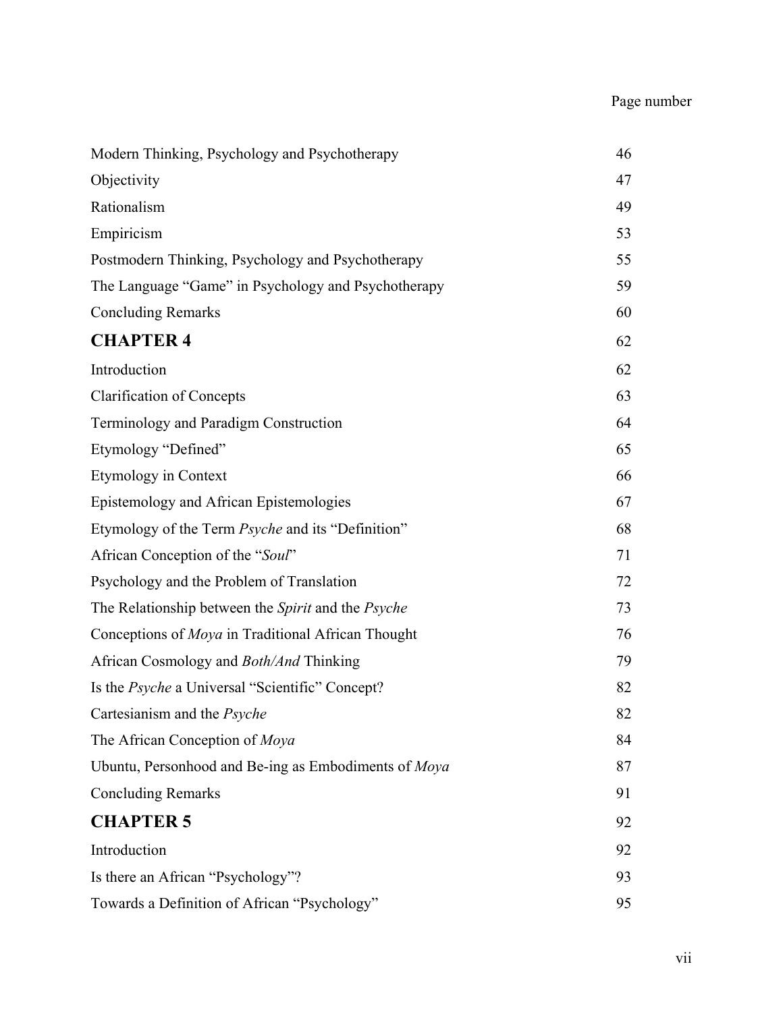# Page number

| Modern Thinking, Psychology and Psychotherapy                    | 46 |
|------------------------------------------------------------------|----|
| Objectivity                                                      | 47 |
| Rationalism                                                      | 49 |
| Empiricism                                                       | 53 |
| Postmodern Thinking, Psychology and Psychotherapy                | 55 |
| The Language "Game" in Psychology and Psychotherapy              | 59 |
| <b>Concluding Remarks</b>                                        | 60 |
| <b>CHAPTER 4</b>                                                 | 62 |
| Introduction                                                     | 62 |
| <b>Clarification of Concepts</b>                                 | 63 |
| Terminology and Paradigm Construction                            | 64 |
| Etymology "Defined"                                              | 65 |
| <b>Etymology in Context</b>                                      | 66 |
| Epistemology and African Epistemologies                          | 67 |
| Etymology of the Term <i>Psyche</i> and its "Definition"         | 68 |
| African Conception of the "Soul"                                 | 71 |
| Psychology and the Problem of Translation                        | 72 |
| The Relationship between the <i>Spirit</i> and the <i>Psyche</i> | 73 |
| Conceptions of <i>Moya</i> in Traditional African Thought        | 76 |
| African Cosmology and <i>Both/And</i> Thinking                   | 79 |
| Is the <i>Psyche</i> a Universal "Scientific" Concept?           | 82 |
| Cartesianism and the Psyche                                      | 82 |
| The African Conception of Moya                                   | 84 |
| Ubuntu, Personhood and Be-ing as Embodiments of Moya             | 87 |
| <b>Concluding Remarks</b>                                        | 91 |
| <b>CHAPTER 5</b>                                                 | 92 |
| Introduction                                                     | 92 |
| Is there an African "Psychology"?                                | 93 |
| Towards a Definition of African "Psychology"                     | 95 |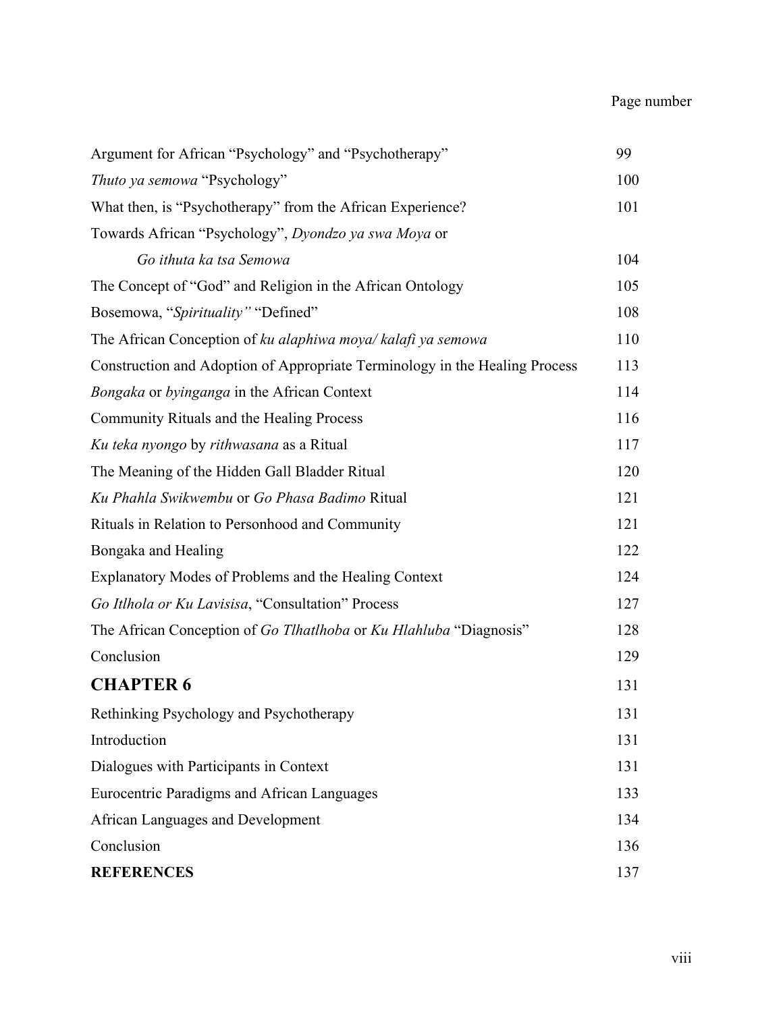# Page number

| Argument for African "Psychology" and "Psychotherapy"                       | 99  |
|-----------------------------------------------------------------------------|-----|
| Thuto ya semowa "Psychology"                                                | 100 |
| What then, is "Psychotherapy" from the African Experience?                  | 101 |
| Towards African "Psychology", Dyondzo ya swa Moya or                        |     |
| Go ithuta ka tsa Semowa                                                     | 104 |
| The Concept of "God" and Religion in the African Ontology                   | 105 |
| Bosemowa, "Spirituality" "Defined"                                          | 108 |
| The African Conception of ku alaphiwa moya/kalafi ya semowa                 | 110 |
| Construction and Adoption of Appropriate Terminology in the Healing Process | 113 |
| Bongaka or byinganga in the African Context                                 | 114 |
| Community Rituals and the Healing Process                                   | 116 |
| Ku teka nyongo by rithwasana as a Ritual                                    | 117 |
| The Meaning of the Hidden Gall Bladder Ritual                               | 120 |
| Ku Phahla Swikwembu or Go Phasa Badimo Ritual                               | 121 |
| Rituals in Relation to Personhood and Community                             | 121 |
| Bongaka and Healing                                                         | 122 |
| Explanatory Modes of Problems and the Healing Context                       | 124 |
| Go Itlhola or Ku Lavisisa, "Consultation" Process                           | 127 |
| The African Conception of Go Tlhatlhoba or Ku Hlahluba "Diagnosis"          | 128 |
| Conclusion                                                                  | 129 |
| <b>CHAPTER 6</b>                                                            | 131 |
| Rethinking Psychology and Psychotherapy                                     | 131 |
| Introduction                                                                | 131 |
| Dialogues with Participants in Context                                      | 131 |
| Eurocentric Paradigms and African Languages                                 | 133 |
| African Languages and Development                                           | 134 |
| Conclusion                                                                  | 136 |
| <b>REFERENCES</b>                                                           | 137 |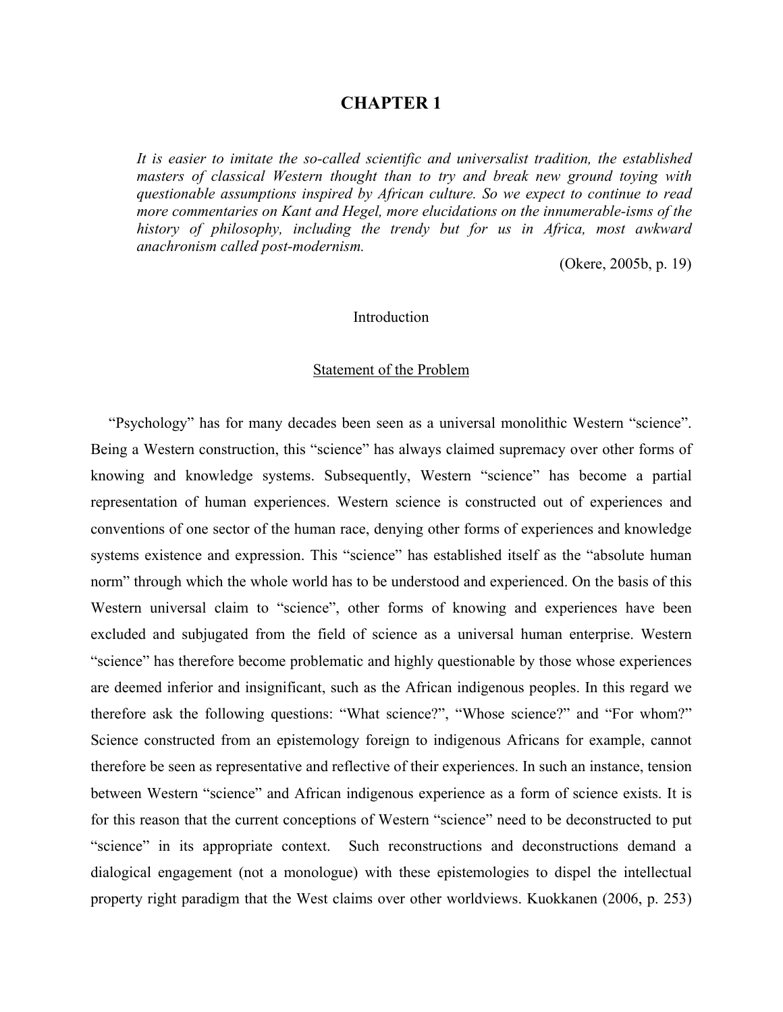## **CHAPTER 1**

*It is easier to imitate the so-called scientific and universalist tradition, the established masters of classical Western thought than to try and break new ground toying with questionable assumptions inspired by African culture. So we expect to continue to read more commentaries on Kant and Hegel, more elucidations on the innumerable-isms of the history of philosophy, including the trendy but for us in Africa, most awkward anachronism called post-modernism.* 

(Okere, 2005b, p. 19)

#### Introduction

#### Statement of the Problem

"Psychology" has for many decades been seen as a universal monolithic Western "science". Being a Western construction, this "science" has always claimed supremacy over other forms of knowing and knowledge systems. Subsequently, Western "science" has become a partial representation of human experiences. Western science is constructed out of experiences and conventions of one sector of the human race, denying other forms of experiences and knowledge systems existence and expression. This "science" has established itself as the "absolute human norm" through which the whole world has to be understood and experienced. On the basis of this Western universal claim to "science", other forms of knowing and experiences have been excluded and subjugated from the field of science as a universal human enterprise. Western "science" has therefore become problematic and highly questionable by those whose experiences are deemed inferior and insignificant, such as the African indigenous peoples. In this regard we therefore ask the following questions: "What science?", "Whose science?" and "For whom?" Science constructed from an epistemology foreign to indigenous Africans for example, cannot therefore be seen as representative and reflective of their experiences. In such an instance, tension between Western "science" and African indigenous experience as a form of science exists. It is for this reason that the current conceptions of Western "science" need to be deconstructed to put "science" in its appropriate context. Such reconstructions and deconstructions demand a dialogical engagement (not a monologue) with these epistemologies to dispel the intellectual property right paradigm that the West claims over other worldviews. Kuokkanen (2006, p. 253)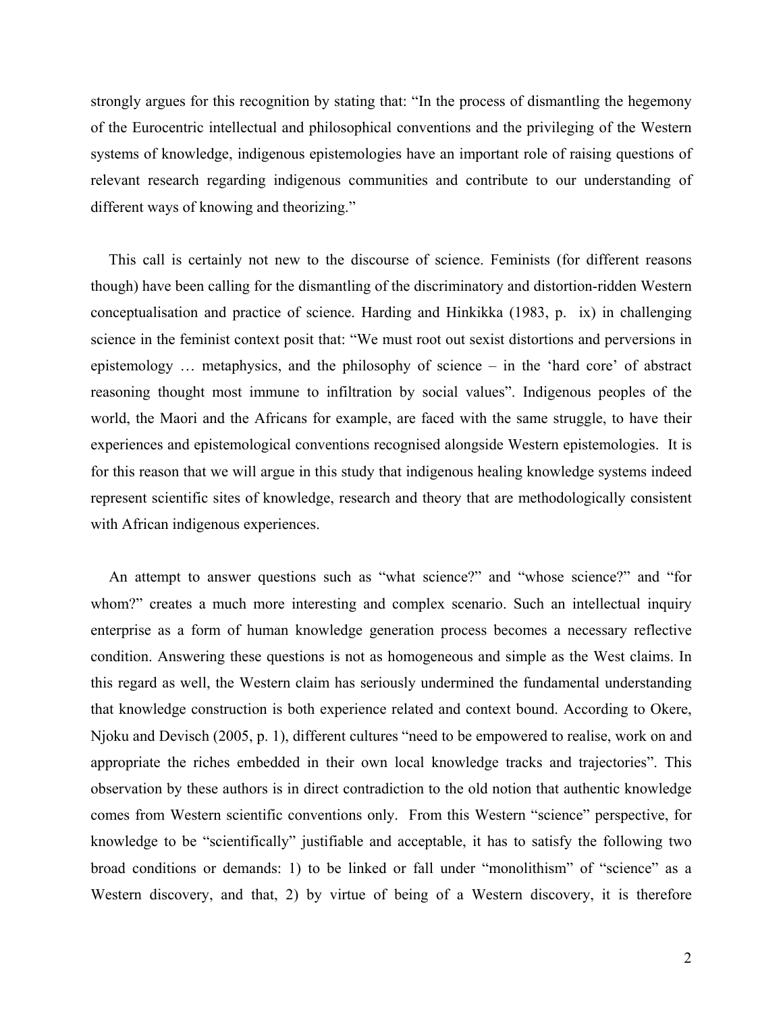strongly argues for this recognition by stating that: "In the process of dismantling the hegemony of the Eurocentric intellectual and philosophical conventions and the privileging of the Western systems of knowledge, indigenous epistemologies have an important role of raising questions of relevant research regarding indigenous communities and contribute to our understanding of different ways of knowing and theorizing."

This call is certainly not new to the discourse of science. Feminists (for different reasons though) have been calling for the dismantling of the discriminatory and distortion-ridden Western conceptualisation and practice of science. Harding and Hinkikka (1983, p. ix) in challenging science in the feminist context posit that: "We must root out sexist distortions and perversions in epistemology … metaphysics, and the philosophy of science – in the 'hard core' of abstract reasoning thought most immune to infiltration by social values". Indigenous peoples of the world, the Maori and the Africans for example, are faced with the same struggle, to have their experiences and epistemological conventions recognised alongside Western epistemologies. It is for this reason that we will argue in this study that indigenous healing knowledge systems indeed represent scientific sites of knowledge, research and theory that are methodologically consistent with African indigenous experiences.

An attempt to answer questions such as "what science?" and "whose science?" and "for whom?" creates a much more interesting and complex scenario. Such an intellectual inquiry enterprise as a form of human knowledge generation process becomes a necessary reflective condition. Answering these questions is not as homogeneous and simple as the West claims. In this regard as well, the Western claim has seriously undermined the fundamental understanding that knowledge construction is both experience related and context bound. According to Okere, Njoku and Devisch (2005, p. 1), different cultures "need to be empowered to realise, work on and appropriate the riches embedded in their own local knowledge tracks and trajectories". This observation by these authors is in direct contradiction to the old notion that authentic knowledge comes from Western scientific conventions only. From this Western "science" perspective, for knowledge to be "scientifically" justifiable and acceptable, it has to satisfy the following two broad conditions or demands: 1) to be linked or fall under "monolithism" of "science" as a Western discovery, and that, 2) by virtue of being of a Western discovery, it is therefore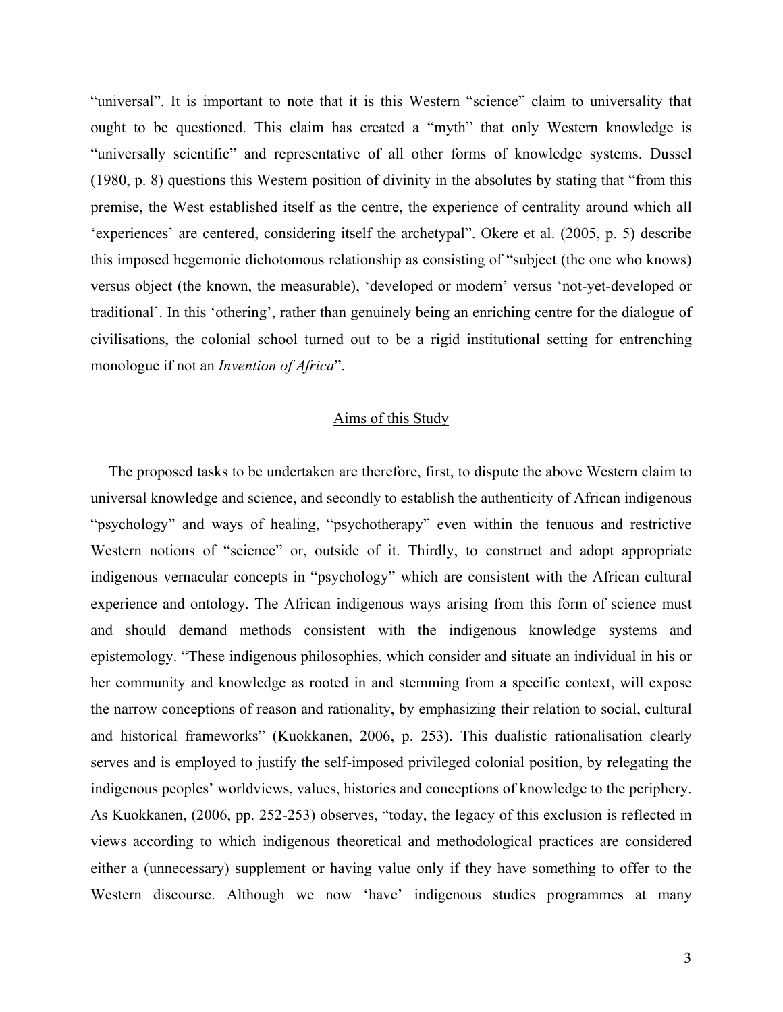"universal". It is important to note that it is this Western "science" claim to universality that ought to be questioned. This claim has created a "myth" that only Western knowledge is "universally scientific" and representative of all other forms of knowledge systems. Dussel (1980, p. 8) questions this Western position of divinity in the absolutes by stating that "from this premise, the West established itself as the centre, the experience of centrality around which all 'experiences' are centered, considering itself the archetypal". Okere et al. (2005, p. 5) describe this imposed hegemonic dichotomous relationship as consisting of "subject (the one who knows) versus object (the known, the measurable), 'developed or modern' versus 'not-yet-developed or traditional'. In this 'othering', rather than genuinely being an enriching centre for the dialogue of civilisations, the colonial school turned out to be a rigid institutional setting for entrenching monologue if not an *Invention of Africa*".

#### Aims of this Study

The proposed tasks to be undertaken are therefore, first, to dispute the above Western claim to universal knowledge and science, and secondly to establish the authenticity of African indigenous "psychology" and ways of healing, "psychotherapy" even within the tenuous and restrictive Western notions of "science" or, outside of it. Thirdly, to construct and adopt appropriate indigenous vernacular concepts in "psychology" which are consistent with the African cultural experience and ontology. The African indigenous ways arising from this form of science must and should demand methods consistent with the indigenous knowledge systems and epistemology. "These indigenous philosophies, which consider and situate an individual in his or her community and knowledge as rooted in and stemming from a specific context, will expose the narrow conceptions of reason and rationality, by emphasizing their relation to social, cultural and historical frameworks" (Kuokkanen, 2006, p. 253). This dualistic rationalisation clearly serves and is employed to justify the self-imposed privileged colonial position, by relegating the indigenous peoples' worldviews, values, histories and conceptions of knowledge to the periphery. As Kuokkanen, (2006, pp. 252-253) observes, "today, the legacy of this exclusion is reflected in views according to which indigenous theoretical and methodological practices are considered either a (unnecessary) supplement or having value only if they have something to offer to the Western discourse. Although we now 'have' indigenous studies programmes at many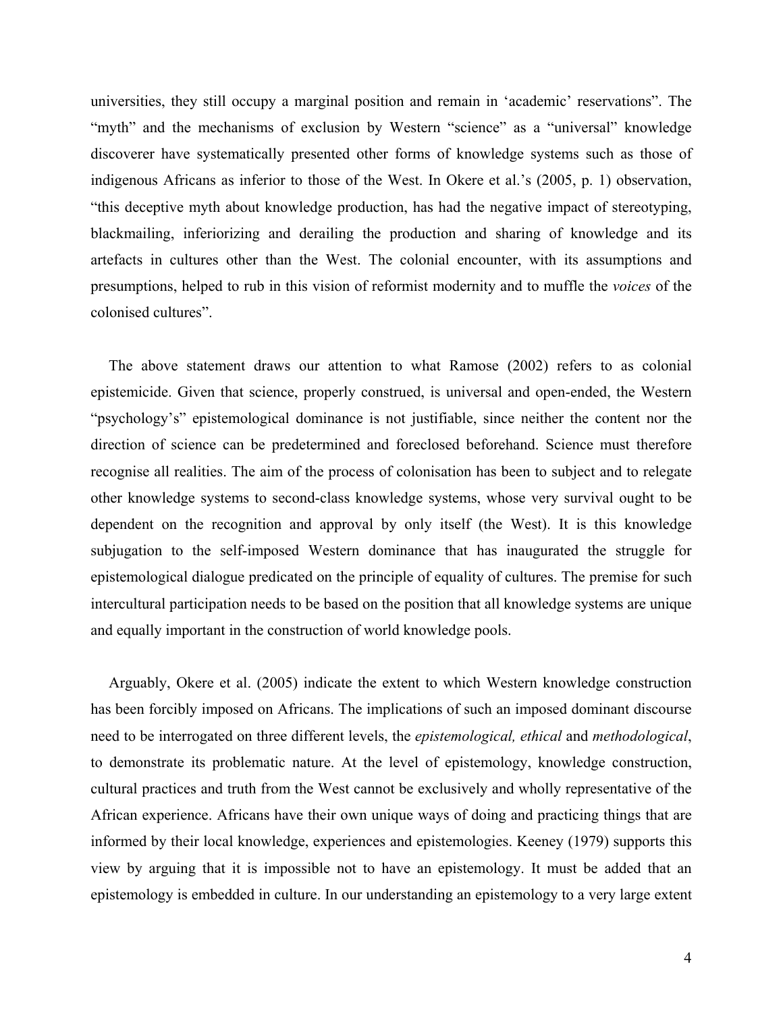universities, they still occupy a marginal position and remain in 'academic' reservations". The "myth" and the mechanisms of exclusion by Western "science" as a "universal" knowledge discoverer have systematically presented other forms of knowledge systems such as those of indigenous Africans as inferior to those of the West. In Okere et al.'s (2005, p. 1) observation, "this deceptive myth about knowledge production, has had the negative impact of stereotyping, blackmailing, inferiorizing and derailing the production and sharing of knowledge and its artefacts in cultures other than the West. The colonial encounter, with its assumptions and presumptions, helped to rub in this vision of reformist modernity and to muffle the *voices* of the colonised cultures".

The above statement draws our attention to what Ramose (2002) refers to as colonial epistemicide. Given that science, properly construed, is universal and open-ended, the Western "psychology's" epistemological dominance is not justifiable, since neither the content nor the direction of science can be predetermined and foreclosed beforehand. Science must therefore recognise all realities. The aim of the process of colonisation has been to subject and to relegate other knowledge systems to second-class knowledge systems, whose very survival ought to be dependent on the recognition and approval by only itself (the West). It is this knowledge subjugation to the self-imposed Western dominance that has inaugurated the struggle for epistemological dialogue predicated on the principle of equality of cultures. The premise for such intercultural participation needs to be based on the position that all knowledge systems are unique and equally important in the construction of world knowledge pools.

Arguably, Okere et al. (2005) indicate the extent to which Western knowledge construction has been forcibly imposed on Africans. The implications of such an imposed dominant discourse need to be interrogated on three different levels, the *epistemological, ethical* and *methodological*, to demonstrate its problematic nature. At the level of epistemology, knowledge construction, cultural practices and truth from the West cannot be exclusively and wholly representative of the African experience. Africans have their own unique ways of doing and practicing things that are informed by their local knowledge, experiences and epistemologies. Keeney (1979) supports this view by arguing that it is impossible not to have an epistemology. It must be added that an epistemology is embedded in culture. In our understanding an epistemology to a very large extent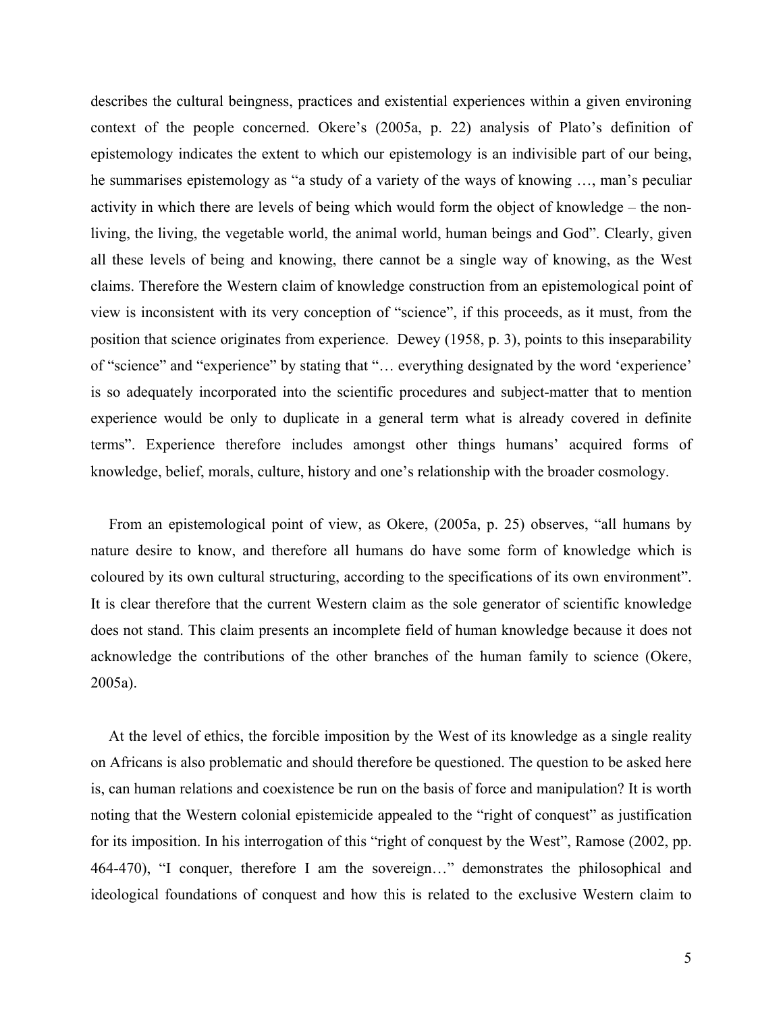describes the cultural beingness, practices and existential experiences within a given environing context of the people concerned. Okere's (2005a, p. 22) analysis of Plato's definition of epistemology indicates the extent to which our epistemology is an indivisible part of our being, he summarises epistemology as "a study of a variety of the ways of knowing …, man's peculiar activity in which there are levels of being which would form the object of knowledge – the nonliving, the living, the vegetable world, the animal world, human beings and God". Clearly, given all these levels of being and knowing, there cannot be a single way of knowing, as the West claims. Therefore the Western claim of knowledge construction from an epistemological point of view is inconsistent with its very conception of "science", if this proceeds, as it must, from the position that science originates from experience. Dewey (1958, p. 3), points to this inseparability of "science" and "experience" by stating that "… everything designated by the word 'experience' is so adequately incorporated into the scientific procedures and subject-matter that to mention experience would be only to duplicate in a general term what is already covered in definite terms". Experience therefore includes amongst other things humans' acquired forms of knowledge, belief, morals, culture, history and one's relationship with the broader cosmology.

From an epistemological point of view, as Okere, (2005a, p. 25) observes, "all humans by nature desire to know, and therefore all humans do have some form of knowledge which is coloured by its own cultural structuring, according to the specifications of its own environment". It is clear therefore that the current Western claim as the sole generator of scientific knowledge does not stand. This claim presents an incomplete field of human knowledge because it does not acknowledge the contributions of the other branches of the human family to science (Okere, 2005a).

At the level of ethics, the forcible imposition by the West of its knowledge as a single reality on Africans is also problematic and should therefore be questioned. The question to be asked here is, can human relations and coexistence be run on the basis of force and manipulation? It is worth noting that the Western colonial epistemicide appealed to the "right of conquest" as justification for its imposition. In his interrogation of this "right of conquest by the West", Ramose (2002, pp. 464-470), "I conquer, therefore I am the sovereign…" demonstrates the philosophical and ideological foundations of conquest and how this is related to the exclusive Western claim to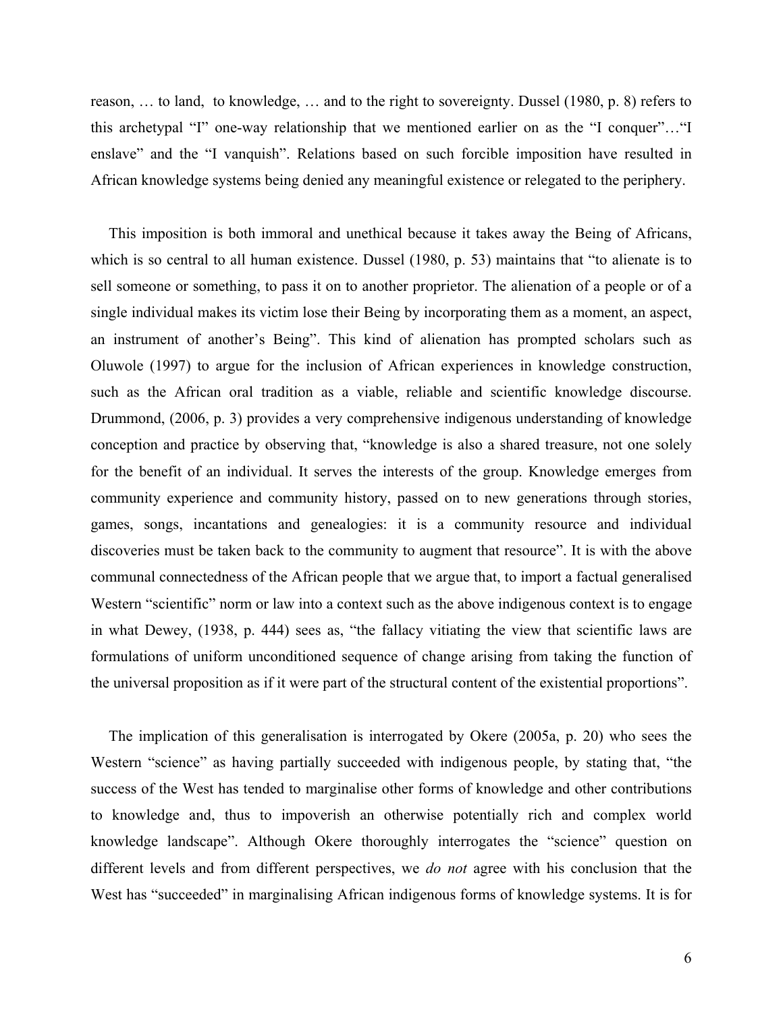reason, … to land, to knowledge, … and to the right to sovereignty. Dussel (1980, p. 8) refers to this archetypal "I" one-way relationship that we mentioned earlier on as the "I conquer"…"I enslave" and the "I vanquish". Relations based on such forcible imposition have resulted in African knowledge systems being denied any meaningful existence or relegated to the periphery.

This imposition is both immoral and unethical because it takes away the Being of Africans, which is so central to all human existence. Dussel (1980, p. 53) maintains that "to alienate is to sell someone or something, to pass it on to another proprietor. The alienation of a people or of a single individual makes its victim lose their Being by incorporating them as a moment, an aspect, an instrument of another's Being". This kind of alienation has prompted scholars such as Oluwole (1997) to argue for the inclusion of African experiences in knowledge construction, such as the African oral tradition as a viable, reliable and scientific knowledge discourse. Drummond, (2006, p. 3) provides a very comprehensive indigenous understanding of knowledge conception and practice by observing that, "knowledge is also a shared treasure, not one solely for the benefit of an individual. It serves the interests of the group. Knowledge emerges from community experience and community history, passed on to new generations through stories, games, songs, incantations and genealogies: it is a community resource and individual discoveries must be taken back to the community to augment that resource". It is with the above communal connectedness of the African people that we argue that, to import a factual generalised Western "scientific" norm or law into a context such as the above indigenous context is to engage in what Dewey, (1938, p. 444) sees as, "the fallacy vitiating the view that scientific laws are formulations of uniform unconditioned sequence of change arising from taking the function of the universal proposition as if it were part of the structural content of the existential proportions".

The implication of this generalisation is interrogated by Okere (2005a, p. 20) who sees the Western "science" as having partially succeeded with indigenous people, by stating that, "the success of the West has tended to marginalise other forms of knowledge and other contributions to knowledge and, thus to impoverish an otherwise potentially rich and complex world knowledge landscape". Although Okere thoroughly interrogates the "science" question on different levels and from different perspectives, we *do not* agree with his conclusion that the West has "succeeded" in marginalising African indigenous forms of knowledge systems. It is for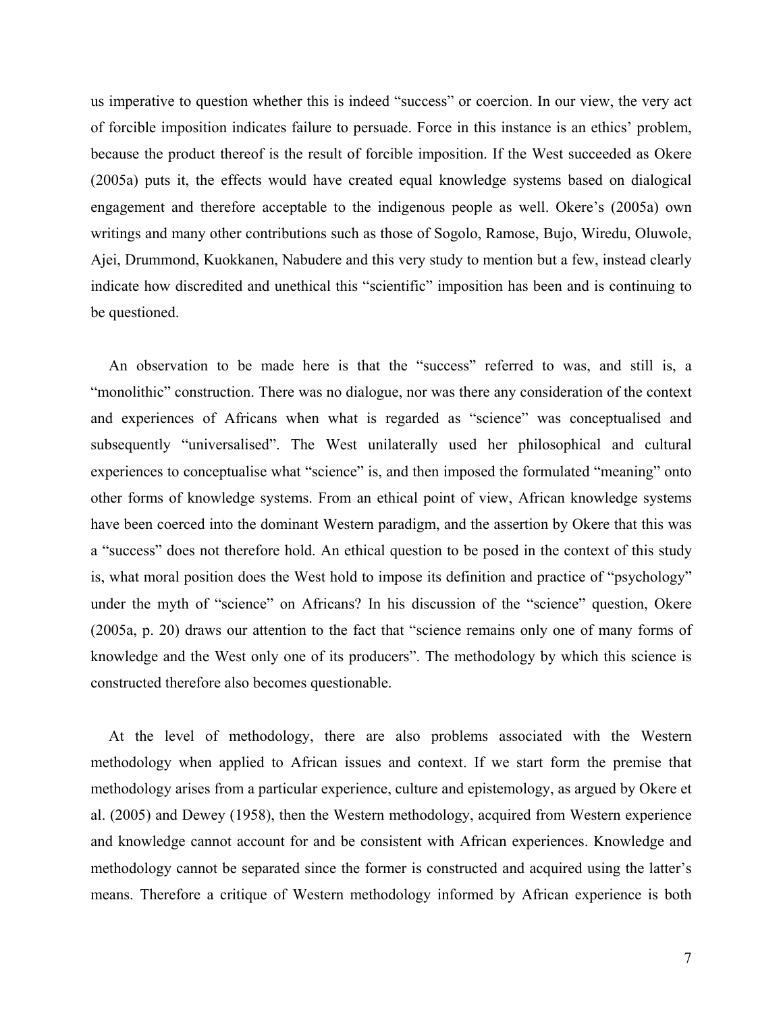us imperative to question whether this is indeed "success" or coercion. In our view, the very act of forcible imposition indicates failure to persuade. Force in this instance is an ethics' problem, because the product thereof is the result of forcible imposition. If the West succeeded as Okere (2005a) puts it, the effects would have created equal knowledge systems based on dialogical engagement and therefore acceptable to the indigenous people as well. Okere's (2005a) own writings and many other contributions such as those of Sogolo, Ramose, Bujo, Wiredu, Oluwole, Ajei, Drummond, Kuokkanen, Nabudere and this very study to mention but a few, instead clearly indicate how discredited and unethical this "scientific" imposition has been and is continuing to be questioned.

An observation to be made here is that the "success" referred to was, and still is, a "monolithic" construction. There was no dialogue, nor was there any consideration of the context and experiences of Africans when what is regarded as "science" was conceptualised and subsequently "universalised". The West unilaterally used her philosophical and cultural experiences to conceptualise what "science" is, and then imposed the formulated "meaning" onto other forms of knowledge systems. From an ethical point of view, African knowledge systems have been coerced into the dominant Western paradigm, and the assertion by Okere that this was a "success" does not therefore hold. An ethical question to be posed in the context of this study is, what moral position does the West hold to impose its definition and practice of "psychology" under the myth of "science" on Africans? In his discussion of the "science" question, Okere (2005a, p. 20) draws our attention to the fact that "science remains only one of many forms of knowledge and the West only one of its producers". The methodology by which this science is constructed therefore also becomes questionable.

At the level of methodology, there are also problems associated with the Western methodology when applied to African issues and context. If we start form the premise that methodology arises from a particular experience, culture and epistemology, as argued by Okere et al. (2005) and Dewey (1958), then the Western methodology, acquired from Western experience and knowledge cannot account for and be consistent with African experiences. Knowledge and methodology cannot be separated since the former is constructed and acquired using the latter's means. Therefore a critique of Western methodology informed by African experience is both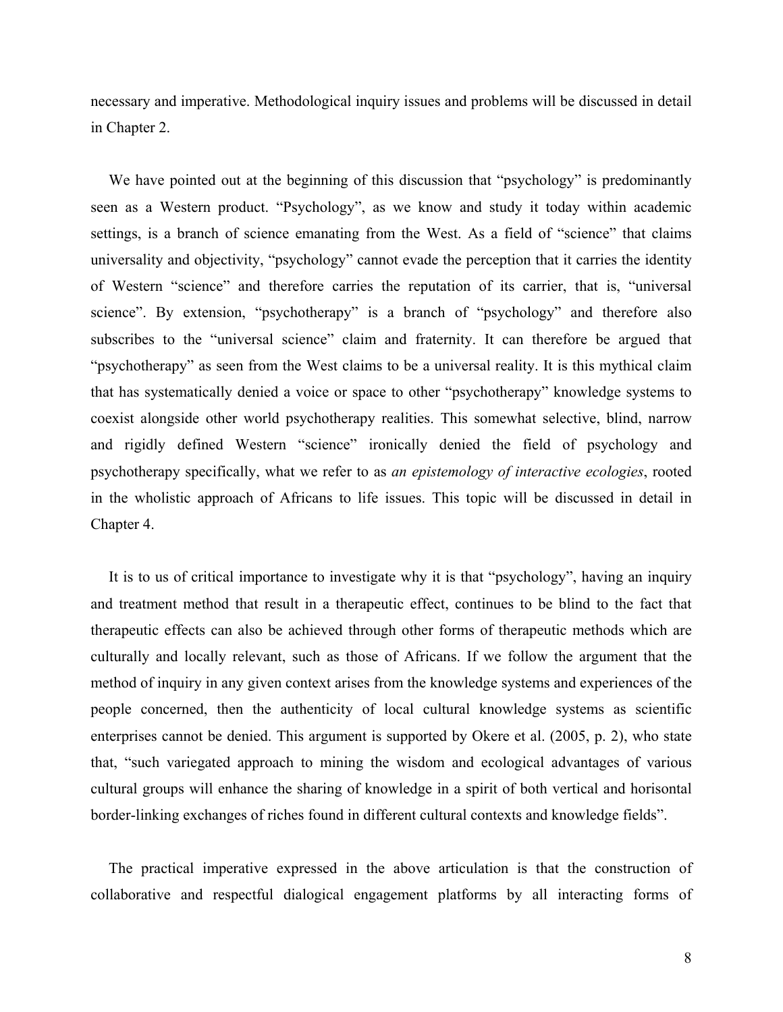necessary and imperative. Methodological inquiry issues and problems will be discussed in detail in Chapter 2.

We have pointed out at the beginning of this discussion that "psychology" is predominantly seen as a Western product. "Psychology", as we know and study it today within academic settings, is a branch of science emanating from the West. As a field of "science" that claims universality and objectivity, "psychology" cannot evade the perception that it carries the identity of Western "science" and therefore carries the reputation of its carrier, that is, "universal science". By extension, "psychotherapy" is a branch of "psychology" and therefore also subscribes to the "universal science" claim and fraternity. It can therefore be argued that "psychotherapy" as seen from the West claims to be a universal reality. It is this mythical claim that has systematically denied a voice or space to other "psychotherapy" knowledge systems to coexist alongside other world psychotherapy realities. This somewhat selective, blind, narrow and rigidly defined Western "science" ironically denied the field of psychology and psychotherapy specifically, what we refer to as *an epistemology of interactive ecologies*, rooted in the wholistic approach of Africans to life issues. This topic will be discussed in detail in Chapter 4.

It is to us of critical importance to investigate why it is that "psychology", having an inquiry and treatment method that result in a therapeutic effect, continues to be blind to the fact that therapeutic effects can also be achieved through other forms of therapeutic methods which are culturally and locally relevant, such as those of Africans. If we follow the argument that the method of inquiry in any given context arises from the knowledge systems and experiences of the people concerned, then the authenticity of local cultural knowledge systems as scientific enterprises cannot be denied. This argument is supported by Okere et al. (2005, p. 2), who state that, "such variegated approach to mining the wisdom and ecological advantages of various cultural groups will enhance the sharing of knowledge in a spirit of both vertical and horisontal border-linking exchanges of riches found in different cultural contexts and knowledge fields".

The practical imperative expressed in the above articulation is that the construction of collaborative and respectful dialogical engagement platforms by all interacting forms of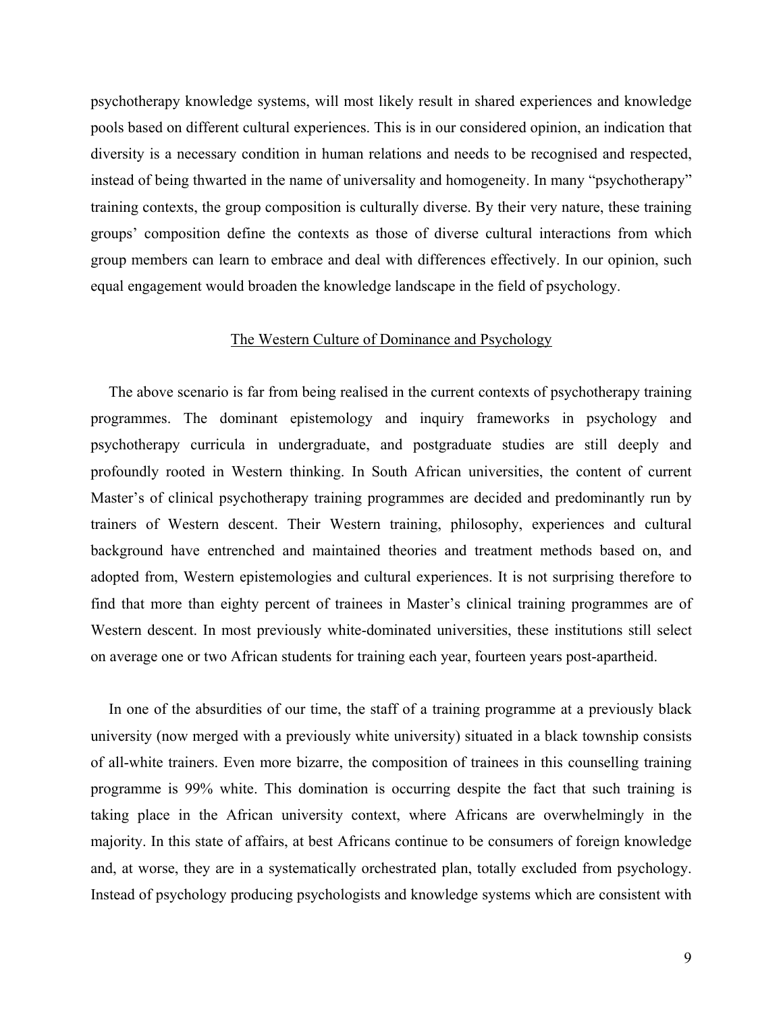psychotherapy knowledge systems, will most likely result in shared experiences and knowledge pools based on different cultural experiences. This is in our considered opinion, an indication that diversity is a necessary condition in human relations and needs to be recognised and respected, instead of being thwarted in the name of universality and homogeneity. In many "psychotherapy" training contexts, the group composition is culturally diverse. By their very nature, these training groups' composition define the contexts as those of diverse cultural interactions from which group members can learn to embrace and deal with differences effectively. In our opinion, such equal engagement would broaden the knowledge landscape in the field of psychology.

#### The Western Culture of Dominance and Psychology

The above scenario is far from being realised in the current contexts of psychotherapy training programmes. The dominant epistemology and inquiry frameworks in psychology and psychotherapy curricula in undergraduate, and postgraduate studies are still deeply and profoundly rooted in Western thinking. In South African universities, the content of current Master's of clinical psychotherapy training programmes are decided and predominantly run by trainers of Western descent. Their Western training, philosophy, experiences and cultural background have entrenched and maintained theories and treatment methods based on, and adopted from, Western epistemologies and cultural experiences. It is not surprising therefore to find that more than eighty percent of trainees in Master's clinical training programmes are of Western descent. In most previously white-dominated universities, these institutions still select on average one or two African students for training each year, fourteen years post-apartheid.

In one of the absurdities of our time, the staff of a training programme at a previously black university (now merged with a previously white university) situated in a black township consists of all-white trainers. Even more bizarre, the composition of trainees in this counselling training programme is 99% white. This domination is occurring despite the fact that such training is taking place in the African university context, where Africans are overwhelmingly in the majority. In this state of affairs, at best Africans continue to be consumers of foreign knowledge and, at worse, they are in a systematically orchestrated plan, totally excluded from psychology. Instead of psychology producing psychologists and knowledge systems which are consistent with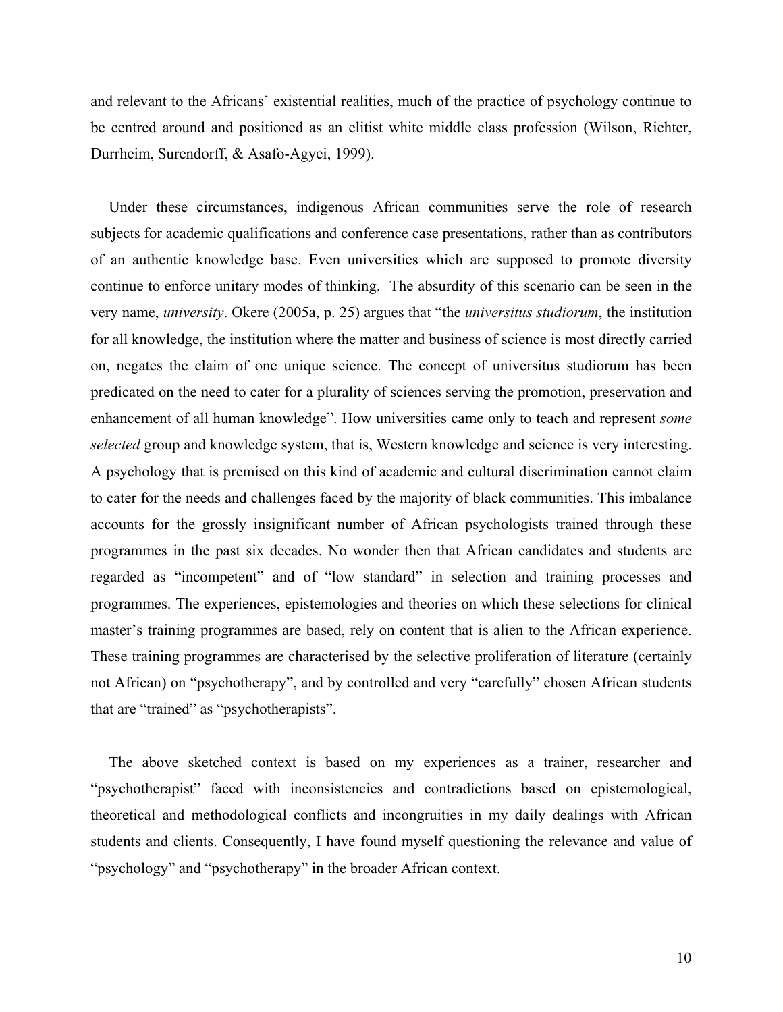and relevant to the Africans' existential realities, much of the practice of psychology continue to be centred around and positioned as an elitist white middle class profession (Wilson, Richter, Durrheim, Surendorff, & Asafo-Agyei, 1999).

Under these circumstances, indigenous African communities serve the role of research subjects for academic qualifications and conference case presentations, rather than as contributors of an authentic knowledge base. Even universities which are supposed to promote diversity continue to enforce unitary modes of thinking. The absurdity of this scenario can be seen in the very name, *university*. Okere (2005a, p. 25) argues that "the *universitus studiorum*, the institution for all knowledge, the institution where the matter and business of science is most directly carried on, negates the claim of one unique science. The concept of universitus studiorum has been predicated on the need to cater for a plurality of sciences serving the promotion, preservation and enhancement of all human knowledge". How universities came only to teach and represent *some selected* group and knowledge system, that is, Western knowledge and science is very interesting. A psychology that is premised on this kind of academic and cultural discrimination cannot claim to cater for the needs and challenges faced by the majority of black communities. This imbalance accounts for the grossly insignificant number of African psychologists trained through these programmes in the past six decades. No wonder then that African candidates and students are regarded as "incompetent" and of "low standard" in selection and training processes and programmes. The experiences, epistemologies and theories on which these selections for clinical master's training programmes are based, rely on content that is alien to the African experience. These training programmes are characterised by the selective proliferation of literature (certainly not African) on "psychotherapy", and by controlled and very "carefully" chosen African students that are "trained" as "psychotherapists".

The above sketched context is based on my experiences as a trainer, researcher and "psychotherapist" faced with inconsistencies and contradictions based on epistemological, theoretical and methodological conflicts and incongruities in my daily dealings with African students and clients. Consequently, I have found myself questioning the relevance and value of "psychology" and "psychotherapy" in the broader African context.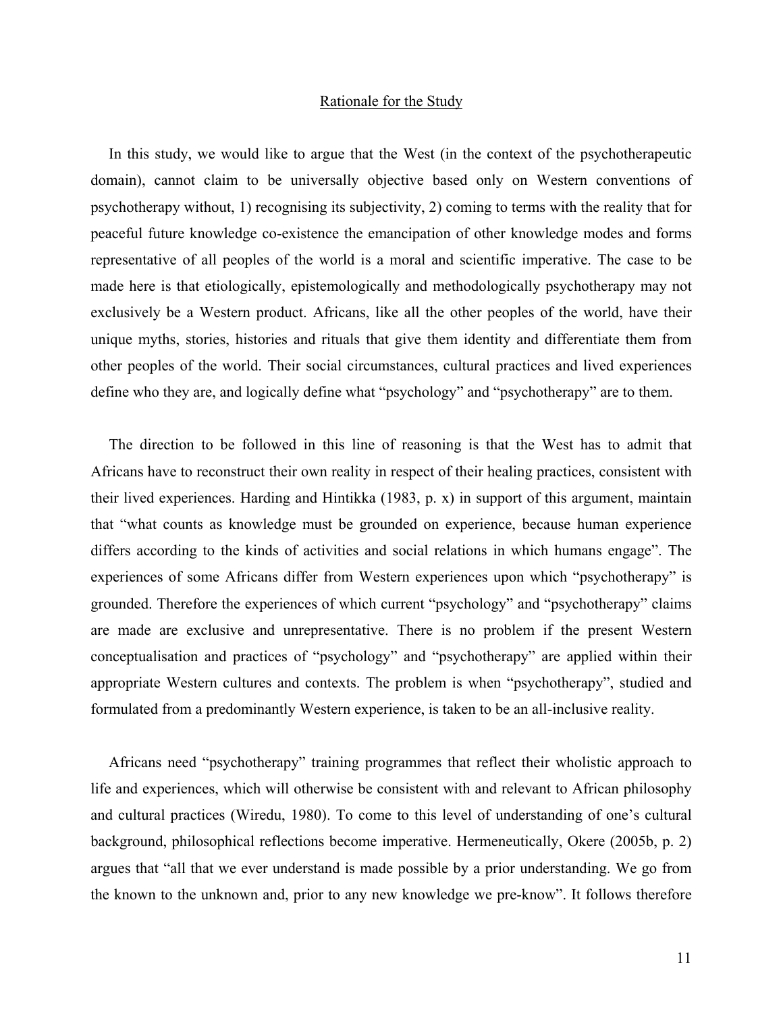#### Rationale for the Study

In this study, we would like to argue that the West (in the context of the psychotherapeutic domain), cannot claim to be universally objective based only on Western conventions of psychotherapy without, 1) recognising its subjectivity, 2) coming to terms with the reality that for peaceful future knowledge co-existence the emancipation of other knowledge modes and forms representative of all peoples of the world is a moral and scientific imperative. The case to be made here is that etiologically, epistemologically and methodologically psychotherapy may not exclusively be a Western product. Africans, like all the other peoples of the world, have their unique myths, stories, histories and rituals that give them identity and differentiate them from other peoples of the world. Their social circumstances, cultural practices and lived experiences define who they are, and logically define what "psychology" and "psychotherapy" are to them.

The direction to be followed in this line of reasoning is that the West has to admit that Africans have to reconstruct their own reality in respect of their healing practices, consistent with their lived experiences. Harding and Hintikka (1983, p. x) in support of this argument, maintain that "what counts as knowledge must be grounded on experience, because human experience differs according to the kinds of activities and social relations in which humans engage". The experiences of some Africans differ from Western experiences upon which "psychotherapy" is grounded. Therefore the experiences of which current "psychology" and "psychotherapy" claims are made are exclusive and unrepresentative. There is no problem if the present Western conceptualisation and practices of "psychology" and "psychotherapy" are applied within their appropriate Western cultures and contexts. The problem is when "psychotherapy", studied and formulated from a predominantly Western experience, is taken to be an all-inclusive reality.

Africans need "psychotherapy" training programmes that reflect their wholistic approach to life and experiences, which will otherwise be consistent with and relevant to African philosophy and cultural practices (Wiredu, 1980). To come to this level of understanding of one's cultural background, philosophical reflections become imperative. Hermeneutically, Okere (2005b, p. 2) argues that "all that we ever understand is made possible by a prior understanding. We go from the known to the unknown and, prior to any new knowledge we pre-know". It follows therefore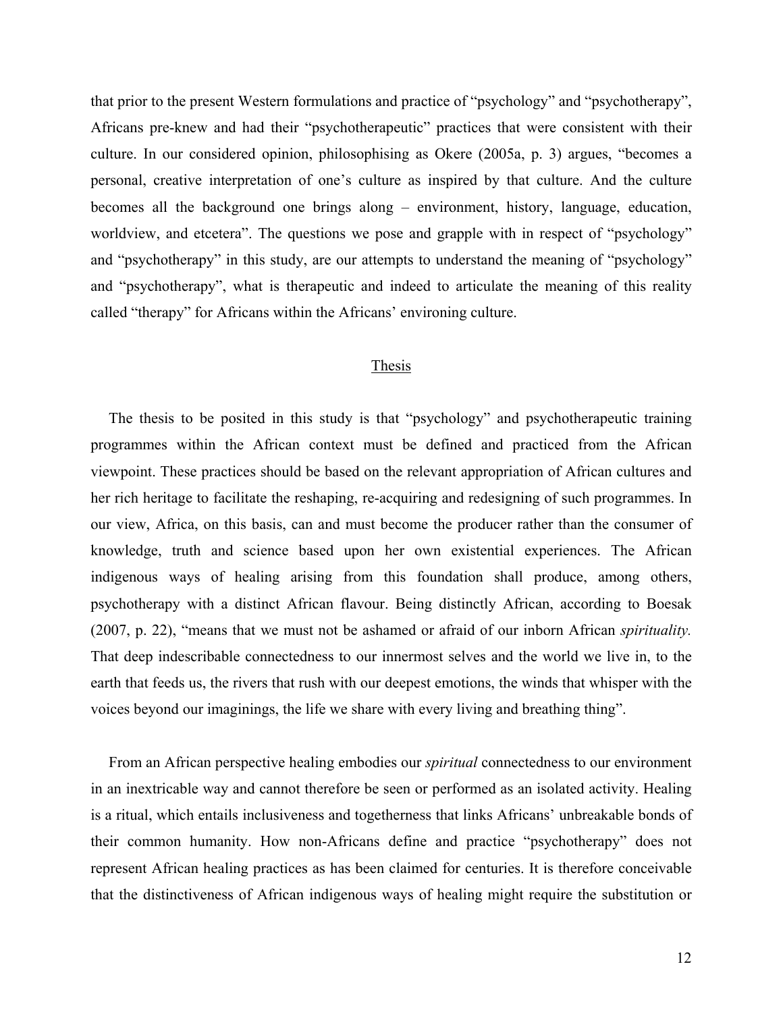that prior to the present Western formulations and practice of "psychology" and "psychotherapy", Africans pre-knew and had their "psychotherapeutic" practices that were consistent with their culture. In our considered opinion, philosophising as Okere (2005a, p. 3) argues, "becomes a personal, creative interpretation of one's culture as inspired by that culture. And the culture becomes all the background one brings along – environment, history, language, education, worldview, and etcetera". The questions we pose and grapple with in respect of "psychology" and "psychotherapy" in this study, are our attempts to understand the meaning of "psychology" and "psychotherapy", what is therapeutic and indeed to articulate the meaning of this reality called "therapy" for Africans within the Africans' environing culture.

#### Thesis

The thesis to be posited in this study is that "psychology" and psychotherapeutic training programmes within the African context must be defined and practiced from the African viewpoint. These practices should be based on the relevant appropriation of African cultures and her rich heritage to facilitate the reshaping, re-acquiring and redesigning of such programmes. In our view, Africa, on this basis, can and must become the producer rather than the consumer of knowledge, truth and science based upon her own existential experiences. The African indigenous ways of healing arising from this foundation shall produce, among others, psychotherapy with a distinct African flavour. Being distinctly African, according to Boesak (2007, p. 22), "means that we must not be ashamed or afraid of our inborn African *spirituality.* That deep indescribable connectedness to our innermost selves and the world we live in, to the earth that feeds us, the rivers that rush with our deepest emotions, the winds that whisper with the voices beyond our imaginings, the life we share with every living and breathing thing".

From an African perspective healing embodies our *spiritual* connectedness to our environment in an inextricable way and cannot therefore be seen or performed as an isolated activity. Healing is a ritual, which entails inclusiveness and togetherness that links Africans' unbreakable bonds of their common humanity. How non-Africans define and practice "psychotherapy" does not represent African healing practices as has been claimed for centuries. It is therefore conceivable that the distinctiveness of African indigenous ways of healing might require the substitution or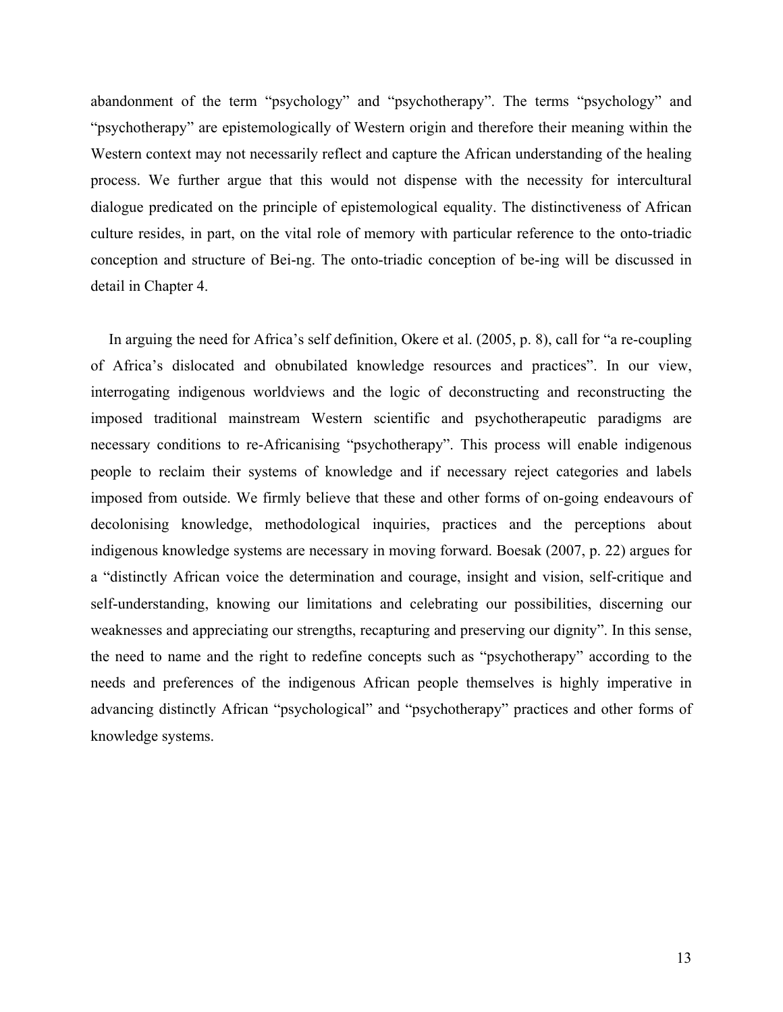abandonment of the term "psychology" and "psychotherapy". The terms "psychology" and "psychotherapy" are epistemologically of Western origin and therefore their meaning within the Western context may not necessarily reflect and capture the African understanding of the healing process. We further argue that this would not dispense with the necessity for intercultural dialogue predicated on the principle of epistemological equality. The distinctiveness of African culture resides, in part, on the vital role of memory with particular reference to the onto-triadic conception and structure of Bei-ng. The onto-triadic conception of be-ing will be discussed in detail in Chapter 4.

In arguing the need for Africa's self definition, Okere et al. (2005, p. 8), call for "a re-coupling of Africa's dislocated and obnubilated knowledge resources and practices". In our view, interrogating indigenous worldviews and the logic of deconstructing and reconstructing the imposed traditional mainstream Western scientific and psychotherapeutic paradigms are necessary conditions to re-Africanising "psychotherapy". This process will enable indigenous people to reclaim their systems of knowledge and if necessary reject categories and labels imposed from outside. We firmly believe that these and other forms of on-going endeavours of decolonising knowledge, methodological inquiries, practices and the perceptions about indigenous knowledge systems are necessary in moving forward. Boesak (2007, p. 22) argues for a "distinctly African voice the determination and courage, insight and vision, self-critique and self-understanding, knowing our limitations and celebrating our possibilities, discerning our weaknesses and appreciating our strengths, recapturing and preserving our dignity". In this sense, the need to name and the right to redefine concepts such as "psychotherapy" according to the needs and preferences of the indigenous African people themselves is highly imperative in advancing distinctly African "psychological" and "psychotherapy" practices and other forms of knowledge systems.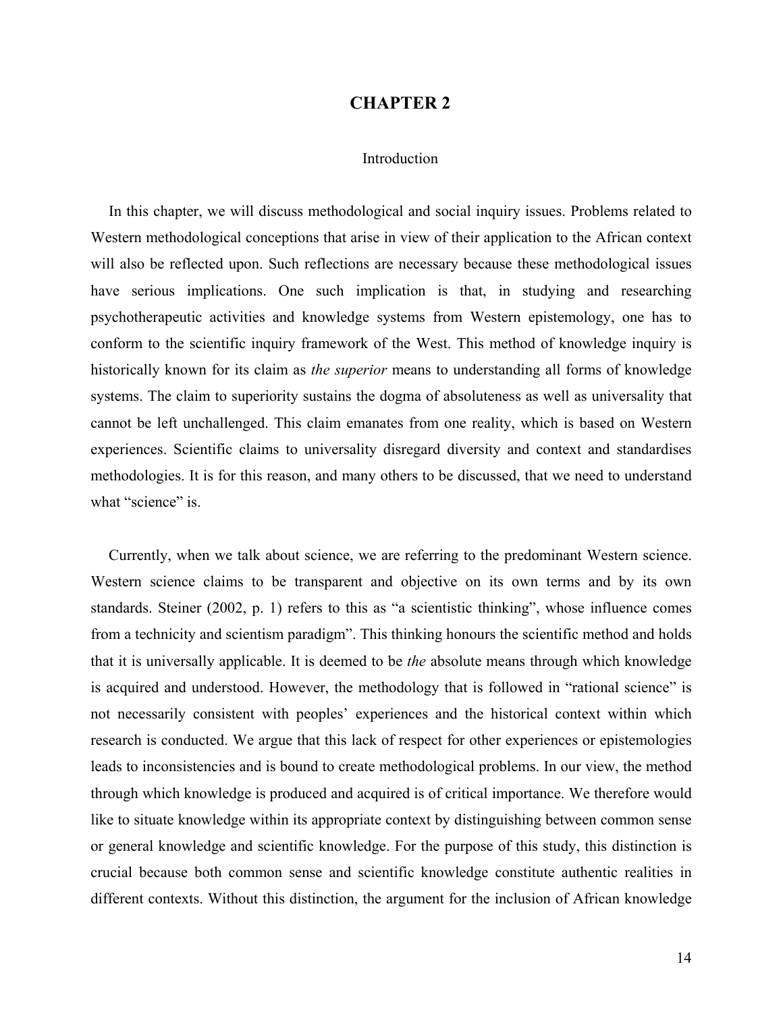### **CHAPTER 2**

#### Introduction

In this chapter, we will discuss methodological and social inquiry issues. Problems related to Western methodological conceptions that arise in view of their application to the African context will also be reflected upon. Such reflections are necessary because these methodological issues have serious implications. One such implication is that, in studying and researching psychotherapeutic activities and knowledge systems from Western epistemology, one has to conform to the scientific inquiry framework of the West. This method of knowledge inquiry is historically known for its claim as *the superior* means to understanding all forms of knowledge systems. The claim to superiority sustains the dogma of absoluteness as well as universality that cannot be left unchallenged. This claim emanates from one reality, which is based on Western experiences. Scientific claims to universality disregard diversity and context and standardises methodologies. It is for this reason, and many others to be discussed, that we need to understand what "science" is.

Currently, when we talk about science, we are referring to the predominant Western science. Western science claims to be transparent and objective on its own terms and by its own standards. Steiner (2002, p. 1) refers to this as "a scientistic thinking", whose influence comes from a technicity and scientism paradigm". This thinking honours the scientific method and holds that it is universally applicable. It is deemed to be *the* absolute means through which knowledge is acquired and understood. However, the methodology that is followed in "rational science" is not necessarily consistent with peoples' experiences and the historical context within which research is conducted. We argue that this lack of respect for other experiences or epistemologies leads to inconsistencies and is bound to create methodological problems. In our view, the method through which knowledge is produced and acquired is of critical importance. We therefore would like to situate knowledge within its appropriate context by distinguishing between common sense or general knowledge and scientific knowledge. For the purpose of this study, this distinction is crucial because both common sense and scientific knowledge constitute authentic realities in different contexts. Without this distinction, the argument for the inclusion of African knowledge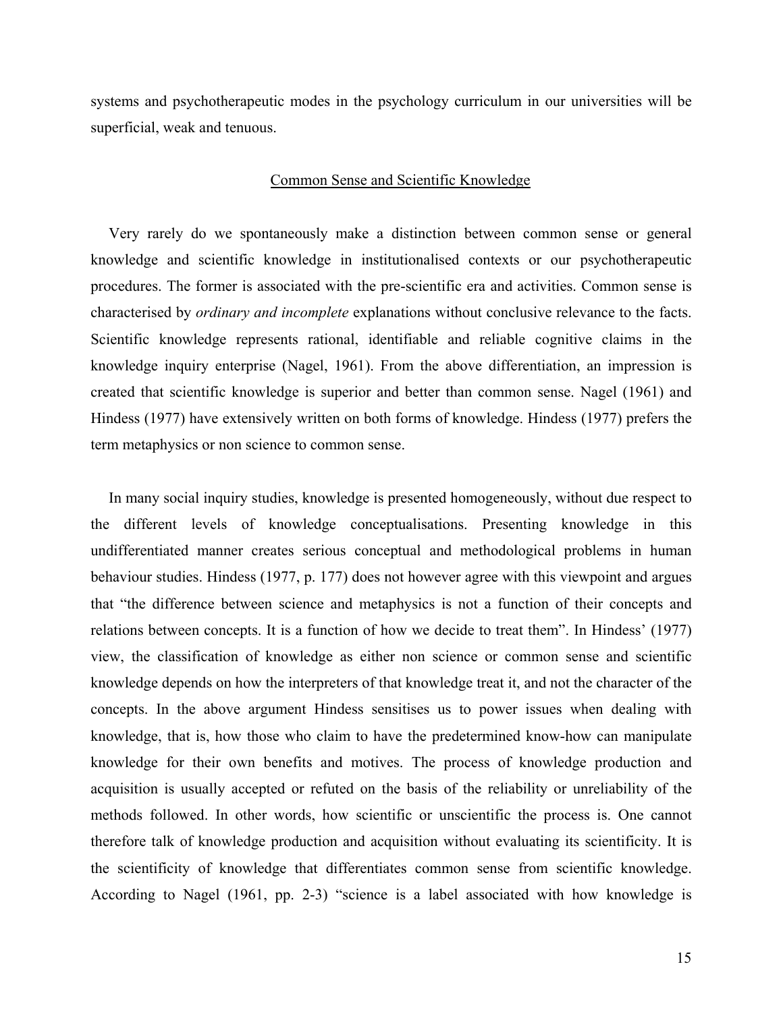systems and psychotherapeutic modes in the psychology curriculum in our universities will be superficial, weak and tenuous.

#### Common Sense and Scientific Knowledge

Very rarely do we spontaneously make a distinction between common sense or general knowledge and scientific knowledge in institutionalised contexts or our psychotherapeutic procedures. The former is associated with the pre-scientific era and activities. Common sense is characterised by *ordinary and incomplete* explanations without conclusive relevance to the facts. Scientific knowledge represents rational, identifiable and reliable cognitive claims in the knowledge inquiry enterprise (Nagel, 1961). From the above differentiation, an impression is created that scientific knowledge is superior and better than common sense. Nagel (1961) and Hindess (1977) have extensively written on both forms of knowledge. Hindess (1977) prefers the term metaphysics or non science to common sense.

In many social inquiry studies, knowledge is presented homogeneously, without due respect to the different levels of knowledge conceptualisations. Presenting knowledge in this undifferentiated manner creates serious conceptual and methodological problems in human behaviour studies. Hindess (1977, p. 177) does not however agree with this viewpoint and argues that "the difference between science and metaphysics is not a function of their concepts and relations between concepts. It is a function of how we decide to treat them". In Hindess' (1977) view, the classification of knowledge as either non science or common sense and scientific knowledge depends on how the interpreters of that knowledge treat it, and not the character of the concepts. In the above argument Hindess sensitises us to power issues when dealing with knowledge, that is, how those who claim to have the predetermined know-how can manipulate knowledge for their own benefits and motives. The process of knowledge production and acquisition is usually accepted or refuted on the basis of the reliability or unreliability of the methods followed. In other words, how scientific or unscientific the process is. One cannot therefore talk of knowledge production and acquisition without evaluating its scientificity. It is the scientificity of knowledge that differentiates common sense from scientific knowledge. According to Nagel (1961, pp. 2-3) "science is a label associated with how knowledge is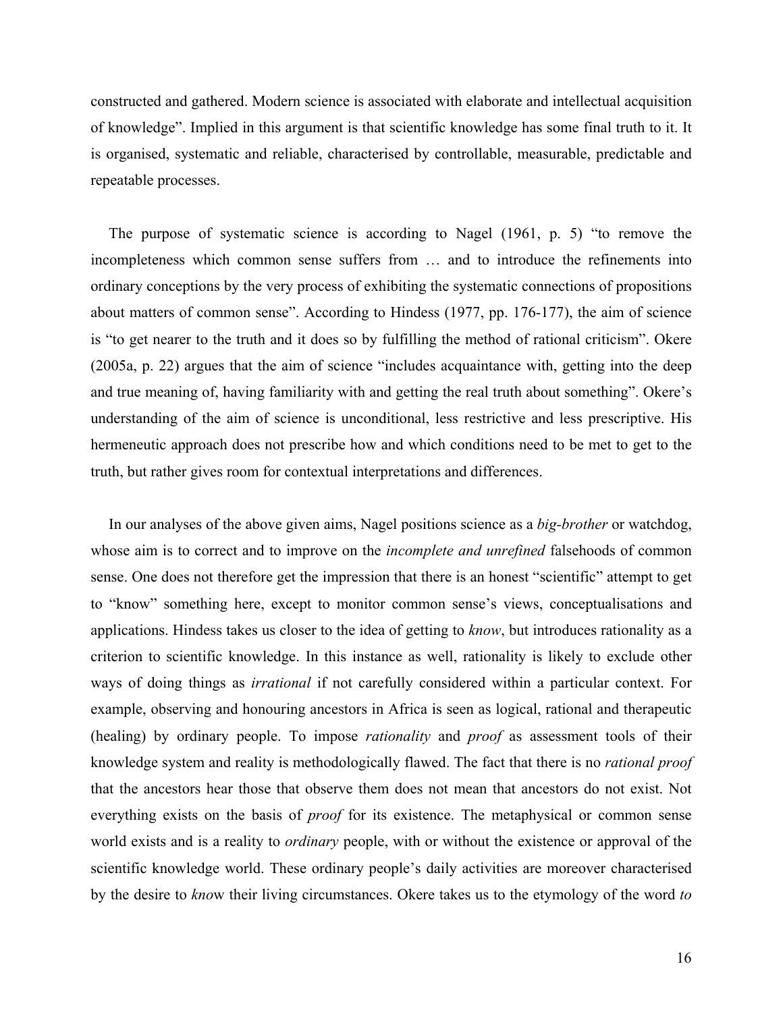constructed and gathered. Modern science is associated with elaborate and intellectual acquisition of knowledge". Implied in this argument is that scientific knowledge has some final truth to it. It is organised, systematic and reliable, characterised by controllable, measurable, predictable and repeatable processes.

The purpose of systematic science is according to Nagel (1961, p. 5) "to remove the incompleteness which common sense suffers from … and to introduce the refinements into ordinary conceptions by the very process of exhibiting the systematic connections of propositions about matters of common sense". According to Hindess (1977, pp. 176-177), the aim of science is "to get nearer to the truth and it does so by fulfilling the method of rational criticism". Okere (2005a, p. 22) argues that the aim of science "includes acquaintance with, getting into the deep and true meaning of, having familiarity with and getting the real truth about something". Okere's understanding of the aim of science is unconditional, less restrictive and less prescriptive. His hermeneutic approach does not prescribe how and which conditions need to be met to get to the truth, but rather gives room for contextual interpretations and differences.

In our analyses of the above given aims, Nagel positions science as a *big-brother* or watchdog, whose aim is to correct and to improve on the *incomplete and unrefined* falsehoods of common sense. One does not therefore get the impression that there is an honest "scientific" attempt to get to "know" something here, except to monitor common sense's views, conceptualisations and applications. Hindess takes us closer to the idea of getting to *know*, but introduces rationality as a criterion to scientific knowledge. In this instance as well, rationality is likely to exclude other ways of doing things as *irrational* if not carefully considered within a particular context. For example, observing and honouring ancestors in Africa is seen as logical, rational and therapeutic (healing) by ordinary people. To impose *rationality* and *proof* as assessment tools of their knowledge system and reality is methodologically flawed. The fact that there is no *rational proof* that the ancestors hear those that observe them does not mean that ancestors do not exist. Not everything exists on the basis of *proof* for its existence. The metaphysical or common sense world exists and is a reality to *ordinary* people, with or without the existence or approval of the scientific knowledge world. These ordinary people's daily activities are moreover characterised by the desire to *kno*w their living circumstances. Okere takes us to the etymology of the word *to*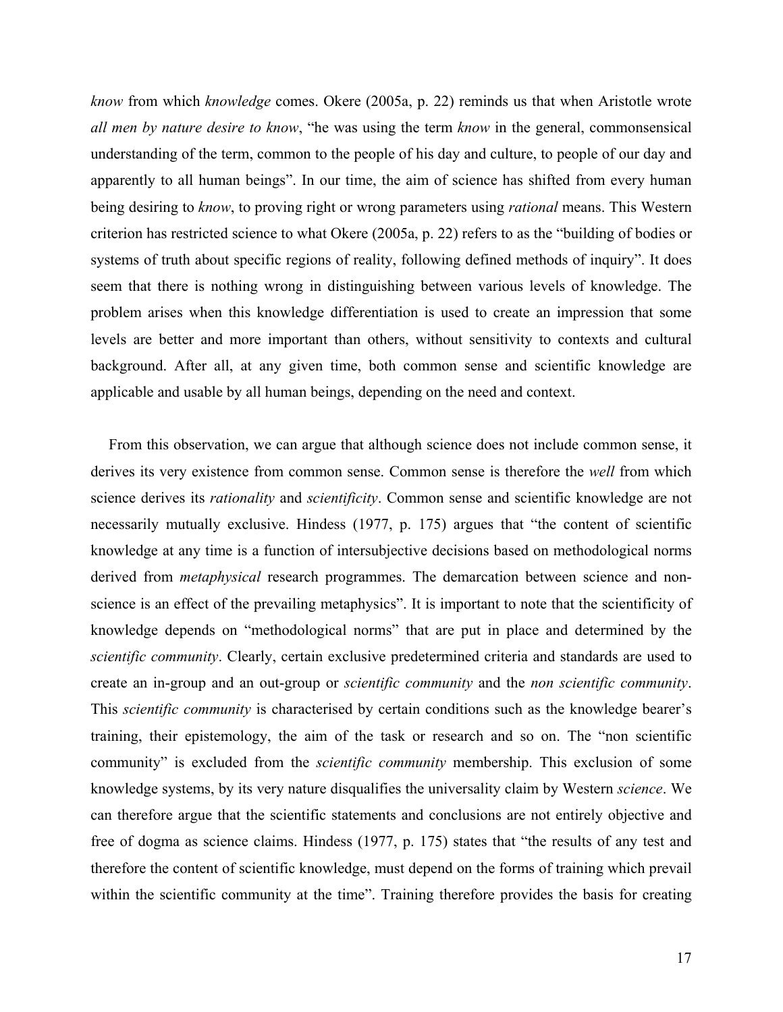*know* from which *knowledge* comes. Okere (2005a, p. 22) reminds us that when Aristotle wrote *all men by nature desire to know*, "he was using the term *know* in the general, commonsensical understanding of the term, common to the people of his day and culture, to people of our day and apparently to all human beings". In our time, the aim of science has shifted from every human being desiring to *know*, to proving right or wrong parameters using *rational* means. This Western criterion has restricted science to what Okere (2005a, p. 22) refers to as the "building of bodies or systems of truth about specific regions of reality, following defined methods of inquiry". It does seem that there is nothing wrong in distinguishing between various levels of knowledge. The problem arises when this knowledge differentiation is used to create an impression that some levels are better and more important than others, without sensitivity to contexts and cultural background. After all, at any given time, both common sense and scientific knowledge are applicable and usable by all human beings, depending on the need and context.

From this observation, we can argue that although science does not include common sense, it derives its very existence from common sense. Common sense is therefore the *well* from which science derives its *rationality* and *scientificity*. Common sense and scientific knowledge are not necessarily mutually exclusive. Hindess (1977, p. 175) argues that "the content of scientific knowledge at any time is a function of intersubjective decisions based on methodological norms derived from *metaphysical* research programmes. The demarcation between science and nonscience is an effect of the prevailing metaphysics". It is important to note that the scientificity of knowledge depends on "methodological norms" that are put in place and determined by the *scientific community*. Clearly, certain exclusive predetermined criteria and standards are used to create an in-group and an out-group or *scientific community* and the *non scientific community*. This *scientific community* is characterised by certain conditions such as the knowledge bearer's training, their epistemology, the aim of the task or research and so on. The "non scientific community" is excluded from the *scientific community* membership. This exclusion of some knowledge systems, by its very nature disqualifies the universality claim by Western *science*. We can therefore argue that the scientific statements and conclusions are not entirely objective and free of dogma as science claims. Hindess (1977, p. 175) states that "the results of any test and therefore the content of scientific knowledge, must depend on the forms of training which prevail within the scientific community at the time". Training therefore provides the basis for creating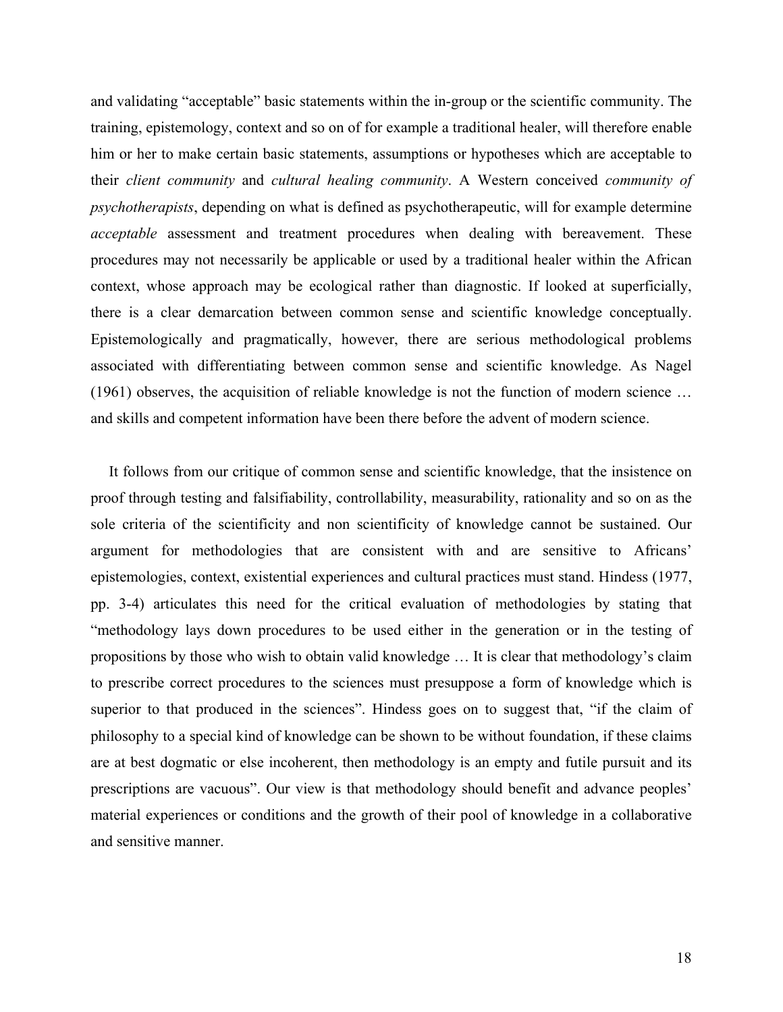and validating "acceptable" basic statements within the in-group or the scientific community. The training, epistemology, context and so on of for example a traditional healer, will therefore enable him or her to make certain basic statements, assumptions or hypotheses which are acceptable to their *client community* and *cultural healing community*. A Western conceived *community of psychotherapists*, depending on what is defined as psychotherapeutic, will for example determine *acceptable* assessment and treatment procedures when dealing with bereavement. These procedures may not necessarily be applicable or used by a traditional healer within the African context, whose approach may be ecological rather than diagnostic. If looked at superficially, there is a clear demarcation between common sense and scientific knowledge conceptually. Epistemologically and pragmatically, however, there are serious methodological problems associated with differentiating between common sense and scientific knowledge. As Nagel (1961) observes, the acquisition of reliable knowledge is not the function of modern science … and skills and competent information have been there before the advent of modern science.

It follows from our critique of common sense and scientific knowledge, that the insistence on proof through testing and falsifiability, controllability, measurability, rationality and so on as the sole criteria of the scientificity and non scientificity of knowledge cannot be sustained. Our argument for methodologies that are consistent with and are sensitive to Africans' epistemologies, context, existential experiences and cultural practices must stand. Hindess (1977, pp. 3-4) articulates this need for the critical evaluation of methodologies by stating that "methodology lays down procedures to be used either in the generation or in the testing of propositions by those who wish to obtain valid knowledge … It is clear that methodology's claim to prescribe correct procedures to the sciences must presuppose a form of knowledge which is superior to that produced in the sciences". Hindess goes on to suggest that, "if the claim of philosophy to a special kind of knowledge can be shown to be without foundation, if these claims are at best dogmatic or else incoherent, then methodology is an empty and futile pursuit and its prescriptions are vacuous". Our view is that methodology should benefit and advance peoples' material experiences or conditions and the growth of their pool of knowledge in a collaborative and sensitive manner.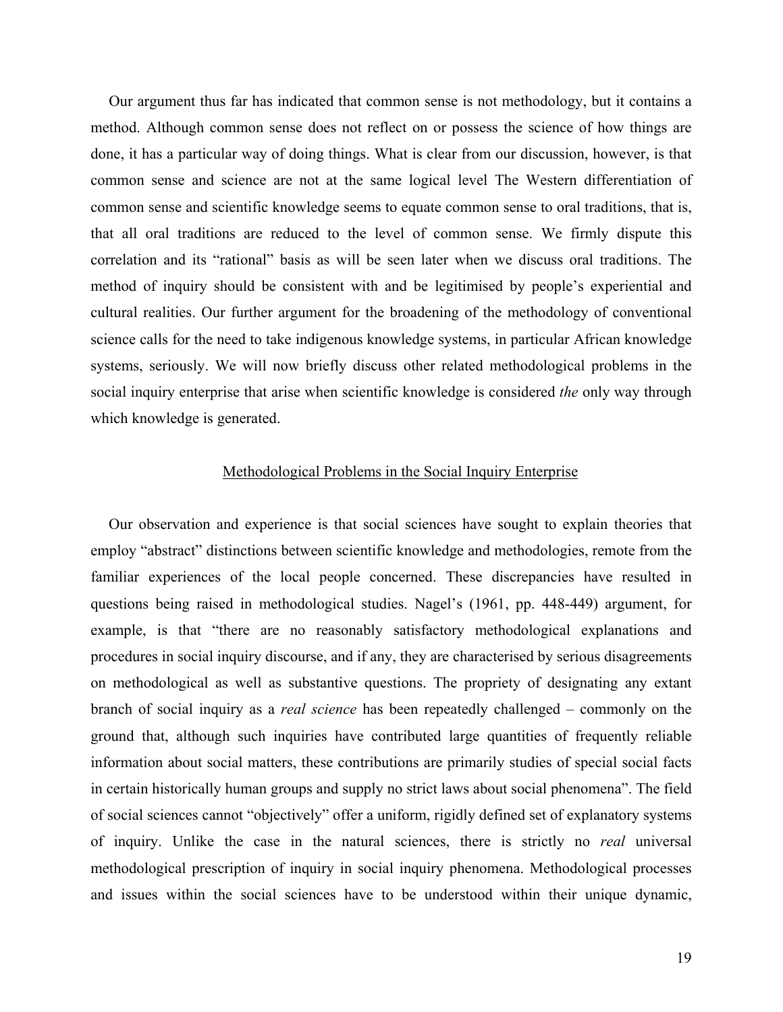Our argument thus far has indicated that common sense is not methodology, but it contains a method. Although common sense does not reflect on or possess the science of how things are done, it has a particular way of doing things. What is clear from our discussion, however, is that common sense and science are not at the same logical level The Western differentiation of common sense and scientific knowledge seems to equate common sense to oral traditions, that is, that all oral traditions are reduced to the level of common sense. We firmly dispute this correlation and its "rational" basis as will be seen later when we discuss oral traditions. The method of inquiry should be consistent with and be legitimised by people's experiential and cultural realities. Our further argument for the broadening of the methodology of conventional science calls for the need to take indigenous knowledge systems, in particular African knowledge systems, seriously. We will now briefly discuss other related methodological problems in the social inquiry enterprise that arise when scientific knowledge is considered *the* only way through which knowledge is generated.

# Methodological Problems in the Social Inquiry Enterprise

Our observation and experience is that social sciences have sought to explain theories that employ "abstract" distinctions between scientific knowledge and methodologies, remote from the familiar experiences of the local people concerned. These discrepancies have resulted in questions being raised in methodological studies. Nagel's (1961, pp. 448-449) argument, for example, is that "there are no reasonably satisfactory methodological explanations and procedures in social inquiry discourse, and if any, they are characterised by serious disagreements on methodological as well as substantive questions. The propriety of designating any extant branch of social inquiry as a *real science* has been repeatedly challenged – commonly on the ground that, although such inquiries have contributed large quantities of frequently reliable information about social matters, these contributions are primarily studies of special social facts in certain historically human groups and supply no strict laws about social phenomena". The field of social sciences cannot "objectively" offer a uniform, rigidly defined set of explanatory systems of inquiry. Unlike the case in the natural sciences, there is strictly no *real* universal methodological prescription of inquiry in social inquiry phenomena. Methodological processes and issues within the social sciences have to be understood within their unique dynamic,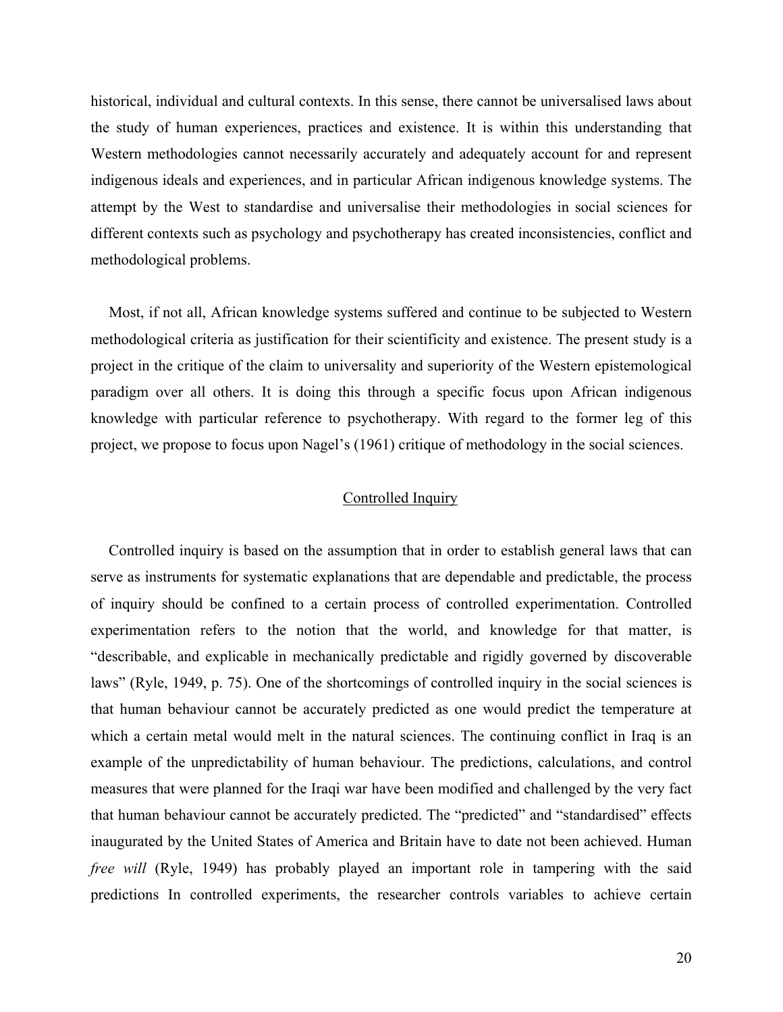historical, individual and cultural contexts. In this sense, there cannot be universalised laws about the study of human experiences, practices and existence. It is within this understanding that Western methodologies cannot necessarily accurately and adequately account for and represent indigenous ideals and experiences, and in particular African indigenous knowledge systems. The attempt by the West to standardise and universalise their methodologies in social sciences for different contexts such as psychology and psychotherapy has created inconsistencies, conflict and methodological problems.

Most, if not all, African knowledge systems suffered and continue to be subjected to Western methodological criteria as justification for their scientificity and existence. The present study is a project in the critique of the claim to universality and superiority of the Western epistemological paradigm over all others. It is doing this through a specific focus upon African indigenous knowledge with particular reference to psychotherapy. With regard to the former leg of this project, we propose to focus upon Nagel's (1961) critique of methodology in the social sciences.

### Controlled Inquiry

Controlled inquiry is based on the assumption that in order to establish general laws that can serve as instruments for systematic explanations that are dependable and predictable, the process of inquiry should be confined to a certain process of controlled experimentation. Controlled experimentation refers to the notion that the world, and knowledge for that matter, is "describable, and explicable in mechanically predictable and rigidly governed by discoverable laws" (Ryle, 1949, p. 75). One of the shortcomings of controlled inquiry in the social sciences is that human behaviour cannot be accurately predicted as one would predict the temperature at which a certain metal would melt in the natural sciences. The continuing conflict in Iraq is an example of the unpredictability of human behaviour. The predictions, calculations, and control measures that were planned for the Iraqi war have been modified and challenged by the very fact that human behaviour cannot be accurately predicted. The "predicted" and "standardised" effects inaugurated by the United States of America and Britain have to date not been achieved. Human *free will* (Ryle, 1949) has probably played an important role in tampering with the said predictions In controlled experiments, the researcher controls variables to achieve certain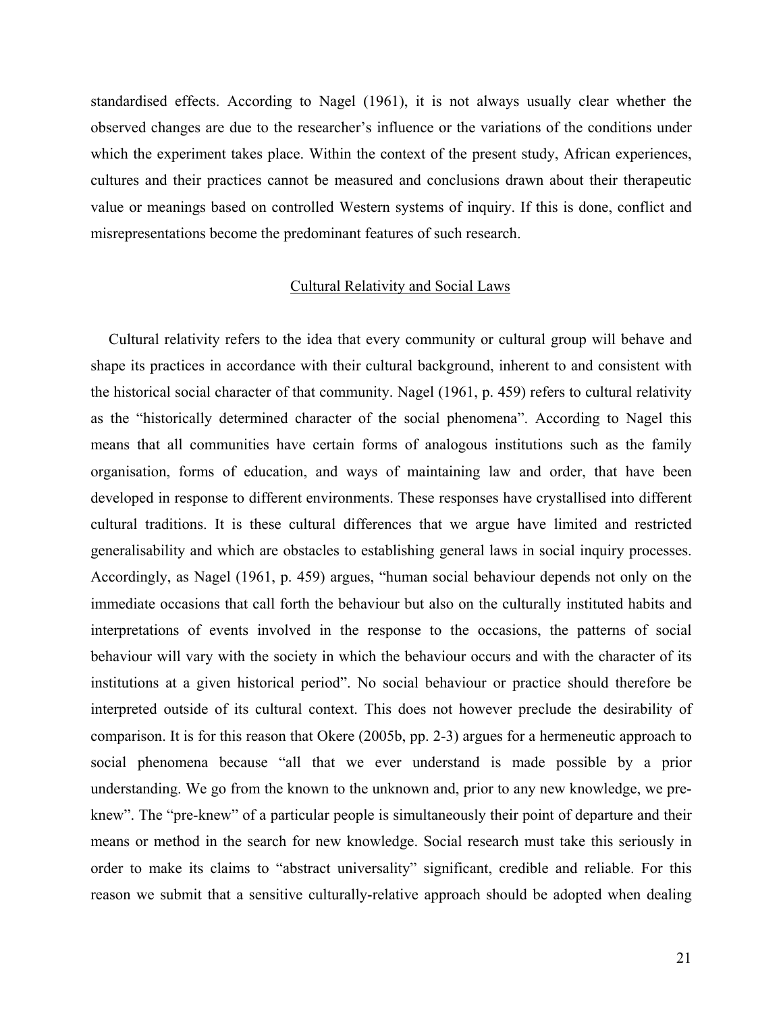standardised effects. According to Nagel (1961), it is not always usually clear whether the observed changes are due to the researcher's influence or the variations of the conditions under which the experiment takes place. Within the context of the present study, African experiences, cultures and their practices cannot be measured and conclusions drawn about their therapeutic value or meanings based on controlled Western systems of inquiry. If this is done, conflict and misrepresentations become the predominant features of such research.

# Cultural Relativity and Social Laws

Cultural relativity refers to the idea that every community or cultural group will behave and shape its practices in accordance with their cultural background, inherent to and consistent with the historical social character of that community. Nagel (1961, p. 459) refers to cultural relativity as the "historically determined character of the social phenomena". According to Nagel this means that all communities have certain forms of analogous institutions such as the family organisation, forms of education, and ways of maintaining law and order, that have been developed in response to different environments. These responses have crystallised into different cultural traditions. It is these cultural differences that we argue have limited and restricted generalisability and which are obstacles to establishing general laws in social inquiry processes. Accordingly, as Nagel (1961, p. 459) argues, "human social behaviour depends not only on the immediate occasions that call forth the behaviour but also on the culturally instituted habits and interpretations of events involved in the response to the occasions, the patterns of social behaviour will vary with the society in which the behaviour occurs and with the character of its institutions at a given historical period". No social behaviour or practice should therefore be interpreted outside of its cultural context. This does not however preclude the desirability of comparison. It is for this reason that Okere (2005b, pp. 2-3) argues for a hermeneutic approach to social phenomena because "all that we ever understand is made possible by a prior understanding. We go from the known to the unknown and, prior to any new knowledge, we preknew". The "pre-knew" of a particular people is simultaneously their point of departure and their means or method in the search for new knowledge. Social research must take this seriously in order to make its claims to "abstract universality" significant, credible and reliable. For this reason we submit that a sensitive culturally-relative approach should be adopted when dealing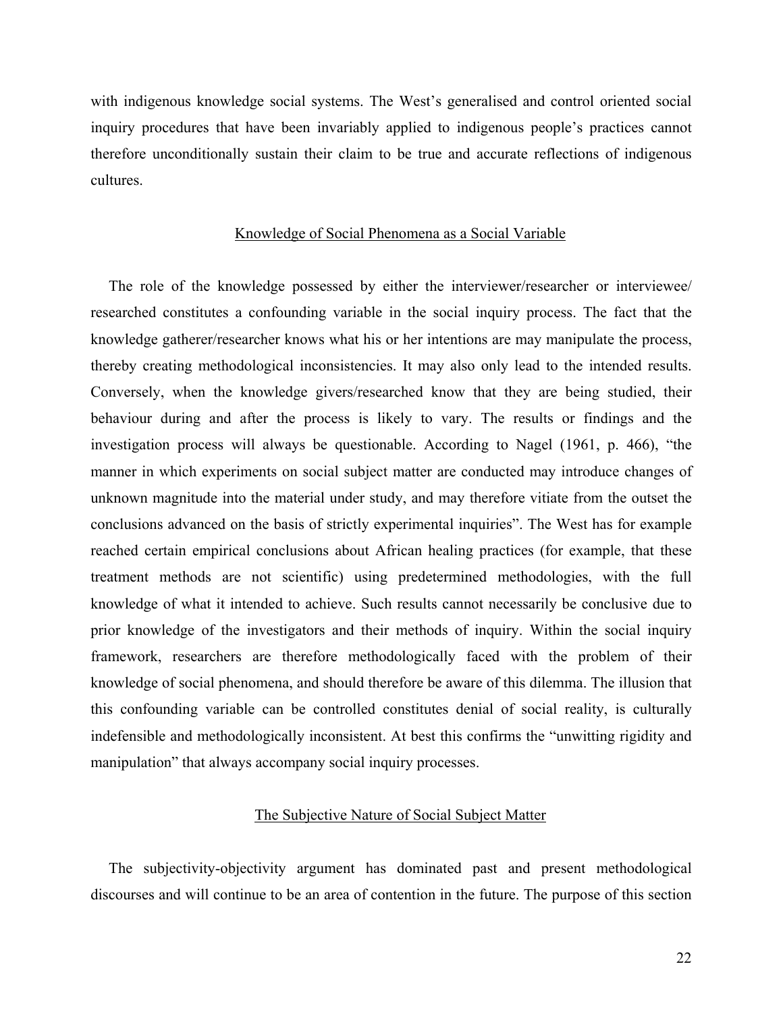with indigenous knowledge social systems. The West's generalised and control oriented social inquiry procedures that have been invariably applied to indigenous people's practices cannot therefore unconditionally sustain their claim to be true and accurate reflections of indigenous cultures.

#### Knowledge of Social Phenomena as a Social Variable

The role of the knowledge possessed by either the interviewer/researcher or interviewee/ researched constitutes a confounding variable in the social inquiry process. The fact that the knowledge gatherer/researcher knows what his or her intentions are may manipulate the process, thereby creating methodological inconsistencies. It may also only lead to the intended results. Conversely, when the knowledge givers/researched know that they are being studied, their behaviour during and after the process is likely to vary. The results or findings and the investigation process will always be questionable. According to Nagel (1961, p. 466), "the manner in which experiments on social subject matter are conducted may introduce changes of unknown magnitude into the material under study, and may therefore vitiate from the outset the conclusions advanced on the basis of strictly experimental inquiries". The West has for example reached certain empirical conclusions about African healing practices (for example, that these treatment methods are not scientific) using predetermined methodologies, with the full knowledge of what it intended to achieve. Such results cannot necessarily be conclusive due to prior knowledge of the investigators and their methods of inquiry. Within the social inquiry framework, researchers are therefore methodologically faced with the problem of their knowledge of social phenomena, and should therefore be aware of this dilemma. The illusion that this confounding variable can be controlled constitutes denial of social reality, is culturally indefensible and methodologically inconsistent. At best this confirms the "unwitting rigidity and manipulation" that always accompany social inquiry processes.

### The Subjective Nature of Social Subject Matter

The subjectivity-objectivity argument has dominated past and present methodological discourses and will continue to be an area of contention in the future. The purpose of this section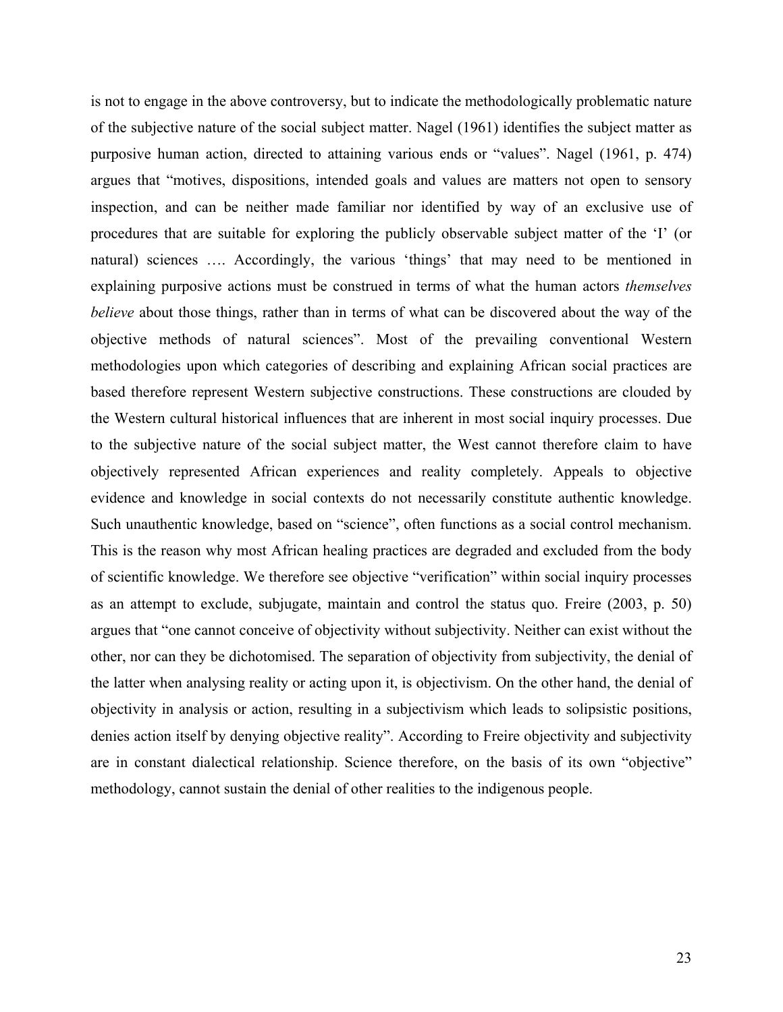is not to engage in the above controversy, but to indicate the methodologically problematic nature of the subjective nature of the social subject matter. Nagel (1961) identifies the subject matter as purposive human action, directed to attaining various ends or "values". Nagel (1961, p. 474) argues that "motives, dispositions, intended goals and values are matters not open to sensory inspection, and can be neither made familiar nor identified by way of an exclusive use of procedures that are suitable for exploring the publicly observable subject matter of the 'I' (or natural) sciences …. Accordingly, the various 'things' that may need to be mentioned in explaining purposive actions must be construed in terms of what the human actors *themselves believe* about those things, rather than in terms of what can be discovered about the way of the objective methods of natural sciences". Most of the prevailing conventional Western methodologies upon which categories of describing and explaining African social practices are based therefore represent Western subjective constructions. These constructions are clouded by the Western cultural historical influences that are inherent in most social inquiry processes. Due to the subjective nature of the social subject matter, the West cannot therefore claim to have objectively represented African experiences and reality completely. Appeals to objective evidence and knowledge in social contexts do not necessarily constitute authentic knowledge. Such unauthentic knowledge, based on "science", often functions as a social control mechanism. This is the reason why most African healing practices are degraded and excluded from the body of scientific knowledge. We therefore see objective "verification" within social inquiry processes as an attempt to exclude, subjugate, maintain and control the status quo. Freire (2003, p. 50) argues that "one cannot conceive of objectivity without subjectivity. Neither can exist without the other, nor can they be dichotomised. The separation of objectivity from subjectivity, the denial of the latter when analysing reality or acting upon it, is objectivism. On the other hand, the denial of objectivity in analysis or action, resulting in a subjectivism which leads to solipsistic positions, denies action itself by denying objective reality". According to Freire objectivity and subjectivity are in constant dialectical relationship. Science therefore, on the basis of its own "objective" methodology, cannot sustain the denial of other realities to the indigenous people.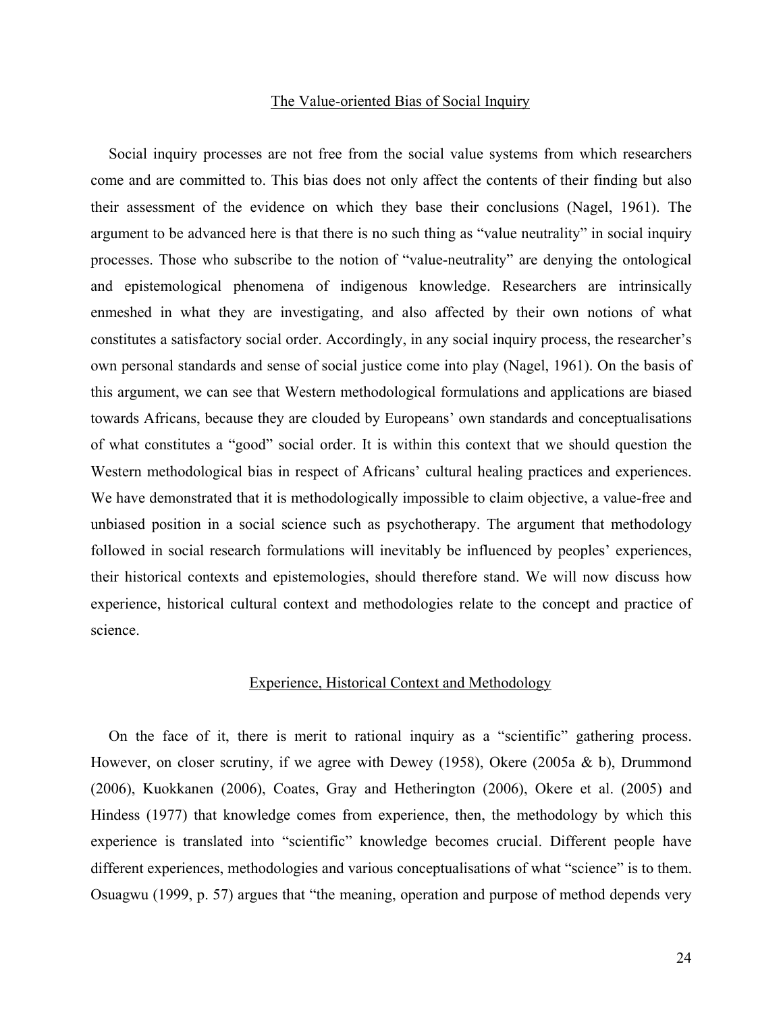#### The Value-oriented Bias of Social Inquiry

Social inquiry processes are not free from the social value systems from which researchers come and are committed to. This bias does not only affect the contents of their finding but also their assessment of the evidence on which they base their conclusions (Nagel, 1961). The argument to be advanced here is that there is no such thing as "value neutrality" in social inquiry processes. Those who subscribe to the notion of "value-neutrality" are denying the ontological and epistemological phenomena of indigenous knowledge. Researchers are intrinsically enmeshed in what they are investigating, and also affected by their own notions of what constitutes a satisfactory social order. Accordingly, in any social inquiry process, the researcher's own personal standards and sense of social justice come into play (Nagel, 1961). On the basis of this argument, we can see that Western methodological formulations and applications are biased towards Africans, because they are clouded by Europeans' own standards and conceptualisations of what constitutes a "good" social order. It is within this context that we should question the Western methodological bias in respect of Africans' cultural healing practices and experiences. We have demonstrated that it is methodologically impossible to claim objective, a value-free and unbiased position in a social science such as psychotherapy. The argument that methodology followed in social research formulations will inevitably be influenced by peoples' experiences, their historical contexts and epistemologies, should therefore stand. We will now discuss how experience, historical cultural context and methodologies relate to the concept and practice of science.

#### Experience, Historical Context and Methodology

On the face of it, there is merit to rational inquiry as a "scientific" gathering process. However, on closer scrutiny, if we agree with Dewey (1958), Okere (2005a & b), Drummond (2006), Kuokkanen (2006), Coates, Gray and Hetherington (2006), Okere et al. (2005) and Hindess (1977) that knowledge comes from experience, then, the methodology by which this experience is translated into "scientific" knowledge becomes crucial. Different people have different experiences, methodologies and various conceptualisations of what "science" is to them. Osuagwu (1999, p. 57) argues that "the meaning, operation and purpose of method depends very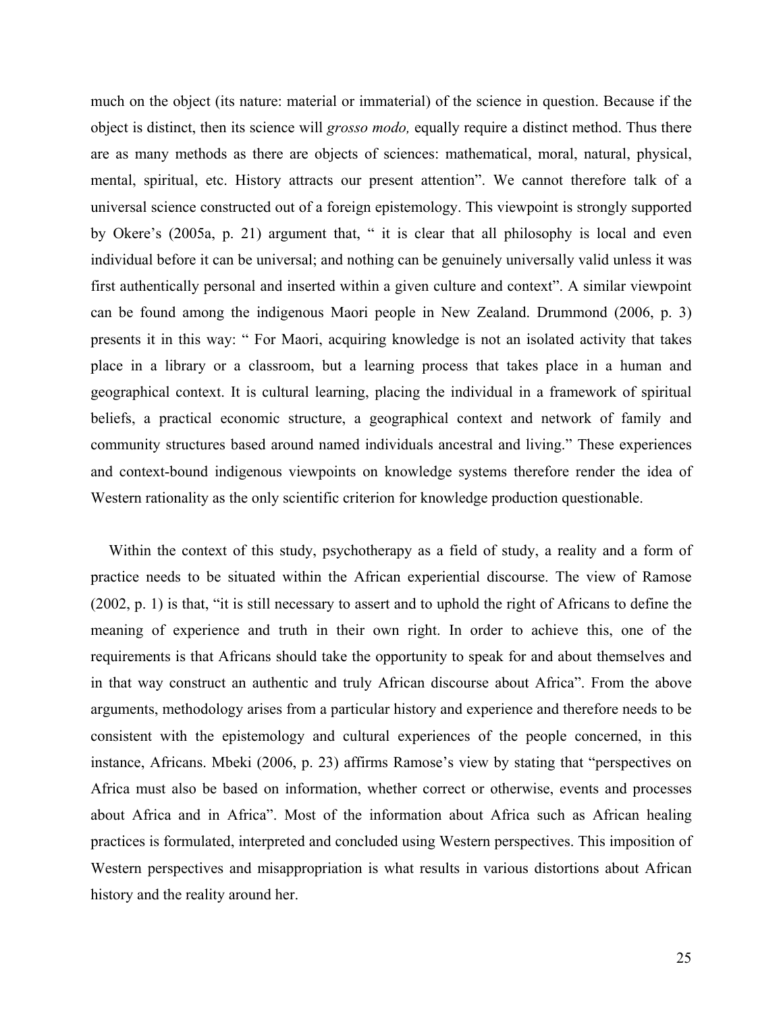much on the object (its nature: material or immaterial) of the science in question. Because if the object is distinct, then its science will *grosso modo,* equally require a distinct method. Thus there are as many methods as there are objects of sciences: mathematical, moral, natural, physical, mental, spiritual, etc. History attracts our present attention". We cannot therefore talk of a universal science constructed out of a foreign epistemology. This viewpoint is strongly supported by Okere's (2005a, p. 21) argument that, " it is clear that all philosophy is local and even individual before it can be universal; and nothing can be genuinely universally valid unless it was first authentically personal and inserted within a given culture and context". A similar viewpoint can be found among the indigenous Maori people in New Zealand. Drummond (2006, p. 3) presents it in this way: " For Maori, acquiring knowledge is not an isolated activity that takes place in a library or a classroom, but a learning process that takes place in a human and geographical context. It is cultural learning, placing the individual in a framework of spiritual beliefs, a practical economic structure, a geographical context and network of family and community structures based around named individuals ancestral and living." These experiences and context-bound indigenous viewpoints on knowledge systems therefore render the idea of Western rationality as the only scientific criterion for knowledge production questionable.

Within the context of this study, psychotherapy as a field of study, a reality and a form of practice needs to be situated within the African experiential discourse. The view of Ramose (2002, p. 1) is that, "it is still necessary to assert and to uphold the right of Africans to define the meaning of experience and truth in their own right. In order to achieve this, one of the requirements is that Africans should take the opportunity to speak for and about themselves and in that way construct an authentic and truly African discourse about Africa". From the above arguments, methodology arises from a particular history and experience and therefore needs to be consistent with the epistemology and cultural experiences of the people concerned, in this instance, Africans. Mbeki (2006, p. 23) affirms Ramose's view by stating that "perspectives on Africa must also be based on information, whether correct or otherwise, events and processes about Africa and in Africa". Most of the information about Africa such as African healing practices is formulated, interpreted and concluded using Western perspectives. This imposition of Western perspectives and misappropriation is what results in various distortions about African history and the reality around her.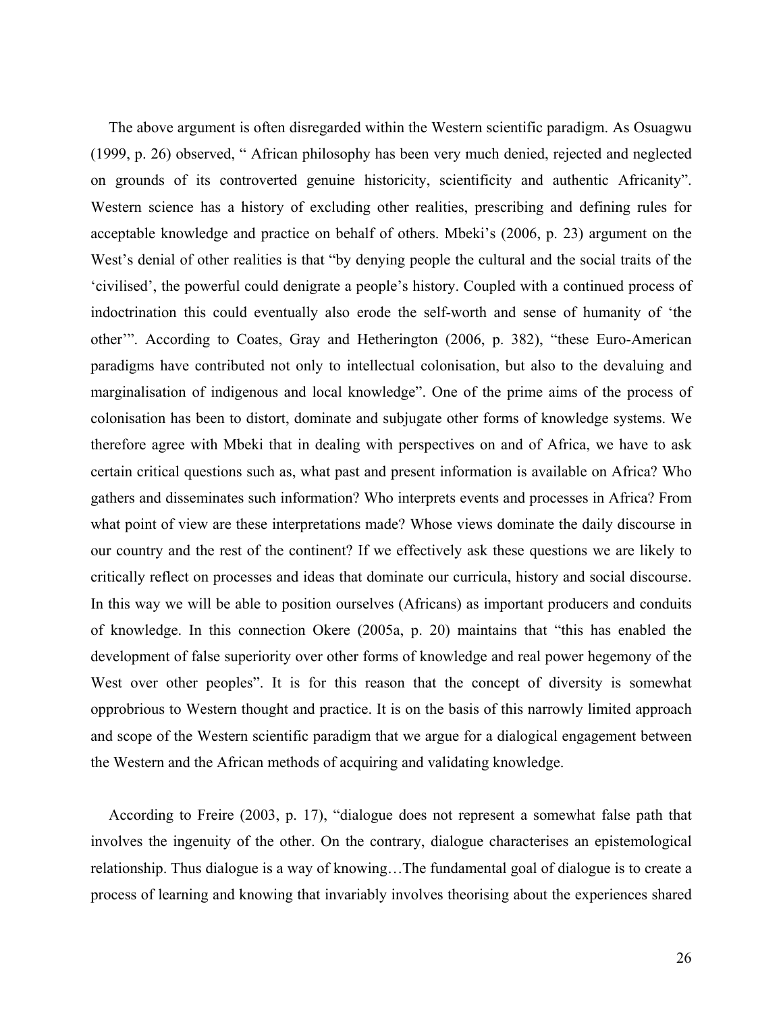The above argument is often disregarded within the Western scientific paradigm. As Osuagwu (1999, p. 26) observed, " African philosophy has been very much denied, rejected and neglected on grounds of its controverted genuine historicity, scientificity and authentic Africanity". Western science has a history of excluding other realities, prescribing and defining rules for acceptable knowledge and practice on behalf of others. Mbeki's (2006, p. 23) argument on the West's denial of other realities is that "by denying people the cultural and the social traits of the 'civilised', the powerful could denigrate a people's history. Coupled with a continued process of indoctrination this could eventually also erode the self-worth and sense of humanity of 'the other'". According to Coates, Gray and Hetherington (2006, p. 382), "these Euro-American paradigms have contributed not only to intellectual colonisation, but also to the devaluing and marginalisation of indigenous and local knowledge". One of the prime aims of the process of colonisation has been to distort, dominate and subjugate other forms of knowledge systems. We therefore agree with Mbeki that in dealing with perspectives on and of Africa, we have to ask certain critical questions such as, what past and present information is available on Africa? Who gathers and disseminates such information? Who interprets events and processes in Africa? From what point of view are these interpretations made? Whose views dominate the daily discourse in our country and the rest of the continent? If we effectively ask these questions we are likely to critically reflect on processes and ideas that dominate our curricula, history and social discourse. In this way we will be able to position ourselves (Africans) as important producers and conduits of knowledge. In this connection Okere (2005a, p. 20) maintains that "this has enabled the development of false superiority over other forms of knowledge and real power hegemony of the West over other peoples". It is for this reason that the concept of diversity is somewhat opprobrious to Western thought and practice. It is on the basis of this narrowly limited approach and scope of the Western scientific paradigm that we argue for a dialogical engagement between the Western and the African methods of acquiring and validating knowledge.

According to Freire (2003, p. 17), "dialogue does not represent a somewhat false path that involves the ingenuity of the other. On the contrary, dialogue characterises an epistemological relationship. Thus dialogue is a way of knowing…The fundamental goal of dialogue is to create a process of learning and knowing that invariably involves theorising about the experiences shared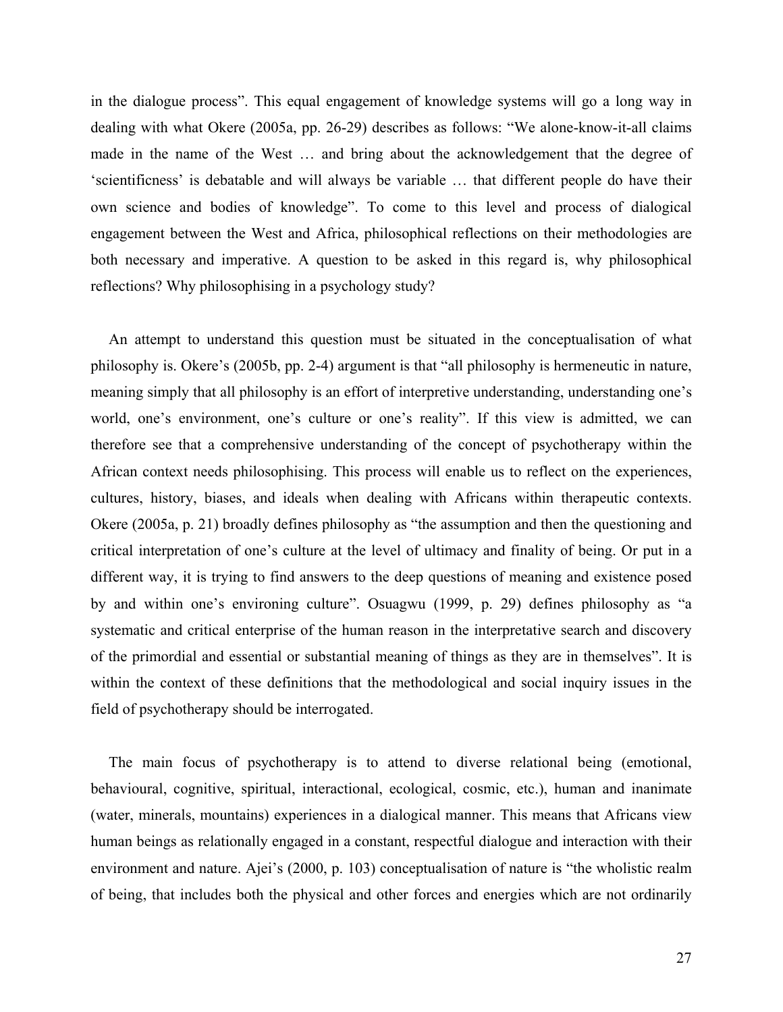in the dialogue process". This equal engagement of knowledge systems will go a long way in dealing with what Okere (2005a, pp. 26-29) describes as follows: "We alone-know-it-all claims made in the name of the West … and bring about the acknowledgement that the degree of 'scientificness' is debatable and will always be variable … that different people do have their own science and bodies of knowledge". To come to this level and process of dialogical engagement between the West and Africa, philosophical reflections on their methodologies are both necessary and imperative. A question to be asked in this regard is, why philosophical reflections? Why philosophising in a psychology study?

An attempt to understand this question must be situated in the conceptualisation of what philosophy is. Okere's (2005b, pp. 2-4) argument is that "all philosophy is hermeneutic in nature, meaning simply that all philosophy is an effort of interpretive understanding, understanding one's world, one's environment, one's culture or one's reality". If this view is admitted, we can therefore see that a comprehensive understanding of the concept of psychotherapy within the African context needs philosophising. This process will enable us to reflect on the experiences, cultures, history, biases, and ideals when dealing with Africans within therapeutic contexts. Okere (2005a, p. 21) broadly defines philosophy as "the assumption and then the questioning and critical interpretation of one's culture at the level of ultimacy and finality of being. Or put in a different way, it is trying to find answers to the deep questions of meaning and existence posed by and within one's environing culture". Osuagwu (1999, p. 29) defines philosophy as "a systematic and critical enterprise of the human reason in the interpretative search and discovery of the primordial and essential or substantial meaning of things as they are in themselves". It is within the context of these definitions that the methodological and social inquiry issues in the field of psychotherapy should be interrogated.

The main focus of psychotherapy is to attend to diverse relational being (emotional, behavioural, cognitive, spiritual, interactional, ecological, cosmic, etc.), human and inanimate (water, minerals, mountains) experiences in a dialogical manner. This means that Africans view human beings as relationally engaged in a constant, respectful dialogue and interaction with their environment and nature. Ajei's (2000, p. 103) conceptualisation of nature is "the wholistic realm of being, that includes both the physical and other forces and energies which are not ordinarily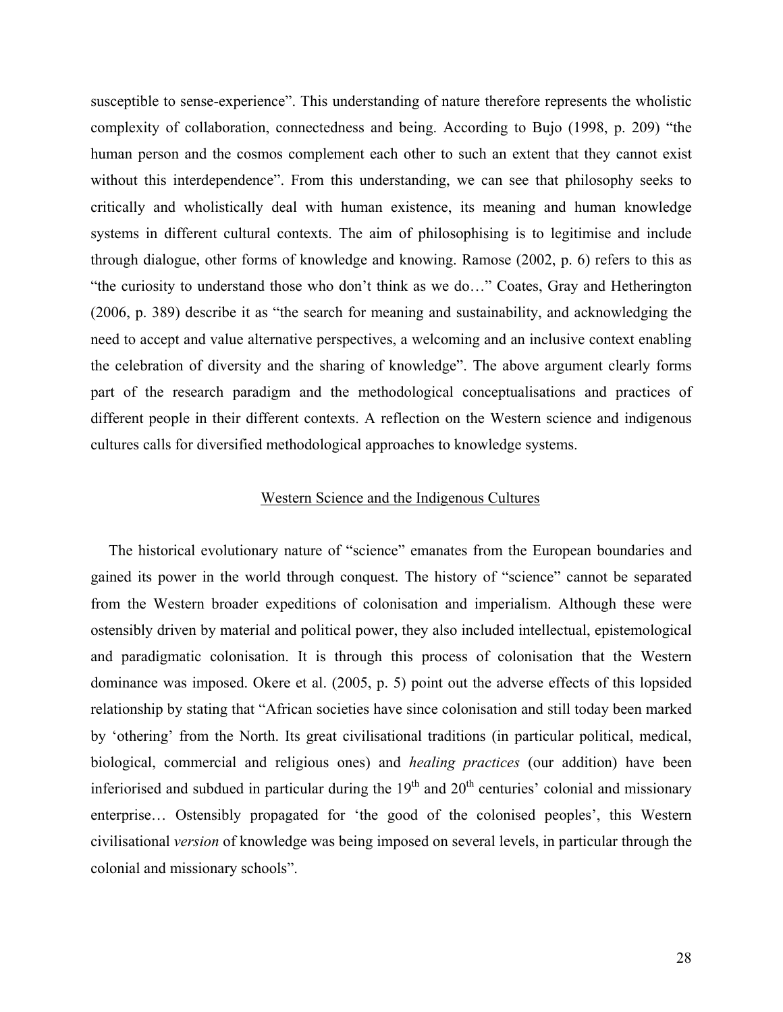susceptible to sense-experience". This understanding of nature therefore represents the wholistic complexity of collaboration, connectedness and being. According to Bujo (1998, p. 209) "the human person and the cosmos complement each other to such an extent that they cannot exist without this interdependence". From this understanding, we can see that philosophy seeks to critically and wholistically deal with human existence, its meaning and human knowledge systems in different cultural contexts. The aim of philosophising is to legitimise and include through dialogue, other forms of knowledge and knowing. Ramose (2002, p. 6) refers to this as "the curiosity to understand those who don't think as we do…" Coates, Gray and Hetherington (2006, p. 389) describe it as "the search for meaning and sustainability, and acknowledging the need to accept and value alternative perspectives, a welcoming and an inclusive context enabling the celebration of diversity and the sharing of knowledge". The above argument clearly forms part of the research paradigm and the methodological conceptualisations and practices of different people in their different contexts. A reflection on the Western science and indigenous cultures calls for diversified methodological approaches to knowledge systems.

# Western Science and the Indigenous Cultures

The historical evolutionary nature of "science" emanates from the European boundaries and gained its power in the world through conquest. The history of "science" cannot be separated from the Western broader expeditions of colonisation and imperialism. Although these were ostensibly driven by material and political power, they also included intellectual, epistemological and paradigmatic colonisation. It is through this process of colonisation that the Western dominance was imposed. Okere et al. (2005, p. 5) point out the adverse effects of this lopsided relationship by stating that "African societies have since colonisation and still today been marked by 'othering' from the North. Its great civilisational traditions (in particular political, medical, biological, commercial and religious ones) and *healing practices* (our addition) have been inferiorised and subdued in particular during the  $19<sup>th</sup>$  and  $20<sup>th</sup>$  centuries' colonial and missionary enterprise… Ostensibly propagated for 'the good of the colonised peoples', this Western civilisational *version* of knowledge was being imposed on several levels, in particular through the colonial and missionary schools".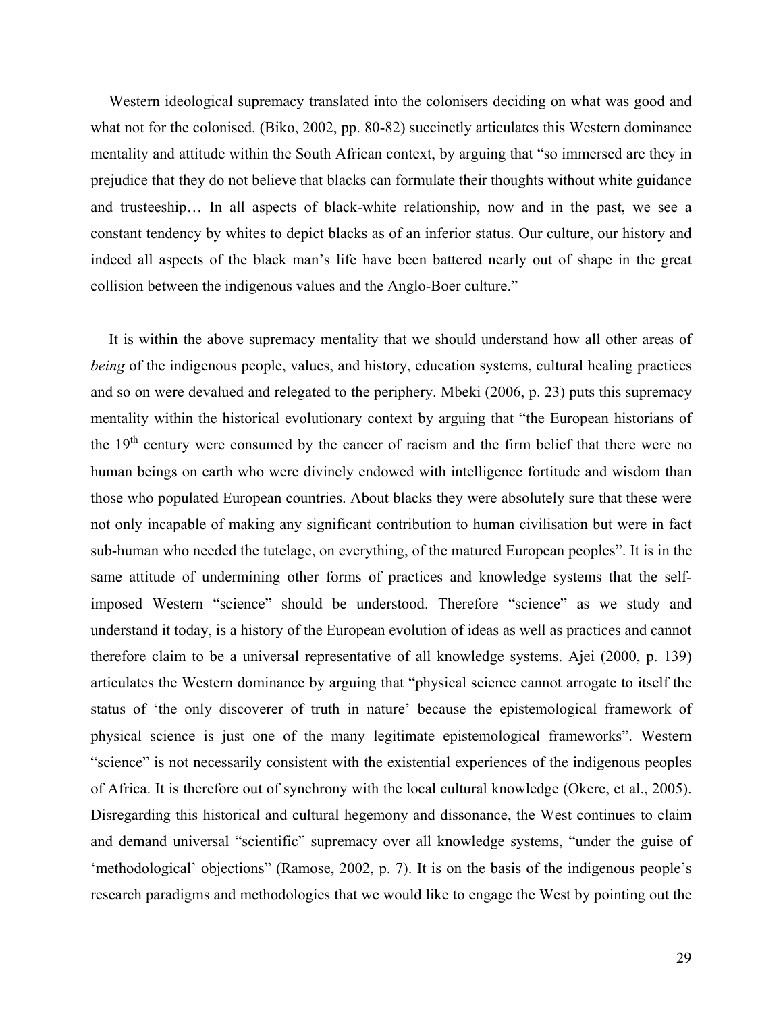Western ideological supremacy translated into the colonisers deciding on what was good and what not for the colonised. (Biko, 2002, pp. 80-82) succinctly articulates this Western dominance mentality and attitude within the South African context, by arguing that "so immersed are they in prejudice that they do not believe that blacks can formulate their thoughts without white guidance and trusteeship… In all aspects of black-white relationship, now and in the past, we see a constant tendency by whites to depict blacks as of an inferior status. Our culture, our history and indeed all aspects of the black man's life have been battered nearly out of shape in the great collision between the indigenous values and the Anglo-Boer culture."

It is within the above supremacy mentality that we should understand how all other areas of *being* of the indigenous people, values, and history, education systems, cultural healing practices and so on were devalued and relegated to the periphery. Mbeki (2006, p. 23) puts this supremacy mentality within the historical evolutionary context by arguing that "the European historians of the  $19<sup>th</sup>$  century were consumed by the cancer of racism and the firm belief that there were no human beings on earth who were divinely endowed with intelligence fortitude and wisdom than those who populated European countries. About blacks they were absolutely sure that these were not only incapable of making any significant contribution to human civilisation but were in fact sub-human who needed the tutelage, on everything, of the matured European peoples". It is in the same attitude of undermining other forms of practices and knowledge systems that the selfimposed Western "science" should be understood. Therefore "science" as we study and understand it today, is a history of the European evolution of ideas as well as practices and cannot therefore claim to be a universal representative of all knowledge systems. Ajei (2000, p. 139) articulates the Western dominance by arguing that "physical science cannot arrogate to itself the status of 'the only discoverer of truth in nature' because the epistemological framework of physical science is just one of the many legitimate epistemological frameworks". Western "science" is not necessarily consistent with the existential experiences of the indigenous peoples of Africa. It is therefore out of synchrony with the local cultural knowledge (Okere, et al., 2005). Disregarding this historical and cultural hegemony and dissonance, the West continues to claim and demand universal "scientific" supremacy over all knowledge systems, "under the guise of 'methodological' objections" (Ramose, 2002, p. 7). It is on the basis of the indigenous people's research paradigms and methodologies that we would like to engage the West by pointing out the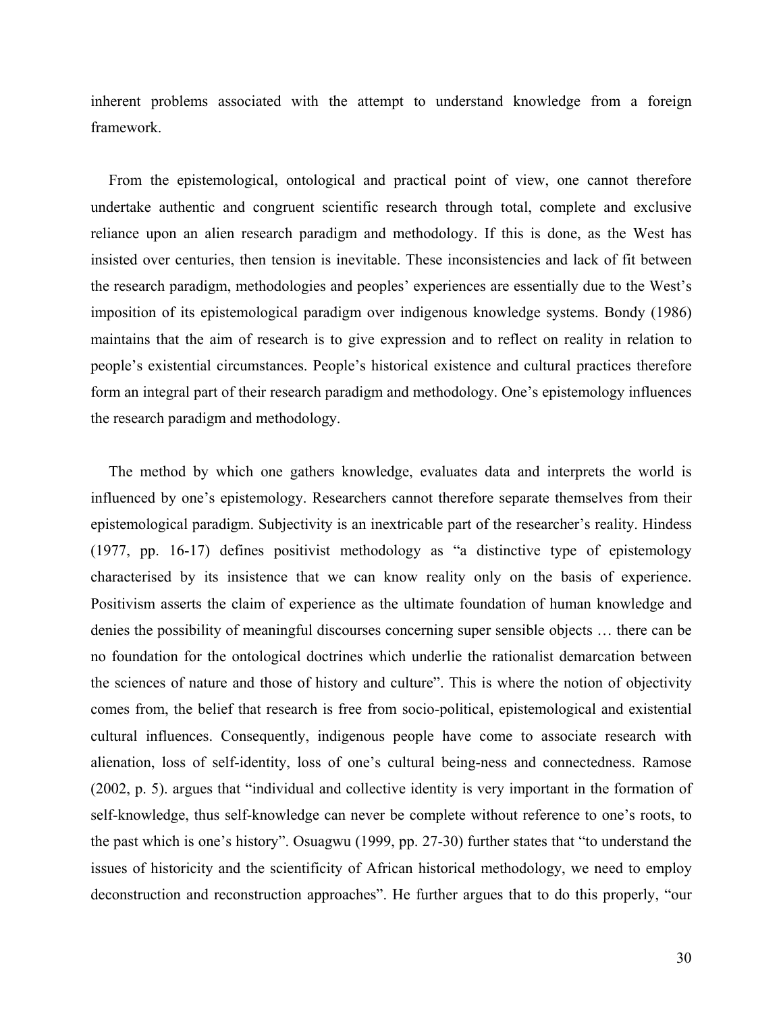inherent problems associated with the attempt to understand knowledge from a foreign framework.

From the epistemological, ontological and practical point of view, one cannot therefore undertake authentic and congruent scientific research through total, complete and exclusive reliance upon an alien research paradigm and methodology. If this is done, as the West has insisted over centuries, then tension is inevitable. These inconsistencies and lack of fit between the research paradigm, methodologies and peoples' experiences are essentially due to the West's imposition of its epistemological paradigm over indigenous knowledge systems. Bondy (1986) maintains that the aim of research is to give expression and to reflect on reality in relation to people's existential circumstances. People's historical existence and cultural practices therefore form an integral part of their research paradigm and methodology. One's epistemology influences the research paradigm and methodology.

The method by which one gathers knowledge, evaluates data and interprets the world is influenced by one's epistemology. Researchers cannot therefore separate themselves from their epistemological paradigm. Subjectivity is an inextricable part of the researcher's reality. Hindess (1977, pp. 16-17) defines positivist methodology as "a distinctive type of epistemology characterised by its insistence that we can know reality only on the basis of experience. Positivism asserts the claim of experience as the ultimate foundation of human knowledge and denies the possibility of meaningful discourses concerning super sensible objects … there can be no foundation for the ontological doctrines which underlie the rationalist demarcation between the sciences of nature and those of history and culture". This is where the notion of objectivity comes from, the belief that research is free from socio-political, epistemological and existential cultural influences. Consequently, indigenous people have come to associate research with alienation, loss of self-identity, loss of one's cultural being-ness and connectedness. Ramose (2002, p. 5). argues that "individual and collective identity is very important in the formation of self-knowledge, thus self-knowledge can never be complete without reference to one's roots, to the past which is one's history". Osuagwu (1999, pp. 27-30) further states that "to understand the issues of historicity and the scientificity of African historical methodology, we need to employ deconstruction and reconstruction approaches". He further argues that to do this properly, "our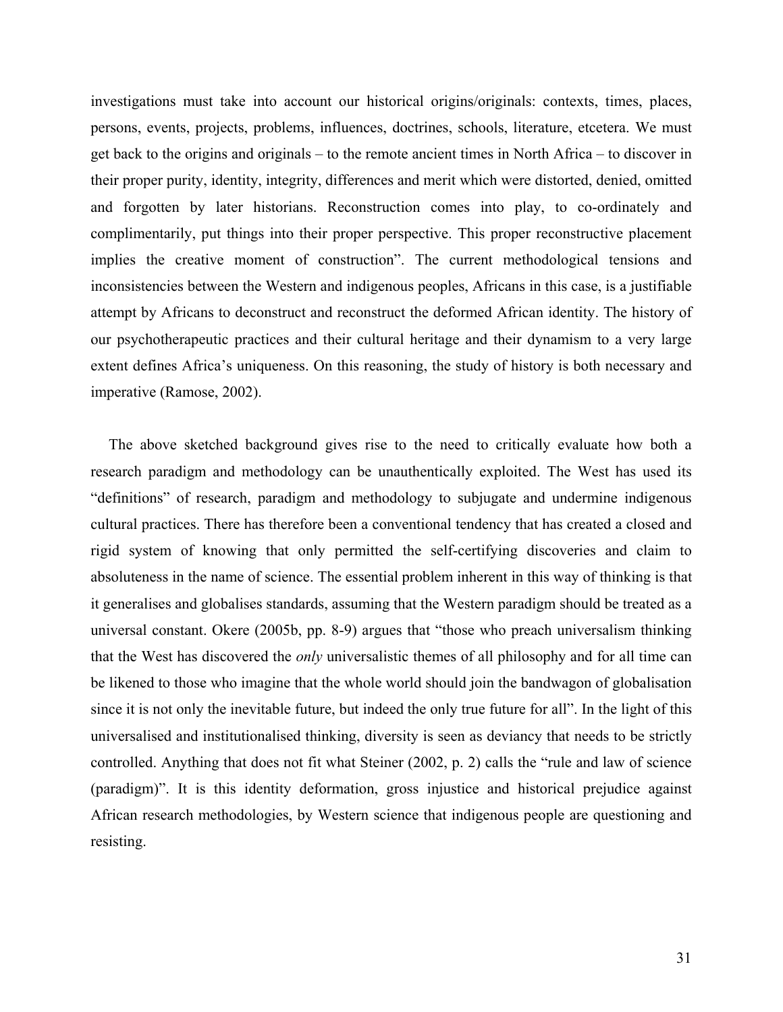investigations must take into account our historical origins/originals: contexts, times, places, persons, events, projects, problems, influences, doctrines, schools, literature, etcetera. We must get back to the origins and originals – to the remote ancient times in North Africa – to discover in their proper purity, identity, integrity, differences and merit which were distorted, denied, omitted and forgotten by later historians. Reconstruction comes into play, to co-ordinately and complimentarily, put things into their proper perspective. This proper reconstructive placement implies the creative moment of construction". The current methodological tensions and inconsistencies between the Western and indigenous peoples, Africans in this case, is a justifiable attempt by Africans to deconstruct and reconstruct the deformed African identity. The history of our psychotherapeutic practices and their cultural heritage and their dynamism to a very large extent defines Africa's uniqueness. On this reasoning, the study of history is both necessary and imperative (Ramose, 2002).

The above sketched background gives rise to the need to critically evaluate how both a research paradigm and methodology can be unauthentically exploited. The West has used its "definitions" of research, paradigm and methodology to subjugate and undermine indigenous cultural practices. There has therefore been a conventional tendency that has created a closed and rigid system of knowing that only permitted the self-certifying discoveries and claim to absoluteness in the name of science. The essential problem inherent in this way of thinking is that it generalises and globalises standards, assuming that the Western paradigm should be treated as a universal constant. Okere (2005b, pp. 8-9) argues that "those who preach universalism thinking that the West has discovered the *only* universalistic themes of all philosophy and for all time can be likened to those who imagine that the whole world should join the bandwagon of globalisation since it is not only the inevitable future, but indeed the only true future for all". In the light of this universalised and institutionalised thinking, diversity is seen as deviancy that needs to be strictly controlled. Anything that does not fit what Steiner (2002, p. 2) calls the "rule and law of science (paradigm)". It is this identity deformation, gross injustice and historical prejudice against African research methodologies, by Western science that indigenous people are questioning and resisting.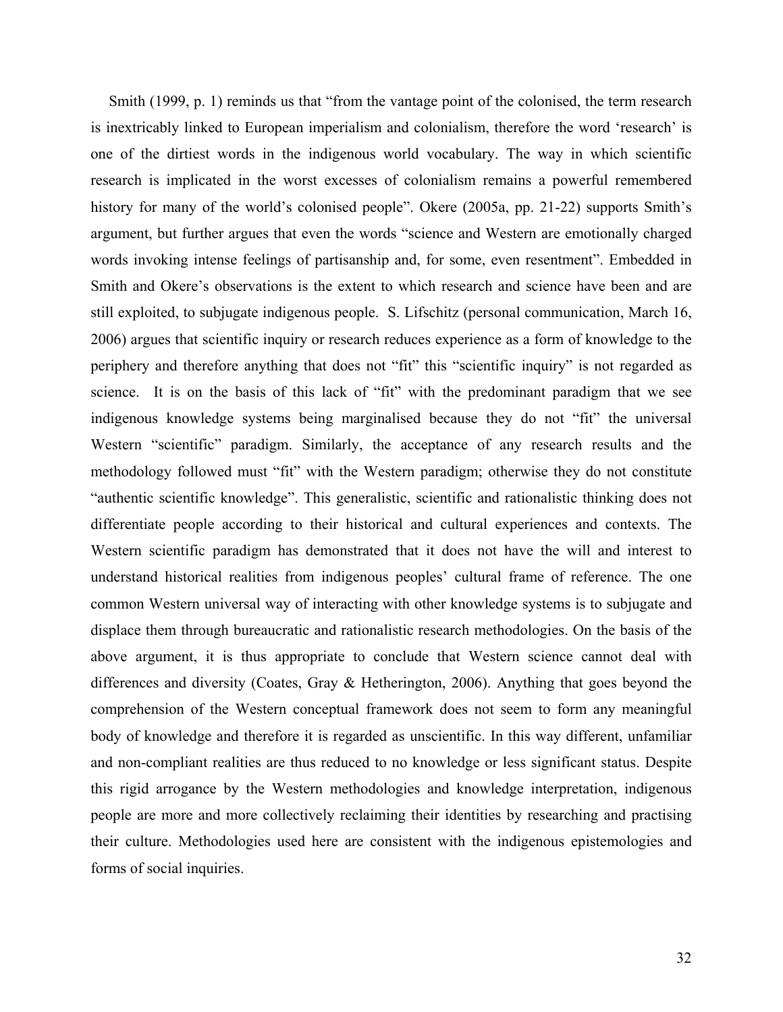Smith (1999, p. 1) reminds us that "from the vantage point of the colonised, the term research is inextricably linked to European imperialism and colonialism, therefore the word 'research' is one of the dirtiest words in the indigenous world vocabulary. The way in which scientific research is implicated in the worst excesses of colonialism remains a powerful remembered history for many of the world's colonised people". Okere (2005a, pp. 21-22) supports Smith's argument, but further argues that even the words "science and Western are emotionally charged words invoking intense feelings of partisanship and, for some, even resentment". Embedded in Smith and Okere's observations is the extent to which research and science have been and are still exploited, to subjugate indigenous people. S. Lifschitz (personal communication, March 16, 2006) argues that scientific inquiry or research reduces experience as a form of knowledge to the periphery and therefore anything that does not "fit" this "scientific inquiry" is not regarded as science. It is on the basis of this lack of "fit" with the predominant paradigm that we see indigenous knowledge systems being marginalised because they do not "fit" the universal Western "scientific" paradigm. Similarly, the acceptance of any research results and the methodology followed must "fit" with the Western paradigm; otherwise they do not constitute "authentic scientific knowledge". This generalistic, scientific and rationalistic thinking does not differentiate people according to their historical and cultural experiences and contexts. The Western scientific paradigm has demonstrated that it does not have the will and interest to understand historical realities from indigenous peoples' cultural frame of reference. The one common Western universal way of interacting with other knowledge systems is to subjugate and displace them through bureaucratic and rationalistic research methodologies. On the basis of the above argument, it is thus appropriate to conclude that Western science cannot deal with differences and diversity (Coates, Gray & Hetherington, 2006). Anything that goes beyond the comprehension of the Western conceptual framework does not seem to form any meaningful body of knowledge and therefore it is regarded as unscientific. In this way different, unfamiliar and non-compliant realities are thus reduced to no knowledge or less significant status. Despite this rigid arrogance by the Western methodologies and knowledge interpretation, indigenous people are more and more collectively reclaiming their identities by researching and practising their culture. Methodologies used here are consistent with the indigenous epistemologies and forms of social inquiries.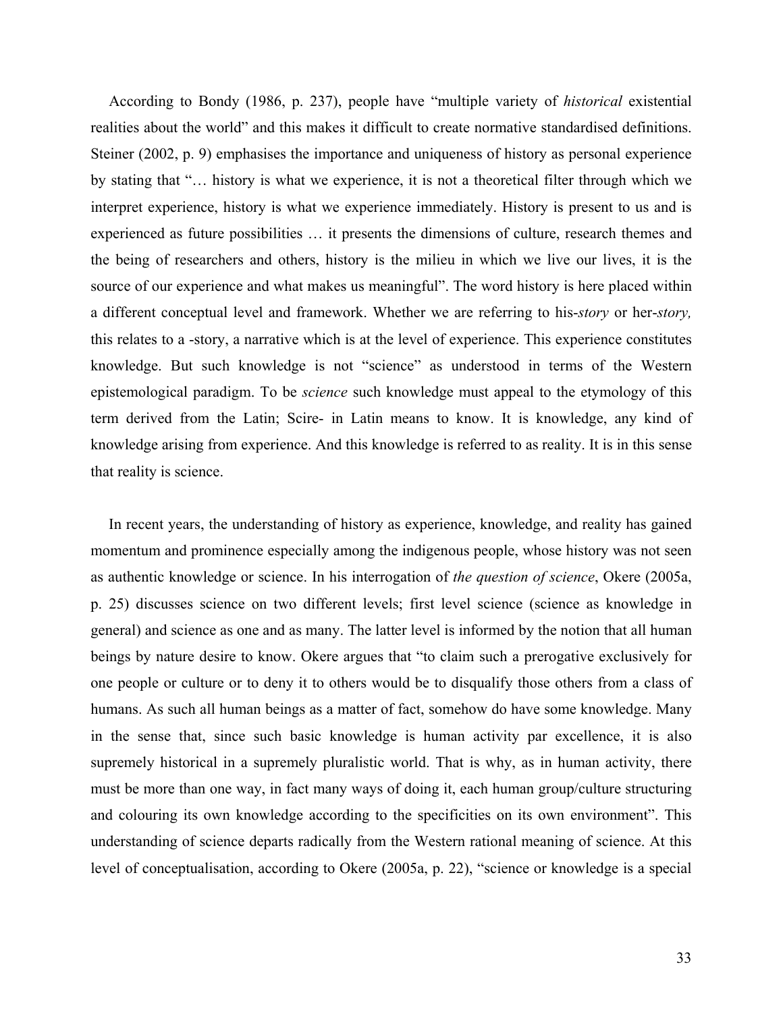According to Bondy (1986, p. 237), people have "multiple variety of *historical* existential realities about the world" and this makes it difficult to create normative standardised definitions. Steiner (2002, p. 9) emphasises the importance and uniqueness of history as personal experience by stating that "… history is what we experience, it is not a theoretical filter through which we interpret experience, history is what we experience immediately. History is present to us and is experienced as future possibilities … it presents the dimensions of culture, research themes and the being of researchers and others, history is the milieu in which we live our lives, it is the source of our experience and what makes us meaningful". The word history is here placed within a different conceptual level and framework. Whether we are referring to his-*story* or her-*story,* this relates to a -story, a narrative which is at the level of experience. This experience constitutes knowledge. But such knowledge is not "science" as understood in terms of the Western epistemological paradigm. To be *science* such knowledge must appeal to the etymology of this term derived from the Latin; Scire- in Latin means to know. It is knowledge, any kind of knowledge arising from experience. And this knowledge is referred to as reality. It is in this sense that reality is science.

In recent years, the understanding of history as experience, knowledge, and reality has gained momentum and prominence especially among the indigenous people, whose history was not seen as authentic knowledge or science. In his interrogation of *the question of science*, Okere (2005a, p. 25) discusses science on two different levels; first level science (science as knowledge in general) and science as one and as many. The latter level is informed by the notion that all human beings by nature desire to know. Okere argues that "to claim such a prerogative exclusively for one people or culture or to deny it to others would be to disqualify those others from a class of humans. As such all human beings as a matter of fact, somehow do have some knowledge. Many in the sense that, since such basic knowledge is human activity par excellence, it is also supremely historical in a supremely pluralistic world. That is why, as in human activity, there must be more than one way, in fact many ways of doing it, each human group/culture structuring and colouring its own knowledge according to the specificities on its own environment". This understanding of science departs radically from the Western rational meaning of science. At this level of conceptualisation, according to Okere (2005a, p. 22), "science or knowledge is a special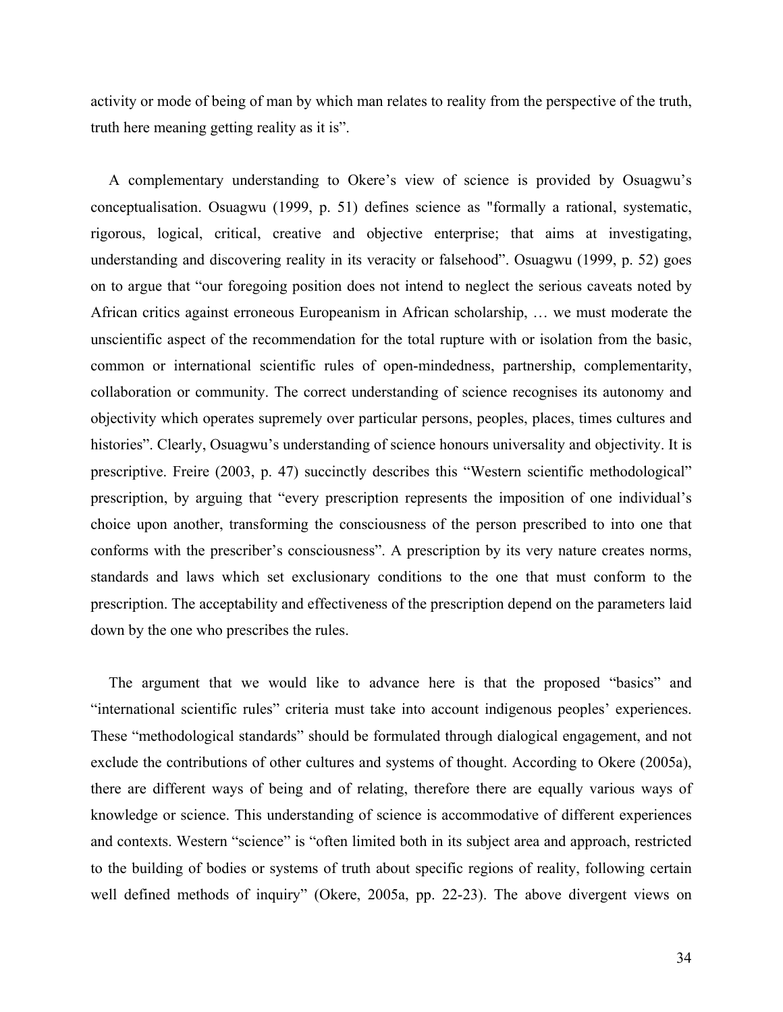activity or mode of being of man by which man relates to reality from the perspective of the truth, truth here meaning getting reality as it is".

A complementary understanding to Okere's view of science is provided by Osuagwu's conceptualisation. Osuagwu (1999, p. 51) defines science as "formally a rational, systematic, rigorous, logical, critical, creative and objective enterprise; that aims at investigating, understanding and discovering reality in its veracity or falsehood". Osuagwu (1999, p. 52) goes on to argue that "our foregoing position does not intend to neglect the serious caveats noted by African critics against erroneous Europeanism in African scholarship, … we must moderate the unscientific aspect of the recommendation for the total rupture with or isolation from the basic, common or international scientific rules of open-mindedness, partnership, complementarity, collaboration or community. The correct understanding of science recognises its autonomy and objectivity which operates supremely over particular persons, peoples, places, times cultures and histories". Clearly, Osuagwu's understanding of science honours universality and objectivity. It is prescriptive. Freire (2003, p. 47) succinctly describes this "Western scientific methodological" prescription, by arguing that "every prescription represents the imposition of one individual's choice upon another, transforming the consciousness of the person prescribed to into one that conforms with the prescriber's consciousness". A prescription by its very nature creates norms, standards and laws which set exclusionary conditions to the one that must conform to the prescription. The acceptability and effectiveness of the prescription depend on the parameters laid down by the one who prescribes the rules.

The argument that we would like to advance here is that the proposed "basics" and "international scientific rules" criteria must take into account indigenous peoples' experiences. These "methodological standards" should be formulated through dialogical engagement, and not exclude the contributions of other cultures and systems of thought. According to Okere (2005a), there are different ways of being and of relating, therefore there are equally various ways of knowledge or science. This understanding of science is accommodative of different experiences and contexts. Western "science" is "often limited both in its subject area and approach, restricted to the building of bodies or systems of truth about specific regions of reality, following certain well defined methods of inquiry" (Okere, 2005a, pp. 22-23). The above divergent views on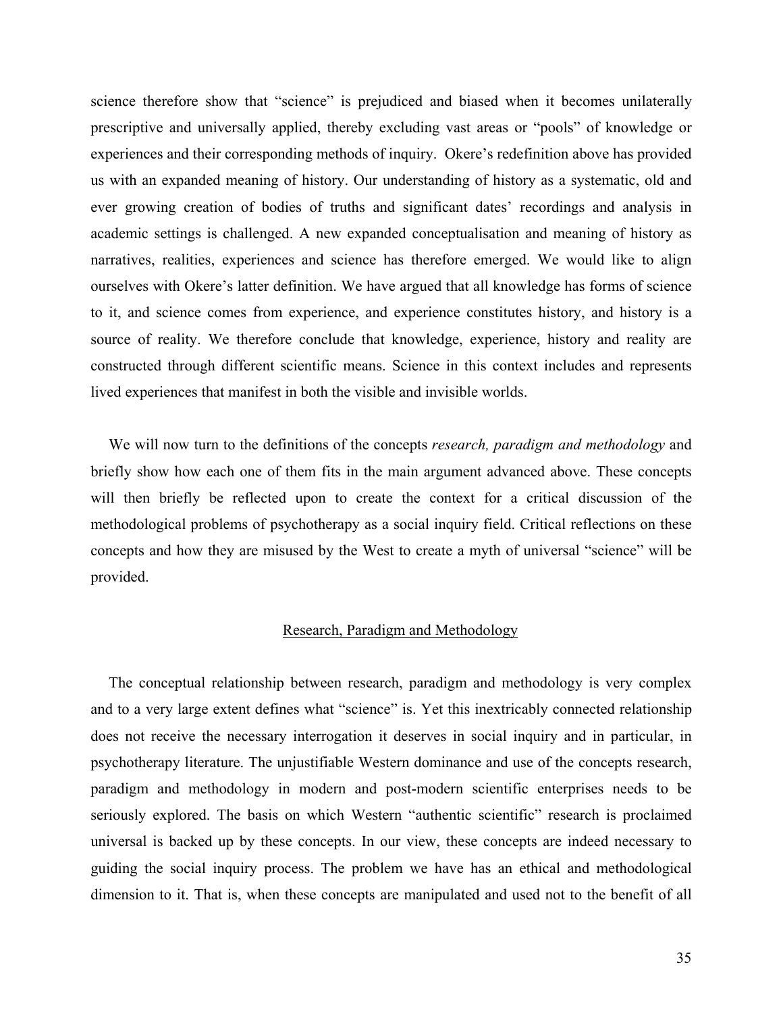science therefore show that "science" is prejudiced and biased when it becomes unilaterally prescriptive and universally applied, thereby excluding vast areas or "pools" of knowledge or experiences and their corresponding methods of inquiry. Okere's redefinition above has provided us with an expanded meaning of history. Our understanding of history as a systematic, old and ever growing creation of bodies of truths and significant dates' recordings and analysis in academic settings is challenged. A new expanded conceptualisation and meaning of history as narratives, realities, experiences and science has therefore emerged. We would like to align ourselves with Okere's latter definition. We have argued that all knowledge has forms of science to it, and science comes from experience, and experience constitutes history, and history is a source of reality. We therefore conclude that knowledge, experience, history and reality are constructed through different scientific means. Science in this context includes and represents lived experiences that manifest in both the visible and invisible worlds.

We will now turn to the definitions of the concepts *research, paradigm and methodology* and briefly show how each one of them fits in the main argument advanced above. These concepts will then briefly be reflected upon to create the context for a critical discussion of the methodological problems of psychotherapy as a social inquiry field. Critical reflections on these concepts and how they are misused by the West to create a myth of universal "science" will be provided.

### Research, Paradigm and Methodology

The conceptual relationship between research, paradigm and methodology is very complex and to a very large extent defines what "science" is. Yet this inextricably connected relationship does not receive the necessary interrogation it deserves in social inquiry and in particular, in psychotherapy literature. The unjustifiable Western dominance and use of the concepts research, paradigm and methodology in modern and post-modern scientific enterprises needs to be seriously explored. The basis on which Western "authentic scientific" research is proclaimed universal is backed up by these concepts. In our view, these concepts are indeed necessary to guiding the social inquiry process. The problem we have has an ethical and methodological dimension to it. That is, when these concepts are manipulated and used not to the benefit of all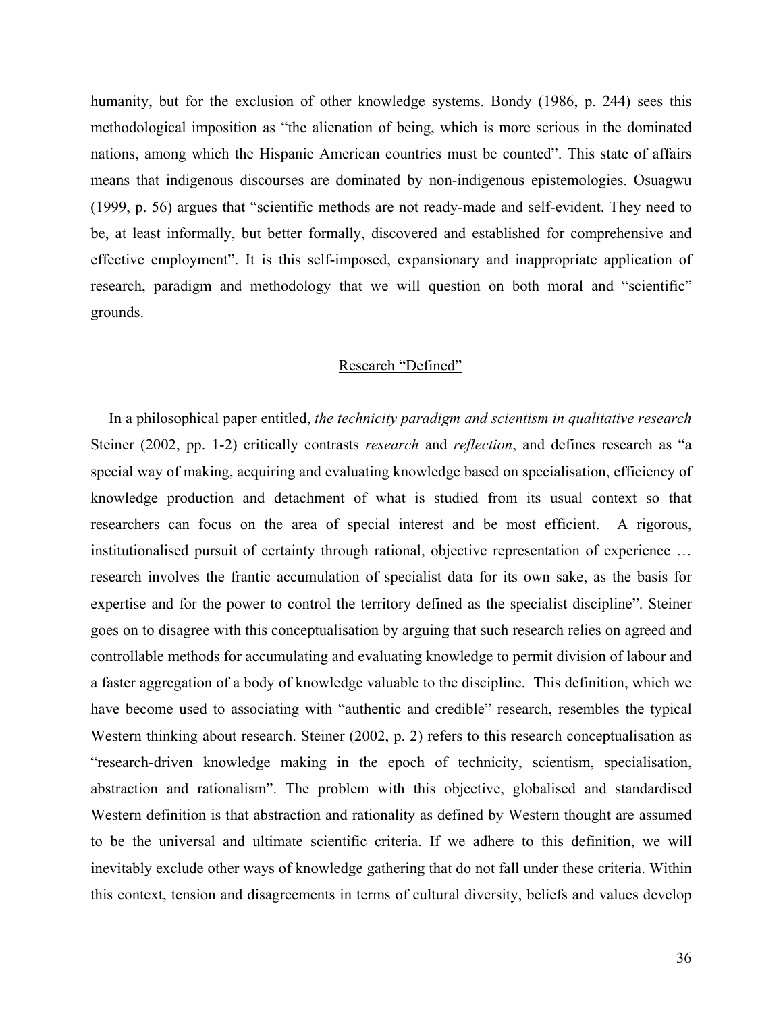humanity, but for the exclusion of other knowledge systems. Bondy (1986, p. 244) sees this methodological imposition as "the alienation of being, which is more serious in the dominated nations, among which the Hispanic American countries must be counted". This state of affairs means that indigenous discourses are dominated by non-indigenous epistemologies. Osuagwu (1999, p. 56) argues that "scientific methods are not ready-made and self-evident. They need to be, at least informally, but better formally, discovered and established for comprehensive and effective employment". It is this self-imposed, expansionary and inappropriate application of research, paradigm and methodology that we will question on both moral and "scientific" grounds.

### Research "Defined"

In a philosophical paper entitled, *the technicity paradigm and scientism in qualitative research* Steiner (2002, pp. 1-2) critically contrasts *research* and *reflection*, and defines research as "a special way of making, acquiring and evaluating knowledge based on specialisation, efficiency of knowledge production and detachment of what is studied from its usual context so that researchers can focus on the area of special interest and be most efficient. A rigorous, institutionalised pursuit of certainty through rational, objective representation of experience … research involves the frantic accumulation of specialist data for its own sake, as the basis for expertise and for the power to control the territory defined as the specialist discipline". Steiner goes on to disagree with this conceptualisation by arguing that such research relies on agreed and controllable methods for accumulating and evaluating knowledge to permit division of labour and a faster aggregation of a body of knowledge valuable to the discipline. This definition, which we have become used to associating with "authentic and credible" research, resembles the typical Western thinking about research. Steiner (2002, p. 2) refers to this research conceptualisation as "research-driven knowledge making in the epoch of technicity, scientism, specialisation, abstraction and rationalism". The problem with this objective, globalised and standardised Western definition is that abstraction and rationality as defined by Western thought are assumed to be the universal and ultimate scientific criteria. If we adhere to this definition, we will inevitably exclude other ways of knowledge gathering that do not fall under these criteria. Within this context, tension and disagreements in terms of cultural diversity, beliefs and values develop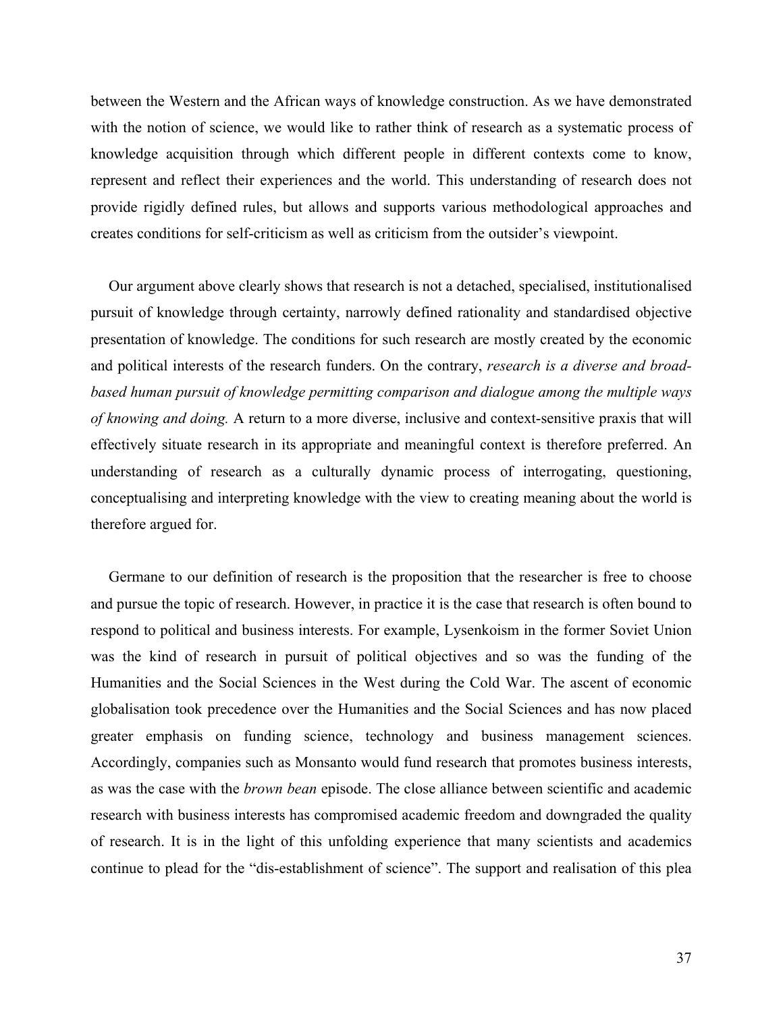between the Western and the African ways of knowledge construction. As we have demonstrated with the notion of science, we would like to rather think of research as a systematic process of knowledge acquisition through which different people in different contexts come to know, represent and reflect their experiences and the world. This understanding of research does not provide rigidly defined rules, but allows and supports various methodological approaches and creates conditions for self-criticism as well as criticism from the outsider's viewpoint.

Our argument above clearly shows that research is not a detached, specialised, institutionalised pursuit of knowledge through certainty, narrowly defined rationality and standardised objective presentation of knowledge. The conditions for such research are mostly created by the economic and political interests of the research funders. On the contrary, *research is a diverse and broadbased human pursuit of knowledge permitting comparison and dialogue among the multiple ways of knowing and doing.* A return to a more diverse, inclusive and context-sensitive praxis that will effectively situate research in its appropriate and meaningful context is therefore preferred. An understanding of research as a culturally dynamic process of interrogating, questioning, conceptualising and interpreting knowledge with the view to creating meaning about the world is therefore argued for.

Germane to our definition of research is the proposition that the researcher is free to choose and pursue the topic of research. However, in practice it is the case that research is often bound to respond to political and business interests. For example, Lysenkoism in the former Soviet Union was the kind of research in pursuit of political objectives and so was the funding of the Humanities and the Social Sciences in the West during the Cold War. The ascent of economic globalisation took precedence over the Humanities and the Social Sciences and has now placed greater emphasis on funding science, technology and business management sciences. Accordingly, companies such as Monsanto would fund research that promotes business interests, as was the case with the *brown bean* episode. The close alliance between scientific and academic research with business interests has compromised academic freedom and downgraded the quality of research. It is in the light of this unfolding experience that many scientists and academics continue to plead for the "dis-establishment of science". The support and realisation of this plea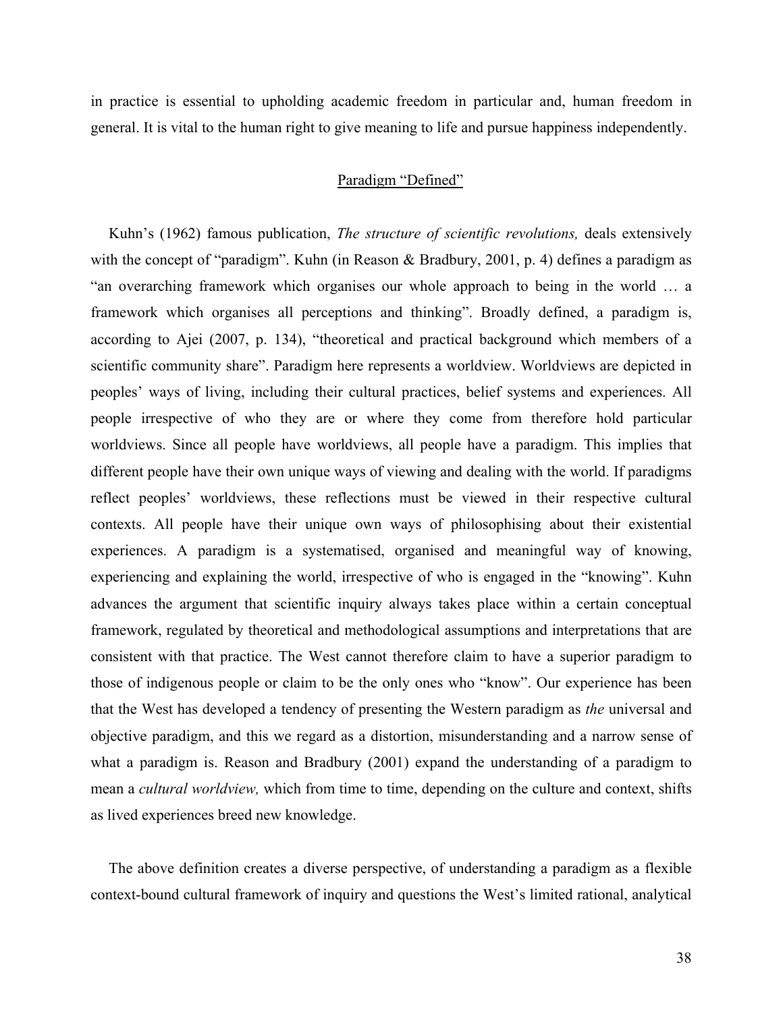in practice is essential to upholding academic freedom in particular and, human freedom in general. It is vital to the human right to give meaning to life and pursue happiness independently.

## Paradigm "Defined"

Kuhn's (1962) famous publication, *The structure of scientific revolutions,* deals extensively with the concept of "paradigm". Kuhn (in Reason & Bradbury, 2001, p. 4) defines a paradigm as "an overarching framework which organises our whole approach to being in the world … a framework which organises all perceptions and thinking". Broadly defined, a paradigm is, according to Ajei (2007, p. 134), "theoretical and practical background which members of a scientific community share". Paradigm here represents a worldview. Worldviews are depicted in peoples' ways of living, including their cultural practices, belief systems and experiences. All people irrespective of who they are or where they come from therefore hold particular worldviews. Since all people have worldviews, all people have a paradigm. This implies that different people have their own unique ways of viewing and dealing with the world. If paradigms reflect peoples' worldviews, these reflections must be viewed in their respective cultural contexts. All people have their unique own ways of philosophising about their existential experiences. A paradigm is a systematised, organised and meaningful way of knowing, experiencing and explaining the world, irrespective of who is engaged in the "knowing". Kuhn advances the argument that scientific inquiry always takes place within a certain conceptual framework, regulated by theoretical and methodological assumptions and interpretations that are consistent with that practice. The West cannot therefore claim to have a superior paradigm to those of indigenous people or claim to be the only ones who "know". Our experience has been that the West has developed a tendency of presenting the Western paradigm as *the* universal and objective paradigm, and this we regard as a distortion, misunderstanding and a narrow sense of what a paradigm is. Reason and Bradbury (2001) expand the understanding of a paradigm to mean a *cultural worldview,* which from time to time, depending on the culture and context, shifts as lived experiences breed new knowledge.

The above definition creates a diverse perspective, of understanding a paradigm as a flexible context-bound cultural framework of inquiry and questions the West's limited rational, analytical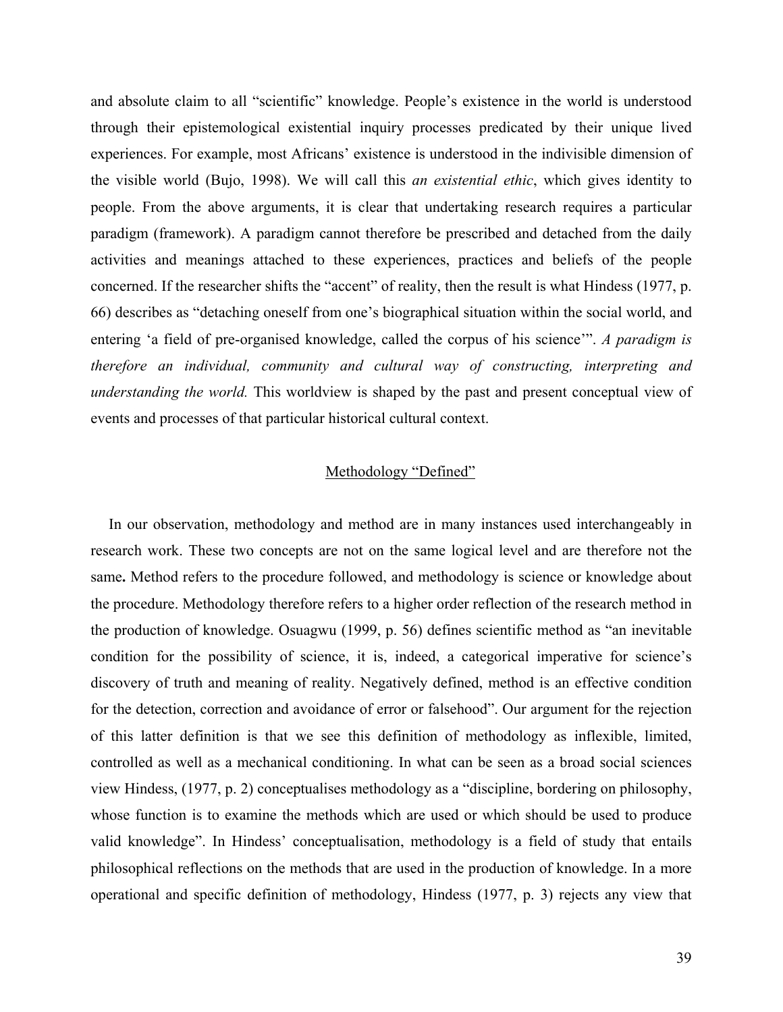and absolute claim to all "scientific" knowledge. People's existence in the world is understood through their epistemological existential inquiry processes predicated by their unique lived experiences. For example, most Africans' existence is understood in the indivisible dimension of the visible world (Bujo, 1998). We will call this *an existential ethic*, which gives identity to people. From the above arguments, it is clear that undertaking research requires a particular paradigm (framework). A paradigm cannot therefore be prescribed and detached from the daily activities and meanings attached to these experiences, practices and beliefs of the people concerned. If the researcher shifts the "accent" of reality, then the result is what Hindess (1977, p. 66) describes as "detaching oneself from one's biographical situation within the social world, and entering 'a field of pre-organised knowledge, called the corpus of his science'". *A paradigm is therefore an individual, community and cultural way of constructing, interpreting and understanding the world.* This worldview is shaped by the past and present conceptual view of events and processes of that particular historical cultural context.

## Methodology "Defined"

In our observation, methodology and method are in many instances used interchangeably in research work. These two concepts are not on the same logical level and are therefore not the same**.** Method refers to the procedure followed, and methodology is science or knowledge about the procedure. Methodology therefore refers to a higher order reflection of the research method in the production of knowledge. Osuagwu (1999, p. 56) defines scientific method as "an inevitable condition for the possibility of science, it is, indeed, a categorical imperative for science's discovery of truth and meaning of reality. Negatively defined, method is an effective condition for the detection, correction and avoidance of error or falsehood". Our argument for the rejection of this latter definition is that we see this definition of methodology as inflexible, limited, controlled as well as a mechanical conditioning. In what can be seen as a broad social sciences view Hindess, (1977, p. 2) conceptualises methodology as a "discipline, bordering on philosophy, whose function is to examine the methods which are used or which should be used to produce valid knowledge". In Hindess' conceptualisation, methodology is a field of study that entails philosophical reflections on the methods that are used in the production of knowledge. In a more operational and specific definition of methodology, Hindess (1977, p. 3) rejects any view that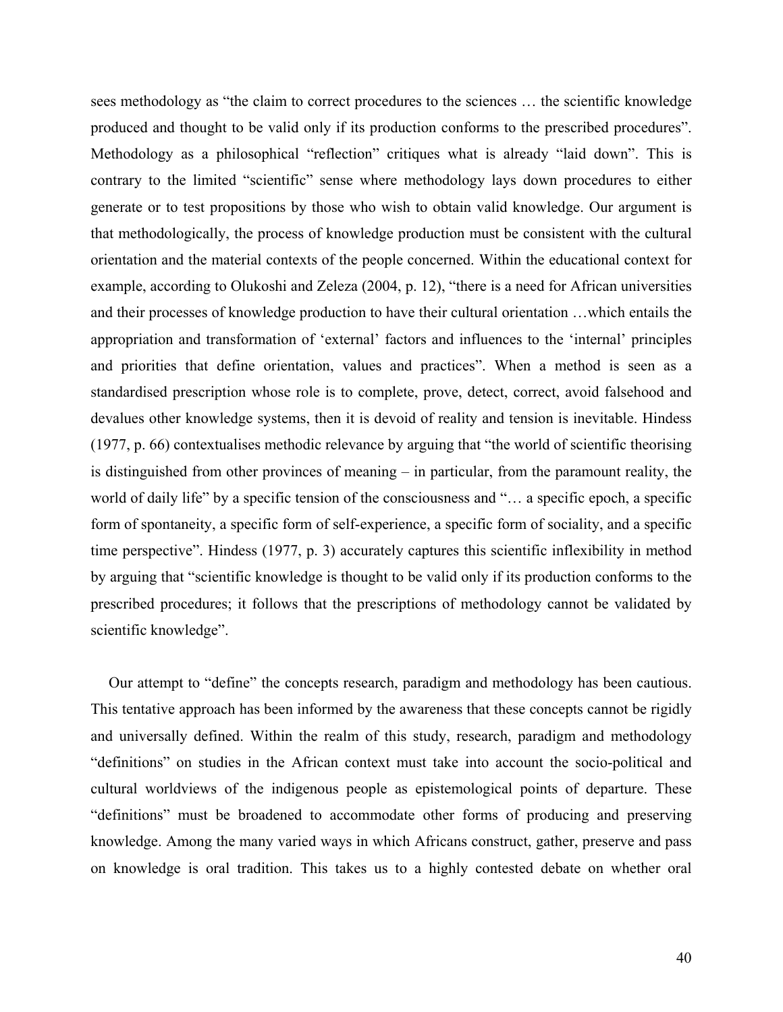sees methodology as "the claim to correct procedures to the sciences … the scientific knowledge produced and thought to be valid only if its production conforms to the prescribed procedures". Methodology as a philosophical "reflection" critiques what is already "laid down". This is contrary to the limited "scientific" sense where methodology lays down procedures to either generate or to test propositions by those who wish to obtain valid knowledge. Our argument is that methodologically, the process of knowledge production must be consistent with the cultural orientation and the material contexts of the people concerned. Within the educational context for example, according to Olukoshi and Zeleza (2004, p. 12), "there is a need for African universities and their processes of knowledge production to have their cultural orientation …which entails the appropriation and transformation of 'external' factors and influences to the 'internal' principles and priorities that define orientation, values and practices". When a method is seen as a standardised prescription whose role is to complete, prove, detect, correct, avoid falsehood and devalues other knowledge systems, then it is devoid of reality and tension is inevitable. Hindess (1977, p. 66) contextualises methodic relevance by arguing that "the world of scientific theorising is distinguished from other provinces of meaning – in particular, from the paramount reality, the world of daily life" by a specific tension of the consciousness and "… a specific epoch, a specific form of spontaneity, a specific form of self-experience, a specific form of sociality, and a specific time perspective". Hindess (1977, p. 3) accurately captures this scientific inflexibility in method by arguing that "scientific knowledge is thought to be valid only if its production conforms to the prescribed procedures; it follows that the prescriptions of methodology cannot be validated by scientific knowledge".

Our attempt to "define" the concepts research, paradigm and methodology has been cautious. This tentative approach has been informed by the awareness that these concepts cannot be rigidly and universally defined. Within the realm of this study, research, paradigm and methodology "definitions" on studies in the African context must take into account the socio-political and cultural worldviews of the indigenous people as epistemological points of departure. These "definitions" must be broadened to accommodate other forms of producing and preserving knowledge. Among the many varied ways in which Africans construct, gather, preserve and pass on knowledge is oral tradition. This takes us to a highly contested debate on whether oral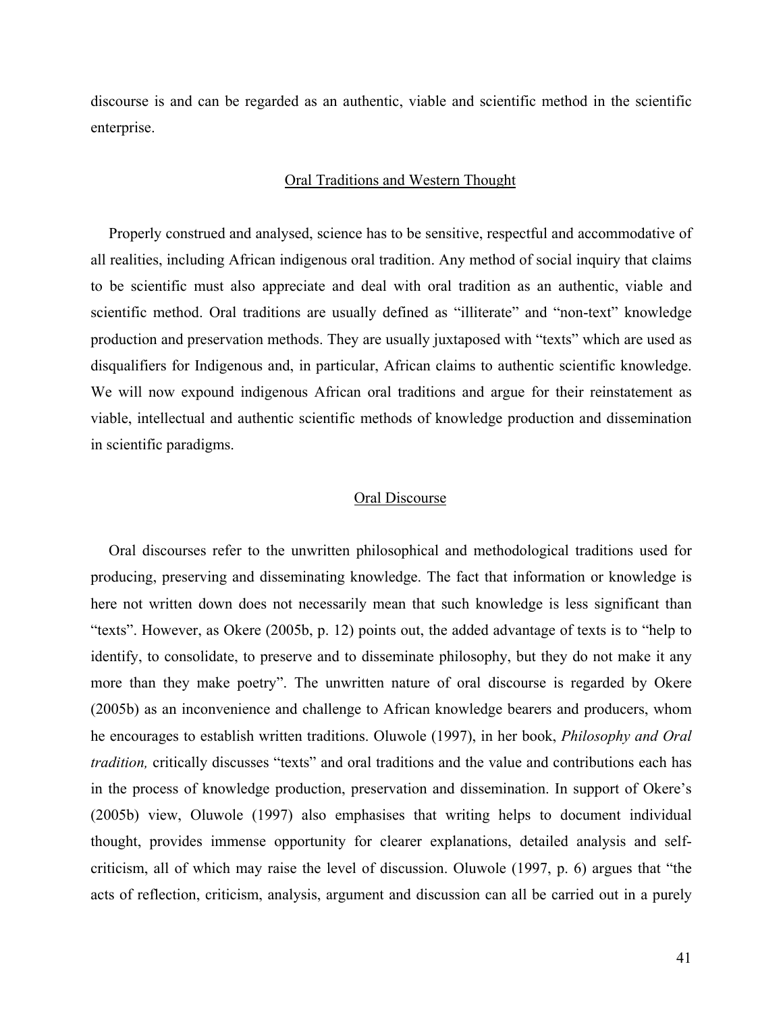discourse is and can be regarded as an authentic, viable and scientific method in the scientific enterprise.

### Oral Traditions and Western Thought

Properly construed and analysed, science has to be sensitive, respectful and accommodative of all realities, including African indigenous oral tradition. Any method of social inquiry that claims to be scientific must also appreciate and deal with oral tradition as an authentic, viable and scientific method. Oral traditions are usually defined as "illiterate" and "non-text" knowledge production and preservation methods. They are usually juxtaposed with "texts" which are used as disqualifiers for Indigenous and, in particular, African claims to authentic scientific knowledge. We will now expound indigenous African oral traditions and argue for their reinstatement as viable, intellectual and authentic scientific methods of knowledge production and dissemination in scientific paradigms.

## Oral Discourse

Oral discourses refer to the unwritten philosophical and methodological traditions used for producing, preserving and disseminating knowledge. The fact that information or knowledge is here not written down does not necessarily mean that such knowledge is less significant than "texts". However, as Okere (2005b, p. 12) points out, the added advantage of texts is to "help to identify, to consolidate, to preserve and to disseminate philosophy, but they do not make it any more than they make poetry". The unwritten nature of oral discourse is regarded by Okere (2005b) as an inconvenience and challenge to African knowledge bearers and producers, whom he encourages to establish written traditions. Oluwole (1997), in her book, *Philosophy and Oral tradition,* critically discusses "texts" and oral traditions and the value and contributions each has in the process of knowledge production, preservation and dissemination. In support of Okere's (2005b) view, Oluwole (1997) also emphasises that writing helps to document individual thought, provides immense opportunity for clearer explanations, detailed analysis and selfcriticism, all of which may raise the level of discussion. Oluwole (1997, p. 6) argues that "the acts of reflection, criticism, analysis, argument and discussion can all be carried out in a purely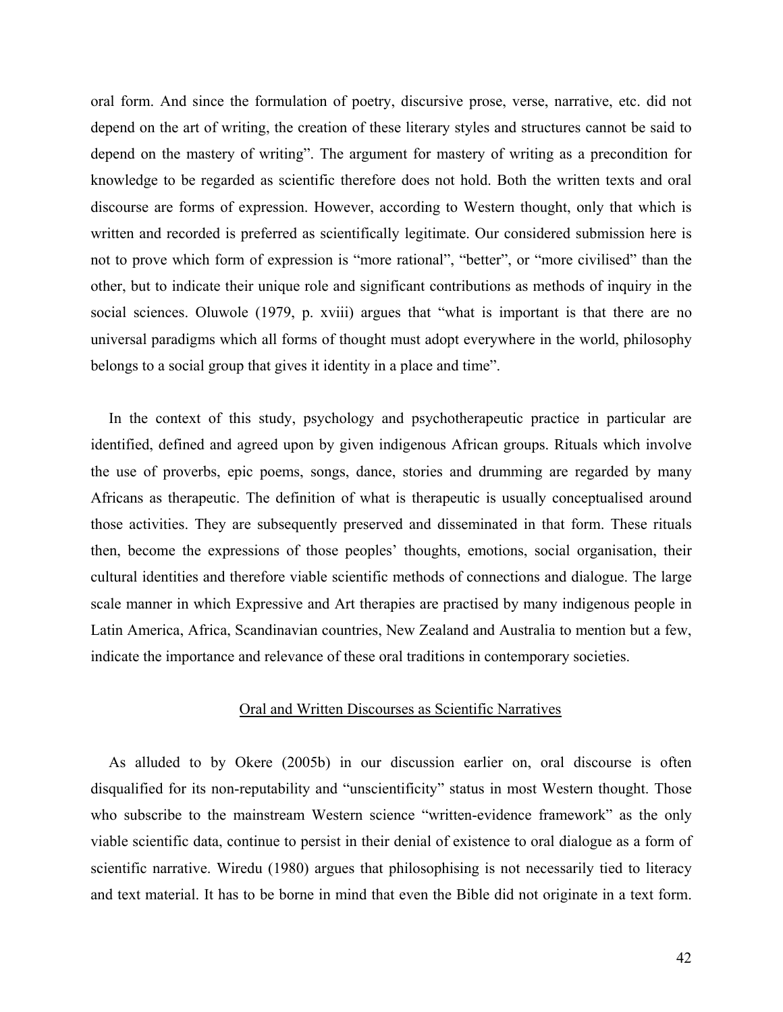oral form. And since the formulation of poetry, discursive prose, verse, narrative, etc. did not depend on the art of writing, the creation of these literary styles and structures cannot be said to depend on the mastery of writing". The argument for mastery of writing as a precondition for knowledge to be regarded as scientific therefore does not hold. Both the written texts and oral discourse are forms of expression. However, according to Western thought, only that which is written and recorded is preferred as scientifically legitimate. Our considered submission here is not to prove which form of expression is "more rational", "better", or "more civilised" than the other, but to indicate their unique role and significant contributions as methods of inquiry in the social sciences. Oluwole (1979, p. xviii) argues that "what is important is that there are no universal paradigms which all forms of thought must adopt everywhere in the world, philosophy belongs to a social group that gives it identity in a place and time".

In the context of this study, psychology and psychotherapeutic practice in particular are identified, defined and agreed upon by given indigenous African groups. Rituals which involve the use of proverbs, epic poems, songs, dance, stories and drumming are regarded by many Africans as therapeutic. The definition of what is therapeutic is usually conceptualised around those activities. They are subsequently preserved and disseminated in that form. These rituals then, become the expressions of those peoples' thoughts, emotions, social organisation, their cultural identities and therefore viable scientific methods of connections and dialogue. The large scale manner in which Expressive and Art therapies are practised by many indigenous people in Latin America, Africa, Scandinavian countries, New Zealand and Australia to mention but a few, indicate the importance and relevance of these oral traditions in contemporary societies.

### Oral and Written Discourses as Scientific Narratives

As alluded to by Okere (2005b) in our discussion earlier on, oral discourse is often disqualified for its non-reputability and "unscientificity" status in most Western thought. Those who subscribe to the mainstream Western science "written-evidence framework" as the only viable scientific data, continue to persist in their denial of existence to oral dialogue as a form of scientific narrative. Wiredu (1980) argues that philosophising is not necessarily tied to literacy and text material. It has to be borne in mind that even the Bible did not originate in a text form.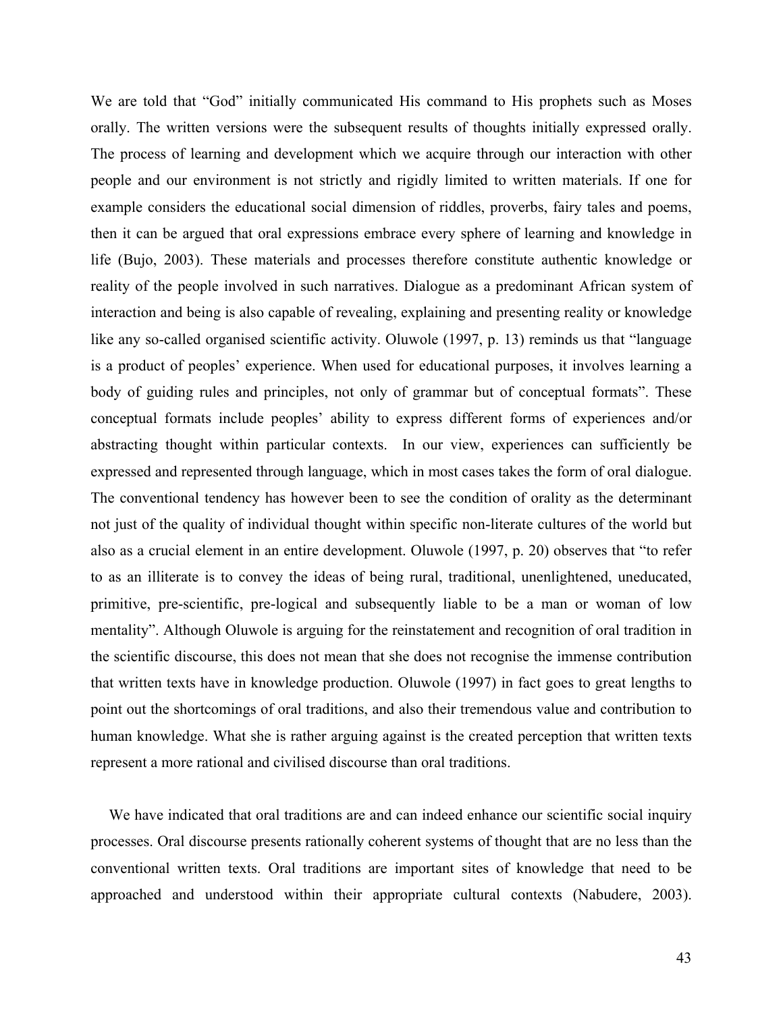We are told that "God" initially communicated His command to His prophets such as Moses orally. The written versions were the subsequent results of thoughts initially expressed orally. The process of learning and development which we acquire through our interaction with other people and our environment is not strictly and rigidly limited to written materials. If one for example considers the educational social dimension of riddles, proverbs, fairy tales and poems, then it can be argued that oral expressions embrace every sphere of learning and knowledge in life (Bujo, 2003). These materials and processes therefore constitute authentic knowledge or reality of the people involved in such narratives. Dialogue as a predominant African system of interaction and being is also capable of revealing, explaining and presenting reality or knowledge like any so-called organised scientific activity. Oluwole (1997, p. 13) reminds us that "language is a product of peoples' experience. When used for educational purposes, it involves learning a body of guiding rules and principles, not only of grammar but of conceptual formats". These conceptual formats include peoples' ability to express different forms of experiences and/or abstracting thought within particular contexts. In our view, experiences can sufficiently be expressed and represented through language, which in most cases takes the form of oral dialogue. The conventional tendency has however been to see the condition of orality as the determinant not just of the quality of individual thought within specific non-literate cultures of the world but also as a crucial element in an entire development. Oluwole (1997, p. 20) observes that "to refer to as an illiterate is to convey the ideas of being rural, traditional, unenlightened, uneducated, primitive, pre-scientific, pre-logical and subsequently liable to be a man or woman of low mentality". Although Oluwole is arguing for the reinstatement and recognition of oral tradition in the scientific discourse, this does not mean that she does not recognise the immense contribution that written texts have in knowledge production. Oluwole (1997) in fact goes to great lengths to point out the shortcomings of oral traditions, and also their tremendous value and contribution to human knowledge. What she is rather arguing against is the created perception that written texts represent a more rational and civilised discourse than oral traditions.

We have indicated that oral traditions are and can indeed enhance our scientific social inquiry processes. Oral discourse presents rationally coherent systems of thought that are no less than the conventional written texts. Oral traditions are important sites of knowledge that need to be approached and understood within their appropriate cultural contexts (Nabudere, 2003).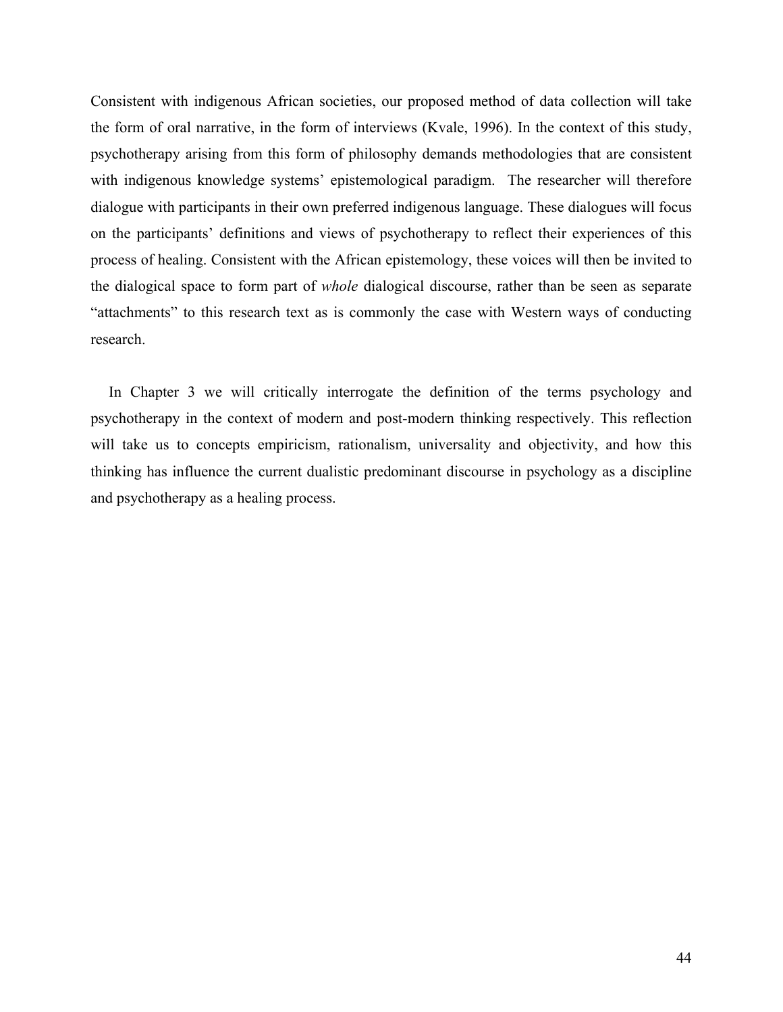Consistent with indigenous African societies, our proposed method of data collection will take the form of oral narrative, in the form of interviews (Kvale, 1996). In the context of this study, psychotherapy arising from this form of philosophy demands methodologies that are consistent with indigenous knowledge systems' epistemological paradigm. The researcher will therefore dialogue with participants in their own preferred indigenous language. These dialogues will focus on the participants' definitions and views of psychotherapy to reflect their experiences of this process of healing. Consistent with the African epistemology, these voices will then be invited to the dialogical space to form part of *whole* dialogical discourse, rather than be seen as separate "attachments" to this research text as is commonly the case with Western ways of conducting research.

In Chapter 3 we will critically interrogate the definition of the terms psychology and psychotherapy in the context of modern and post-modern thinking respectively. This reflection will take us to concepts empiricism, rationalism, universality and objectivity, and how this thinking has influence the current dualistic predominant discourse in psychology as a discipline and psychotherapy as a healing process.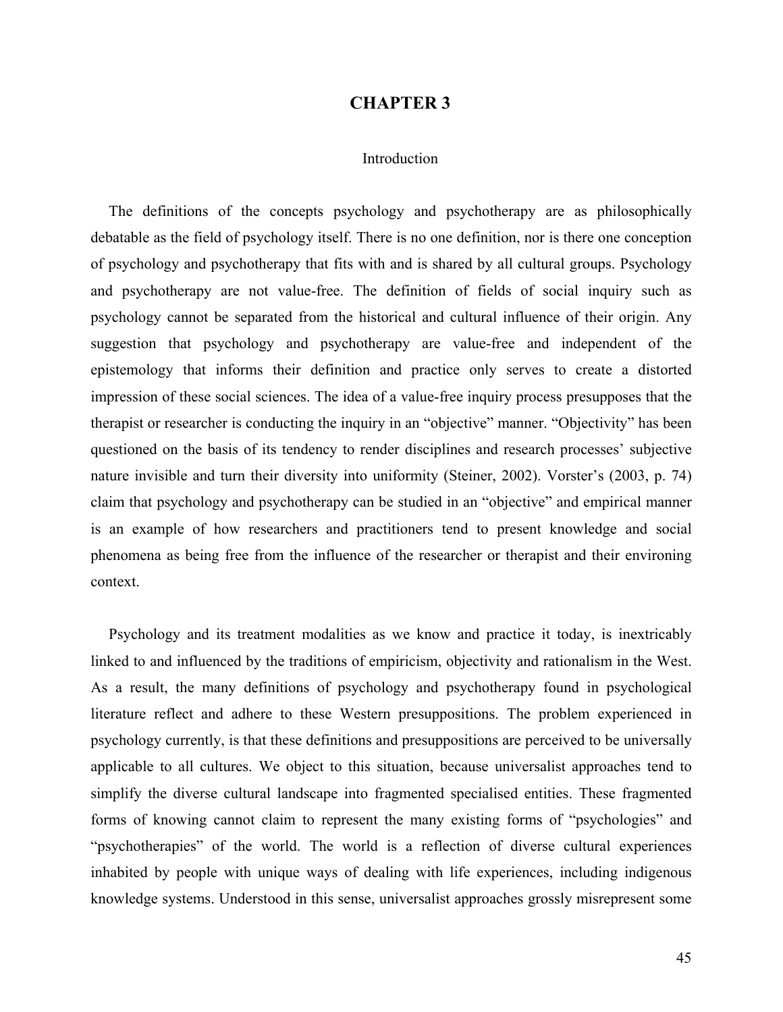## **CHAPTER 3**

### Introduction

The definitions of the concepts psychology and psychotherapy are as philosophically debatable as the field of psychology itself. There is no one definition, nor is there one conception of psychology and psychotherapy that fits with and is shared by all cultural groups. Psychology and psychotherapy are not value-free. The definition of fields of social inquiry such as psychology cannot be separated from the historical and cultural influence of their origin. Any suggestion that psychology and psychotherapy are value-free and independent of the epistemology that informs their definition and practice only serves to create a distorted impression of these social sciences. The idea of a value-free inquiry process presupposes that the therapist or researcher is conducting the inquiry in an "objective" manner. "Objectivity" has been questioned on the basis of its tendency to render disciplines and research processes' subjective nature invisible and turn their diversity into uniformity (Steiner, 2002). Vorster's (2003, p. 74) claim that psychology and psychotherapy can be studied in an "objective" and empirical manner is an example of how researchers and practitioners tend to present knowledge and social phenomena as being free from the influence of the researcher or therapist and their environing context.

Psychology and its treatment modalities as we know and practice it today, is inextricably linked to and influenced by the traditions of empiricism, objectivity and rationalism in the West. As a result, the many definitions of psychology and psychotherapy found in psychological literature reflect and adhere to these Western presuppositions. The problem experienced in psychology currently, is that these definitions and presuppositions are perceived to be universally applicable to all cultures. We object to this situation, because universalist approaches tend to simplify the diverse cultural landscape into fragmented specialised entities. These fragmented forms of knowing cannot claim to represent the many existing forms of "psychologies" and "psychotherapies" of the world. The world is a reflection of diverse cultural experiences inhabited by people with unique ways of dealing with life experiences, including indigenous knowledge systems. Understood in this sense, universalist approaches grossly misrepresent some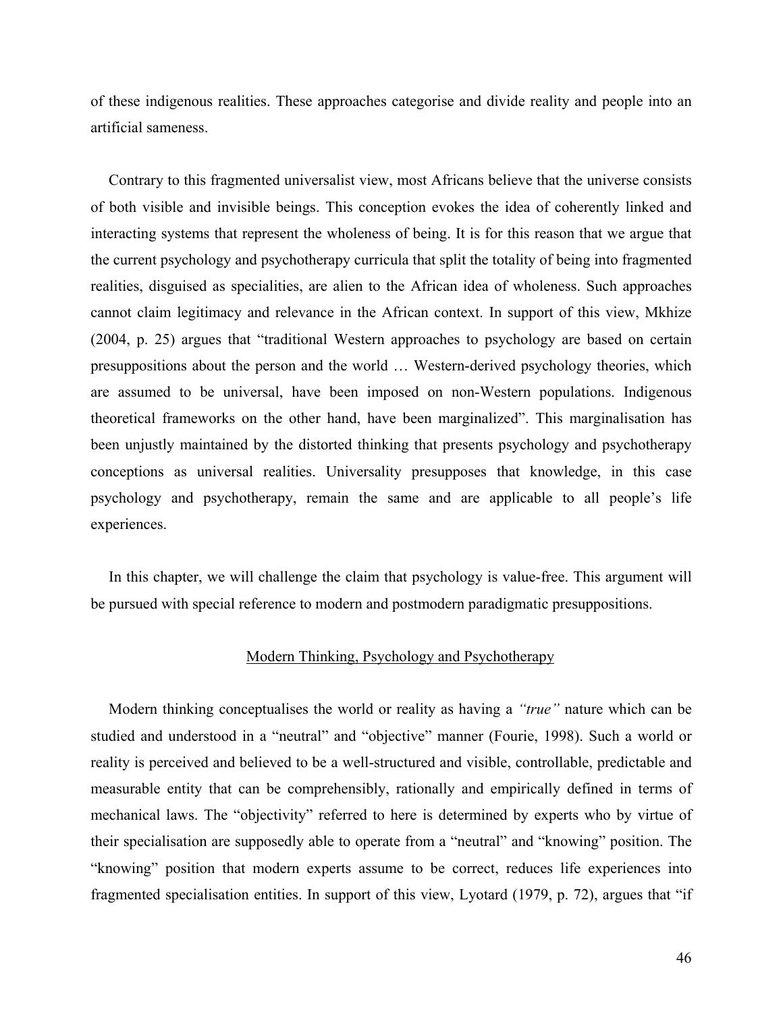of these indigenous realities. These approaches categorise and divide reality and people into an artificial sameness.

Contrary to this fragmented universalist view, most Africans believe that the universe consists of both visible and invisible beings. This conception evokes the idea of coherently linked and interacting systems that represent the wholeness of being. It is for this reason that we argue that the current psychology and psychotherapy curricula that split the totality of being into fragmented realities, disguised as specialities, are alien to the African idea of wholeness. Such approaches cannot claim legitimacy and relevance in the African context. In support of this view, Mkhize (2004, p. 25) argues that "traditional Western approaches to psychology are based on certain presuppositions about the person and the world … Western-derived psychology theories, which are assumed to be universal, have been imposed on non-Western populations. Indigenous theoretical frameworks on the other hand, have been marginalized". This marginalisation has been unjustly maintained by the distorted thinking that presents psychology and psychotherapy conceptions as universal realities. Universality presupposes that knowledge, in this case psychology and psychotherapy, remain the same and are applicable to all people's life experiences.

In this chapter, we will challenge the claim that psychology is value-free. This argument will be pursued with special reference to modern and postmodern paradigmatic presuppositions.

# Modern Thinking, Psychology and Psychotherapy

Modern thinking conceptualises the world or reality as having a *"true"* nature which can be studied and understood in a "neutral" and "objective" manner (Fourie, 1998). Such a world or reality is perceived and believed to be a well-structured and visible, controllable, predictable and measurable entity that can be comprehensibly, rationally and empirically defined in terms of mechanical laws. The "objectivity" referred to here is determined by experts who by virtue of their specialisation are supposedly able to operate from a "neutral" and "knowing" position. The "knowing" position that modern experts assume to be correct, reduces life experiences into fragmented specialisation entities. In support of this view, Lyotard (1979, p. 72), argues that "if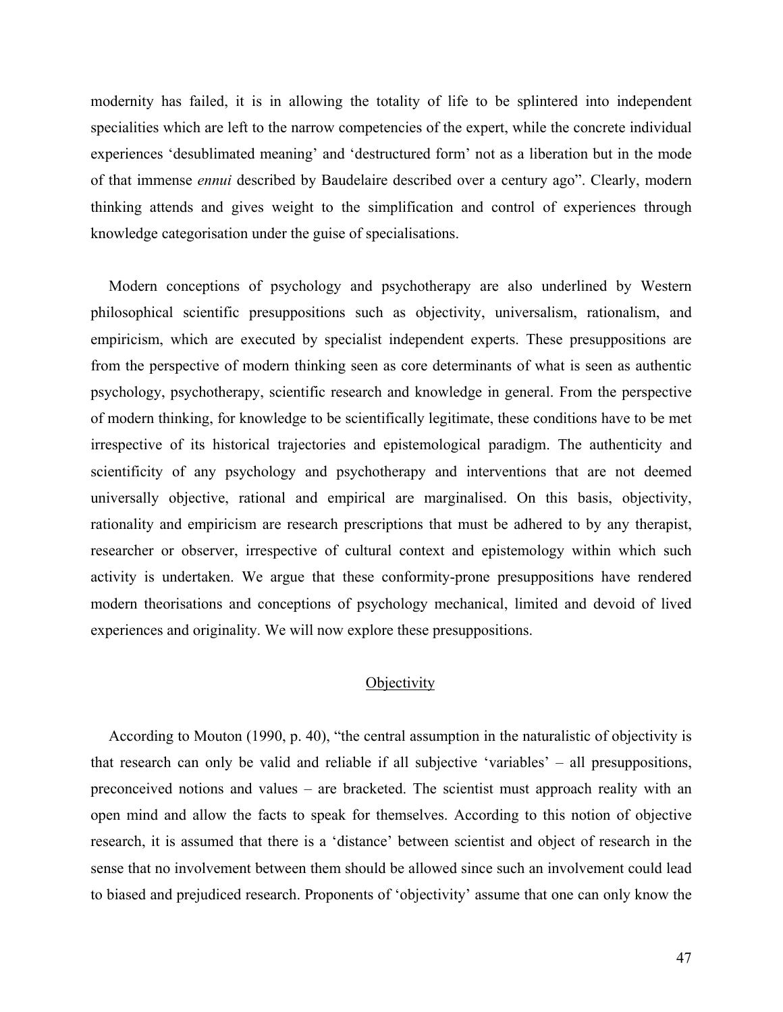modernity has failed, it is in allowing the totality of life to be splintered into independent specialities which are left to the narrow competencies of the expert, while the concrete individual experiences 'desublimated meaning' and 'destructured form' not as a liberation but in the mode of that immense *ennui* described by Baudelaire described over a century ago". Clearly, modern thinking attends and gives weight to the simplification and control of experiences through knowledge categorisation under the guise of specialisations.

Modern conceptions of psychology and psychotherapy are also underlined by Western philosophical scientific presuppositions such as objectivity, universalism, rationalism, and empiricism, which are executed by specialist independent experts. These presuppositions are from the perspective of modern thinking seen as core determinants of what is seen as authentic psychology, psychotherapy, scientific research and knowledge in general. From the perspective of modern thinking, for knowledge to be scientifically legitimate, these conditions have to be met irrespective of its historical trajectories and epistemological paradigm. The authenticity and scientificity of any psychology and psychotherapy and interventions that are not deemed universally objective, rational and empirical are marginalised. On this basis, objectivity, rationality and empiricism are research prescriptions that must be adhered to by any therapist, researcher or observer, irrespective of cultural context and epistemology within which such activity is undertaken. We argue that these conformity-prone presuppositions have rendered modern theorisations and conceptions of psychology mechanical, limited and devoid of lived experiences and originality. We will now explore these presuppositions.

# **Objectivity**

According to Mouton (1990, p. 40), "the central assumption in the naturalistic of objectivity is that research can only be valid and reliable if all subjective 'variables' – all presuppositions, preconceived notions and values – are bracketed. The scientist must approach reality with an open mind and allow the facts to speak for themselves. According to this notion of objective research, it is assumed that there is a 'distance' between scientist and object of research in the sense that no involvement between them should be allowed since such an involvement could lead to biased and prejudiced research. Proponents of 'objectivity' assume that one can only know the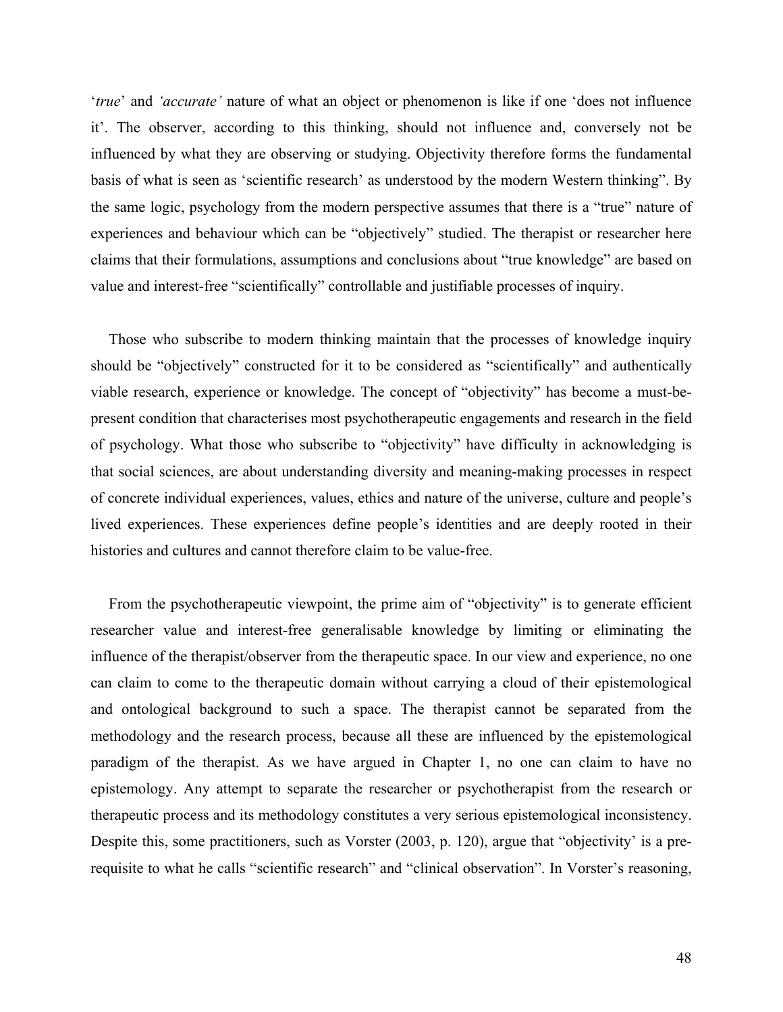'*true*' and *'accurate'* nature of what an object or phenomenon is like if one 'does not influence it'. The observer, according to this thinking, should not influence and, conversely not be influenced by what they are observing or studying. Objectivity therefore forms the fundamental basis of what is seen as 'scientific research' as understood by the modern Western thinking". By the same logic, psychology from the modern perspective assumes that there is a "true" nature of experiences and behaviour which can be "objectively" studied. The therapist or researcher here claims that their formulations, assumptions and conclusions about "true knowledge" are based on value and interest-free "scientifically" controllable and justifiable processes of inquiry.

Those who subscribe to modern thinking maintain that the processes of knowledge inquiry should be "objectively" constructed for it to be considered as "scientifically" and authentically viable research, experience or knowledge. The concept of "objectivity" has become a must-bepresent condition that characterises most psychotherapeutic engagements and research in the field of psychology. What those who subscribe to "objectivity" have difficulty in acknowledging is that social sciences, are about understanding diversity and meaning-making processes in respect of concrete individual experiences, values, ethics and nature of the universe, culture and people's lived experiences. These experiences define people's identities and are deeply rooted in their histories and cultures and cannot therefore claim to be value-free.

From the psychotherapeutic viewpoint, the prime aim of "objectivity" is to generate efficient researcher value and interest-free generalisable knowledge by limiting or eliminating the influence of the therapist/observer from the therapeutic space. In our view and experience, no one can claim to come to the therapeutic domain without carrying a cloud of their epistemological and ontological background to such a space. The therapist cannot be separated from the methodology and the research process, because all these are influenced by the epistemological paradigm of the therapist. As we have argued in Chapter 1, no one can claim to have no epistemology. Any attempt to separate the researcher or psychotherapist from the research or therapeutic process and its methodology constitutes a very serious epistemological inconsistency. Despite this, some practitioners, such as Vorster (2003, p. 120), argue that "objectivity' is a prerequisite to what he calls "scientific research" and "clinical observation". In Vorster's reasoning,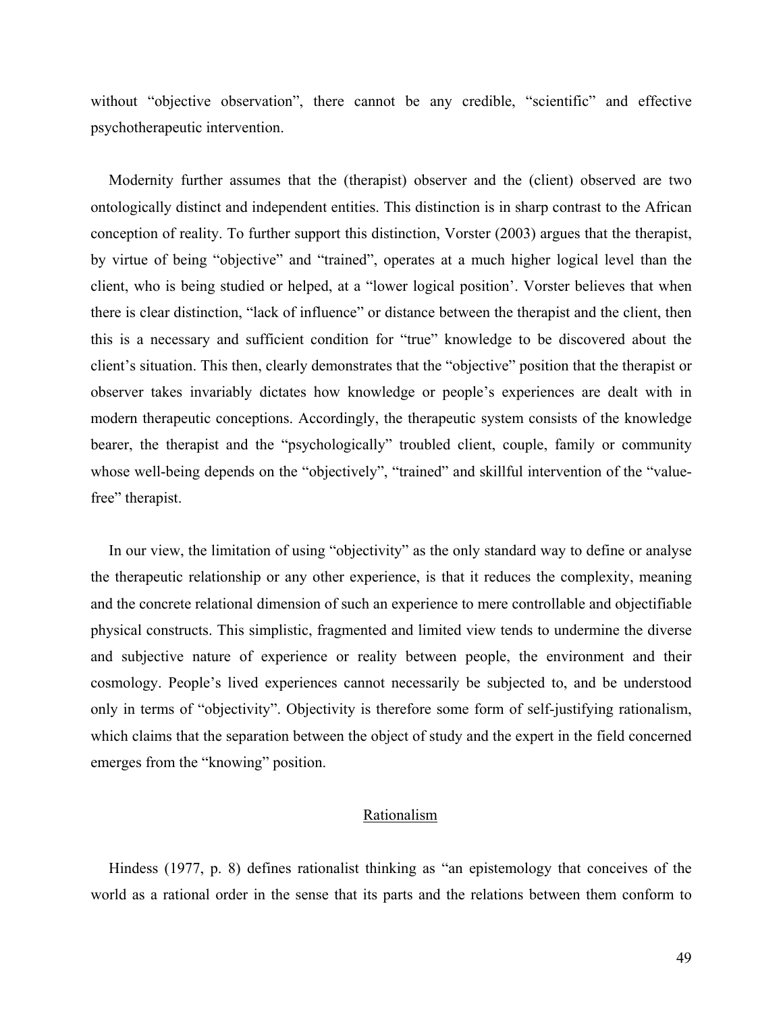without "objective observation", there cannot be any credible, "scientific" and effective psychotherapeutic intervention.

Modernity further assumes that the (therapist) observer and the (client) observed are two ontologically distinct and independent entities. This distinction is in sharp contrast to the African conception of reality. To further support this distinction, Vorster (2003) argues that the therapist, by virtue of being "objective" and "trained", operates at a much higher logical level than the client, who is being studied or helped, at a "lower logical position'. Vorster believes that when there is clear distinction, "lack of influence" or distance between the therapist and the client, then this is a necessary and sufficient condition for "true" knowledge to be discovered about the client's situation. This then, clearly demonstrates that the "objective" position that the therapist or observer takes invariably dictates how knowledge or people's experiences are dealt with in modern therapeutic conceptions. Accordingly, the therapeutic system consists of the knowledge bearer, the therapist and the "psychologically" troubled client, couple, family or community whose well-being depends on the "objectively", "trained" and skillful intervention of the "valuefree" therapist.

In our view, the limitation of using "objectivity" as the only standard way to define or analyse the therapeutic relationship or any other experience, is that it reduces the complexity, meaning and the concrete relational dimension of such an experience to mere controllable and objectifiable physical constructs. This simplistic, fragmented and limited view tends to undermine the diverse and subjective nature of experience or reality between people, the environment and their cosmology. People's lived experiences cannot necessarily be subjected to, and be understood only in terms of "objectivity". Objectivity is therefore some form of self-justifying rationalism, which claims that the separation between the object of study and the expert in the field concerned emerges from the "knowing" position.

# Rationalism

Hindess (1977, p. 8) defines rationalist thinking as "an epistemology that conceives of the world as a rational order in the sense that its parts and the relations between them conform to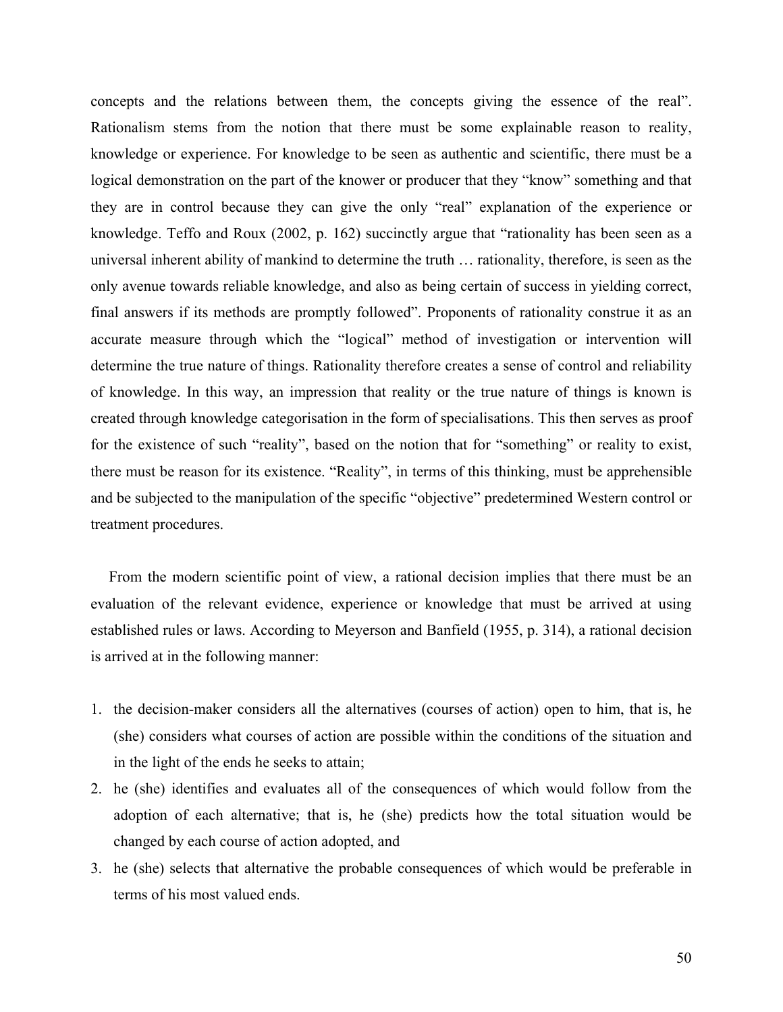concepts and the relations between them, the concepts giving the essence of the real". Rationalism stems from the notion that there must be some explainable reason to reality, knowledge or experience. For knowledge to be seen as authentic and scientific, there must be a logical demonstration on the part of the knower or producer that they "know" something and that they are in control because they can give the only "real" explanation of the experience or knowledge. Teffo and Roux (2002, p. 162) succinctly argue that "rationality has been seen as a universal inherent ability of mankind to determine the truth … rationality, therefore, is seen as the only avenue towards reliable knowledge, and also as being certain of success in yielding correct, final answers if its methods are promptly followed". Proponents of rationality construe it as an accurate measure through which the "logical" method of investigation or intervention will determine the true nature of things. Rationality therefore creates a sense of control and reliability of knowledge. In this way, an impression that reality or the true nature of things is known is created through knowledge categorisation in the form of specialisations. This then serves as proof for the existence of such "reality", based on the notion that for "something" or reality to exist, there must be reason for its existence. "Reality", in terms of this thinking, must be apprehensible and be subjected to the manipulation of the specific "objective" predetermined Western control or treatment procedures.

From the modern scientific point of view, a rational decision implies that there must be an evaluation of the relevant evidence, experience or knowledge that must be arrived at using established rules or laws. According to Meyerson and Banfield (1955, p. 314), a rational decision is arrived at in the following manner:

- 1. the decision-maker considers all the alternatives (courses of action) open to him, that is, he (she) considers what courses of action are possible within the conditions of the situation and in the light of the ends he seeks to attain;
- 2. he (she) identifies and evaluates all of the consequences of which would follow from the adoption of each alternative; that is, he (she) predicts how the total situation would be changed by each course of action adopted, and
- 3. he (she) selects that alternative the probable consequences of which would be preferable in terms of his most valued ends.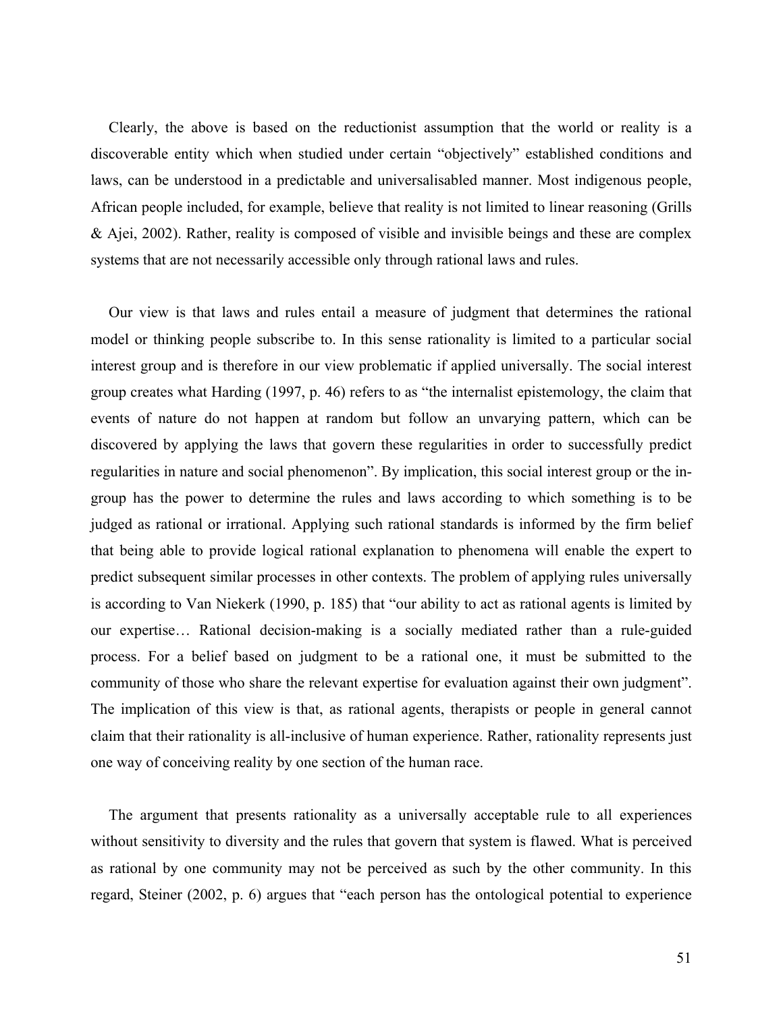Clearly, the above is based on the reductionist assumption that the world or reality is a discoverable entity which when studied under certain "objectively" established conditions and laws, can be understood in a predictable and universalisabled manner. Most indigenous people, African people included, for example, believe that reality is not limited to linear reasoning (Grills & Ajei, 2002). Rather, reality is composed of visible and invisible beings and these are complex systems that are not necessarily accessible only through rational laws and rules.

Our view is that laws and rules entail a measure of judgment that determines the rational model or thinking people subscribe to. In this sense rationality is limited to a particular social interest group and is therefore in our view problematic if applied universally. The social interest group creates what Harding (1997, p. 46) refers to as "the internalist epistemology, the claim that events of nature do not happen at random but follow an unvarying pattern, which can be discovered by applying the laws that govern these regularities in order to successfully predict regularities in nature and social phenomenon". By implication, this social interest group or the ingroup has the power to determine the rules and laws according to which something is to be judged as rational or irrational. Applying such rational standards is informed by the firm belief that being able to provide logical rational explanation to phenomena will enable the expert to predict subsequent similar processes in other contexts. The problem of applying rules universally is according to Van Niekerk (1990, p. 185) that "our ability to act as rational agents is limited by our expertise… Rational decision-making is a socially mediated rather than a rule-guided process. For a belief based on judgment to be a rational one, it must be submitted to the community of those who share the relevant expertise for evaluation against their own judgment". The implication of this view is that, as rational agents, therapists or people in general cannot claim that their rationality is all-inclusive of human experience. Rather, rationality represents just one way of conceiving reality by one section of the human race.

The argument that presents rationality as a universally acceptable rule to all experiences without sensitivity to diversity and the rules that govern that system is flawed. What is perceived as rational by one community may not be perceived as such by the other community. In this regard, Steiner (2002, p. 6) argues that "each person has the ontological potential to experience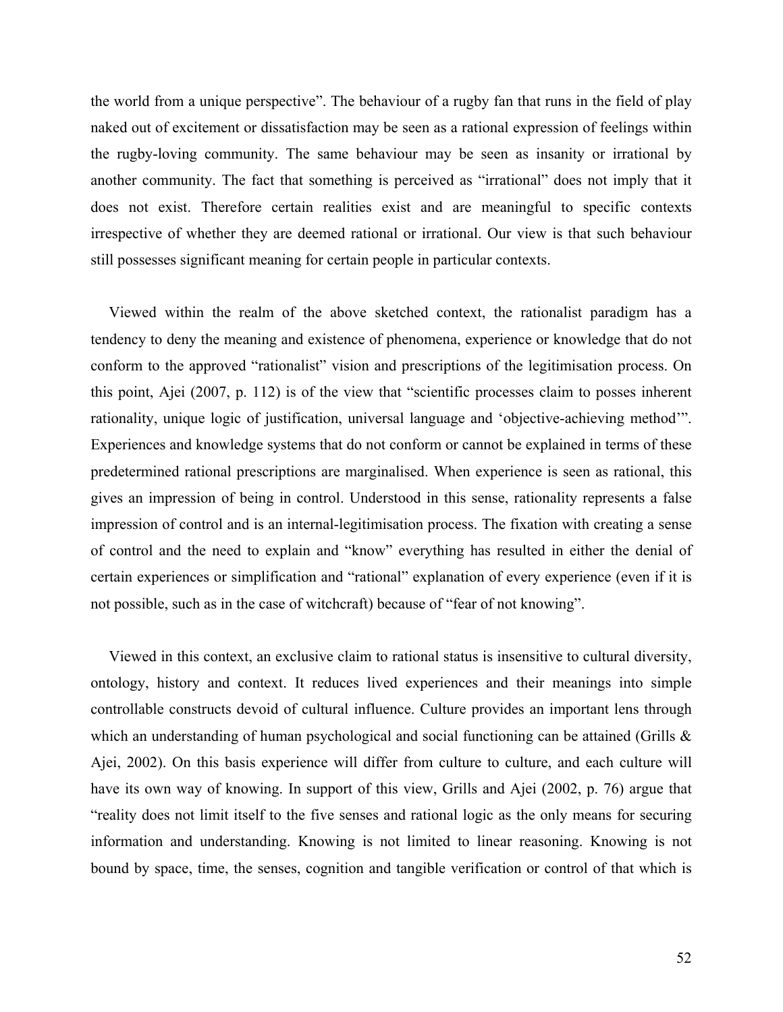the world from a unique perspective". The behaviour of a rugby fan that runs in the field of play naked out of excitement or dissatisfaction may be seen as a rational expression of feelings within the rugby-loving community. The same behaviour may be seen as insanity or irrational by another community. The fact that something is perceived as "irrational" does not imply that it does not exist. Therefore certain realities exist and are meaningful to specific contexts irrespective of whether they are deemed rational or irrational. Our view is that such behaviour still possesses significant meaning for certain people in particular contexts.

Viewed within the realm of the above sketched context, the rationalist paradigm has a tendency to deny the meaning and existence of phenomena, experience or knowledge that do not conform to the approved "rationalist" vision and prescriptions of the legitimisation process. On this point, Ajei (2007, p. 112) is of the view that "scientific processes claim to posses inherent rationality, unique logic of justification, universal language and 'objective-achieving method'". Experiences and knowledge systems that do not conform or cannot be explained in terms of these predetermined rational prescriptions are marginalised. When experience is seen as rational, this gives an impression of being in control. Understood in this sense, rationality represents a false impression of control and is an internal-legitimisation process. The fixation with creating a sense of control and the need to explain and "know" everything has resulted in either the denial of certain experiences or simplification and "rational" explanation of every experience (even if it is not possible, such as in the case of witchcraft) because of "fear of not knowing".

Viewed in this context, an exclusive claim to rational status is insensitive to cultural diversity, ontology, history and context. It reduces lived experiences and their meanings into simple controllable constructs devoid of cultural influence. Culture provides an important lens through which an understanding of human psychological and social functioning can be attained (Grills & Ajei, 2002). On this basis experience will differ from culture to culture, and each culture will have its own way of knowing. In support of this view, Grills and Ajei (2002, p. 76) argue that "reality does not limit itself to the five senses and rational logic as the only means for securing information and understanding. Knowing is not limited to linear reasoning. Knowing is not bound by space, time, the senses, cognition and tangible verification or control of that which is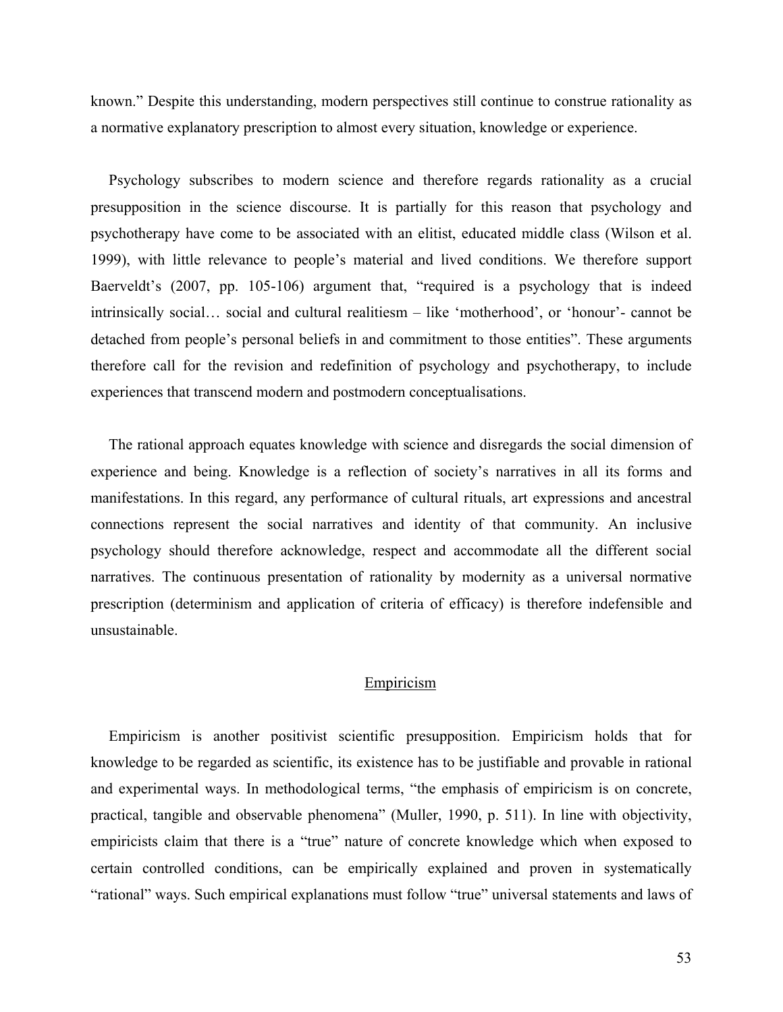known." Despite this understanding, modern perspectives still continue to construe rationality as a normative explanatory prescription to almost every situation, knowledge or experience.

Psychology subscribes to modern science and therefore regards rationality as a crucial presupposition in the science discourse. It is partially for this reason that psychology and psychotherapy have come to be associated with an elitist, educated middle class (Wilson et al. 1999), with little relevance to people's material and lived conditions. We therefore support Baerveldt's (2007, pp. 105-106) argument that, "required is a psychology that is indeed intrinsically social… social and cultural realitiesm – like 'motherhood', or 'honour'- cannot be detached from people's personal beliefs in and commitment to those entities". These arguments therefore call for the revision and redefinition of psychology and psychotherapy, to include experiences that transcend modern and postmodern conceptualisations.

The rational approach equates knowledge with science and disregards the social dimension of experience and being. Knowledge is a reflection of society's narratives in all its forms and manifestations. In this regard, any performance of cultural rituals, art expressions and ancestral connections represent the social narratives and identity of that community. An inclusive psychology should therefore acknowledge, respect and accommodate all the different social narratives. The continuous presentation of rationality by modernity as a universal normative prescription (determinism and application of criteria of efficacy) is therefore indefensible and unsustainable.

# Empiricism

Empiricism is another positivist scientific presupposition. Empiricism holds that for knowledge to be regarded as scientific, its existence has to be justifiable and provable in rational and experimental ways. In methodological terms, "the emphasis of empiricism is on concrete, practical, tangible and observable phenomena" (Muller, 1990, p. 511). In line with objectivity, empiricists claim that there is a "true" nature of concrete knowledge which when exposed to certain controlled conditions, can be empirically explained and proven in systematically "rational" ways. Such empirical explanations must follow "true" universal statements and laws of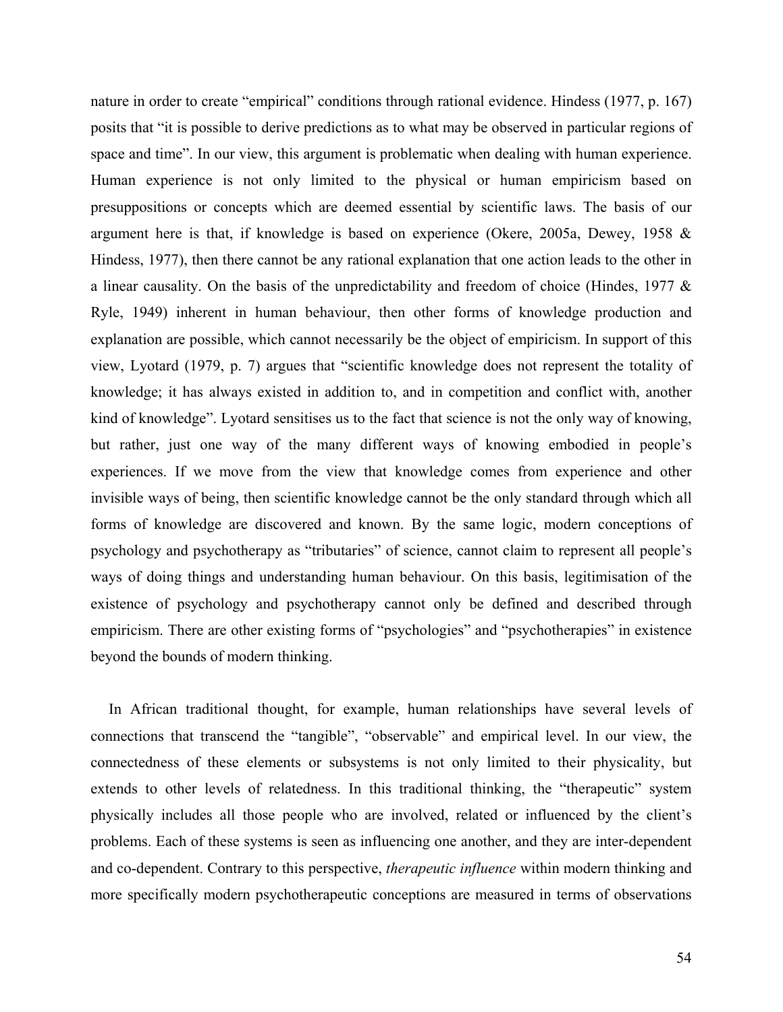nature in order to create "empirical" conditions through rational evidence. Hindess (1977, p. 167) posits that "it is possible to derive predictions as to what may be observed in particular regions of space and time". In our view, this argument is problematic when dealing with human experience. Human experience is not only limited to the physical or human empiricism based on presuppositions or concepts which are deemed essential by scientific laws. The basis of our argument here is that, if knowledge is based on experience (Okere, 2005a, Dewey, 1958 & Hindess, 1977), then there cannot be any rational explanation that one action leads to the other in a linear causality. On the basis of the unpredictability and freedom of choice (Hindes, 1977 & Ryle, 1949) inherent in human behaviour, then other forms of knowledge production and explanation are possible, which cannot necessarily be the object of empiricism. In support of this view, Lyotard (1979, p. 7) argues that "scientific knowledge does not represent the totality of knowledge; it has always existed in addition to, and in competition and conflict with, another kind of knowledge". Lyotard sensitises us to the fact that science is not the only way of knowing, but rather, just one way of the many different ways of knowing embodied in people's experiences. If we move from the view that knowledge comes from experience and other invisible ways of being, then scientific knowledge cannot be the only standard through which all forms of knowledge are discovered and known. By the same logic, modern conceptions of psychology and psychotherapy as "tributaries" of science, cannot claim to represent all people's ways of doing things and understanding human behaviour. On this basis, legitimisation of the existence of psychology and psychotherapy cannot only be defined and described through empiricism. There are other existing forms of "psychologies" and "psychotherapies" in existence beyond the bounds of modern thinking.

In African traditional thought, for example, human relationships have several levels of connections that transcend the "tangible", "observable" and empirical level. In our view, the connectedness of these elements or subsystems is not only limited to their physicality, but extends to other levels of relatedness. In this traditional thinking, the "therapeutic" system physically includes all those people who are involved, related or influenced by the client's problems. Each of these systems is seen as influencing one another, and they are inter-dependent and co-dependent. Contrary to this perspective, *therapeutic influence* within modern thinking and more specifically modern psychotherapeutic conceptions are measured in terms of observations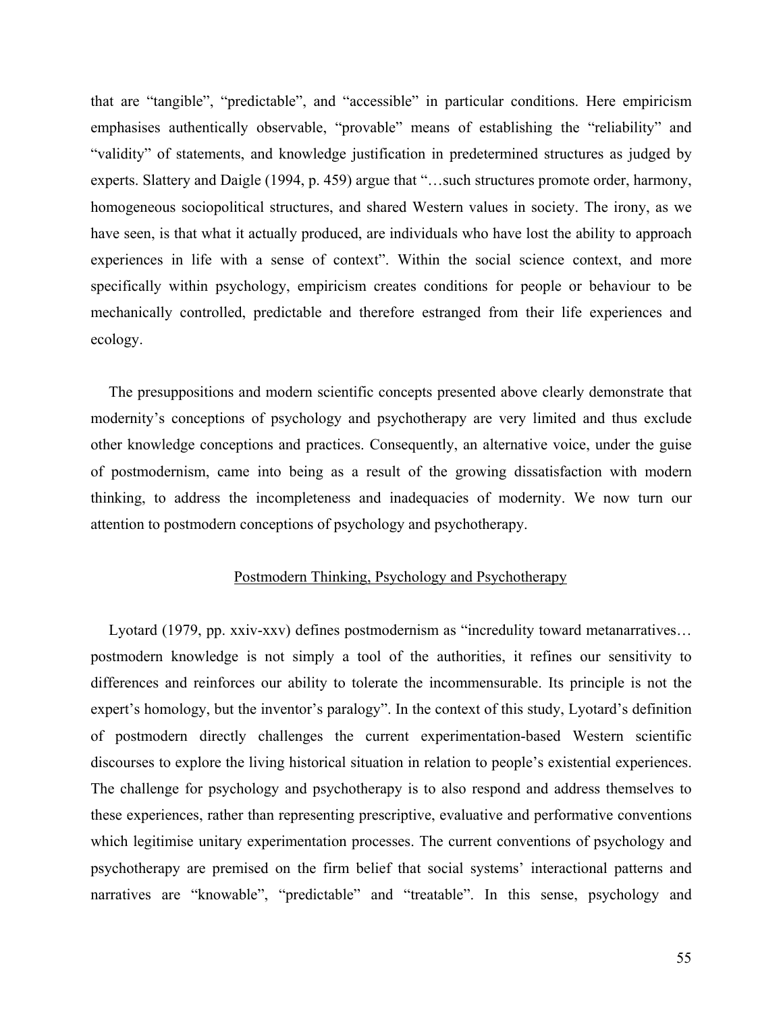that are "tangible", "predictable", and "accessible" in particular conditions. Here empiricism emphasises authentically observable, "provable" means of establishing the "reliability" and "validity" of statements, and knowledge justification in predetermined structures as judged by experts. Slattery and Daigle (1994, p. 459) argue that "…such structures promote order, harmony, homogeneous sociopolitical structures, and shared Western values in society. The irony, as we have seen, is that what it actually produced, are individuals who have lost the ability to approach experiences in life with a sense of context". Within the social science context, and more specifically within psychology, empiricism creates conditions for people or behaviour to be mechanically controlled, predictable and therefore estranged from their life experiences and ecology.

The presuppositions and modern scientific concepts presented above clearly demonstrate that modernity's conceptions of psychology and psychotherapy are very limited and thus exclude other knowledge conceptions and practices. Consequently, an alternative voice, under the guise of postmodernism, came into being as a result of the growing dissatisfaction with modern thinking, to address the incompleteness and inadequacies of modernity. We now turn our attention to postmodern conceptions of psychology and psychotherapy.

# Postmodern Thinking, Psychology and Psychotherapy

Lyotard (1979, pp. xxiv-xxv) defines postmodernism as "incredulity toward metanarratives… postmodern knowledge is not simply a tool of the authorities, it refines our sensitivity to differences and reinforces our ability to tolerate the incommensurable. Its principle is not the expert's homology, but the inventor's paralogy". In the context of this study, Lyotard's definition of postmodern directly challenges the current experimentation-based Western scientific discourses to explore the living historical situation in relation to people's existential experiences. The challenge for psychology and psychotherapy is to also respond and address themselves to these experiences, rather than representing prescriptive, evaluative and performative conventions which legitimise unitary experimentation processes. The current conventions of psychology and psychotherapy are premised on the firm belief that social systems' interactional patterns and narratives are "knowable", "predictable" and "treatable". In this sense, psychology and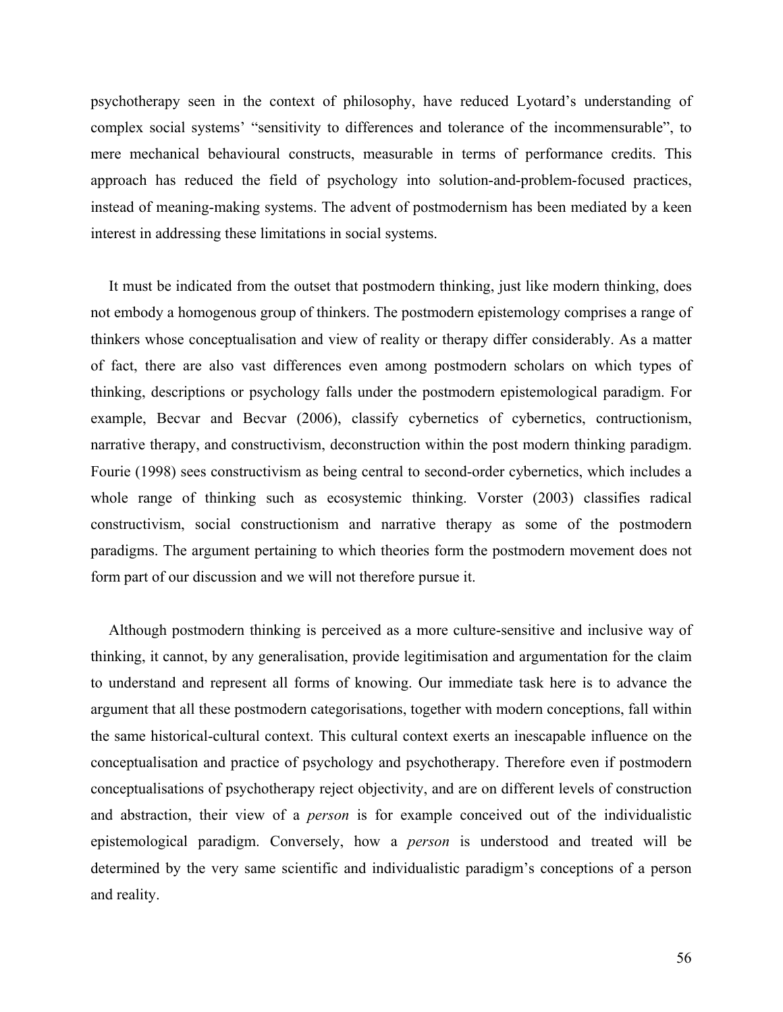psychotherapy seen in the context of philosophy, have reduced Lyotard's understanding of complex social systems' "sensitivity to differences and tolerance of the incommensurable", to mere mechanical behavioural constructs, measurable in terms of performance credits. This approach has reduced the field of psychology into solution-and-problem-focused practices, instead of meaning-making systems. The advent of postmodernism has been mediated by a keen interest in addressing these limitations in social systems.

It must be indicated from the outset that postmodern thinking, just like modern thinking, does not embody a homogenous group of thinkers. The postmodern epistemology comprises a range of thinkers whose conceptualisation and view of reality or therapy differ considerably. As a matter of fact, there are also vast differences even among postmodern scholars on which types of thinking, descriptions or psychology falls under the postmodern epistemological paradigm. For example, Becvar and Becvar (2006), classify cybernetics of cybernetics, contructionism, narrative therapy, and constructivism, deconstruction within the post modern thinking paradigm. Fourie (1998) sees constructivism as being central to second-order cybernetics, which includes a whole range of thinking such as ecosystemic thinking. Vorster (2003) classifies radical constructivism, social constructionism and narrative therapy as some of the postmodern paradigms. The argument pertaining to which theories form the postmodern movement does not form part of our discussion and we will not therefore pursue it.

Although postmodern thinking is perceived as a more culture-sensitive and inclusive way of thinking, it cannot, by any generalisation, provide legitimisation and argumentation for the claim to understand and represent all forms of knowing. Our immediate task here is to advance the argument that all these postmodern categorisations, together with modern conceptions, fall within the same historical-cultural context. This cultural context exerts an inescapable influence on the conceptualisation and practice of psychology and psychotherapy. Therefore even if postmodern conceptualisations of psychotherapy reject objectivity, and are on different levels of construction and abstraction, their view of a *person* is for example conceived out of the individualistic epistemological paradigm. Conversely, how a *person* is understood and treated will be determined by the very same scientific and individualistic paradigm's conceptions of a person and reality.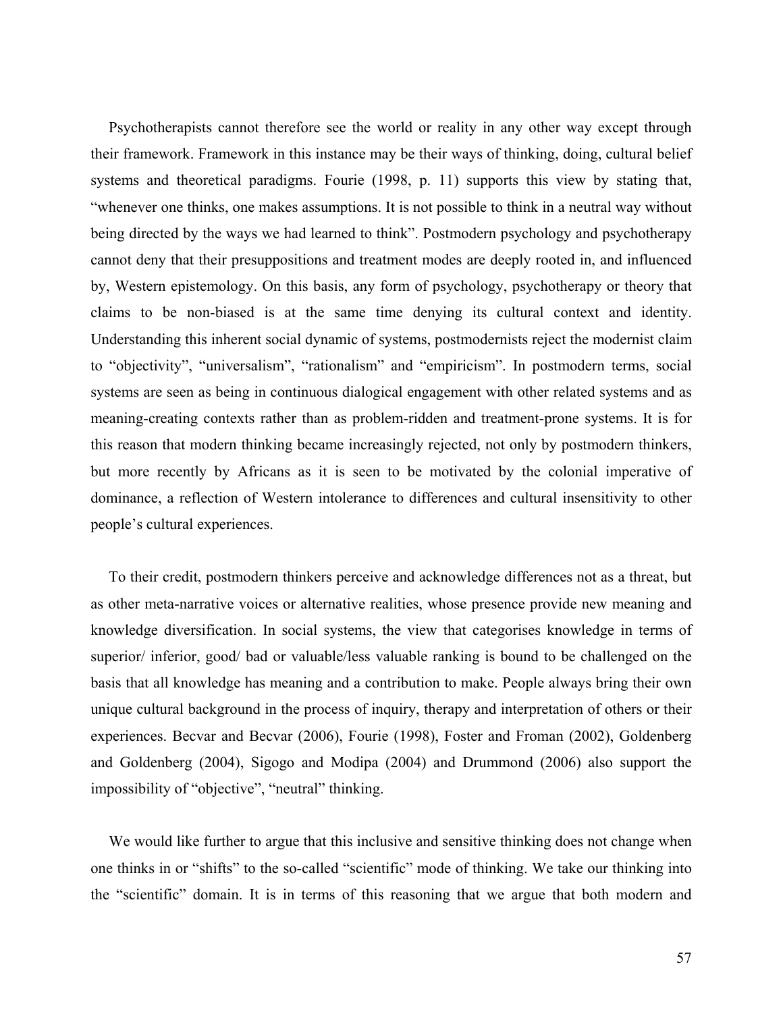Psychotherapists cannot therefore see the world or reality in any other way except through their framework. Framework in this instance may be their ways of thinking, doing, cultural belief systems and theoretical paradigms. Fourie (1998, p. 11) supports this view by stating that, "whenever one thinks, one makes assumptions. It is not possible to think in a neutral way without being directed by the ways we had learned to think". Postmodern psychology and psychotherapy cannot deny that their presuppositions and treatment modes are deeply rooted in, and influenced by, Western epistemology. On this basis, any form of psychology, psychotherapy or theory that claims to be non-biased is at the same time denying its cultural context and identity. Understanding this inherent social dynamic of systems, postmodernists reject the modernist claim to "objectivity", "universalism", "rationalism" and "empiricism". In postmodern terms, social systems are seen as being in continuous dialogical engagement with other related systems and as meaning-creating contexts rather than as problem-ridden and treatment-prone systems. It is for this reason that modern thinking became increasingly rejected, not only by postmodern thinkers, but more recently by Africans as it is seen to be motivated by the colonial imperative of dominance, a reflection of Western intolerance to differences and cultural insensitivity to other people's cultural experiences.

To their credit, postmodern thinkers perceive and acknowledge differences not as a threat, but as other meta-narrative voices or alternative realities, whose presence provide new meaning and knowledge diversification. In social systems, the view that categorises knowledge in terms of superior/ inferior, good/ bad or valuable/less valuable ranking is bound to be challenged on the basis that all knowledge has meaning and a contribution to make. People always bring their own unique cultural background in the process of inquiry, therapy and interpretation of others or their experiences. Becvar and Becvar (2006), Fourie (1998), Foster and Froman (2002), Goldenberg and Goldenberg (2004), Sigogo and Modipa (2004) and Drummond (2006) also support the impossibility of "objective", "neutral" thinking.

We would like further to argue that this inclusive and sensitive thinking does not change when one thinks in or "shifts" to the so-called "scientific" mode of thinking. We take our thinking into the "scientific" domain. It is in terms of this reasoning that we argue that both modern and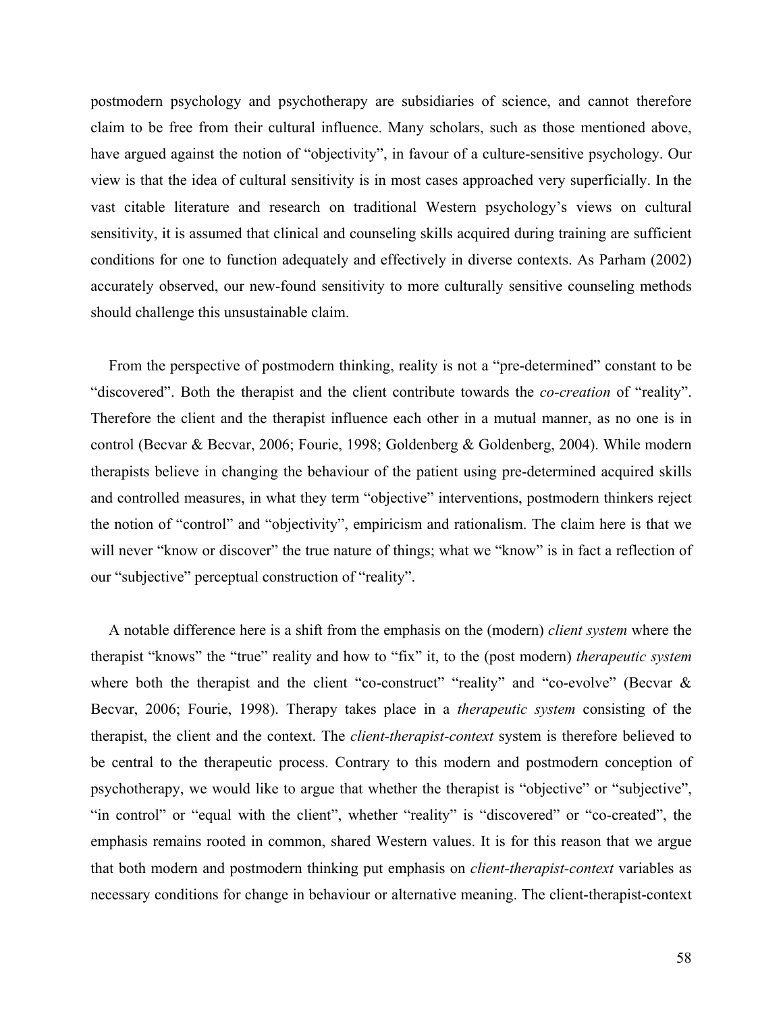postmodern psychology and psychotherapy are subsidiaries of science, and cannot therefore claim to be free from their cultural influence. Many scholars, such as those mentioned above, have argued against the notion of "objectivity", in favour of a culture-sensitive psychology. Our view is that the idea of cultural sensitivity is in most cases approached very superficially. In the vast citable literature and research on traditional Western psychology's views on cultural sensitivity, it is assumed that clinical and counseling skills acquired during training are sufficient conditions for one to function adequately and effectively in diverse contexts. As Parham (2002) accurately observed, our new-found sensitivity to more culturally sensitive counseling methods should challenge this unsustainable claim.

From the perspective of postmodern thinking, reality is not a "pre-determined" constant to be "discovered". Both the therapist and the client contribute towards the *co-creation* of "reality". Therefore the client and the therapist influence each other in a mutual manner, as no one is in control (Becvar & Becvar, 2006; Fourie, 1998; Goldenberg & Goldenberg, 2004). While modern therapists believe in changing the behaviour of the patient using pre-determined acquired skills and controlled measures, in what they term "objective" interventions, postmodern thinkers reject the notion of "control" and "objectivity", empiricism and rationalism. The claim here is that we will never "know or discover" the true nature of things; what we "know" is in fact a reflection of our "subjective" perceptual construction of "reality".

A notable difference here is a shift from the emphasis on the (modern) *client system* where the therapist "knows" the "true" reality and how to "fix" it, to the (post modern) *therapeutic system* where both the therapist and the client "co-construct" "reality" and "co-evolve" (Becvar & Becvar, 2006; Fourie, 1998). Therapy takes place in a *therapeutic system* consisting of the therapist, the client and the context. The *client-therapist-context* system is therefore believed to be central to the therapeutic process. Contrary to this modern and postmodern conception of psychotherapy, we would like to argue that whether the therapist is "objective" or "subjective", "in control" or "equal with the client", whether "reality" is "discovered" or "co-created", the emphasis remains rooted in common, shared Western values. It is for this reason that we argue that both modern and postmodern thinking put emphasis on *client-therapist-context* variables as necessary conditions for change in behaviour or alternative meaning. The client-therapist-context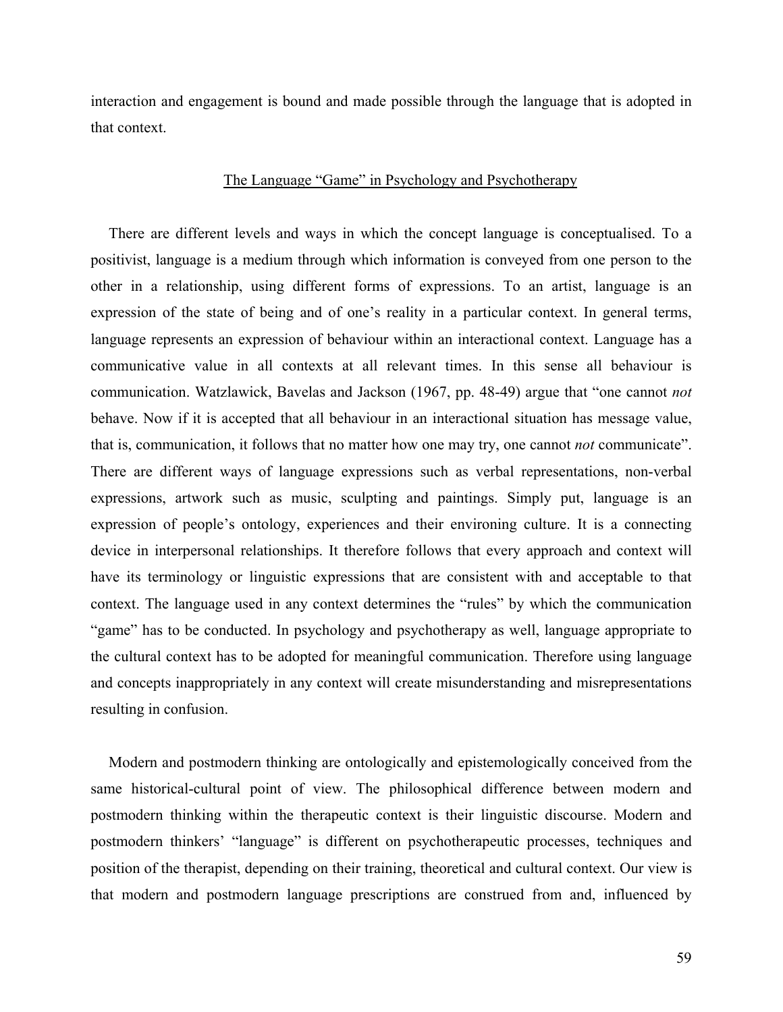interaction and engagement is bound and made possible through the language that is adopted in that context.

# The Language "Game" in Psychology and Psychotherapy

There are different levels and ways in which the concept language is conceptualised. To a positivist, language is a medium through which information is conveyed from one person to the other in a relationship, using different forms of expressions. To an artist, language is an expression of the state of being and of one's reality in a particular context. In general terms, language represents an expression of behaviour within an interactional context. Language has a communicative value in all contexts at all relevant times. In this sense all behaviour is communication. Watzlawick, Bavelas and Jackson (1967, pp. 48-49) argue that "one cannot *not* behave. Now if it is accepted that all behaviour in an interactional situation has message value, that is, communication, it follows that no matter how one may try, one cannot *not* communicate". There are different ways of language expressions such as verbal representations, non-verbal expressions, artwork such as music, sculpting and paintings. Simply put, language is an expression of people's ontology, experiences and their environing culture. It is a connecting device in interpersonal relationships. It therefore follows that every approach and context will have its terminology or linguistic expressions that are consistent with and acceptable to that context. The language used in any context determines the "rules" by which the communication "game" has to be conducted. In psychology and psychotherapy as well, language appropriate to the cultural context has to be adopted for meaningful communication. Therefore using language and concepts inappropriately in any context will create misunderstanding and misrepresentations resulting in confusion.

Modern and postmodern thinking are ontologically and epistemologically conceived from the same historical-cultural point of view. The philosophical difference between modern and postmodern thinking within the therapeutic context is their linguistic discourse. Modern and postmodern thinkers' "language" is different on psychotherapeutic processes, techniques and position of the therapist, depending on their training, theoretical and cultural context. Our view is that modern and postmodern language prescriptions are construed from and, influenced by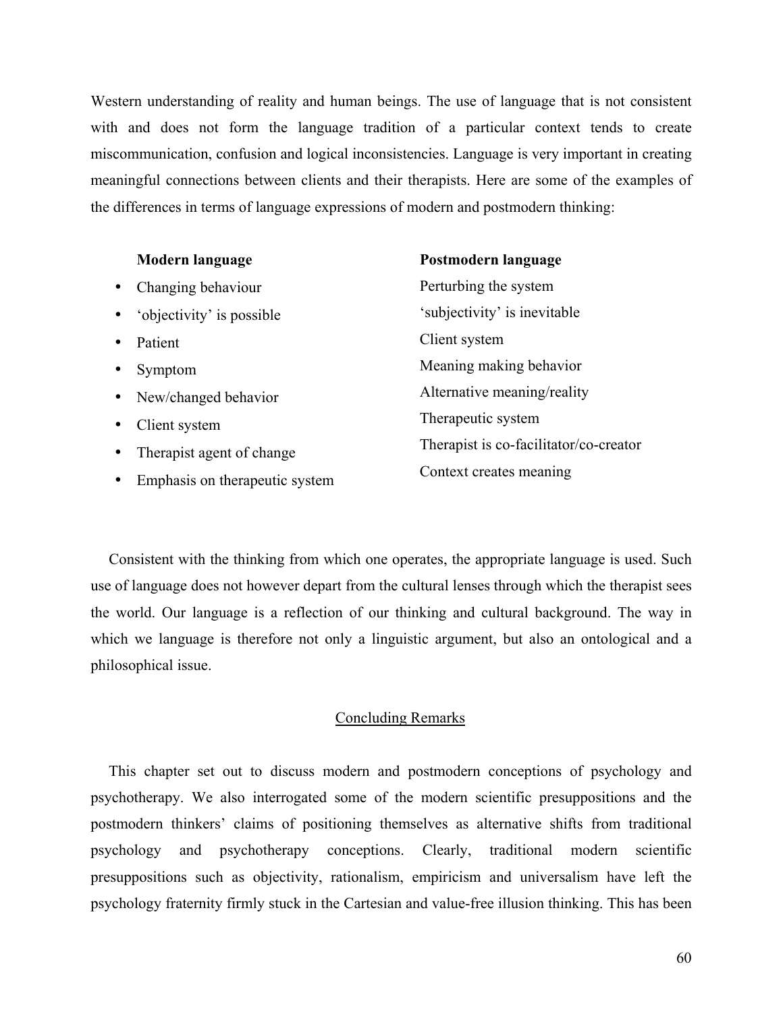Western understanding of reality and human beings. The use of language that is not consistent with and does not form the language tradition of a particular context tends to create miscommunication, confusion and logical inconsistencies. Language is very important in creating meaningful connections between clients and their therapists. Here are some of the examples of the differences in terms of language expressions of modern and postmodern thinking:

| Modern language                        | Postmodern language                    |
|----------------------------------------|----------------------------------------|
| Changing behaviour<br>$\bullet$        | Perturbing the system                  |
| 'objectivity' is possible<br>$\bullet$ | 'subjectivity' is inevitable           |
| Patient<br>$\bullet$                   | Client system                          |
| Symptom<br>$\bullet$                   | Meaning making behavior                |
| New/changed behavior<br>$\bullet$      | Alternative meaning/reality            |
| Client system<br>$\bullet$             | Therapeutic system                     |
| Therapist agent of change<br>$\bullet$ | Therapist is co-facilitator/co-creator |
| Emphasis on therapeutic system         | Context creates meaning                |

Consistent with the thinking from which one operates, the appropriate language is used. Such use of language does not however depart from the cultural lenses through which the therapist sees the world. Our language is a reflection of our thinking and cultural background. The way in which we language is therefore not only a linguistic argument, but also an ontological and a philosophical issue.

# Concluding Remarks

This chapter set out to discuss modern and postmodern conceptions of psychology and psychotherapy. We also interrogated some of the modern scientific presuppositions and the postmodern thinkers' claims of positioning themselves as alternative shifts from traditional psychology and psychotherapy conceptions. Clearly, traditional modern scientific presuppositions such as objectivity, rationalism, empiricism and universalism have left the psychology fraternity firmly stuck in the Cartesian and value-free illusion thinking. This has been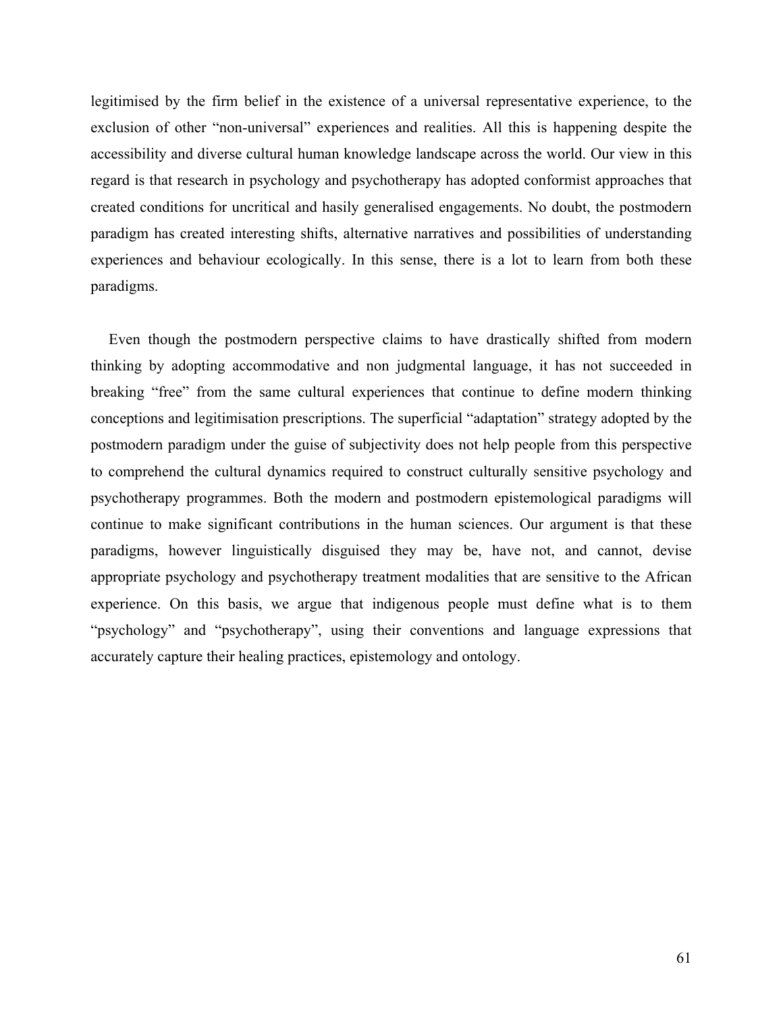legitimised by the firm belief in the existence of a universal representative experience, to the exclusion of other "non-universal" experiences and realities. All this is happening despite the accessibility and diverse cultural human knowledge landscape across the world. Our view in this regard is that research in psychology and psychotherapy has adopted conformist approaches that created conditions for uncritical and hasily generalised engagements. No doubt, the postmodern paradigm has created interesting shifts, alternative narratives and possibilities of understanding experiences and behaviour ecologically. In this sense, there is a lot to learn from both these paradigms.

Even though the postmodern perspective claims to have drastically shifted from modern thinking by adopting accommodative and non judgmental language, it has not succeeded in breaking "free" from the same cultural experiences that continue to define modern thinking conceptions and legitimisation prescriptions. The superficial "adaptation" strategy adopted by the postmodern paradigm under the guise of subjectivity does not help people from this perspective to comprehend the cultural dynamics required to construct culturally sensitive psychology and psychotherapy programmes. Both the modern and postmodern epistemological paradigms will continue to make significant contributions in the human sciences. Our argument is that these paradigms, however linguistically disguised they may be, have not, and cannot, devise appropriate psychology and psychotherapy treatment modalities that are sensitive to the African experience. On this basis, we argue that indigenous people must define what is to them "psychology" and "psychotherapy", using their conventions and language expressions that accurately capture their healing practices, epistemology and ontology.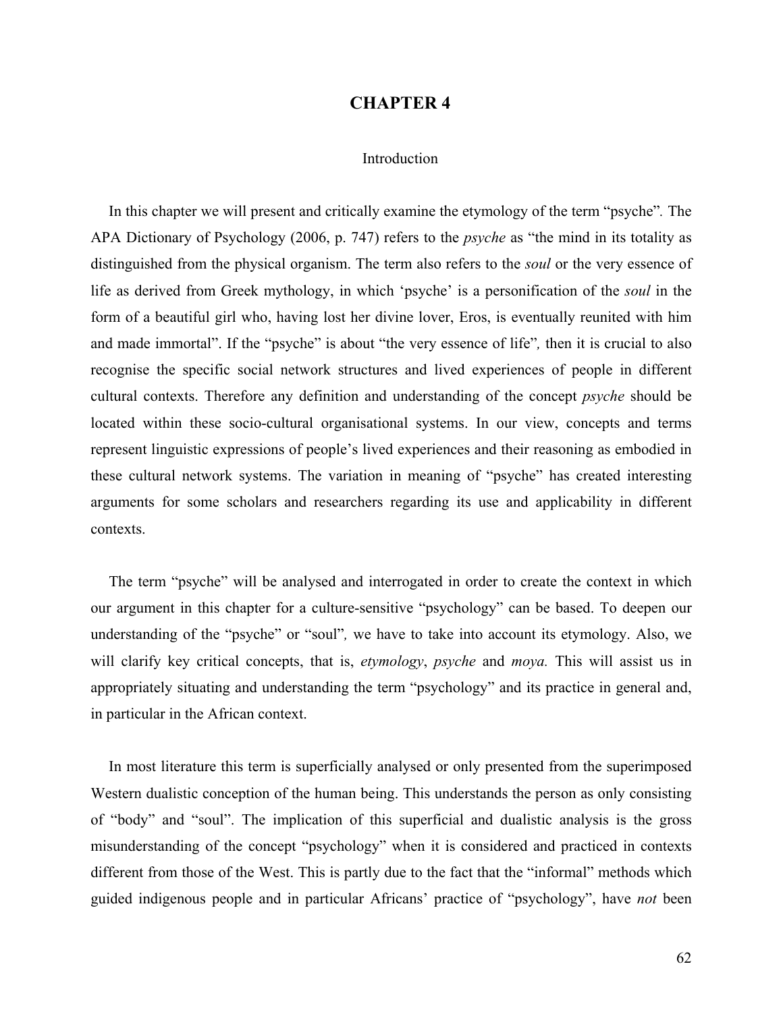## **CHAPTER 4**

### Introduction

In this chapter we will present and critically examine the etymology of the term "psyche"*.* The APA Dictionary of Psychology (2006, p. 747) refers to the *psyche* as "the mind in its totality as distinguished from the physical organism. The term also refers to the *soul* or the very essence of life as derived from Greek mythology, in which 'psyche' is a personification of the *soul* in the form of a beautiful girl who, having lost her divine lover, Eros, is eventually reunited with him and made immortal". If the "psyche" is about "the very essence of life"*,* then it is crucial to also recognise the specific social network structures and lived experiences of people in different cultural contexts. Therefore any definition and understanding of the concept *psyche* should be located within these socio-cultural organisational systems. In our view, concepts and terms represent linguistic expressions of people's lived experiences and their reasoning as embodied in these cultural network systems. The variation in meaning of "psyche" has created interesting arguments for some scholars and researchers regarding its use and applicability in different contexts.

The term "psyche" will be analysed and interrogated in order to create the context in which our argument in this chapter for a culture-sensitive "psychology" can be based. To deepen our understanding of the "psyche" or "soul"*,* we have to take into account its etymology. Also, we will clarify key critical concepts, that is, *etymology*, *psyche* and *moya.* This will assist us in appropriately situating and understanding the term "psychology" and its practice in general and, in particular in the African context.

In most literature this term is superficially analysed or only presented from the superimposed Western dualistic conception of the human being. This understands the person as only consisting of "body" and "soul". The implication of this superficial and dualistic analysis is the gross misunderstanding of the concept "psychology" when it is considered and practiced in contexts different from those of the West. This is partly due to the fact that the "informal" methods which guided indigenous people and in particular Africans' practice of "psychology", have *not* been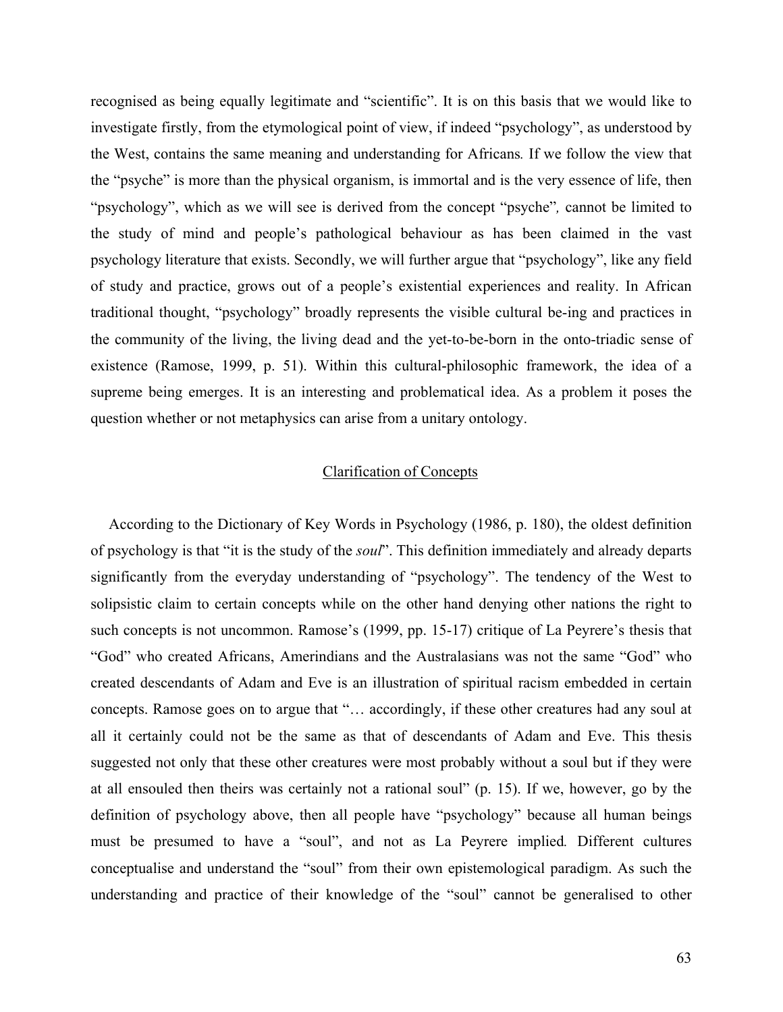recognised as being equally legitimate and "scientific". It is on this basis that we would like to investigate firstly, from the etymological point of view, if indeed "psychology", as understood by the West, contains the same meaning and understanding for Africans*.* If we follow the view that the "psyche" is more than the physical organism, is immortal and is the very essence of life, then "psychology", which as we will see is derived from the concept "psyche"*,* cannot be limited to the study of mind and people's pathological behaviour as has been claimed in the vast psychology literature that exists. Secondly, we will further argue that "psychology", like any field of study and practice, grows out of a people's existential experiences and reality. In African traditional thought, "psychology" broadly represents the visible cultural be-ing and practices in the community of the living, the living dead and the yet-to-be-born in the onto-triadic sense of existence (Ramose, 1999, p. 51). Within this cultural-philosophic framework, the idea of a supreme being emerges. It is an interesting and problematical idea. As a problem it poses the question whether or not metaphysics can arise from a unitary ontology.

# Clarification of Concepts

According to the Dictionary of Key Words in Psychology (1986, p. 180), the oldest definition of psychology is that "it is the study of the *soul*". This definition immediately and already departs significantly from the everyday understanding of "psychology". The tendency of the West to solipsistic claim to certain concepts while on the other hand denying other nations the right to such concepts is not uncommon. Ramose's (1999, pp. 15-17) critique of La Peyrere's thesis that "God" who created Africans, Amerindians and the Australasians was not the same "God" who created descendants of Adam and Eve is an illustration of spiritual racism embedded in certain concepts. Ramose goes on to argue that "… accordingly, if these other creatures had any soul at all it certainly could not be the same as that of descendants of Adam and Eve. This thesis suggested not only that these other creatures were most probably without a soul but if they were at all ensouled then theirs was certainly not a rational soul" (p. 15). If we, however, go by the definition of psychology above, then all people have "psychology" because all human beings must be presumed to have a "soul", and not as La Peyrere implied*.* Different cultures conceptualise and understand the "soul" from their own epistemological paradigm. As such the understanding and practice of their knowledge of the "soul" cannot be generalised to other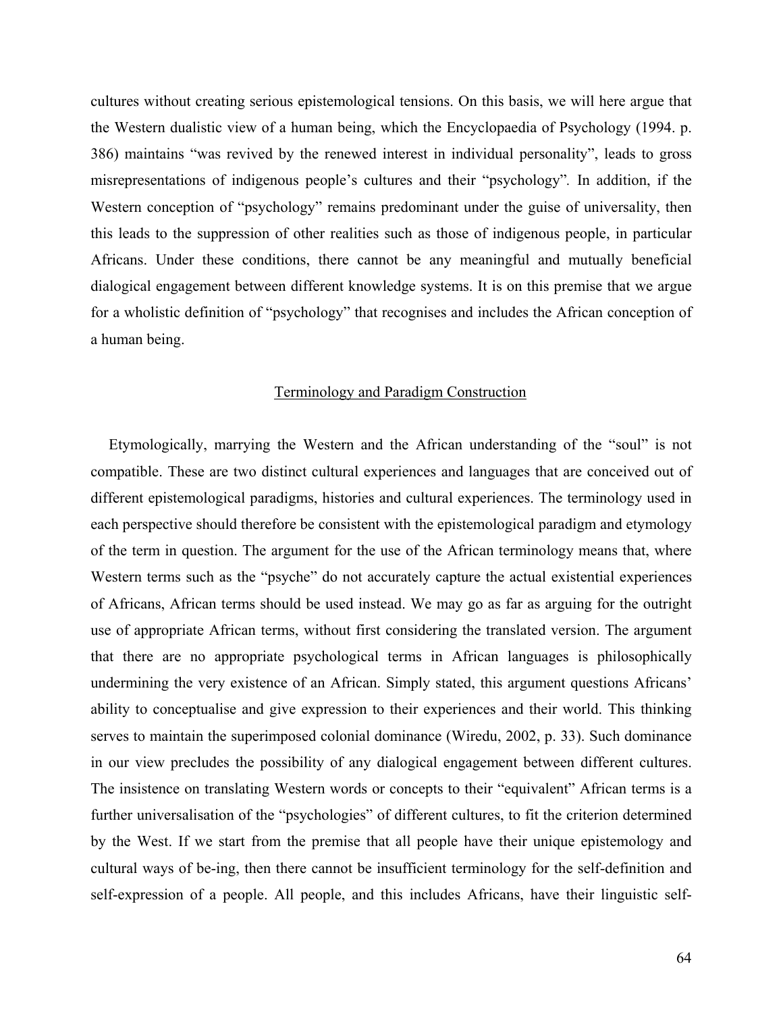cultures without creating serious epistemological tensions. On this basis, we will here argue that the Western dualistic view of a human being, which the Encyclopaedia of Psychology (1994. p. 386) maintains "was revived by the renewed interest in individual personality", leads to gross misrepresentations of indigenous people's cultures and their "psychology"*.* In addition, if the Western conception of "psychology" remains predominant under the guise of universality, then this leads to the suppression of other realities such as those of indigenous people, in particular Africans. Under these conditions, there cannot be any meaningful and mutually beneficial dialogical engagement between different knowledge systems. It is on this premise that we argue for a wholistic definition of "psychology" that recognises and includes the African conception of a human being.

### Terminology and Paradigm Construction

Etymologically, marrying the Western and the African understanding of the "soul" is not compatible. These are two distinct cultural experiences and languages that are conceived out of different epistemological paradigms, histories and cultural experiences. The terminology used in each perspective should therefore be consistent with the epistemological paradigm and etymology of the term in question. The argument for the use of the African terminology means that, where Western terms such as the "psyche" do not accurately capture the actual existential experiences of Africans, African terms should be used instead. We may go as far as arguing for the outright use of appropriate African terms, without first considering the translated version. The argument that there are no appropriate psychological terms in African languages is philosophically undermining the very existence of an African. Simply stated, this argument questions Africans' ability to conceptualise and give expression to their experiences and their world. This thinking serves to maintain the superimposed colonial dominance (Wiredu, 2002, p. 33). Such dominance in our view precludes the possibility of any dialogical engagement between different cultures. The insistence on translating Western words or concepts to their "equivalent" African terms is a further universalisation of the "psychologies" of different cultures, to fit the criterion determined by the West. If we start from the premise that all people have their unique epistemology and cultural ways of be-ing, then there cannot be insufficient terminology for the self-definition and self-expression of a people. All people, and this includes Africans, have their linguistic self-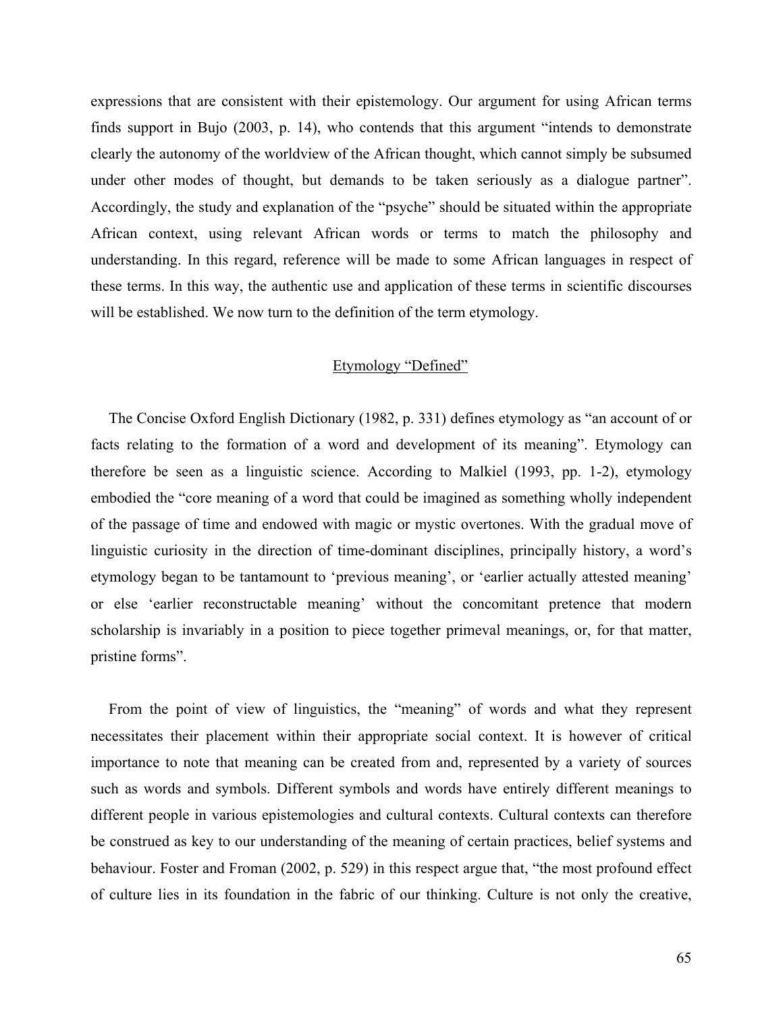expressions that are consistent with their epistemology. Our argument for using African terms finds support in Bujo (2003, p. 14), who contends that this argument "intends to demonstrate clearly the autonomy of the worldview of the African thought, which cannot simply be subsumed under other modes of thought, but demands to be taken seriously as a dialogue partner". Accordingly, the study and explanation of the "psyche" should be situated within the appropriate African context, using relevant African words or terms to match the philosophy and understanding. In this regard, reference will be made to some African languages in respect of these terms. In this way, the authentic use and application of these terms in scientific discourses will be established. We now turn to the definition of the term etymology.

### Etymology "Defined"

The Concise Oxford English Dictionary (1982, p. 331) defines etymology as "an account of or facts relating to the formation of a word and development of its meaning". Etymology can therefore be seen as a linguistic science. According to Malkiel (1993, pp. 1-2), etymology embodied the "core meaning of a word that could be imagined as something wholly independent of the passage of time and endowed with magic or mystic overtones. With the gradual move of linguistic curiosity in the direction of time-dominant disciplines, principally history, a word's etymology began to be tantamount to 'previous meaning', or 'earlier actually attested meaning' or else 'earlier reconstructable meaning' without the concomitant pretence that modern scholarship is invariably in a position to piece together primeval meanings, or, for that matter, pristine forms".

From the point of view of linguistics, the "meaning" of words and what they represent necessitates their placement within their appropriate social context. It is however of critical importance to note that meaning can be created from and, represented by a variety of sources such as words and symbols. Different symbols and words have entirely different meanings to different people in various epistemologies and cultural contexts. Cultural contexts can therefore be construed as key to our understanding of the meaning of certain practices, belief systems and behaviour. Foster and Froman (2002, p. 529) in this respect argue that, "the most profound effect of culture lies in its foundation in the fabric of our thinking. Culture is not only the creative,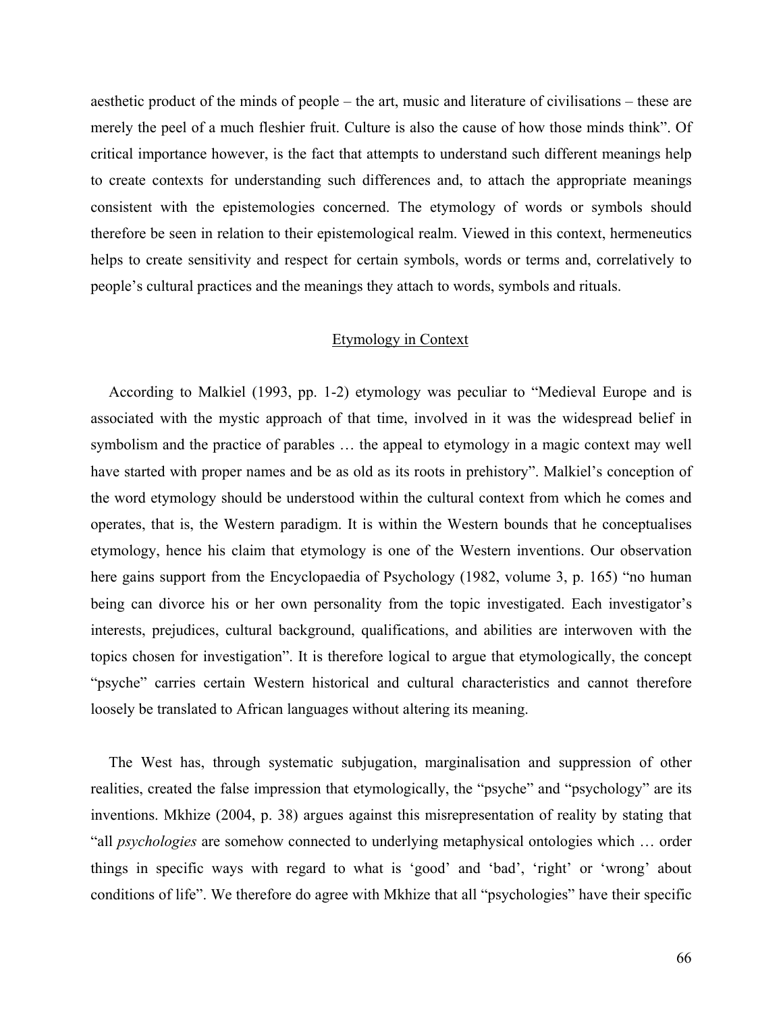aesthetic product of the minds of people – the art, music and literature of civilisations – these are merely the peel of a much fleshier fruit. Culture is also the cause of how those minds think". Of critical importance however, is the fact that attempts to understand such different meanings help to create contexts for understanding such differences and, to attach the appropriate meanings consistent with the epistemologies concerned. The etymology of words or symbols should therefore be seen in relation to their epistemological realm. Viewed in this context, hermeneutics helps to create sensitivity and respect for certain symbols, words or terms and, correlatively to people's cultural practices and the meanings they attach to words, symbols and rituals.

## Etymology in Context

According to Malkiel (1993, pp. 1-2) etymology was peculiar to "Medieval Europe and is associated with the mystic approach of that time, involved in it was the widespread belief in symbolism and the practice of parables … the appeal to etymology in a magic context may well have started with proper names and be as old as its roots in prehistory". Malkiel's conception of the word etymology should be understood within the cultural context from which he comes and operates, that is, the Western paradigm. It is within the Western bounds that he conceptualises etymology, hence his claim that etymology is one of the Western inventions. Our observation here gains support from the Encyclopaedia of Psychology (1982, volume 3, p. 165) "no human being can divorce his or her own personality from the topic investigated. Each investigator's interests, prejudices, cultural background, qualifications, and abilities are interwoven with the topics chosen for investigation". It is therefore logical to argue that etymologically, the concept "psyche" carries certain Western historical and cultural characteristics and cannot therefore loosely be translated to African languages without altering its meaning.

The West has, through systematic subjugation, marginalisation and suppression of other realities, created the false impression that etymologically, the "psyche" and "psychology" are its inventions. Mkhize (2004, p. 38) argues against this misrepresentation of reality by stating that "all *psychologies* are somehow connected to underlying metaphysical ontologies which … order things in specific ways with regard to what is 'good' and 'bad', 'right' or 'wrong' about conditions of life". We therefore do agree with Mkhize that all "psychologies" have their specific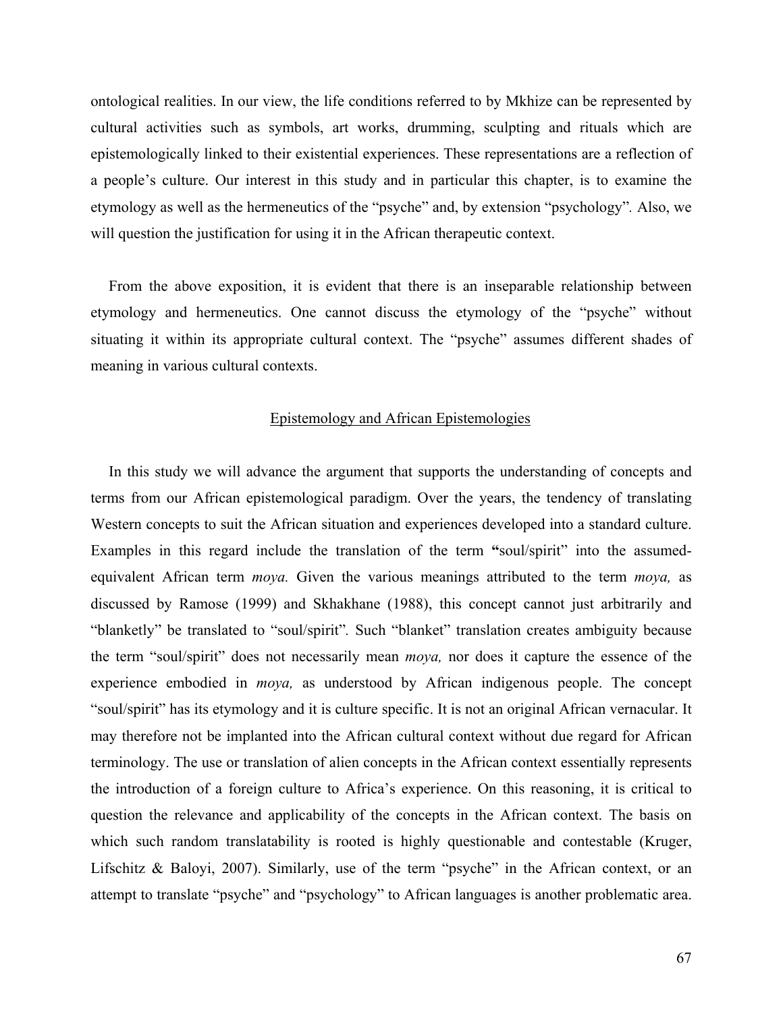ontological realities. In our view, the life conditions referred to by Mkhize can be represented by cultural activities such as symbols, art works, drumming, sculpting and rituals which are epistemologically linked to their existential experiences. These representations are a reflection of a people's culture. Our interest in this study and in particular this chapter, is to examine the etymology as well as the hermeneutics of the "psyche" and, by extension "psychology"*.* Also, we will question the justification for using it in the African therapeutic context.

From the above exposition, it is evident that there is an inseparable relationship between etymology and hermeneutics. One cannot discuss the etymology of the "psyche" without situating it within its appropriate cultural context. The "psyche" assumes different shades of meaning in various cultural contexts.

### Epistemology and African Epistemologies

In this study we will advance the argument that supports the understanding of concepts and terms from our African epistemological paradigm. Over the years, the tendency of translating Western concepts to suit the African situation and experiences developed into a standard culture. Examples in this regard include the translation of the term **"**soul/spirit" into the assumedequivalent African term *moya.* Given the various meanings attributed to the term *moya,* as discussed by Ramose (1999) and Skhakhane (1988), this concept cannot just arbitrarily and "blanketly" be translated to "soul/spirit"*.* Such "blanket" translation creates ambiguity because the term "soul/spirit" does not necessarily mean *moya,* nor does it capture the essence of the experience embodied in *moya,* as understood by African indigenous people. The concept "soul/spirit" has its etymology and it is culture specific. It is not an original African vernacular. It may therefore not be implanted into the African cultural context without due regard for African terminology. The use or translation of alien concepts in the African context essentially represents the introduction of a foreign culture to Africa's experience. On this reasoning, it is critical to question the relevance and applicability of the concepts in the African context. The basis on which such random translatability is rooted is highly questionable and contestable (Kruger, Lifschitz & Baloyi, 2007). Similarly, use of the term "psyche" in the African context, or an attempt to translate "psyche" and "psychology" to African languages is another problematic area.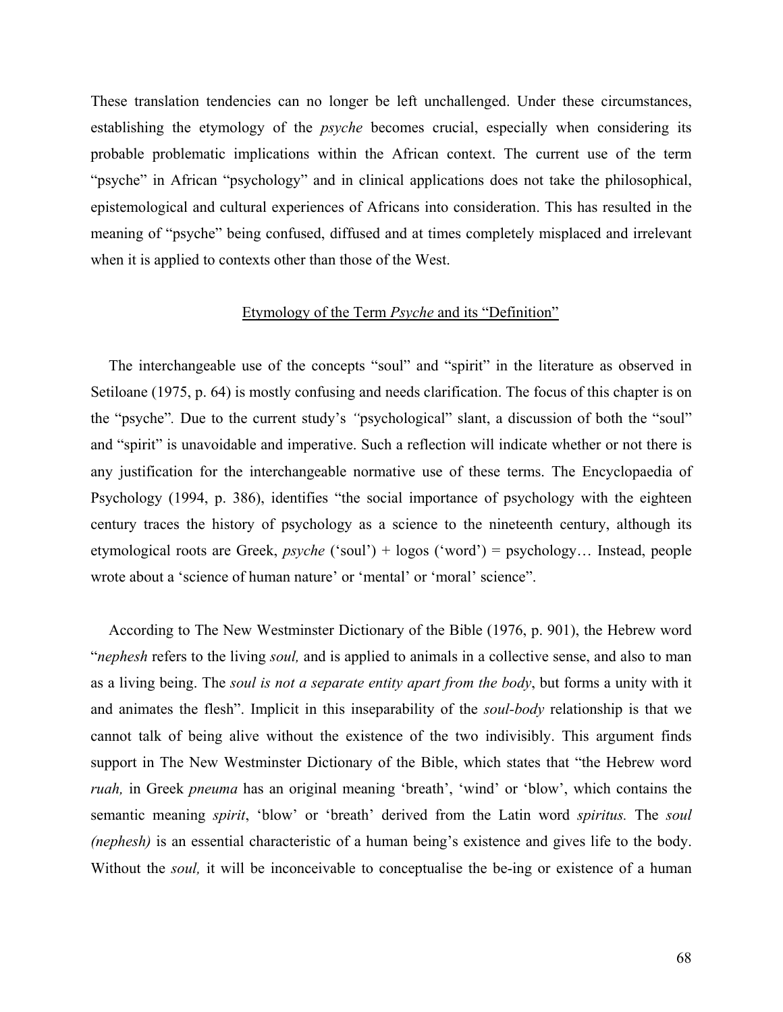These translation tendencies can no longer be left unchallenged. Under these circumstances, establishing the etymology of the *psyche* becomes crucial, especially when considering its probable problematic implications within the African context. The current use of the term "psyche" in African "psychology" and in clinical applications does not take the philosophical, epistemological and cultural experiences of Africans into consideration. This has resulted in the meaning of "psyche" being confused, diffused and at times completely misplaced and irrelevant when it is applied to contexts other than those of the West.

# Etymology of the Term *Psyche* and its "Definition"

The interchangeable use of the concepts "soul" and "spirit" in the literature as observed in Setiloane (1975, p. 64) is mostly confusing and needs clarification. The focus of this chapter is on the "psyche"*.* Due to the current study's *"*psychological" slant, a discussion of both the "soul" and "spirit" is unavoidable and imperative. Such a reflection will indicate whether or not there is any justification for the interchangeable normative use of these terms. The Encyclopaedia of Psychology (1994, p. 386), identifies "the social importance of psychology with the eighteen century traces the history of psychology as a science to the nineteenth century, although its etymological roots are Greek, *psyche* ('soul') + logos ('word') = psychology… Instead, people wrote about a 'science of human nature' or 'mental' or 'moral' science".

According to The New Westminster Dictionary of the Bible (1976, p. 901), the Hebrew word "*nephesh* refers to the living *soul,* and is applied to animals in a collective sense, and also to man as a living being. The *soul is not a separate entity apart from the body*, but forms a unity with it and animates the flesh". Implicit in this inseparability of the *soul-body* relationship is that we cannot talk of being alive without the existence of the two indivisibly. This argument finds support in The New Westminster Dictionary of the Bible, which states that "the Hebrew word *ruah,* in Greek *pneuma* has an original meaning 'breath', 'wind' or 'blow', which contains the semantic meaning *spirit*, 'blow' or 'breath' derived from the Latin word *spiritus.* The *soul (nephesh)* is an essential characteristic of a human being's existence and gives life to the body. Without the *soul*, it will be inconceivable to conceptualise the be-ing or existence of a human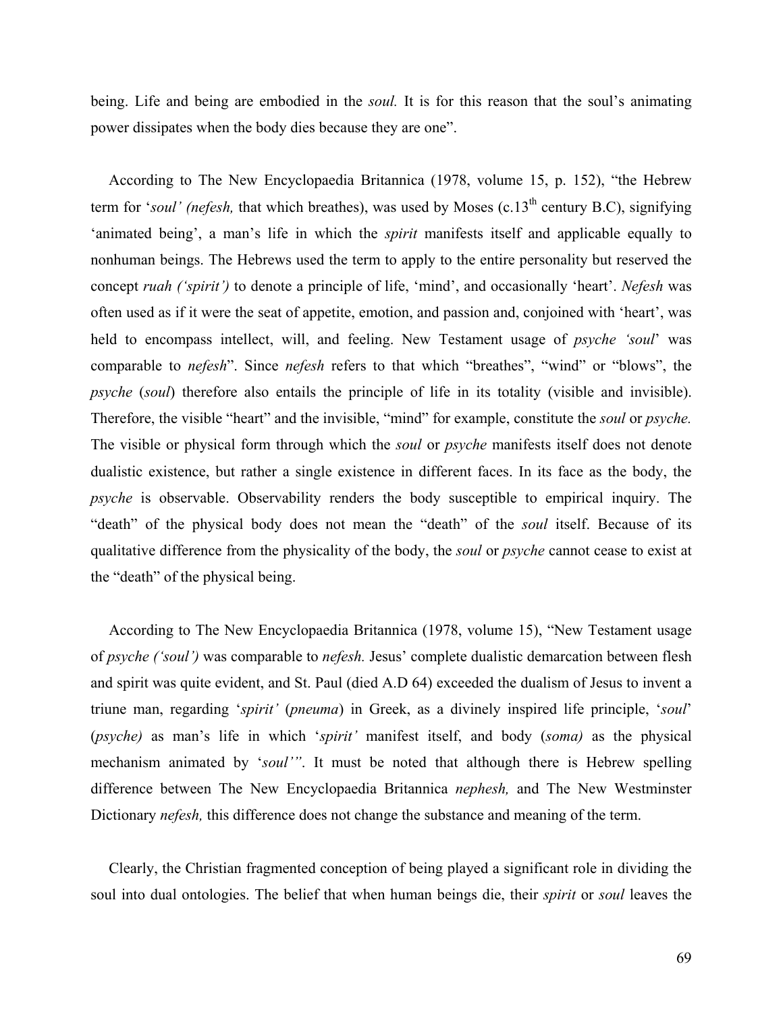being. Life and being are embodied in the *soul.* It is for this reason that the soul's animating power dissipates when the body dies because they are one".

According to The New Encyclopaedia Britannica (1978, volume 15, p. 152), "the Hebrew term for '*soul' (nefesh*, that which breathes), was used by Moses (c.13<sup>th</sup> century B.C), signifying 'animated being', a man's life in which the *spirit* manifests itself and applicable equally to nonhuman beings. The Hebrews used the term to apply to the entire personality but reserved the concept *ruah ('spirit')* to denote a principle of life, 'mind', and occasionally 'heart'. *Nefesh* was often used as if it were the seat of appetite, emotion, and passion and, conjoined with 'heart', was held to encompass intellect, will, and feeling. New Testament usage of *psyche 'soul*' was comparable to *nefesh*". Since *nefesh* refers to that which "breathes", "wind" or "blows", the *psyche* (*soul*) therefore also entails the principle of life in its totality (visible and invisible). Therefore, the visible "heart" and the invisible, "mind" for example, constitute the *soul* or *psyche.* The visible or physical form through which the *soul* or *psyche* manifests itself does not denote dualistic existence, but rather a single existence in different faces. In its face as the body, the *psyche* is observable. Observability renders the body susceptible to empirical inquiry. The "death" of the physical body does not mean the "death" of the *soul* itself. Because of its qualitative difference from the physicality of the body, the *soul* or *psyche* cannot cease to exist at the "death" of the physical being.

According to The New Encyclopaedia Britannica (1978, volume 15), "New Testament usage of *psyche ('soul')* was comparable to *nefesh.* Jesus' complete dualistic demarcation between flesh and spirit was quite evident, and St. Paul (died A.D 64) exceeded the dualism of Jesus to invent a triune man, regarding '*spirit'* (*pneuma*) in Greek, as a divinely inspired life principle, '*soul*' (*psyche)* as man's life in which '*spirit'* manifest itself, and body (*soma)* as the physical mechanism animated by '*soul'"*. It must be noted that although there is Hebrew spelling difference between The New Encyclopaedia Britannica *nephesh,* and The New Westminster Dictionary *nefesh,* this difference does not change the substance and meaning of the term.

Clearly, the Christian fragmented conception of being played a significant role in dividing the soul into dual ontologies. The belief that when human beings die, their *spirit* or *soul* leaves the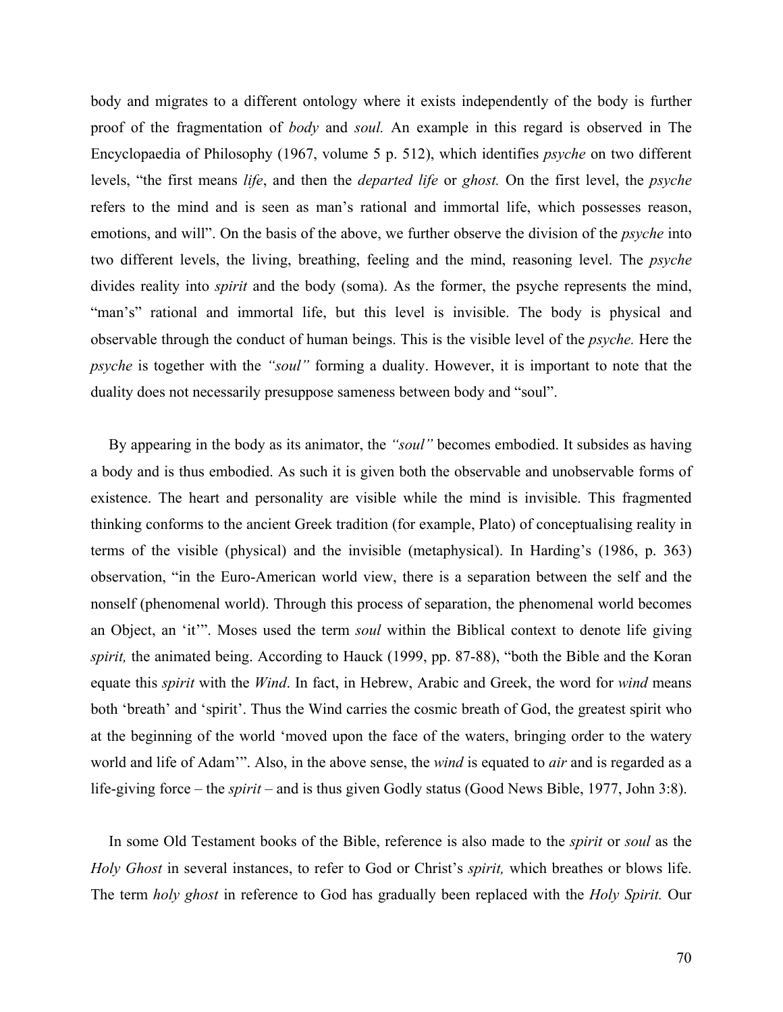body and migrates to a different ontology where it exists independently of the body is further proof of the fragmentation of *body* and *soul.* An example in this regard is observed in The Encyclopaedia of Philosophy (1967, volume 5 p. 512), which identifies *psyche* on two different levels, "the first means *life*, and then the *departed life* or *ghost.* On the first level, the *psyche*  refers to the mind and is seen as man's rational and immortal life, which possesses reason, emotions, and will". On the basis of the above, we further observe the division of the *psyche* into two different levels, the living, breathing, feeling and the mind, reasoning level. The *psyche*  divides reality into *spirit* and the body (soma). As the former, the psyche represents the mind, "man's" rational and immortal life, but this level is invisible. The body is physical and observable through the conduct of human beings. This is the visible level of the *psyche.* Here the *psyche* is together with the *"soul"* forming a duality. However, it is important to note that the duality does not necessarily presuppose sameness between body and "soul".

By appearing in the body as its animator, the *"soul"* becomes embodied. It subsides as having a body and is thus embodied. As such it is given both the observable and unobservable forms of existence. The heart and personality are visible while the mind is invisible. This fragmented thinking conforms to the ancient Greek tradition (for example, Plato) of conceptualising reality in terms of the visible (physical) and the invisible (metaphysical). In Harding's (1986, p. 363) observation, "in the Euro-American world view, there is a separation between the self and the nonself (phenomenal world). Through this process of separation, the phenomenal world becomes an Object, an 'it'". Moses used the term *soul* within the Biblical context to denote life giving *spirit,* the animated being. According to Hauck (1999, pp. 87-88), "both the Bible and the Koran equate this *spirit* with the *Wind*. In fact, in Hebrew, Arabic and Greek, the word for *wind* means both 'breath' and 'spirit'. Thus the Wind carries the cosmic breath of God, the greatest spirit who at the beginning of the world 'moved upon the face of the waters, bringing order to the watery world and life of Adam'". Also, in the above sense, the *wind* is equated to *air* and is regarded as a life-giving force – the *spirit* – and is thus given Godly status (Good News Bible, 1977, John 3:8).

In some Old Testament books of the Bible, reference is also made to the *spirit* or *soul* as the *Holy Ghost* in several instances, to refer to God or Christ's *spirit,* which breathes or blows life. The term *holy ghost* in reference to God has gradually been replaced with the *Holy Spirit.* Our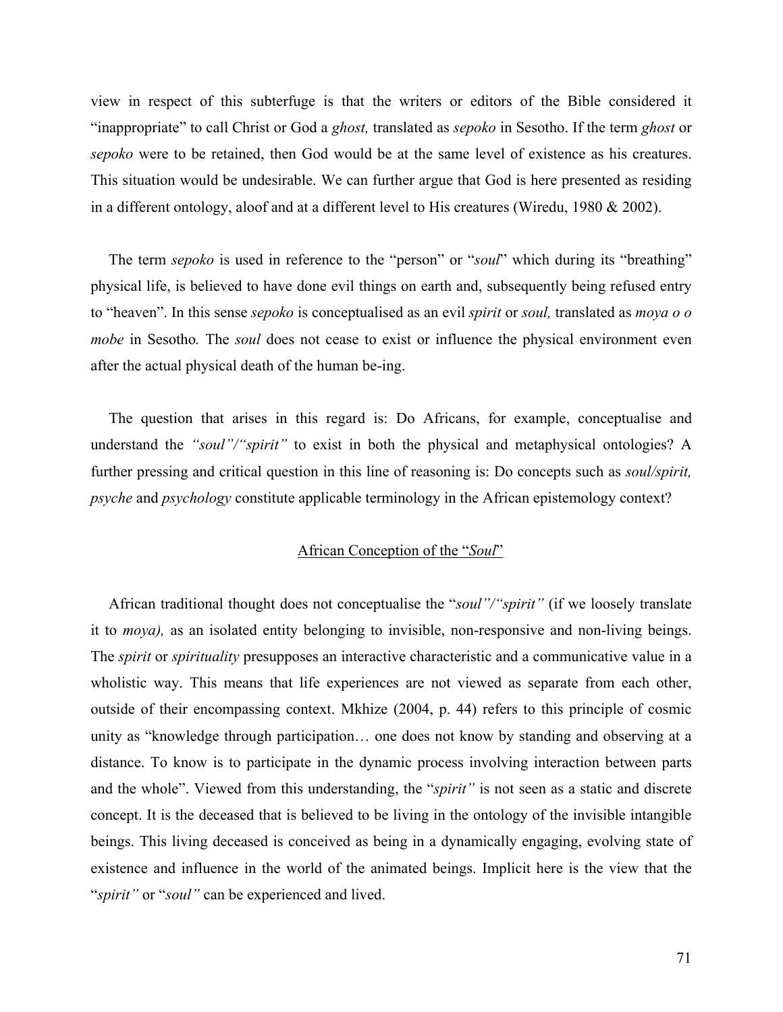view in respect of this subterfuge is that the writers or editors of the Bible considered it "inappropriate" to call Christ or God a *ghost,* translated as *sepoko* in Sesotho. If the term *ghost* or *sepoko* were to be retained, then God would be at the same level of existence as his creatures. This situation would be undesirable. We can further argue that God is here presented as residing in a different ontology, aloof and at a different level to His creatures (Wiredu, 1980 & 2002).

The term *sepoko* is used in reference to the "person" or "*soul*" which during its "breathing" physical life, is believed to have done evil things on earth and, subsequently being refused entry to "heaven". In this sense *sepoko* is conceptualised as an evil *spirit* or *soul,* translated as *moya o o mobe* in Sesotho*.* The *soul* does not cease to exist or influence the physical environment even after the actual physical death of the human be-ing.

The question that arises in this regard is: Do Africans, for example, conceptualise and understand the *"soul"/"spirit"* to exist in both the physical and metaphysical ontologies? A further pressing and critical question in this line of reasoning is: Do concepts such as *soul/spirit, psyche* and *psychology* constitute applicable terminology in the African epistemology context?

## African Conception of the "*Soul*"

African traditional thought does not conceptualise the "*soul"/"spirit"* (if we loosely translate it to *moya),* as an isolated entity belonging to invisible, non-responsive and non-living beings. The *spirit* or *spirituality* presupposes an interactive characteristic and a communicative value in a wholistic way. This means that life experiences are not viewed as separate from each other, outside of their encompassing context. Mkhize (2004, p. 44) refers to this principle of cosmic unity as "knowledge through participation… one does not know by standing and observing at a distance. To know is to participate in the dynamic process involving interaction between parts and the whole". Viewed from this understanding, the "*spirit"* is not seen as a static and discrete concept. It is the deceased that is believed to be living in the ontology of the invisible intangible beings. This living deceased is conceived as being in a dynamically engaging, evolving state of existence and influence in the world of the animated beings. Implicit here is the view that the "*spirit"* or "*soul"* can be experienced and lived.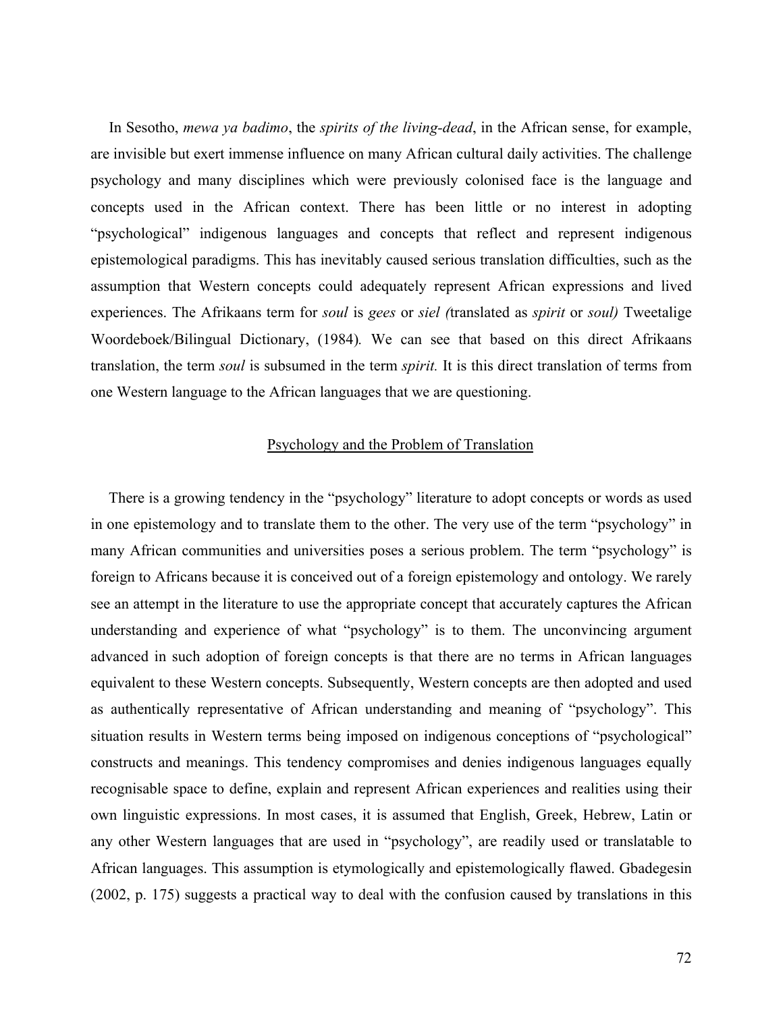In Sesotho, *mewa ya badimo*, the *spirits of the living-dead*, in the African sense, for example, are invisible but exert immense influence on many African cultural daily activities. The challenge psychology and many disciplines which were previously colonised face is the language and concepts used in the African context. There has been little or no interest in adopting "psychological" indigenous languages and concepts that reflect and represent indigenous epistemological paradigms. This has inevitably caused serious translation difficulties, such as the assumption that Western concepts could adequately represent African expressions and lived experiences. The Afrikaans term for *soul* is *gees* or *siel (*translated as *spirit* or *soul)* Tweetalige Woordeboek/Bilingual Dictionary, (1984)*.* We can see that based on this direct Afrikaans translation, the term *soul* is subsumed in the term *spirit.* It is this direct translation of terms from one Western language to the African languages that we are questioning.

## Psychology and the Problem of Translation

There is a growing tendency in the "psychology" literature to adopt concepts or words as used in one epistemology and to translate them to the other. The very use of the term "psychology" in many African communities and universities poses a serious problem. The term "psychology" is foreign to Africans because it is conceived out of a foreign epistemology and ontology. We rarely see an attempt in the literature to use the appropriate concept that accurately captures the African understanding and experience of what "psychology" is to them. The unconvincing argument advanced in such adoption of foreign concepts is that there are no terms in African languages equivalent to these Western concepts. Subsequently, Western concepts are then adopted and used as authentically representative of African understanding and meaning of "psychology". This situation results in Western terms being imposed on indigenous conceptions of "psychological" constructs and meanings. This tendency compromises and denies indigenous languages equally recognisable space to define, explain and represent African experiences and realities using their own linguistic expressions. In most cases, it is assumed that English, Greek, Hebrew, Latin or any other Western languages that are used in "psychology", are readily used or translatable to African languages. This assumption is etymologically and epistemologically flawed. Gbadegesin (2002, p. 175) suggests a practical way to deal with the confusion caused by translations in this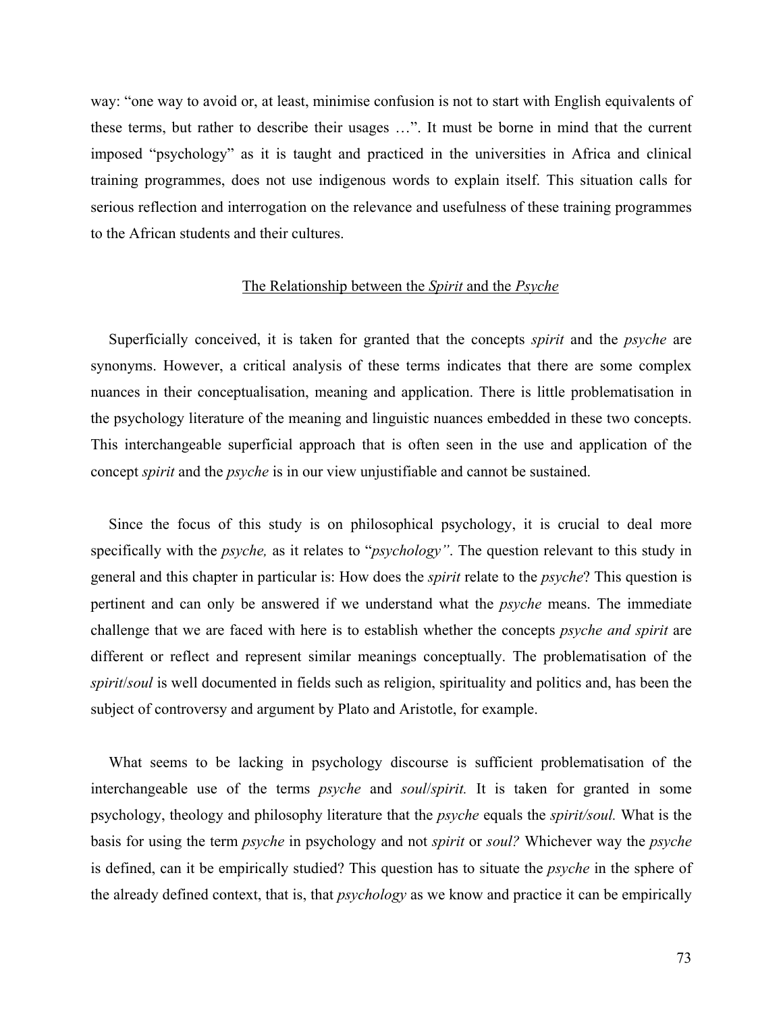way: "one way to avoid or, at least, minimise confusion is not to start with English equivalents of these terms, but rather to describe their usages …". It must be borne in mind that the current imposed "psychology" as it is taught and practiced in the universities in Africa and clinical training programmes, does not use indigenous words to explain itself. This situation calls for serious reflection and interrogation on the relevance and usefulness of these training programmes to the African students and their cultures.

#### The Relationship between the *Spirit* and the *Psyche*

Superficially conceived, it is taken for granted that the concepts *spirit* and the *psyche* are synonyms. However, a critical analysis of these terms indicates that there are some complex nuances in their conceptualisation, meaning and application. There is little problematisation in the psychology literature of the meaning and linguistic nuances embedded in these two concepts. This interchangeable superficial approach that is often seen in the use and application of the concept *spirit* and the *psyche* is in our view unjustifiable and cannot be sustained.

Since the focus of this study is on philosophical psychology, it is crucial to deal more specifically with the *psyche,* as it relates to "*psychology"*. The question relevant to this study in general and this chapter in particular is: How does the *spirit* relate to the *psyche*? This question is pertinent and can only be answered if we understand what the *psyche* means. The immediate challenge that we are faced with here is to establish whether the concepts *psyche and spirit* are different or reflect and represent similar meanings conceptually. The problematisation of the *spirit*/*soul* is well documented in fields such as religion, spirituality and politics and, has been the subject of controversy and argument by Plato and Aristotle, for example.

What seems to be lacking in psychology discourse is sufficient problematisation of the interchangeable use of the terms *psyche* and *soul*/*spirit.* It is taken for granted in some psychology, theology and philosophy literature that the *psyche* equals the *spirit/soul.* What is the basis for using the term *psyche* in psychology and not *spirit* or *soul?* Whichever way the *psyche* is defined, can it be empirically studied? This question has to situate the *psyche* in the sphere of the already defined context, that is, that *psychology* as we know and practice it can be empirically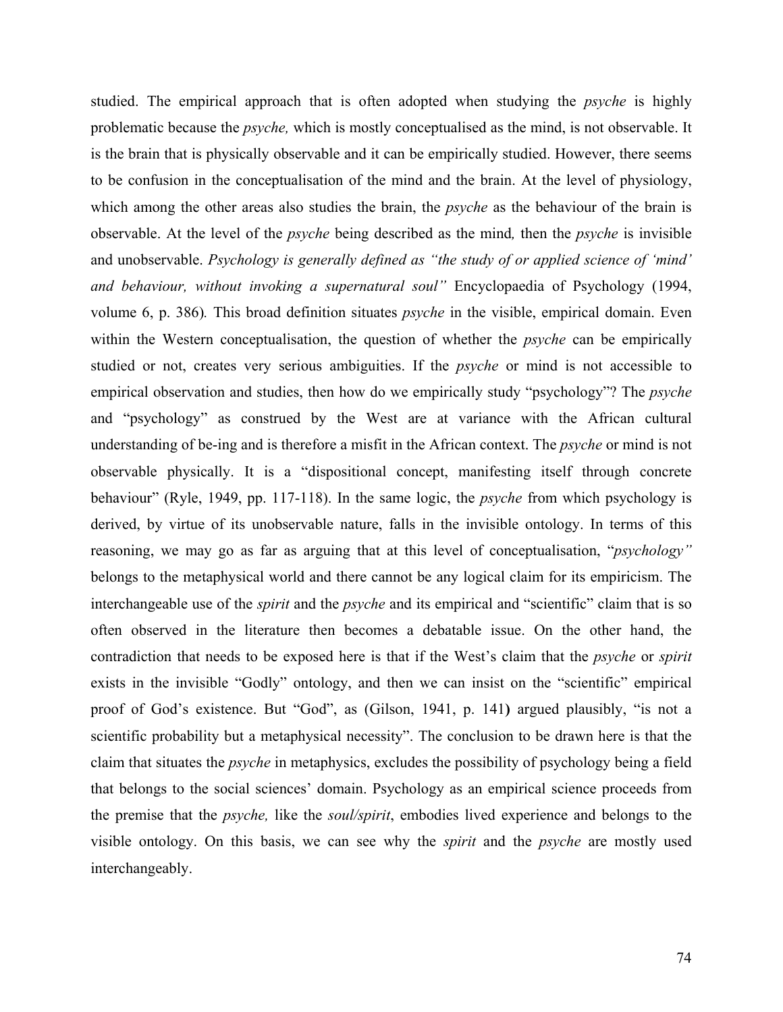studied. The empirical approach that is often adopted when studying the *psyche* is highly problematic because the *psyche,* which is mostly conceptualised as the mind, is not observable. It is the brain that is physically observable and it can be empirically studied. However, there seems to be confusion in the conceptualisation of the mind and the brain. At the level of physiology, which among the other areas also studies the brain, the *psyche* as the behaviour of the brain is observable. At the level of the *psyche* being described as the mind*,* then the *psyche* is invisible and unobservable. *Psychology is generally defined as "the study of or applied science of 'mind' and behaviour, without invoking a supernatural soul"* Encyclopaedia of Psychology (1994, volume 6, p. 386)*.* This broad definition situates *psyche* in the visible, empirical domain. Even within the Western conceptualisation, the question of whether the *psyche* can be empirically studied or not, creates very serious ambiguities. If the *psyche* or mind is not accessible to empirical observation and studies, then how do we empirically study "psychology"? The *psyche* and "psychology" as construed by the West are at variance with the African cultural understanding of be-ing and is therefore a misfit in the African context. The *psyche* or mind is not observable physically. It is a "dispositional concept, manifesting itself through concrete behaviour" (Ryle, 1949, pp. 117-118). In the same logic, the *psyche* from which psychology is derived, by virtue of its unobservable nature, falls in the invisible ontology. In terms of this reasoning, we may go as far as arguing that at this level of conceptualisation, "*psychology"* belongs to the metaphysical world and there cannot be any logical claim for its empiricism. The interchangeable use of the *spirit* and the *psyche* and its empirical and "scientific" claim that is so often observed in the literature then becomes a debatable issue. On the other hand, the contradiction that needs to be exposed here is that if the West's claim that the *psyche* or *spirit*  exists in the invisible "Godly" ontology, and then we can insist on the "scientific" empirical proof of God's existence. But "God", as (Gilson, 1941, p. 141**)** argued plausibly, "is not a scientific probability but a metaphysical necessity". The conclusion to be drawn here is that the claim that situates the *psyche* in metaphysics, excludes the possibility of psychology being a field that belongs to the social sciences' domain. Psychology as an empirical science proceeds from the premise that the *psyche,* like the *soul/spirit*, embodies lived experience and belongs to the visible ontology. On this basis, we can see why the *spirit* and the *psyche* are mostly used interchangeably.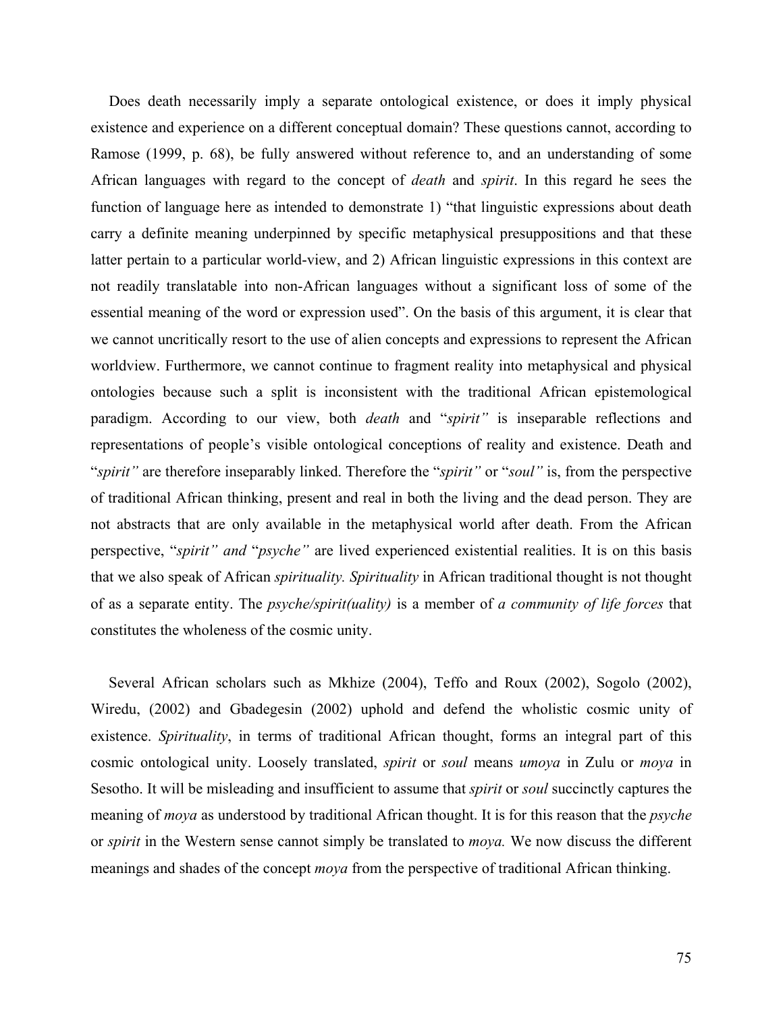Does death necessarily imply a separate ontological existence, or does it imply physical existence and experience on a different conceptual domain? These questions cannot, according to Ramose (1999, p. 68), be fully answered without reference to, and an understanding of some African languages with regard to the concept of *death* and *spirit*. In this regard he sees the function of language here as intended to demonstrate 1) "that linguistic expressions about death carry a definite meaning underpinned by specific metaphysical presuppositions and that these latter pertain to a particular world-view, and 2) African linguistic expressions in this context are not readily translatable into non-African languages without a significant loss of some of the essential meaning of the word or expression used". On the basis of this argument, it is clear that we cannot uncritically resort to the use of alien concepts and expressions to represent the African worldview. Furthermore, we cannot continue to fragment reality into metaphysical and physical ontologies because such a split is inconsistent with the traditional African epistemological paradigm. According to our view, both *death* and "*spirit"* is inseparable reflections and representations of people's visible ontological conceptions of reality and existence. Death and "*spirit"* are therefore inseparably linked. Therefore the "*spirit"* or "*soul"* is, from the perspective of traditional African thinking, present and real in both the living and the dead person. They are not abstracts that are only available in the metaphysical world after death. From the African perspective, "*spirit" and* "*psyche"* are lived experienced existential realities. It is on this basis that we also speak of African *spirituality. Spirituality* in African traditional thought is not thought of as a separate entity. The *psyche/spirit(uality)* is a member of *a community of life forces* that constitutes the wholeness of the cosmic unity.

Several African scholars such as Mkhize (2004), Teffo and Roux (2002), Sogolo (2002), Wiredu, (2002) and Gbadegesin (2002) uphold and defend the wholistic cosmic unity of existence. *Spirituality*, in terms of traditional African thought, forms an integral part of this cosmic ontological unity. Loosely translated, *spirit* or *soul* means *umoya* in Zulu or *moya* in Sesotho. It will be misleading and insufficient to assume that *spirit* or *soul* succinctly captures the meaning of *moya* as understood by traditional African thought. It is for this reason that the *psyche* or *spirit* in the Western sense cannot simply be translated to *moya.* We now discuss the different meanings and shades of the concept *moya* from the perspective of traditional African thinking.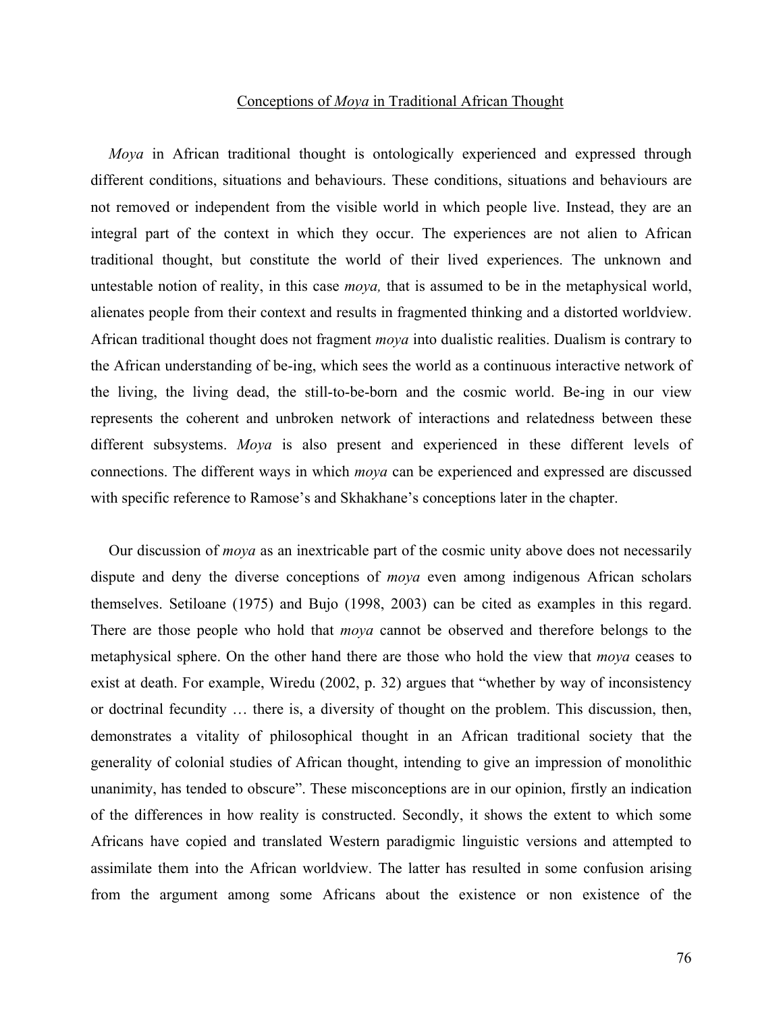#### Conceptions of *Moya* in Traditional African Thought

*Moya* in African traditional thought is ontologically experienced and expressed through different conditions, situations and behaviours. These conditions, situations and behaviours are not removed or independent from the visible world in which people live. Instead, they are an integral part of the context in which they occur. The experiences are not alien to African traditional thought, but constitute the world of their lived experiences. The unknown and untestable notion of reality, in this case *moya,* that is assumed to be in the metaphysical world, alienates people from their context and results in fragmented thinking and a distorted worldview. African traditional thought does not fragment *moya* into dualistic realities. Dualism is contrary to the African understanding of be-ing, which sees the world as a continuous interactive network of the living, the living dead, the still-to-be-born and the cosmic world. Be-ing in our view represents the coherent and unbroken network of interactions and relatedness between these different subsystems. *Moya* is also present and experienced in these different levels of connections. The different ways in which *moya* can be experienced and expressed are discussed with specific reference to Ramose's and Skhakhane's conceptions later in the chapter.

Our discussion of *moya* as an inextricable part of the cosmic unity above does not necessarily dispute and deny the diverse conceptions of *moya* even among indigenous African scholars themselves. Setiloane (1975) and Bujo (1998, 2003) can be cited as examples in this regard. There are those people who hold that *moya* cannot be observed and therefore belongs to the metaphysical sphere. On the other hand there are those who hold the view that *moya* ceases to exist at death. For example, Wiredu (2002, p. 32) argues that "whether by way of inconsistency or doctrinal fecundity … there is, a diversity of thought on the problem. This discussion, then, demonstrates a vitality of philosophical thought in an African traditional society that the generality of colonial studies of African thought, intending to give an impression of monolithic unanimity, has tended to obscure". These misconceptions are in our opinion, firstly an indication of the differences in how reality is constructed. Secondly, it shows the extent to which some Africans have copied and translated Western paradigmic linguistic versions and attempted to assimilate them into the African worldview. The latter has resulted in some confusion arising from the argument among some Africans about the existence or non existence of the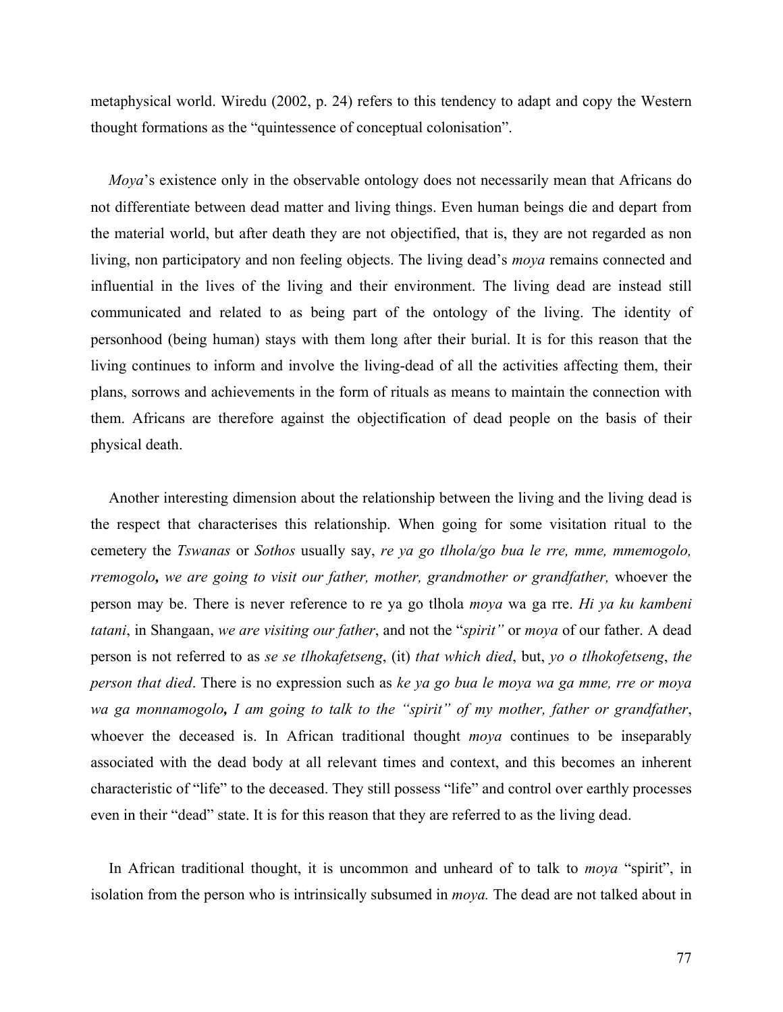metaphysical world. Wiredu (2002, p. 24) refers to this tendency to adapt and copy the Western thought formations as the "quintessence of conceptual colonisation".

*Moya*'s existence only in the observable ontology does not necessarily mean that Africans do not differentiate between dead matter and living things. Even human beings die and depart from the material world, but after death they are not objectified, that is, they are not regarded as non living, non participatory and non feeling objects. The living dead's *moya* remains connected and influential in the lives of the living and their environment. The living dead are instead still communicated and related to as being part of the ontology of the living. The identity of personhood (being human) stays with them long after their burial. It is for this reason that the living continues to inform and involve the living-dead of all the activities affecting them, their plans, sorrows and achievements in the form of rituals as means to maintain the connection with them. Africans are therefore against the objectification of dead people on the basis of their physical death.

Another interesting dimension about the relationship between the living and the living dead is the respect that characterises this relationship. When going for some visitation ritual to the cemetery the *Tswanas* or *Sothos* usually say, *re ya go tlhola/go bua le rre, mme, mmemogolo, rremogolo, we are going to visit our father, mother, grandmother or grandfather,* whoever the person may be. There is never reference to re ya go tlhola *moya* wa ga rre. *Hi ya ku kambeni tatani*, in Shangaan, *we are visiting our father*, and not the "*spirit"* or *moya* of our father. A dead person is not referred to as *se se tlhokafetseng*, (it) *that which died*, but, *yo o tlhokofetseng*, *the person that died*. There is no expression such as *ke ya go bua le moya wa ga mme, rre or moya wa ga monnamogolo, I am going to talk to the "spirit" of my mother, father or grandfather*, whoever the deceased is. In African traditional thought *moya* continues to be inseparably associated with the dead body at all relevant times and context, and this becomes an inherent characteristic of "life" to the deceased. They still possess "life" and control over earthly processes even in their "dead" state. It is for this reason that they are referred to as the living dead.

In African traditional thought, it is uncommon and unheard of to talk to *moya* "spirit", in isolation from the person who is intrinsically subsumed in *moya.* The dead are not talked about in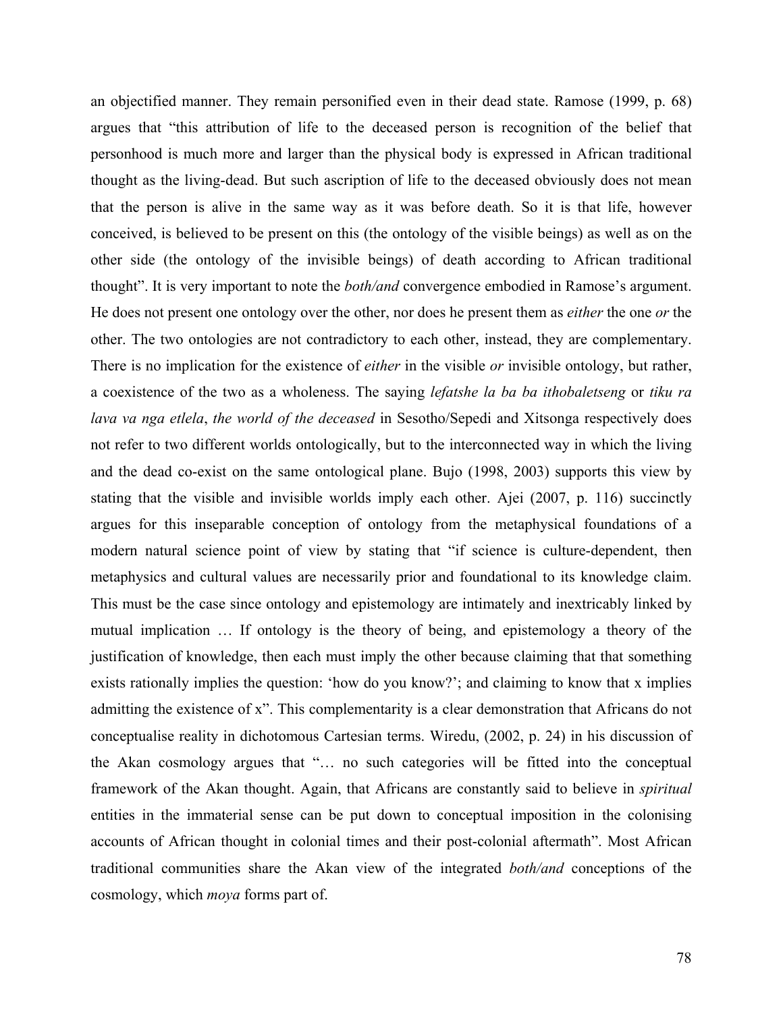an objectified manner. They remain personified even in their dead state. Ramose (1999, p. 68) argues that "this attribution of life to the deceased person is recognition of the belief that personhood is much more and larger than the physical body is expressed in African traditional thought as the living-dead. But such ascription of life to the deceased obviously does not mean that the person is alive in the same way as it was before death. So it is that life, however conceived, is believed to be present on this (the ontology of the visible beings) as well as on the other side (the ontology of the invisible beings) of death according to African traditional thought". It is very important to note the *both/and* convergence embodied in Ramose's argument. He does not present one ontology over the other, nor does he present them as *either* the one *or* the other. The two ontologies are not contradictory to each other, instead, they are complementary. There is no implication for the existence of *either* in the visible *or* invisible ontology, but rather, a coexistence of the two as a wholeness. The saying *lefatshe la ba ba ithobaletseng* or *tiku ra lava va nga etlela*, *the world of the deceased* in Sesotho/Sepedi and Xitsonga respectively does not refer to two different worlds ontologically, but to the interconnected way in which the living and the dead co-exist on the same ontological plane. Bujo (1998, 2003) supports this view by stating that the visible and invisible worlds imply each other. Ajei (2007, p. 116) succinctly argues for this inseparable conception of ontology from the metaphysical foundations of a modern natural science point of view by stating that "if science is culture-dependent, then metaphysics and cultural values are necessarily prior and foundational to its knowledge claim. This must be the case since ontology and epistemology are intimately and inextricably linked by mutual implication … If ontology is the theory of being, and epistemology a theory of the justification of knowledge, then each must imply the other because claiming that that something exists rationally implies the question: 'how do you know?'; and claiming to know that x implies admitting the existence of x". This complementarity is a clear demonstration that Africans do not conceptualise reality in dichotomous Cartesian terms. Wiredu, (2002, p. 24) in his discussion of the Akan cosmology argues that "… no such categories will be fitted into the conceptual framework of the Akan thought. Again, that Africans are constantly said to believe in *spiritual*  entities in the immaterial sense can be put down to conceptual imposition in the colonising accounts of African thought in colonial times and their post-colonial aftermath". Most African traditional communities share the Akan view of the integrated *both/and* conceptions of the cosmology, which *moya* forms part of.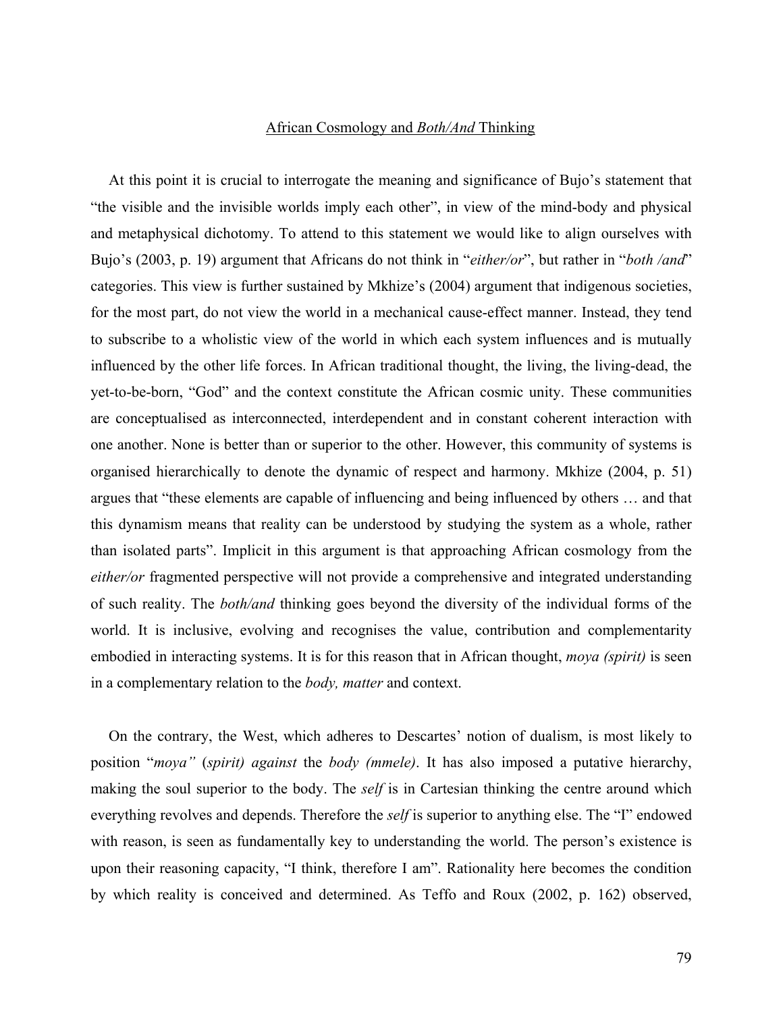### African Cosmology and *Both/And* Thinking

At this point it is crucial to interrogate the meaning and significance of Bujo's statement that "the visible and the invisible worlds imply each other", in view of the mind-body and physical and metaphysical dichotomy. To attend to this statement we would like to align ourselves with Bujo's (2003, p. 19) argument that Africans do not think in "*either/or*", but rather in "*both /and*" categories. This view is further sustained by Mkhize's (2004) argument that indigenous societies, for the most part, do not view the world in a mechanical cause-effect manner. Instead, they tend to subscribe to a wholistic view of the world in which each system influences and is mutually influenced by the other life forces. In African traditional thought, the living, the living-dead, the yet-to-be-born, "God" and the context constitute the African cosmic unity. These communities are conceptualised as interconnected, interdependent and in constant coherent interaction with one another. None is better than or superior to the other. However, this community of systems is organised hierarchically to denote the dynamic of respect and harmony. Mkhize (2004, p. 51) argues that "these elements are capable of influencing and being influenced by others … and that this dynamism means that reality can be understood by studying the system as a whole, rather than isolated parts". Implicit in this argument is that approaching African cosmology from the *either/or* fragmented perspective will not provide a comprehensive and integrated understanding of such reality. The *both/and* thinking goes beyond the diversity of the individual forms of the world. It is inclusive, evolving and recognises the value, contribution and complementarity embodied in interacting systems. It is for this reason that in African thought, *moya (spirit)* is seen in a complementary relation to the *body, matter* and context.

On the contrary, the West, which adheres to Descartes' notion of dualism, is most likely to position "*moya"* (*spirit) against* the *body (mmele)*. It has also imposed a putative hierarchy, making the soul superior to the body. The *self* is in Cartesian thinking the centre around which everything revolves and depends. Therefore the *self* is superior to anything else. The "I" endowed with reason, is seen as fundamentally key to understanding the world. The person's existence is upon their reasoning capacity, "I think, therefore I am". Rationality here becomes the condition by which reality is conceived and determined. As Teffo and Roux (2002, p. 162) observed,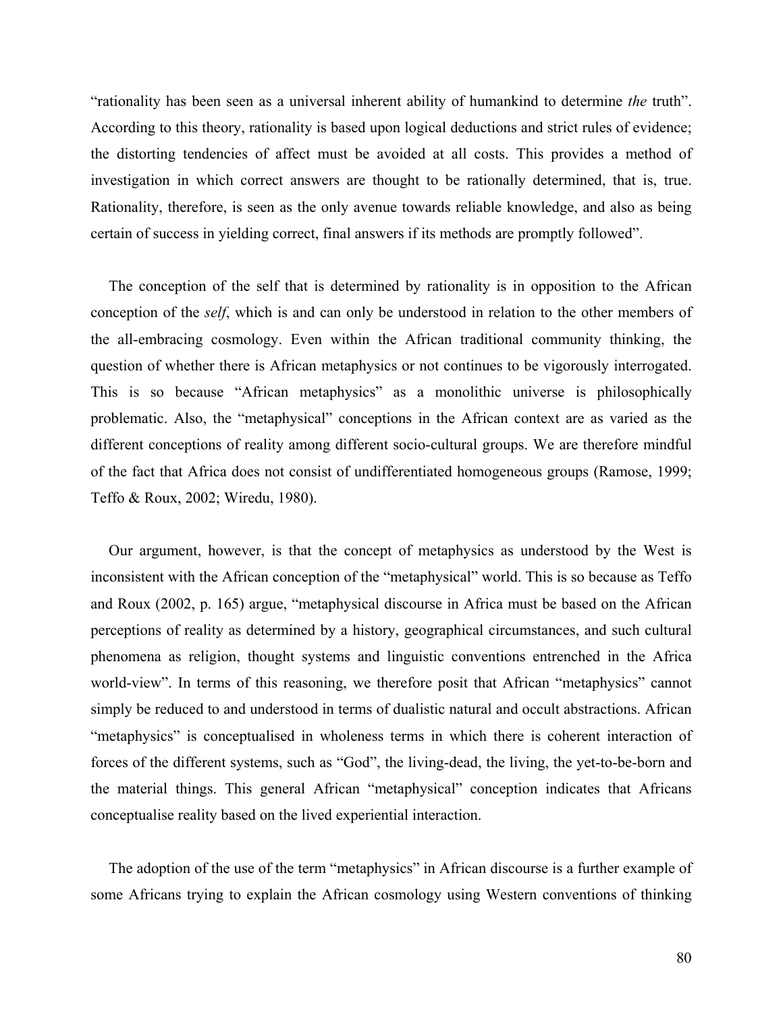"rationality has been seen as a universal inherent ability of humankind to determine *the* truth". According to this theory, rationality is based upon logical deductions and strict rules of evidence; the distorting tendencies of affect must be avoided at all costs. This provides a method of investigation in which correct answers are thought to be rationally determined, that is, true. Rationality, therefore, is seen as the only avenue towards reliable knowledge, and also as being certain of success in yielding correct, final answers if its methods are promptly followed".

The conception of the self that is determined by rationality is in opposition to the African conception of the *self*, which is and can only be understood in relation to the other members of the all-embracing cosmology. Even within the African traditional community thinking, the question of whether there is African metaphysics or not continues to be vigorously interrogated. This is so because "African metaphysics" as a monolithic universe is philosophically problematic. Also, the "metaphysical" conceptions in the African context are as varied as the different conceptions of reality among different socio-cultural groups. We are therefore mindful of the fact that Africa does not consist of undifferentiated homogeneous groups (Ramose, 1999; Teffo & Roux, 2002; Wiredu, 1980).

Our argument, however, is that the concept of metaphysics as understood by the West is inconsistent with the African conception of the "metaphysical" world. This is so because as Teffo and Roux (2002, p. 165) argue, "metaphysical discourse in Africa must be based on the African perceptions of reality as determined by a history, geographical circumstances, and such cultural phenomena as religion, thought systems and linguistic conventions entrenched in the Africa world-view". In terms of this reasoning, we therefore posit that African "metaphysics" cannot simply be reduced to and understood in terms of dualistic natural and occult abstractions. African "metaphysics" is conceptualised in wholeness terms in which there is coherent interaction of forces of the different systems, such as "God", the living-dead, the living, the yet-to-be-born and the material things. This general African "metaphysical" conception indicates that Africans conceptualise reality based on the lived experiential interaction.

The adoption of the use of the term "metaphysics" in African discourse is a further example of some Africans trying to explain the African cosmology using Western conventions of thinking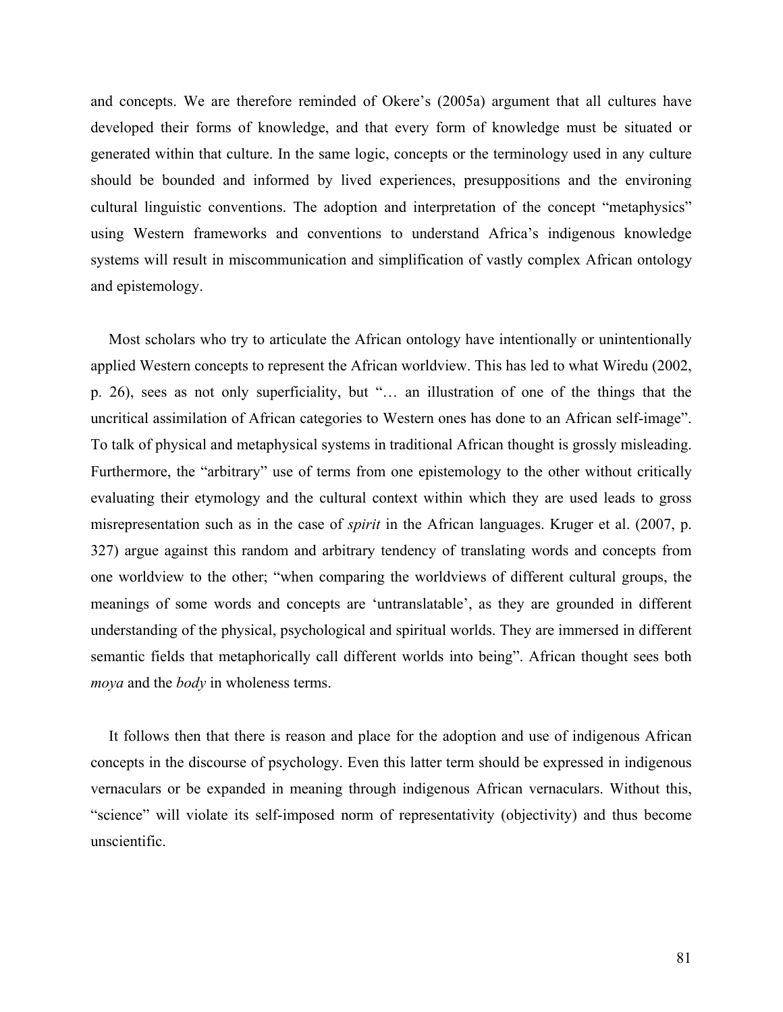and concepts. We are therefore reminded of Okere's (2005a) argument that all cultures have developed their forms of knowledge, and that every form of knowledge must be situated or generated within that culture. In the same logic, concepts or the terminology used in any culture should be bounded and informed by lived experiences, presuppositions and the environing cultural linguistic conventions. The adoption and interpretation of the concept "metaphysics" using Western frameworks and conventions to understand Africa's indigenous knowledge systems will result in miscommunication and simplification of vastly complex African ontology and epistemology.

Most scholars who try to articulate the African ontology have intentionally or unintentionally applied Western concepts to represent the African worldview. This has led to what Wiredu (2002, p. 26), sees as not only superficiality, but "… an illustration of one of the things that the uncritical assimilation of African categories to Western ones has done to an African self-image". To talk of physical and metaphysical systems in traditional African thought is grossly misleading. Furthermore, the "arbitrary" use of terms from one epistemology to the other without critically evaluating their etymology and the cultural context within which they are used leads to gross misrepresentation such as in the case of *spirit* in the African languages. Kruger et al. (2007, p. 327) argue against this random and arbitrary tendency of translating words and concepts from one worldview to the other; "when comparing the worldviews of different cultural groups, the meanings of some words and concepts are 'untranslatable', as they are grounded in different understanding of the physical, psychological and spiritual worlds. They are immersed in different semantic fields that metaphorically call different worlds into being". African thought sees both *moya* and the *body* in wholeness terms.

It follows then that there is reason and place for the adoption and use of indigenous African concepts in the discourse of psychology. Even this latter term should be expressed in indigenous vernaculars or be expanded in meaning through indigenous African vernaculars. Without this, "science" will violate its self-imposed norm of representativity (objectivity) and thus become unscientific.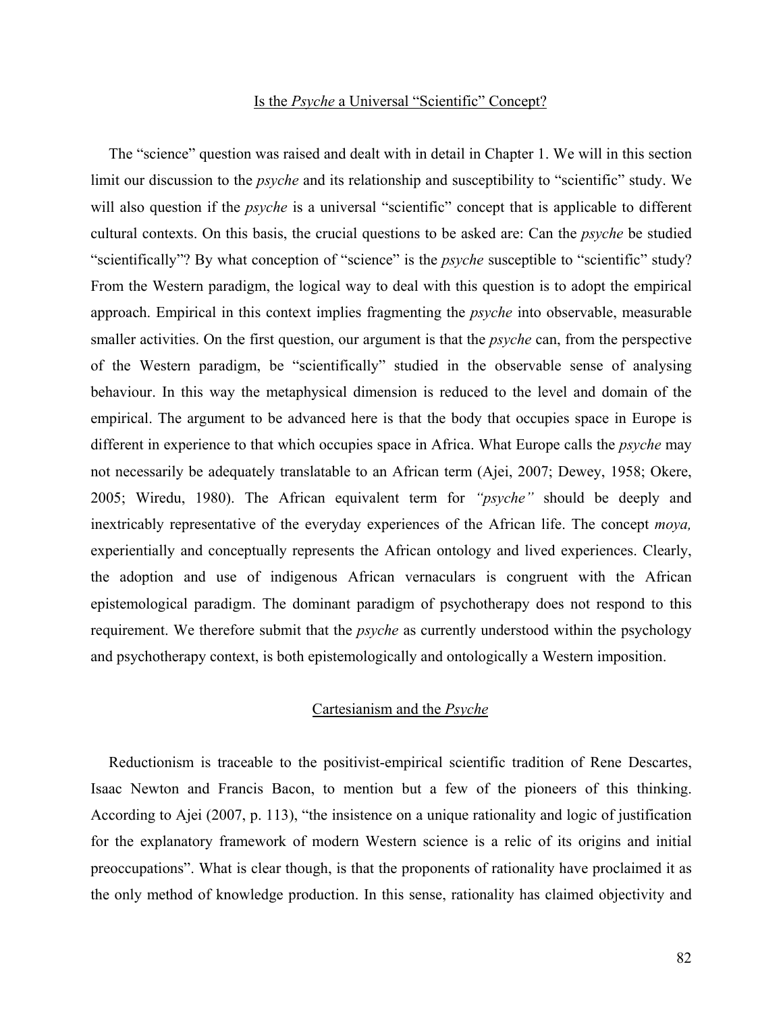#### Is the *Psyche* a Universal "Scientific" Concept?

The "science" question was raised and dealt with in detail in Chapter 1. We will in this section limit our discussion to the *psyche* and its relationship and susceptibility to "scientific" study. We will also question if the *psyche* is a universal "scientific" concept that is applicable to different cultural contexts. On this basis, the crucial questions to be asked are: Can the *psyche* be studied "scientifically"? By what conception of "science" is the *psyche* susceptible to "scientific" study? From the Western paradigm, the logical way to deal with this question is to adopt the empirical approach. Empirical in this context implies fragmenting the *psyche* into observable, measurable smaller activities. On the first question, our argument is that the *psyche* can, from the perspective of the Western paradigm, be "scientifically" studied in the observable sense of analysing behaviour. In this way the metaphysical dimension is reduced to the level and domain of the empirical. The argument to be advanced here is that the body that occupies space in Europe is different in experience to that which occupies space in Africa. What Europe calls the *psyche* may not necessarily be adequately translatable to an African term (Ajei, 2007; Dewey, 1958; Okere, 2005; Wiredu, 1980). The African equivalent term for *"psyche"* should be deeply and inextricably representative of the everyday experiences of the African life. The concept *moya,* experientially and conceptually represents the African ontology and lived experiences. Clearly, the adoption and use of indigenous African vernaculars is congruent with the African epistemological paradigm. The dominant paradigm of psychotherapy does not respond to this requirement. We therefore submit that the *psyche* as currently understood within the psychology and psychotherapy context, is both epistemologically and ontologically a Western imposition.

### Cartesianism and the *Psyche*

Reductionism is traceable to the positivist-empirical scientific tradition of Rene Descartes, Isaac Newton and Francis Bacon, to mention but a few of the pioneers of this thinking. According to Ajei (2007, p. 113), "the insistence on a unique rationality and logic of justification for the explanatory framework of modern Western science is a relic of its origins and initial preoccupations". What is clear though, is that the proponents of rationality have proclaimed it as the only method of knowledge production. In this sense, rationality has claimed objectivity and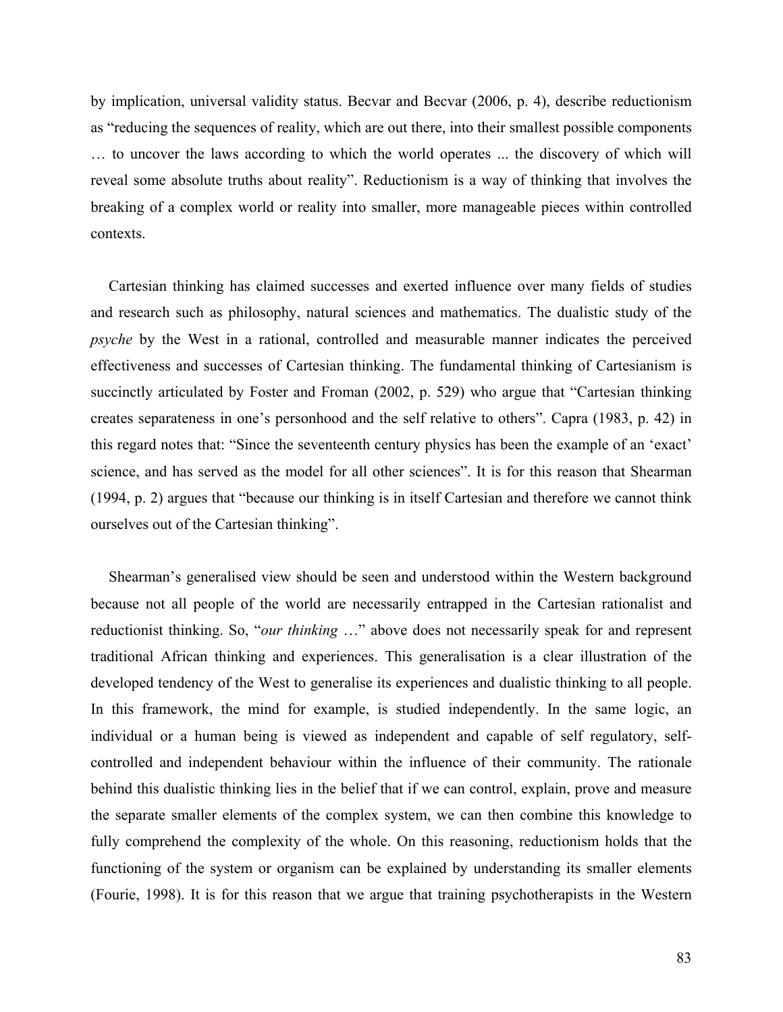by implication, universal validity status. Becvar and Becvar (2006, p. 4), describe reductionism as "reducing the sequences of reality, which are out there, into their smallest possible components … to uncover the laws according to which the world operates ... the discovery of which will reveal some absolute truths about reality". Reductionism is a way of thinking that involves the breaking of a complex world or reality into smaller, more manageable pieces within controlled contexts.

Cartesian thinking has claimed successes and exerted influence over many fields of studies and research such as philosophy, natural sciences and mathematics. The dualistic study of the *psyche* by the West in a rational, controlled and measurable manner indicates the perceived effectiveness and successes of Cartesian thinking. The fundamental thinking of Cartesianism is succinctly articulated by Foster and Froman (2002, p. 529) who argue that "Cartesian thinking creates separateness in one's personhood and the self relative to others". Capra (1983, p. 42) in this regard notes that: "Since the seventeenth century physics has been the example of an 'exact' science, and has served as the model for all other sciences". It is for this reason that Shearman (1994, p. 2) argues that "because our thinking is in itself Cartesian and therefore we cannot think ourselves out of the Cartesian thinking".

Shearman's generalised view should be seen and understood within the Western background because not all people of the world are necessarily entrapped in the Cartesian rationalist and reductionist thinking. So, "*our thinking* …" above does not necessarily speak for and represent traditional African thinking and experiences. This generalisation is a clear illustration of the developed tendency of the West to generalise its experiences and dualistic thinking to all people. In this framework, the mind for example, is studied independently. In the same logic, an individual or a human being is viewed as independent and capable of self regulatory, selfcontrolled and independent behaviour within the influence of their community. The rationale behind this dualistic thinking lies in the belief that if we can control, explain, prove and measure the separate smaller elements of the complex system, we can then combine this knowledge to fully comprehend the complexity of the whole. On this reasoning, reductionism holds that the functioning of the system or organism can be explained by understanding its smaller elements (Fourie, 1998). It is for this reason that we argue that training psychotherapists in the Western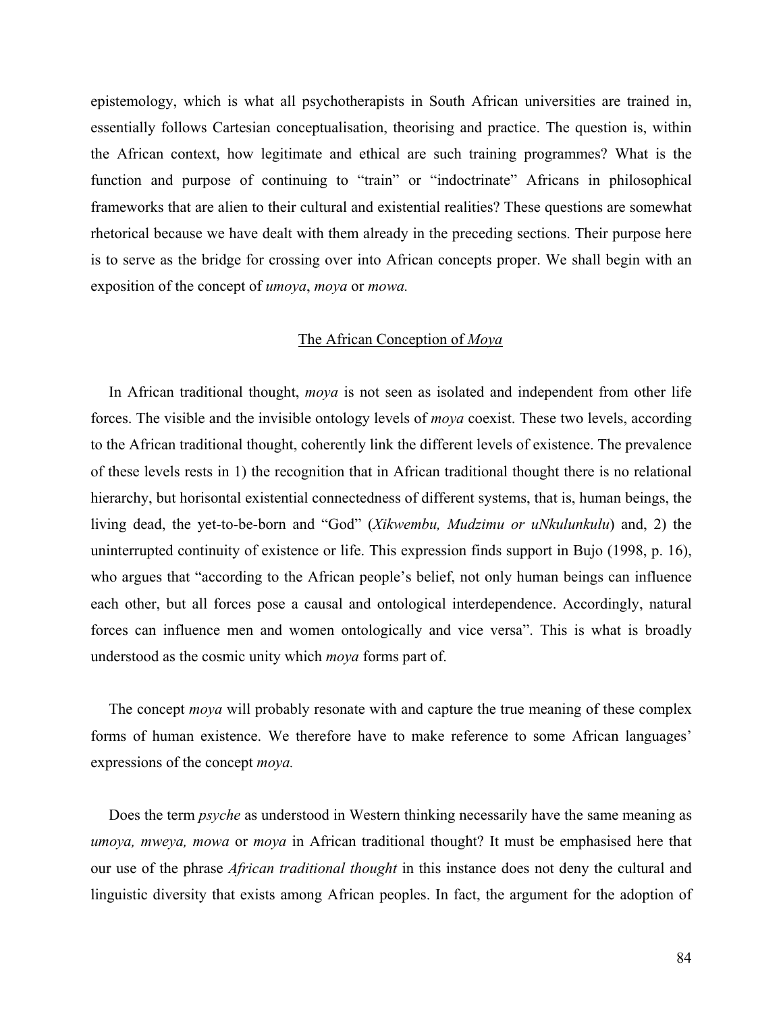epistemology, which is what all psychotherapists in South African universities are trained in, essentially follows Cartesian conceptualisation, theorising and practice. The question is, within the African context, how legitimate and ethical are such training programmes? What is the function and purpose of continuing to "train" or "indoctrinate" Africans in philosophical frameworks that are alien to their cultural and existential realities? These questions are somewhat rhetorical because we have dealt with them already in the preceding sections. Their purpose here is to serve as the bridge for crossing over into African concepts proper. We shall begin with an exposition of the concept of *umoya*, *moya* or *mowa.*

#### The African Conception of *Moya*

In African traditional thought, *moya* is not seen as isolated and independent from other life forces. The visible and the invisible ontology levels of *moya* coexist. These two levels, according to the African traditional thought, coherently link the different levels of existence. The prevalence of these levels rests in 1) the recognition that in African traditional thought there is no relational hierarchy, but horisontal existential connectedness of different systems, that is, human beings, the living dead, the yet-to-be-born and "God" (*Xikwembu, Mudzimu or uNkulunkulu*) and, 2) the uninterrupted continuity of existence or life. This expression finds support in Bujo (1998, p. 16), who argues that "according to the African people's belief, not only human beings can influence each other, but all forces pose a causal and ontological interdependence. Accordingly, natural forces can influence men and women ontologically and vice versa". This is what is broadly understood as the cosmic unity which *moya* forms part of.

The concept *moya* will probably resonate with and capture the true meaning of these complex forms of human existence. We therefore have to make reference to some African languages' expressions of the concept *moya.* 

Does the term *psyche* as understood in Western thinking necessarily have the same meaning as *umoya, mweya, mowa* or *moya* in African traditional thought? It must be emphasised here that our use of the phrase *African traditional thought* in this instance does not deny the cultural and linguistic diversity that exists among African peoples. In fact, the argument for the adoption of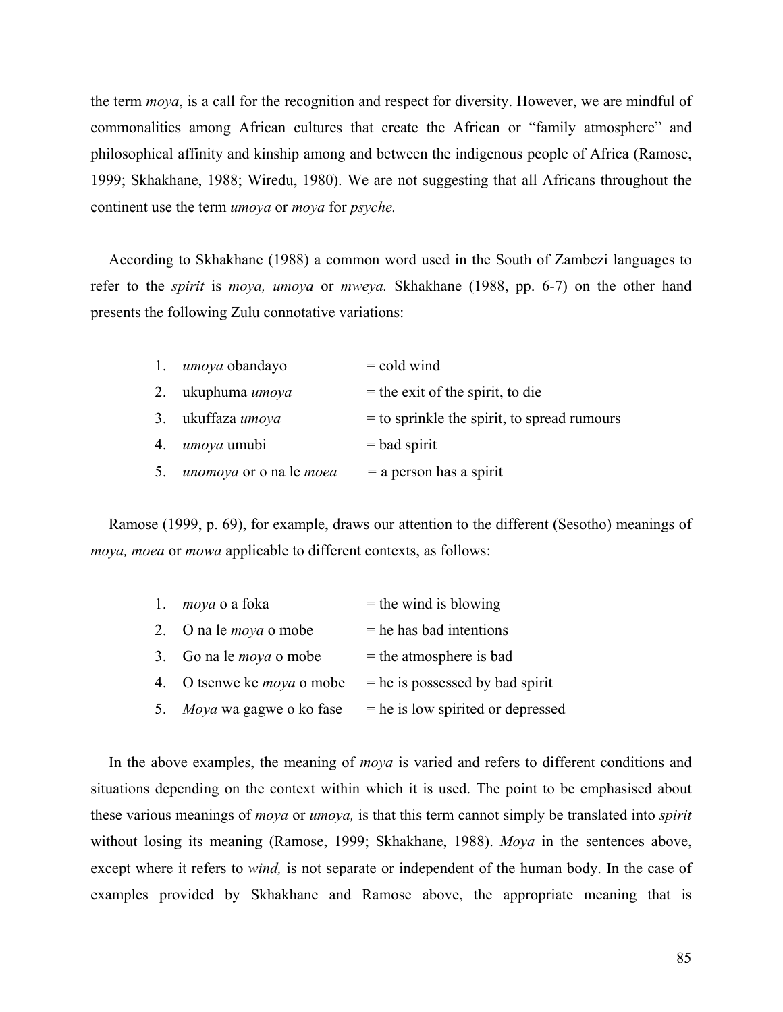the term *moya*, is a call for the recognition and respect for diversity. However, we are mindful of commonalities among African cultures that create the African or "family atmosphere" and philosophical affinity and kinship among and between the indigenous people of Africa (Ramose, 1999; Skhakhane, 1988; Wiredu, 1980). We are not suggesting that all Africans throughout the continent use the term *umoya* or *moya* for *psyche.* 

According to Skhakhane (1988) a common word used in the South of Zambezi languages to refer to the *spirit* is *moya, umoya* or *mweya.* Skhakhane (1988, pp. 6-7) on the other hand presents the following Zulu connotative variations:

|    | 1. <i>umoya</i> obandayo              | $=$ cold wind                                 |
|----|---------------------------------------|-----------------------------------------------|
|    | 2. ukuphuma umoya                     | $=$ the exit of the spirit, to die            |
|    | 3. ukuffaza umoya                     | $=$ to sprinkle the spirit, to spread rumours |
|    | 4. <i>umoya</i> umubi                 | $=$ bad spirit                                |
| 5. | <i>unomoya</i> or o na le <i>moea</i> | $=$ a person has a spirit                     |

Ramose (1999, p. 69), for example, draws our attention to the different (Sesotho) meanings of *moya, moea* or *mowa* applicable to different contexts, as follows:

| 1. <i>moya</i> o a foka           | $=$ the wind is blowing             |
|-----------------------------------|-------------------------------------|
| 2. O na le <i>moya</i> o mobe     | $=$ he has bad intentions           |
| 3. Go na le <i>moya</i> o mobe    | $=$ the atmosphere is bad           |
| 4. O tsenwe ke <i>moya</i> o mobe | $=$ he is possessed by bad spirit   |
| 5. Moya wa gagwe o ko fase        | $=$ he is low spirited or depressed |

In the above examples, the meaning of *moya* is varied and refers to different conditions and situations depending on the context within which it is used. The point to be emphasised about these various meanings of *moya* or *umoya,* is that this term cannot simply be translated into *spirit*  without losing its meaning (Ramose, 1999; Skhakhane, 1988). *Moya* in the sentences above, except where it refers to *wind,* is not separate or independent of the human body. In the case of examples provided by Skhakhane and Ramose above, the appropriate meaning that is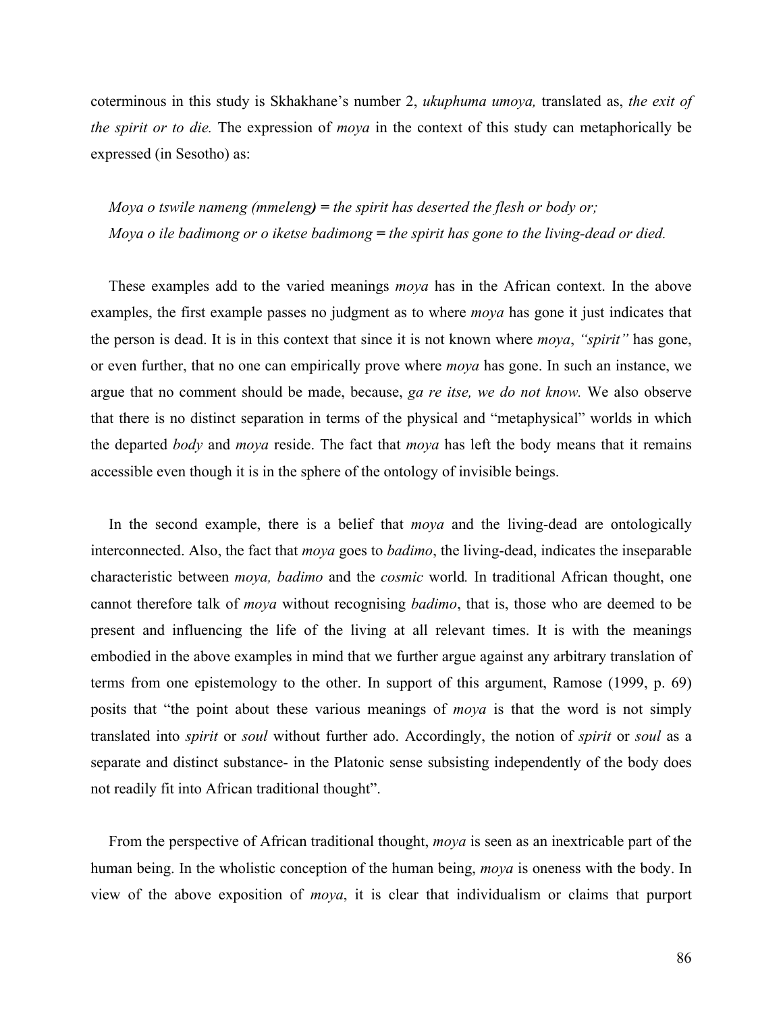coterminous in this study is Skhakhane's number 2, *ukuphuma umoya,* translated as, *the exit of the spirit or to die.* The expression of *moya* in the context of this study can metaphorically be expressed (in Sesotho) as:

*Moya o tswile nameng (mmeleng) = the spirit has deserted the flesh or body or; Moya o ile badimong or o iketse badimong = the spirit has gone to the living-dead or died.* 

These examples add to the varied meanings *moya* has in the African context. In the above examples, the first example passes no judgment as to where *moya* has gone it just indicates that the person is dead. It is in this context that since it is not known where *moya*, *"spirit"* has gone, or even further, that no one can empirically prove where *moya* has gone. In such an instance, we argue that no comment should be made, because, *ga re itse, we do not know.* We also observe that there is no distinct separation in terms of the physical and "metaphysical" worlds in which the departed *body* and *moya* reside. The fact that *moya* has left the body means that it remains accessible even though it is in the sphere of the ontology of invisible beings.

In the second example, there is a belief that *moya* and the living-dead are ontologically interconnected. Also, the fact that *moya* goes to *badimo*, the living-dead, indicates the inseparable characteristic between *moya, badimo* and the *cosmic* world*.* In traditional African thought, one cannot therefore talk of *moya* without recognising *badimo*, that is, those who are deemed to be present and influencing the life of the living at all relevant times. It is with the meanings embodied in the above examples in mind that we further argue against any arbitrary translation of terms from one epistemology to the other. In support of this argument, Ramose (1999, p. 69) posits that "the point about these various meanings of *moya* is that the word is not simply translated into *spirit* or *soul* without further ado. Accordingly, the notion of *spirit* or *soul* as a separate and distinct substance- in the Platonic sense subsisting independently of the body does not readily fit into African traditional thought".

From the perspective of African traditional thought, *moya* is seen as an inextricable part of the human being. In the wholistic conception of the human being, *moya* is oneness with the body. In view of the above exposition of *moya*, it is clear that individualism or claims that purport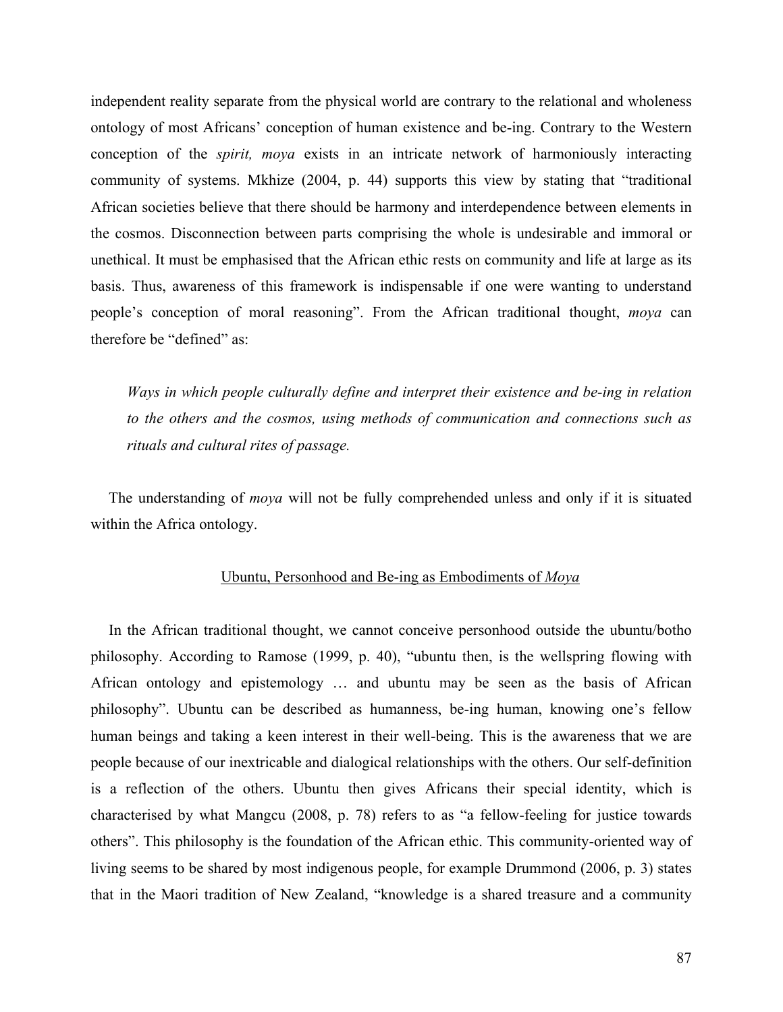independent reality separate from the physical world are contrary to the relational and wholeness ontology of most Africans' conception of human existence and be-ing. Contrary to the Western conception of the *spirit, moya* exists in an intricate network of harmoniously interacting community of systems. Mkhize (2004, p. 44) supports this view by stating that "traditional African societies believe that there should be harmony and interdependence between elements in the cosmos. Disconnection between parts comprising the whole is undesirable and immoral or unethical. It must be emphasised that the African ethic rests on community and life at large as its basis. Thus, awareness of this framework is indispensable if one were wanting to understand people's conception of moral reasoning". From the African traditional thought, *moya* can therefore be "defined" as:

*Ways in which people culturally define and interpret their existence and be-ing in relation to the others and the cosmos, using methods of communication and connections such as rituals and cultural rites of passage.*

The understanding of *moya* will not be fully comprehended unless and only if it is situated within the Africa ontology.

## Ubuntu, Personhood and Be-ing as Embodiments of *Moya*

In the African traditional thought, we cannot conceive personhood outside the ubuntu/botho philosophy. According to Ramose (1999, p. 40), "ubuntu then, is the wellspring flowing with African ontology and epistemology … and ubuntu may be seen as the basis of African philosophy". Ubuntu can be described as humanness, be-ing human, knowing one's fellow human beings and taking a keen interest in their well-being. This is the awareness that we are people because of our inextricable and dialogical relationships with the others. Our self-definition is a reflection of the others. Ubuntu then gives Africans their special identity, which is characterised by what Mangcu (2008, p. 78) refers to as "a fellow-feeling for justice towards others". This philosophy is the foundation of the African ethic. This community-oriented way of living seems to be shared by most indigenous people, for example Drummond (2006, p. 3) states that in the Maori tradition of New Zealand, "knowledge is a shared treasure and a community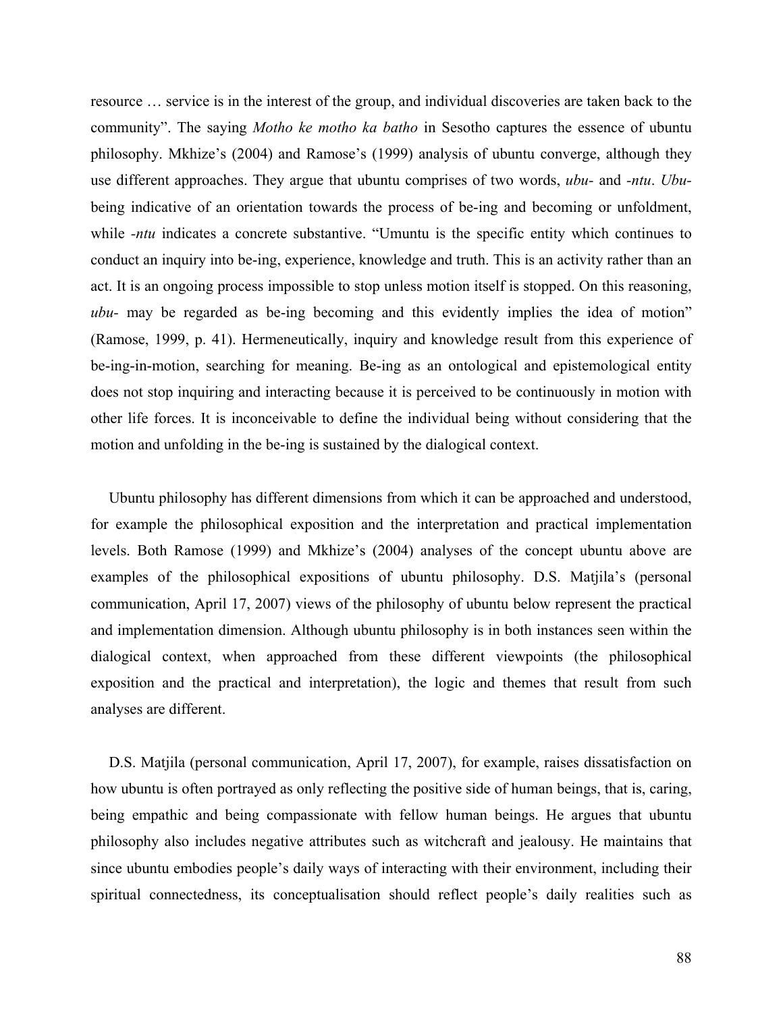resource … service is in the interest of the group, and individual discoveries are taken back to the community". The saying *Motho ke motho ka batho* in Sesotho captures the essence of ubuntu philosophy. Mkhize's (2004) and Ramose's (1999) analysis of ubuntu converge, although they use different approaches. They argue that ubuntu comprises of two words, *ubu-* and *-ntu*. *Ubu*being indicative of an orientation towards the process of be-ing and becoming or unfoldment, while *-ntu* indicates a concrete substantive. "Umuntu is the specific entity which continues to conduct an inquiry into be-ing, experience, knowledge and truth. This is an activity rather than an act. It is an ongoing process impossible to stop unless motion itself is stopped. On this reasoning, *ubu-* may be regarded as be-ing becoming and this evidently implies the idea of motion" (Ramose, 1999, p. 41). Hermeneutically, inquiry and knowledge result from this experience of be-ing-in-motion, searching for meaning. Be-ing as an ontological and epistemological entity does not stop inquiring and interacting because it is perceived to be continuously in motion with other life forces. It is inconceivable to define the individual being without considering that the motion and unfolding in the be-ing is sustained by the dialogical context.

Ubuntu philosophy has different dimensions from which it can be approached and understood, for example the philosophical exposition and the interpretation and practical implementation levels. Both Ramose (1999) and Mkhize's (2004) analyses of the concept ubuntu above are examples of the philosophical expositions of ubuntu philosophy. D.S. Matjila's (personal communication, April 17, 2007) views of the philosophy of ubuntu below represent the practical and implementation dimension. Although ubuntu philosophy is in both instances seen within the dialogical context, when approached from these different viewpoints (the philosophical exposition and the practical and interpretation), the logic and themes that result from such analyses are different.

D.S. Matjila (personal communication, April 17, 2007), for example, raises dissatisfaction on how ubuntu is often portrayed as only reflecting the positive side of human beings, that is, caring, being empathic and being compassionate with fellow human beings. He argues that ubuntu philosophy also includes negative attributes such as witchcraft and jealousy. He maintains that since ubuntu embodies people's daily ways of interacting with their environment, including their spiritual connectedness, its conceptualisation should reflect people's daily realities such as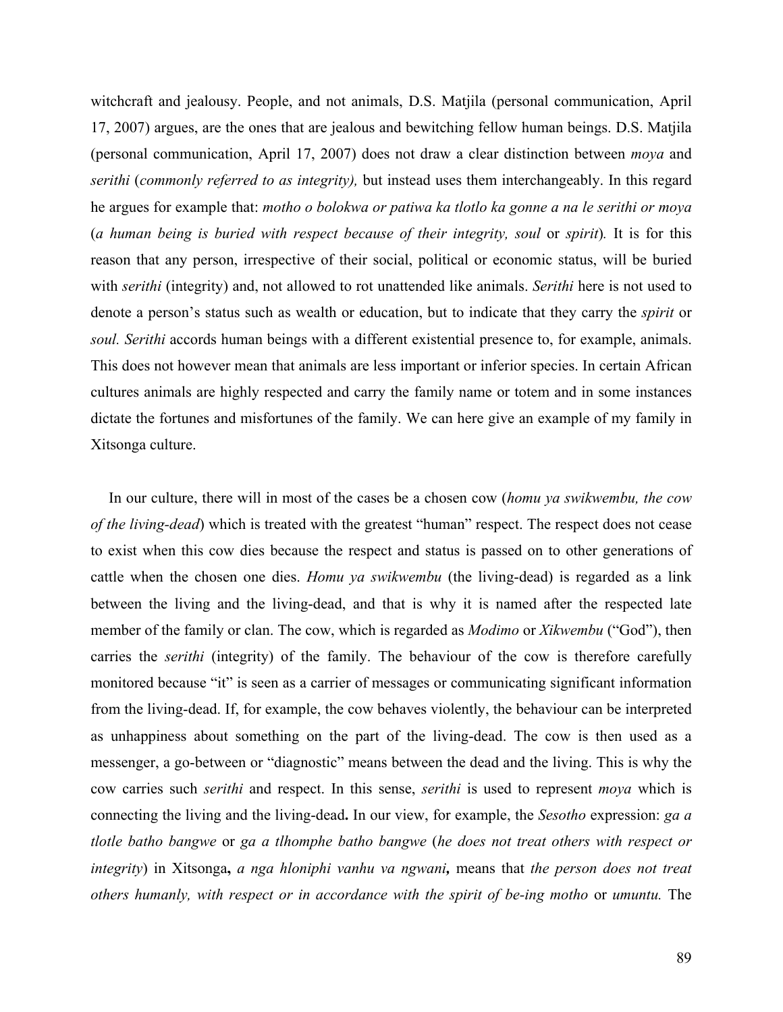witchcraft and jealousy. People, and not animals, D.S. Matjila (personal communication, April 17, 2007) argues, are the ones that are jealous and bewitching fellow human beings. D.S. Matjila (personal communication, April 17, 2007) does not draw a clear distinction between *moya* and *serithi* (*commonly referred to as integrity),* but instead uses them interchangeably. In this regard he argues for example that: *motho o bolokwa or patiwa ka tlotlo ka gonne a na le serithi or moya* (*a human being is buried with respect because of their integrity, soul* or *spirit*)*.* It is for this reason that any person, irrespective of their social, political or economic status, will be buried with *serithi* (integrity) and, not allowed to rot unattended like animals. *Serithi* here is not used to denote a person's status such as wealth or education, but to indicate that they carry the *spirit* or *soul. Serithi* accords human beings with a different existential presence to, for example, animals. This does not however mean that animals are less important or inferior species. In certain African cultures animals are highly respected and carry the family name or totem and in some instances dictate the fortunes and misfortunes of the family. We can here give an example of my family in Xitsonga culture.

In our culture, there will in most of the cases be a chosen cow (*homu ya swikwembu, the cow of the living-dead*) which is treated with the greatest "human" respect. The respect does not cease to exist when this cow dies because the respect and status is passed on to other generations of cattle when the chosen one dies. *Homu ya swikwembu* (the living-dead) is regarded as a link between the living and the living-dead, and that is why it is named after the respected late member of the family or clan. The cow, which is regarded as *Modimo* or *Xikwembu* ("God"), then carries the *serithi* (integrity) of the family. The behaviour of the cow is therefore carefully monitored because "it" is seen as a carrier of messages or communicating significant information from the living-dead. If, for example, the cow behaves violently, the behaviour can be interpreted as unhappiness about something on the part of the living-dead. The cow is then used as a messenger, a go-between or "diagnostic" means between the dead and the living. This is why the cow carries such *serithi* and respect. In this sense, *serithi* is used to represent *moya* which is connecting the living and the living-dead**.** In our view, for example, the *Sesotho* expression: *ga a tlotle batho bangwe* or *ga a tlhomphe batho bangwe* (*he does not treat others with respect or integrity*) in Xitsonga**,** *a nga hloniphi vanhu va ngwani,* means that *the person does not treat others humanly, with respect or in accordance with the spirit of be-ing motho* or *umuntu.* The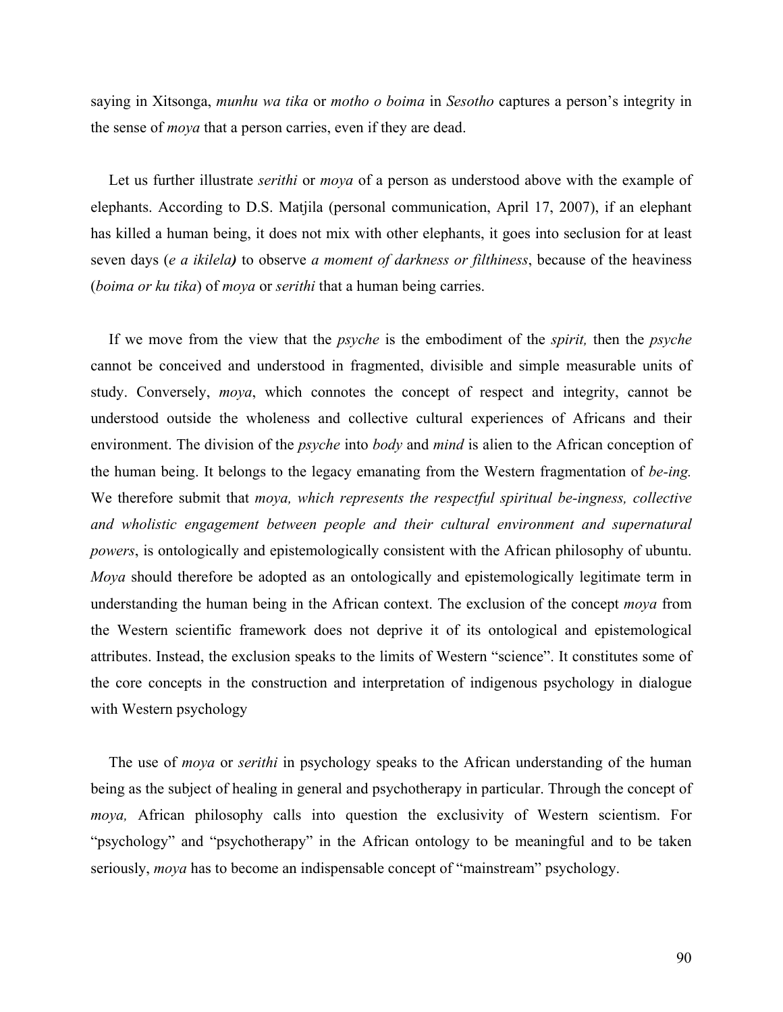saying in Xitsonga, *munhu wa tika* or *motho o boima* in *Sesotho* captures a person's integrity in the sense of *moya* that a person carries, even if they are dead.

Let us further illustrate *serithi* or *moya* of a person as understood above with the example of elephants. According to D.S. Matjila (personal communication, April 17, 2007), if an elephant has killed a human being, it does not mix with other elephants, it goes into seclusion for at least seven days (*e a ikilela)* to observe *a moment of darkness or filthiness*, because of the heaviness (*boima or ku tika*) of *moya* or *serithi* that a human being carries.

If we move from the view that the *psyche* is the embodiment of the *spirit,* then the *psyche* cannot be conceived and understood in fragmented, divisible and simple measurable units of study. Conversely, *moya*, which connotes the concept of respect and integrity, cannot be understood outside the wholeness and collective cultural experiences of Africans and their environment. The division of the *psyche* into *body* and *mind* is alien to the African conception of the human being. It belongs to the legacy emanating from the Western fragmentation of *be-ing.* We therefore submit that *moya, which represents the respectful spiritual be-ingness, collective and wholistic engagement between people and their cultural environment and supernatural powers*, is ontologically and epistemologically consistent with the African philosophy of ubuntu. *Moya* should therefore be adopted as an ontologically and epistemologically legitimate term in understanding the human being in the African context. The exclusion of the concept *moya* from the Western scientific framework does not deprive it of its ontological and epistemological attributes. Instead, the exclusion speaks to the limits of Western "science". It constitutes some of the core concepts in the construction and interpretation of indigenous psychology in dialogue with Western psychology

The use of *moya* or *serithi* in psychology speaks to the African understanding of the human being as the subject of healing in general and psychotherapy in particular. Through the concept of *moya,* African philosophy calls into question the exclusivity of Western scientism. For "psychology" and "psychotherapy" in the African ontology to be meaningful and to be taken seriously, *moya* has to become an indispensable concept of "mainstream" psychology.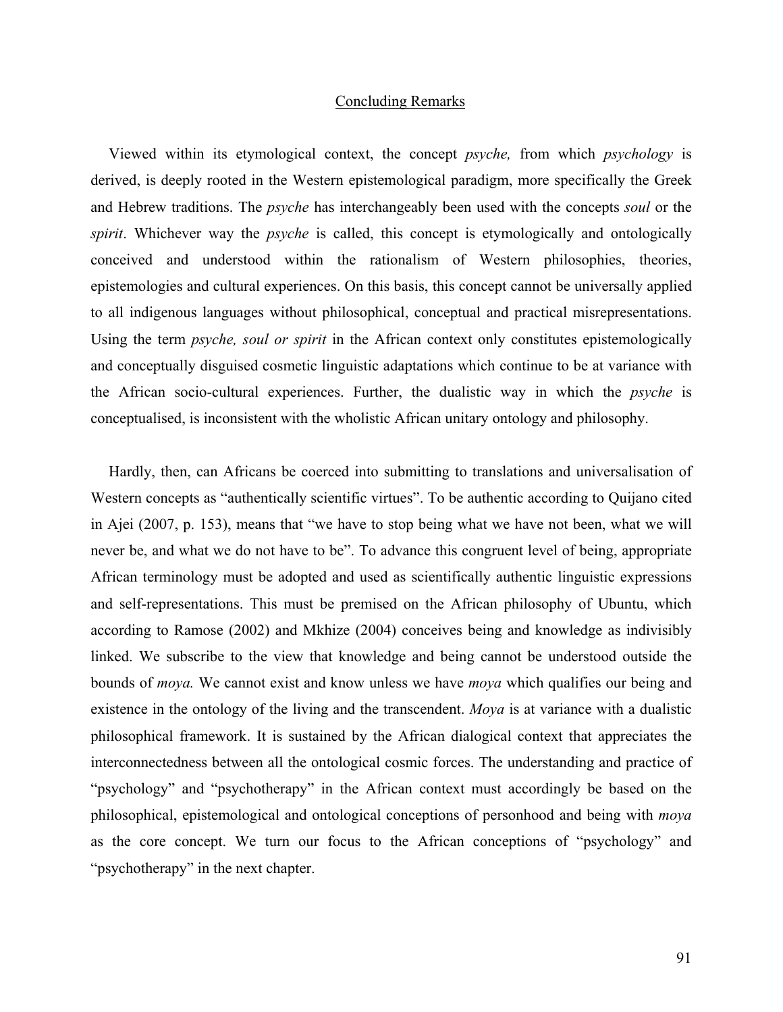### Concluding Remarks

Viewed within its etymological context, the concept *psyche,* from which *psychology* is derived, is deeply rooted in the Western epistemological paradigm, more specifically the Greek and Hebrew traditions. The *psyche* has interchangeably been used with the concepts *soul* or the *spirit*. Whichever way the *psyche* is called, this concept is etymologically and ontologically conceived and understood within the rationalism of Western philosophies, theories, epistemologies and cultural experiences. On this basis, this concept cannot be universally applied to all indigenous languages without philosophical, conceptual and practical misrepresentations. Using the term *psyche, soul or spirit* in the African context only constitutes epistemologically and conceptually disguised cosmetic linguistic adaptations which continue to be at variance with the African socio-cultural experiences. Further, the dualistic way in which the *psyche* is conceptualised, is inconsistent with the wholistic African unitary ontology and philosophy.

Hardly, then, can Africans be coerced into submitting to translations and universalisation of Western concepts as "authentically scientific virtues". To be authentic according to Quijano cited in Ajei (2007, p. 153), means that "we have to stop being what we have not been, what we will never be, and what we do not have to be". To advance this congruent level of being, appropriate African terminology must be adopted and used as scientifically authentic linguistic expressions and self-representations. This must be premised on the African philosophy of Ubuntu, which according to Ramose (2002) and Mkhize (2004) conceives being and knowledge as indivisibly linked. We subscribe to the view that knowledge and being cannot be understood outside the bounds of *moya.* We cannot exist and know unless we have *moya* which qualifies our being and existence in the ontology of the living and the transcendent. *Moya* is at variance with a dualistic philosophical framework. It is sustained by the African dialogical context that appreciates the interconnectedness between all the ontological cosmic forces. The understanding and practice of "psychology" and "psychotherapy" in the African context must accordingly be based on the philosophical, epistemological and ontological conceptions of personhood and being with *moya* as the core concept. We turn our focus to the African conceptions of "psychology" and "psychotherapy" in the next chapter.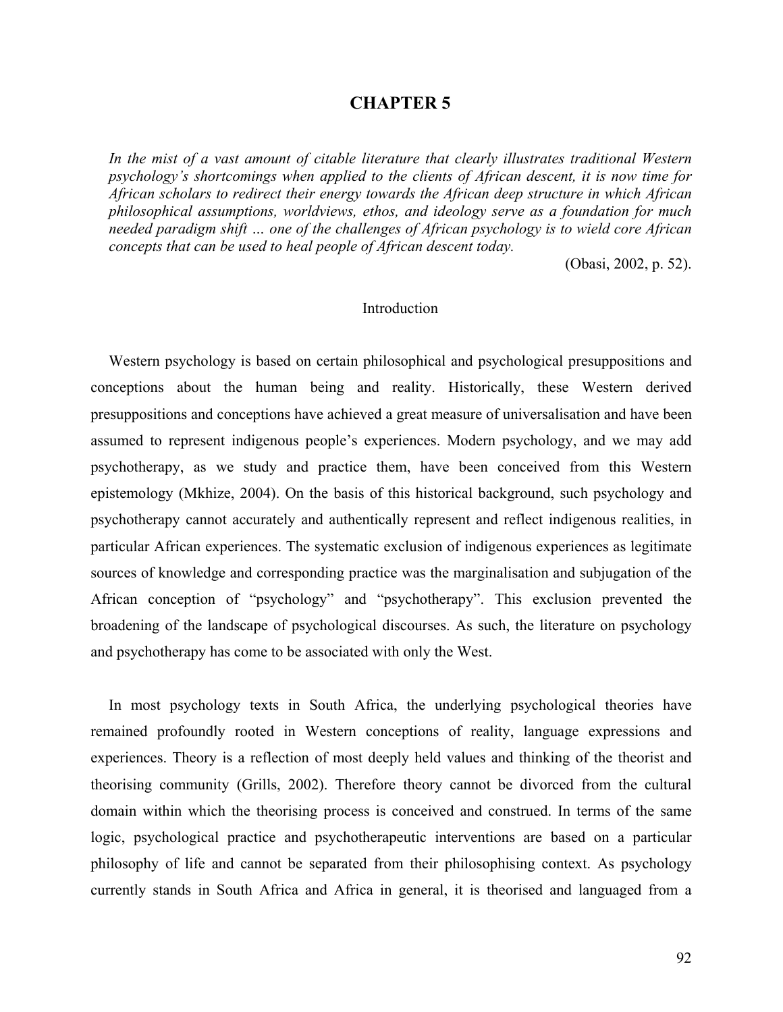### **CHAPTER 5**

*In the mist of a vast amount of citable literature that clearly illustrates traditional Western psychology's shortcomings when applied to the clients of African descent, it is now time for African scholars to redirect their energy towards the African deep structure in which African philosophical assumptions, worldviews, ethos, and ideology serve as a foundation for much needed paradigm shift … one of the challenges of African psychology is to wield core African concepts that can be used to heal people of African descent today.* 

(Obasi, 2002, p. 52).

### Introduction

Western psychology is based on certain philosophical and psychological presuppositions and conceptions about the human being and reality. Historically, these Western derived presuppositions and conceptions have achieved a great measure of universalisation and have been assumed to represent indigenous people's experiences. Modern psychology, and we may add psychotherapy, as we study and practice them, have been conceived from this Western epistemology (Mkhize, 2004). On the basis of this historical background, such psychology and psychotherapy cannot accurately and authentically represent and reflect indigenous realities, in particular African experiences. The systematic exclusion of indigenous experiences as legitimate sources of knowledge and corresponding practice was the marginalisation and subjugation of the African conception of "psychology" and "psychotherapy". This exclusion prevented the broadening of the landscape of psychological discourses. As such, the literature on psychology and psychotherapy has come to be associated with only the West.

In most psychology texts in South Africa, the underlying psychological theories have remained profoundly rooted in Western conceptions of reality, language expressions and experiences. Theory is a reflection of most deeply held values and thinking of the theorist and theorising community (Grills, 2002). Therefore theory cannot be divorced from the cultural domain within which the theorising process is conceived and construed. In terms of the same logic, psychological practice and psychotherapeutic interventions are based on a particular philosophy of life and cannot be separated from their philosophising context. As psychology currently stands in South Africa and Africa in general, it is theorised and languaged from a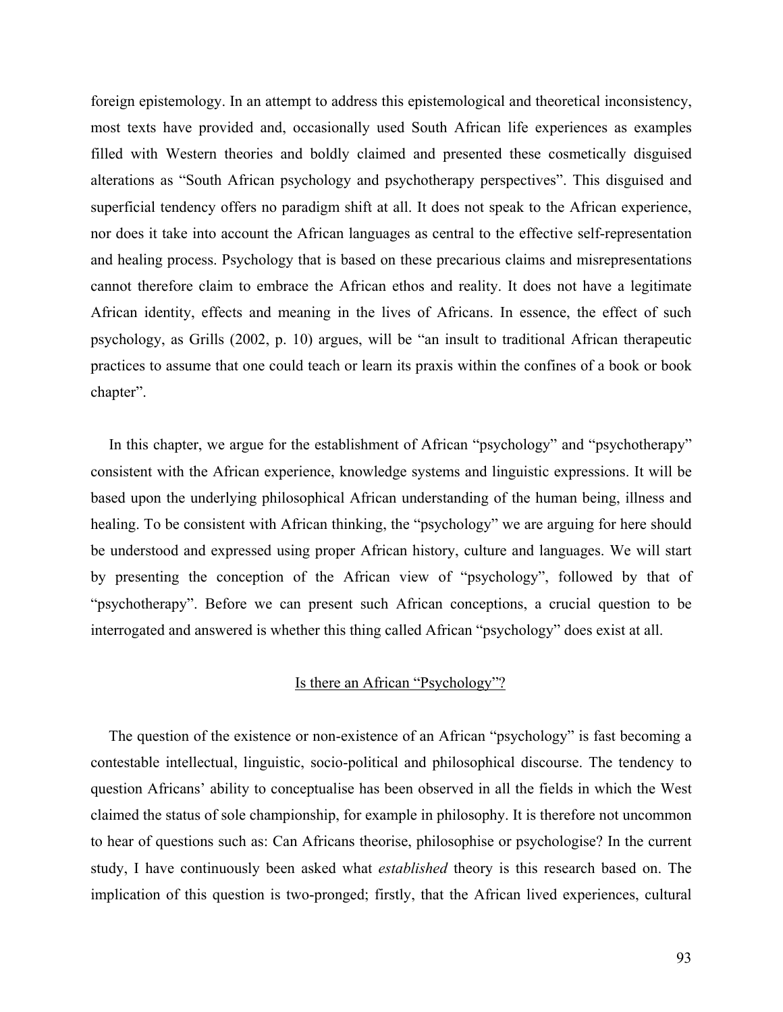foreign epistemology. In an attempt to address this epistemological and theoretical inconsistency, most texts have provided and, occasionally used South African life experiences as examples filled with Western theories and boldly claimed and presented these cosmetically disguised alterations as "South African psychology and psychotherapy perspectives". This disguised and superficial tendency offers no paradigm shift at all. It does not speak to the African experience, nor does it take into account the African languages as central to the effective self-representation and healing process. Psychology that is based on these precarious claims and misrepresentations cannot therefore claim to embrace the African ethos and reality. It does not have a legitimate African identity, effects and meaning in the lives of Africans. In essence, the effect of such psychology, as Grills (2002, p. 10) argues, will be "an insult to traditional African therapeutic practices to assume that one could teach or learn its praxis within the confines of a book or book chapter".

In this chapter, we argue for the establishment of African "psychology" and "psychotherapy" consistent with the African experience, knowledge systems and linguistic expressions. It will be based upon the underlying philosophical African understanding of the human being, illness and healing. To be consistent with African thinking, the "psychology" we are arguing for here should be understood and expressed using proper African history, culture and languages. We will start by presenting the conception of the African view of "psychology", followed by that of "psychotherapy". Before we can present such African conceptions, a crucial question to be interrogated and answered is whether this thing called African "psychology" does exist at all.

# Is there an African "Psychology"?

The question of the existence or non-existence of an African "psychology" is fast becoming a contestable intellectual, linguistic, socio-political and philosophical discourse. The tendency to question Africans' ability to conceptualise has been observed in all the fields in which the West claimed the status of sole championship, for example in philosophy. It is therefore not uncommon to hear of questions such as: Can Africans theorise, philosophise or psychologise? In the current study, I have continuously been asked what *established* theory is this research based on. The implication of this question is two-pronged; firstly, that the African lived experiences, cultural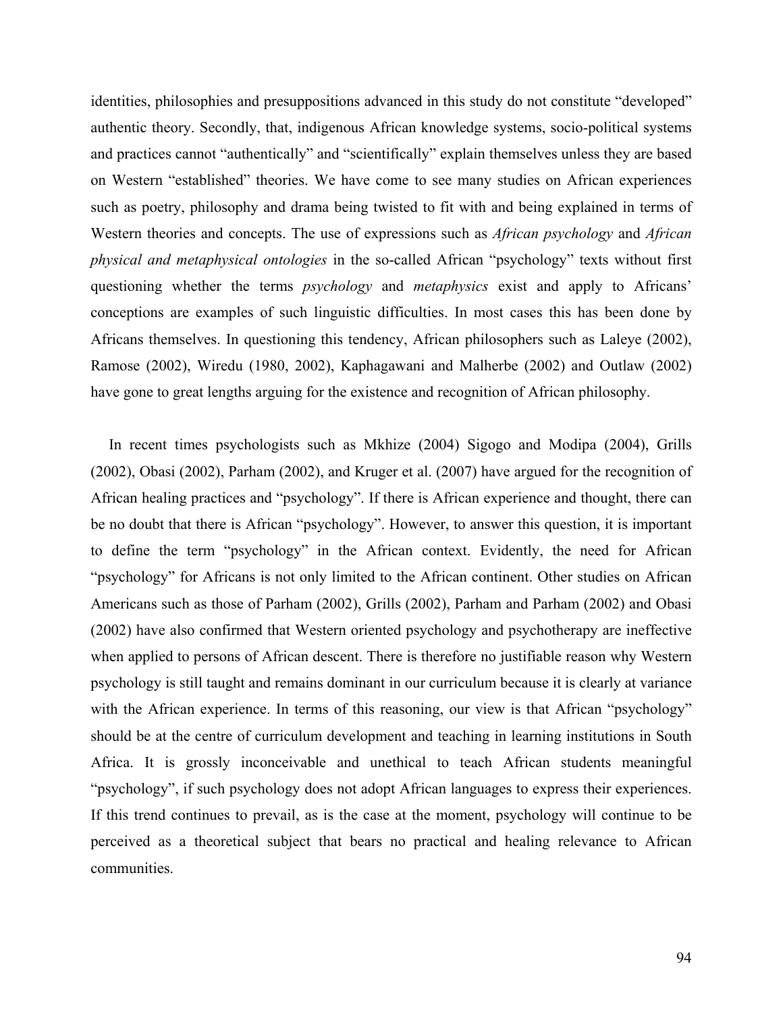identities, philosophies and presuppositions advanced in this study do not constitute "developed" authentic theory. Secondly, that, indigenous African knowledge systems, socio-political systems and practices cannot "authentically" and "scientifically" explain themselves unless they are based on Western "established" theories. We have come to see many studies on African experiences such as poetry, philosophy and drama being twisted to fit with and being explained in terms of Western theories and concepts. The use of expressions such as *African psychology* and *African physical and metaphysical ontologies* in the so-called African "psychology" texts without first questioning whether the terms *psychology* and *metaphysics* exist and apply to Africans' conceptions are examples of such linguistic difficulties. In most cases this has been done by Africans themselves. In questioning this tendency, African philosophers such as Laleye (2002), Ramose (2002), Wiredu (1980, 2002), Kaphagawani and Malherbe (2002) and Outlaw (2002) have gone to great lengths arguing for the existence and recognition of African philosophy.

In recent times psychologists such as Mkhize (2004) Sigogo and Modipa (2004), Grills (2002), Obasi (2002), Parham (2002), and Kruger et al. (2007) have argued for the recognition of African healing practices and "psychology". If there is African experience and thought, there can be no doubt that there is African "psychology". However, to answer this question, it is important to define the term "psychology" in the African context. Evidently, the need for African "psychology" for Africans is not only limited to the African continent. Other studies on African Americans such as those of Parham (2002), Grills (2002), Parham and Parham (2002) and Obasi (2002) have also confirmed that Western oriented psychology and psychotherapy are ineffective when applied to persons of African descent. There is therefore no justifiable reason why Western psychology is still taught and remains dominant in our curriculum because it is clearly at variance with the African experience. In terms of this reasoning, our view is that African "psychology" should be at the centre of curriculum development and teaching in learning institutions in South Africa. It is grossly inconceivable and unethical to teach African students meaningful "psychology", if such psychology does not adopt African languages to express their experiences. If this trend continues to prevail, as is the case at the moment, psychology will continue to be perceived as a theoretical subject that bears no practical and healing relevance to African communities.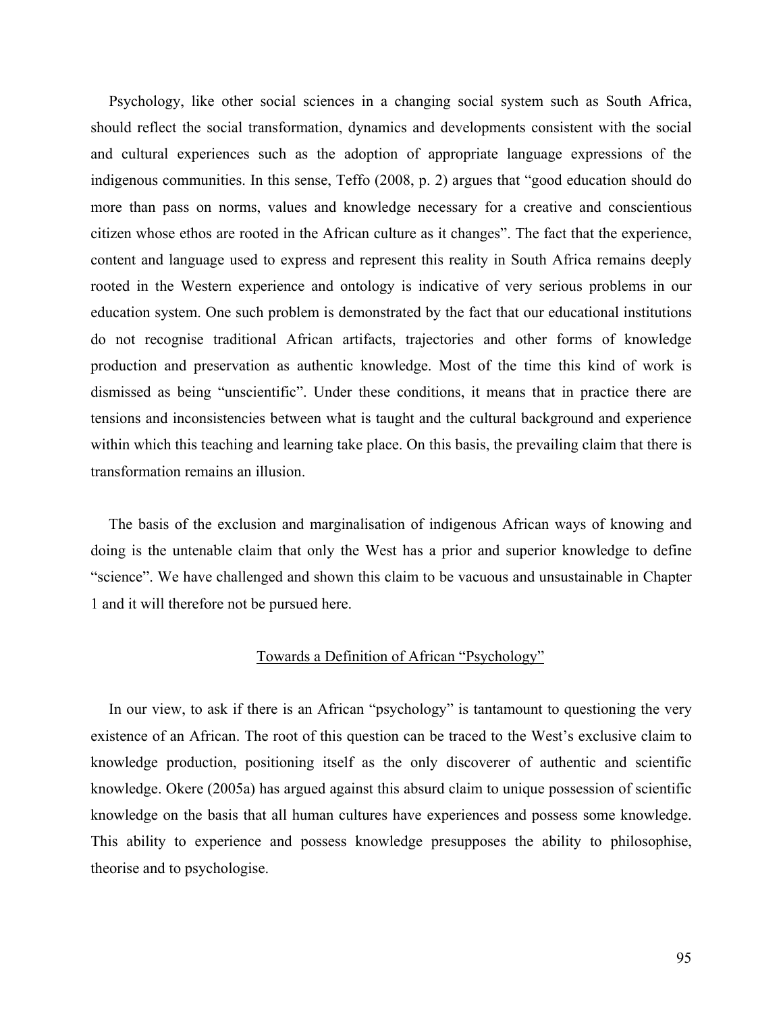Psychology, like other social sciences in a changing social system such as South Africa, should reflect the social transformation, dynamics and developments consistent with the social and cultural experiences such as the adoption of appropriate language expressions of the indigenous communities. In this sense, Teffo (2008, p. 2) argues that "good education should do more than pass on norms, values and knowledge necessary for a creative and conscientious citizen whose ethos are rooted in the African culture as it changes". The fact that the experience, content and language used to express and represent this reality in South Africa remains deeply rooted in the Western experience and ontology is indicative of very serious problems in our education system. One such problem is demonstrated by the fact that our educational institutions do not recognise traditional African artifacts, trajectories and other forms of knowledge production and preservation as authentic knowledge. Most of the time this kind of work is dismissed as being "unscientific". Under these conditions, it means that in practice there are tensions and inconsistencies between what is taught and the cultural background and experience within which this teaching and learning take place. On this basis, the prevailing claim that there is transformation remains an illusion.

The basis of the exclusion and marginalisation of indigenous African ways of knowing and doing is the untenable claim that only the West has a prior and superior knowledge to define "science". We have challenged and shown this claim to be vacuous and unsustainable in Chapter 1 and it will therefore not be pursued here.

### Towards a Definition of African "Psychology"

In our view, to ask if there is an African "psychology" is tantamount to questioning the very existence of an African. The root of this question can be traced to the West's exclusive claim to knowledge production, positioning itself as the only discoverer of authentic and scientific knowledge. Okere (2005a) has argued against this absurd claim to unique possession of scientific knowledge on the basis that all human cultures have experiences and possess some knowledge. This ability to experience and possess knowledge presupposes the ability to philosophise, theorise and to psychologise.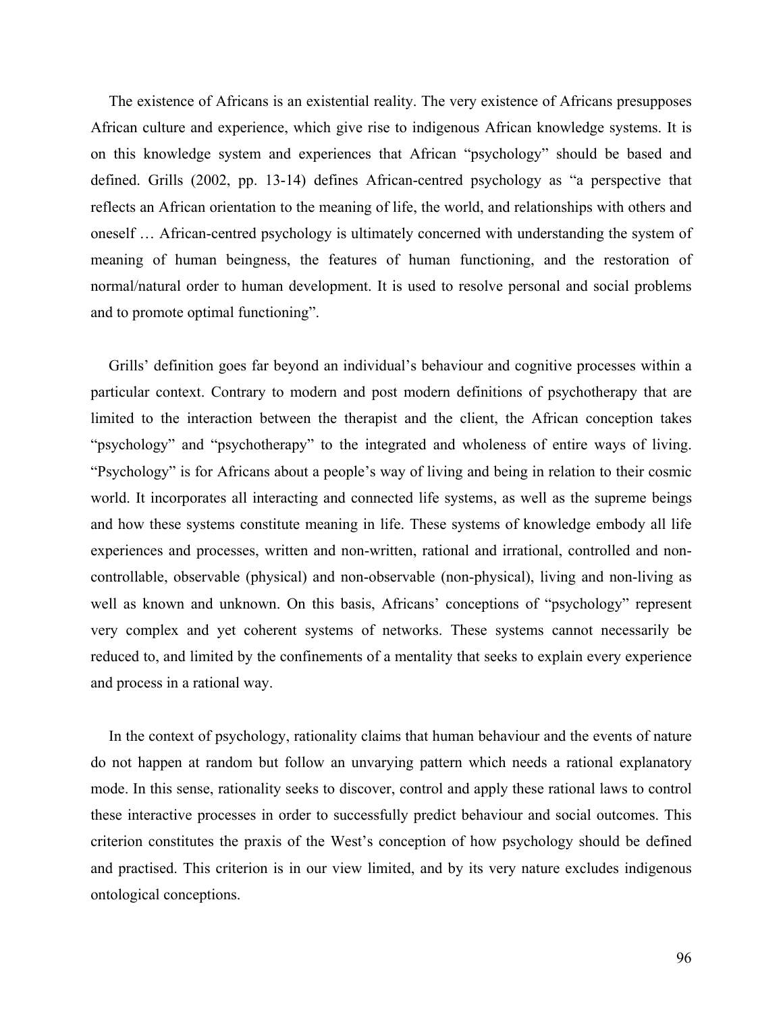The existence of Africans is an existential reality. The very existence of Africans presupposes African culture and experience, which give rise to indigenous African knowledge systems. It is on this knowledge system and experiences that African "psychology" should be based and defined. Grills (2002, pp. 13-14) defines African-centred psychology as "a perspective that reflects an African orientation to the meaning of life, the world, and relationships with others and oneself … African-centred psychology is ultimately concerned with understanding the system of meaning of human beingness, the features of human functioning, and the restoration of normal/natural order to human development. It is used to resolve personal and social problems and to promote optimal functioning".

Grills' definition goes far beyond an individual's behaviour and cognitive processes within a particular context. Contrary to modern and post modern definitions of psychotherapy that are limited to the interaction between the therapist and the client, the African conception takes "psychology" and "psychotherapy" to the integrated and wholeness of entire ways of living. "Psychology" is for Africans about a people's way of living and being in relation to their cosmic world. It incorporates all interacting and connected life systems, as well as the supreme beings and how these systems constitute meaning in life. These systems of knowledge embody all life experiences and processes, written and non-written, rational and irrational, controlled and noncontrollable, observable (physical) and non-observable (non-physical), living and non-living as well as known and unknown. On this basis, Africans' conceptions of "psychology" represent very complex and yet coherent systems of networks. These systems cannot necessarily be reduced to, and limited by the confinements of a mentality that seeks to explain every experience and process in a rational way.

In the context of psychology, rationality claims that human behaviour and the events of nature do not happen at random but follow an unvarying pattern which needs a rational explanatory mode. In this sense, rationality seeks to discover, control and apply these rational laws to control these interactive processes in order to successfully predict behaviour and social outcomes. This criterion constitutes the praxis of the West's conception of how psychology should be defined and practised. This criterion is in our view limited, and by its very nature excludes indigenous ontological conceptions.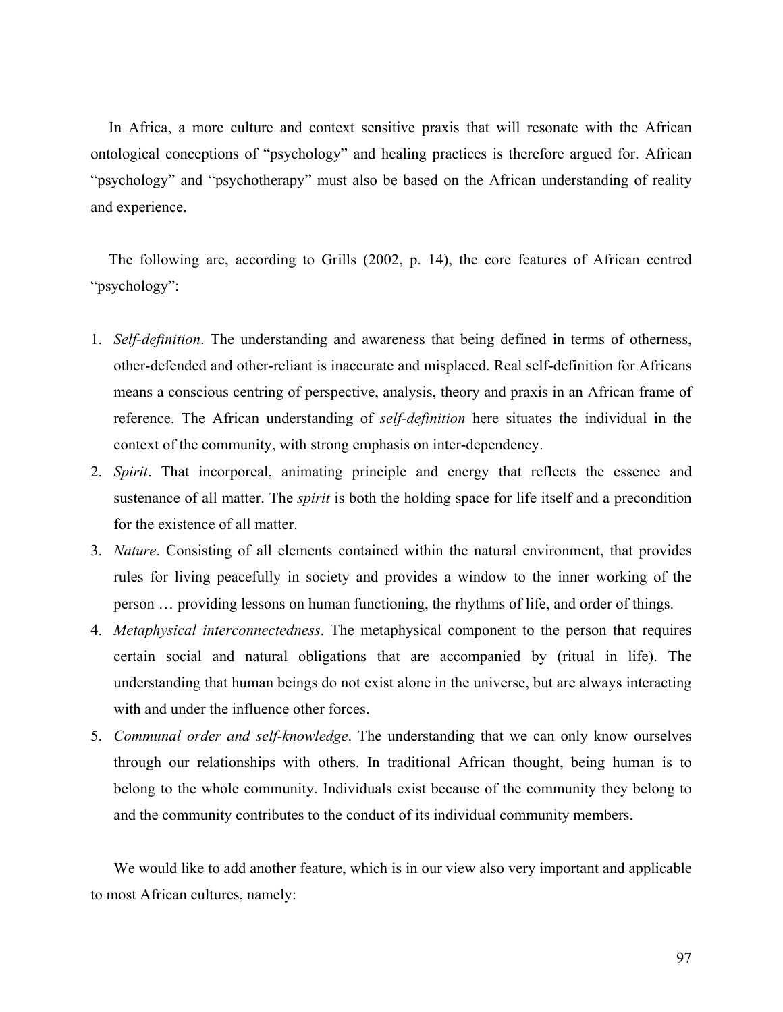In Africa, a more culture and context sensitive praxis that will resonate with the African ontological conceptions of "psychology" and healing practices is therefore argued for. African "psychology" and "psychotherapy" must also be based on the African understanding of reality and experience.

The following are, according to Grills (2002, p. 14), the core features of African centred "psychology":

- 1. *Self-definition*. The understanding and awareness that being defined in terms of otherness, other-defended and other-reliant is inaccurate and misplaced. Real self-definition for Africans means a conscious centring of perspective, analysis, theory and praxis in an African frame of reference. The African understanding of *self-definition* here situates the individual in the context of the community, with strong emphasis on inter-dependency.
- 2. *Spirit*. That incorporeal, animating principle and energy that reflects the essence and sustenance of all matter. The *spirit* is both the holding space for life itself and a precondition for the existence of all matter.
- 3. *Nature*. Consisting of all elements contained within the natural environment, that provides rules for living peacefully in society and provides a window to the inner working of the person … providing lessons on human functioning, the rhythms of life, and order of things.
- 4. *Metaphysical interconnectedness*. The metaphysical component to the person that requires certain social and natural obligations that are accompanied by (ritual in life). The understanding that human beings do not exist alone in the universe, but are always interacting with and under the influence other forces.
- 5. *Communal order and self-knowledge*. The understanding that we can only know ourselves through our relationships with others. In traditional African thought, being human is to belong to the whole community. Individuals exist because of the community they belong to and the community contributes to the conduct of its individual community members.

We would like to add another feature, which is in our view also very important and applicable to most African cultures, namely: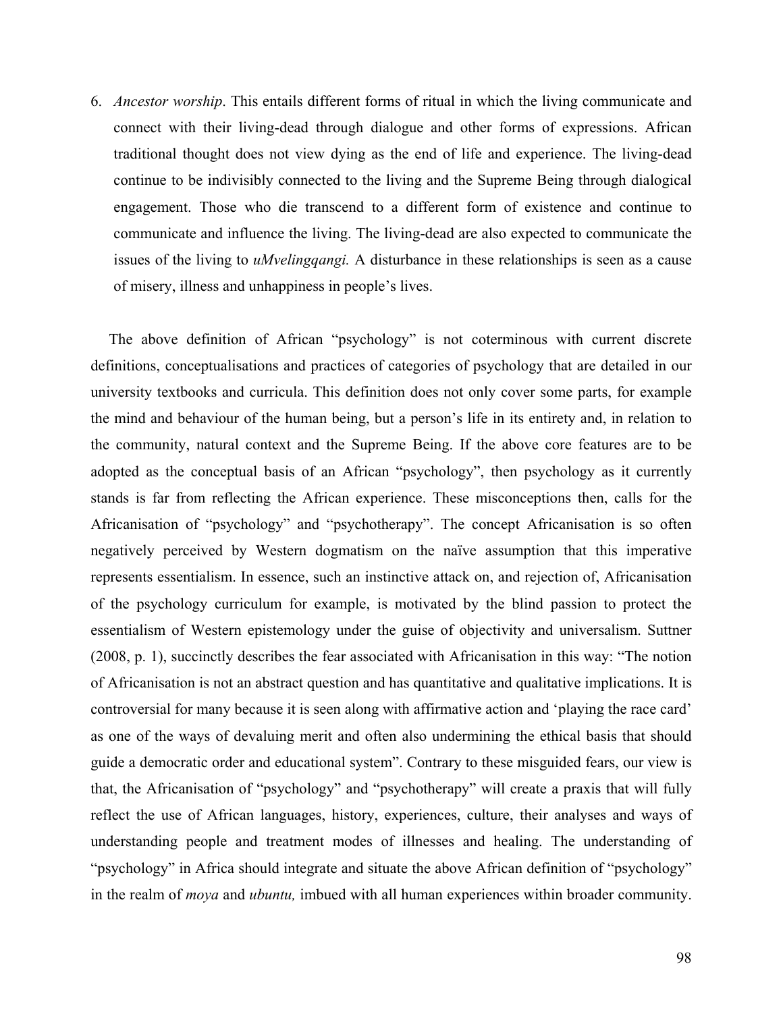6. *Ancestor worship*. This entails different forms of ritual in which the living communicate and connect with their living-dead through dialogue and other forms of expressions. African traditional thought does not view dying as the end of life and experience. The living-dead continue to be indivisibly connected to the living and the Supreme Being through dialogical engagement. Those who die transcend to a different form of existence and continue to communicate and influence the living. The living-dead are also expected to communicate the issues of the living to *uMvelingqangi.* A disturbance in these relationships is seen as a cause of misery, illness and unhappiness in people's lives.

The above definition of African "psychology" is not coterminous with current discrete definitions, conceptualisations and practices of categories of psychology that are detailed in our university textbooks and curricula. This definition does not only cover some parts, for example the mind and behaviour of the human being, but a person's life in its entirety and, in relation to the community, natural context and the Supreme Being. If the above core features are to be adopted as the conceptual basis of an African "psychology", then psychology as it currently stands is far from reflecting the African experience. These misconceptions then, calls for the Africanisation of "psychology" and "psychotherapy". The concept Africanisation is so often negatively perceived by Western dogmatism on the naïve assumption that this imperative represents essentialism. In essence, such an instinctive attack on, and rejection of, Africanisation of the psychology curriculum for example, is motivated by the blind passion to protect the essentialism of Western epistemology under the guise of objectivity and universalism. Suttner (2008, p. 1), succinctly describes the fear associated with Africanisation in this way: "The notion of Africanisation is not an abstract question and has quantitative and qualitative implications. It is controversial for many because it is seen along with affirmative action and 'playing the race card' as one of the ways of devaluing merit and often also undermining the ethical basis that should guide a democratic order and educational system". Contrary to these misguided fears, our view is that, the Africanisation of "psychology" and "psychotherapy" will create a praxis that will fully reflect the use of African languages, history, experiences, culture, their analyses and ways of understanding people and treatment modes of illnesses and healing. The understanding of "psychology" in Africa should integrate and situate the above African definition of "psychology" in the realm of *moya* and *ubuntu,* imbued with all human experiences within broader community.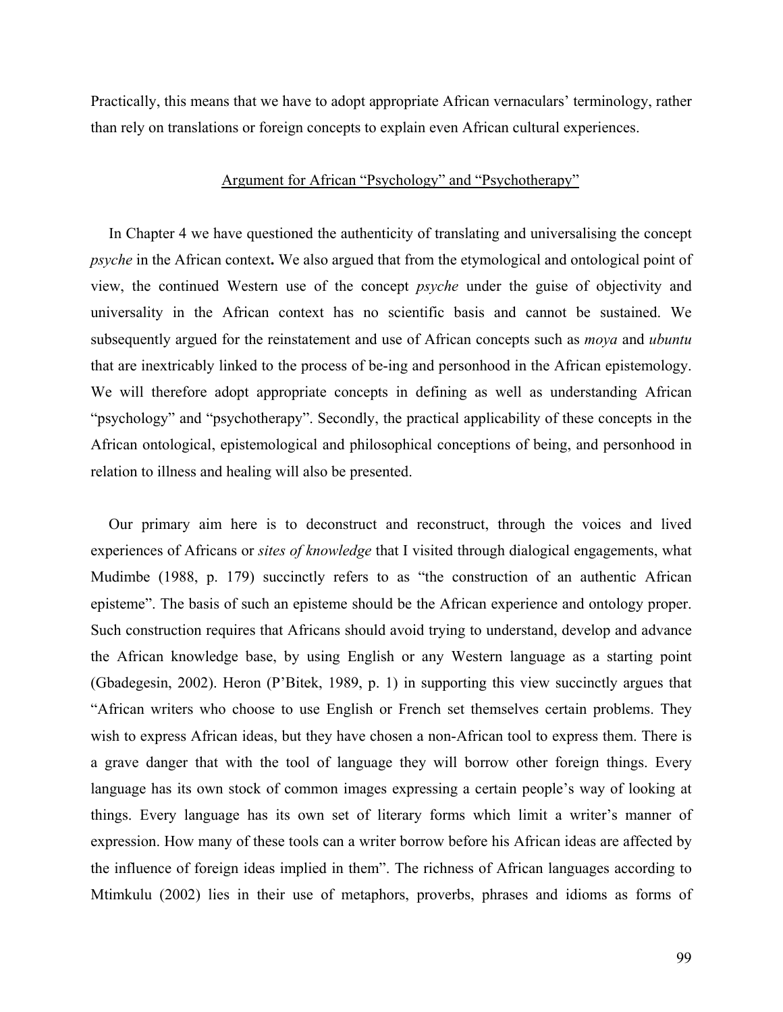Practically, this means that we have to adopt appropriate African vernaculars' terminology, rather than rely on translations or foreign concepts to explain even African cultural experiences.

### Argument for African "Psychology" and "Psychotherapy"

In Chapter 4 we have questioned the authenticity of translating and universalising the concept *psyche* in the African context**.** We also argued that from the etymological and ontological point of view, the continued Western use of the concept *psyche* under the guise of objectivity and universality in the African context has no scientific basis and cannot be sustained. We subsequently argued for the reinstatement and use of African concepts such as *moya* and *ubuntu*  that are inextricably linked to the process of be-ing and personhood in the African epistemology. We will therefore adopt appropriate concepts in defining as well as understanding African "psychology" and "psychotherapy". Secondly, the practical applicability of these concepts in the African ontological, epistemological and philosophical conceptions of being, and personhood in relation to illness and healing will also be presented.

Our primary aim here is to deconstruct and reconstruct, through the voices and lived experiences of Africans or *sites of knowledge* that I visited through dialogical engagements, what Mudimbe (1988, p. 179) succinctly refers to as "the construction of an authentic African episteme". The basis of such an episteme should be the African experience and ontology proper. Such construction requires that Africans should avoid trying to understand, develop and advance the African knowledge base, by using English or any Western language as a starting point (Gbadegesin, 2002). Heron (P'Bitek, 1989, p. 1) in supporting this view succinctly argues that "African writers who choose to use English or French set themselves certain problems. They wish to express African ideas, but they have chosen a non-African tool to express them. There is a grave danger that with the tool of language they will borrow other foreign things. Every language has its own stock of common images expressing a certain people's way of looking at things. Every language has its own set of literary forms which limit a writer's manner of expression. How many of these tools can a writer borrow before his African ideas are affected by the influence of foreign ideas implied in them". The richness of African languages according to Mtimkulu (2002) lies in their use of metaphors, proverbs, phrases and idioms as forms of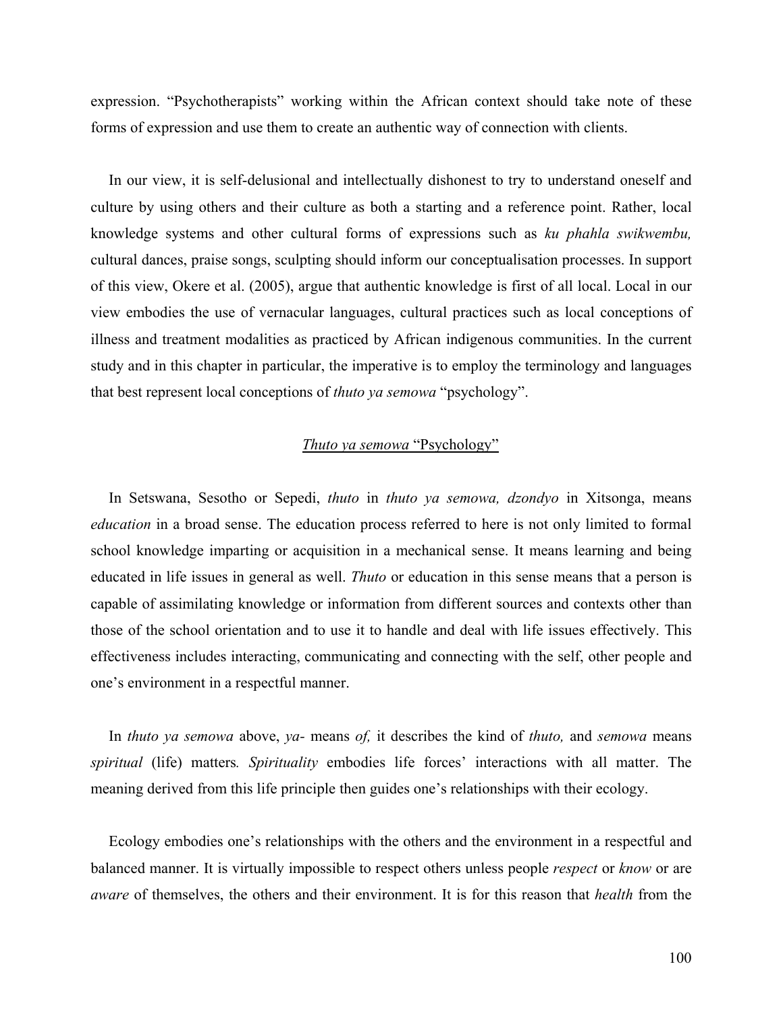expression. "Psychotherapists" working within the African context should take note of these forms of expression and use them to create an authentic way of connection with clients.

In our view, it is self-delusional and intellectually dishonest to try to understand oneself and culture by using others and their culture as both a starting and a reference point. Rather, local knowledge systems and other cultural forms of expressions such as *ku phahla swikwembu,* cultural dances, praise songs, sculpting should inform our conceptualisation processes. In support of this view, Okere et al. (2005), argue that authentic knowledge is first of all local. Local in our view embodies the use of vernacular languages, cultural practices such as local conceptions of illness and treatment modalities as practiced by African indigenous communities. In the current study and in this chapter in particular, the imperative is to employ the terminology and languages that best represent local conceptions of *thuto ya semowa* "psychology".

## *Thuto ya semowa* "Psychology"

In Setswana, Sesotho or Sepedi, *thuto* in *thuto ya semowa, dzondyo* in Xitsonga, means *education* in a broad sense. The education process referred to here is not only limited to formal school knowledge imparting or acquisition in a mechanical sense. It means learning and being educated in life issues in general as well. *Thuto* or education in this sense means that a person is capable of assimilating knowledge or information from different sources and contexts other than those of the school orientation and to use it to handle and deal with life issues effectively. This effectiveness includes interacting, communicating and connecting with the self, other people and one's environment in a respectful manner.

In *thuto ya semowa* above, *ya-* means *of,* it describes the kind of *thuto,* and *semowa* means *spiritual* (life) matters*. Spirituality* embodies life forces' interactions with all matter. The meaning derived from this life principle then guides one's relationships with their ecology.

Ecology embodies one's relationships with the others and the environment in a respectful and balanced manner. It is virtually impossible to respect others unless people *respect* or *know* or are *aware* of themselves, the others and their environment. It is for this reason that *health* from the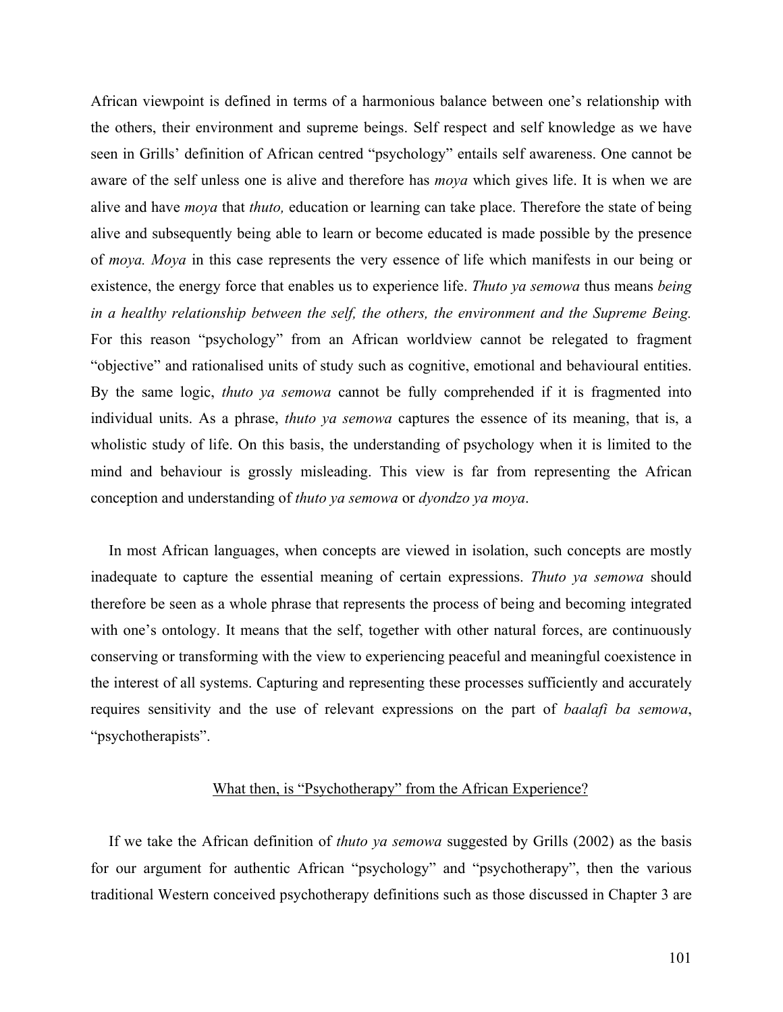African viewpoint is defined in terms of a harmonious balance between one's relationship with the others, their environment and supreme beings. Self respect and self knowledge as we have seen in Grills' definition of African centred "psychology" entails self awareness. One cannot be aware of the self unless one is alive and therefore has *moya* which gives life. It is when we are alive and have *moya* that *thuto,* education or learning can take place. Therefore the state of being alive and subsequently being able to learn or become educated is made possible by the presence of *moya. Moya* in this case represents the very essence of life which manifests in our being or existence, the energy force that enables us to experience life. *Thuto ya semowa* thus means *being in a healthy relationship between the self, the others, the environment and the Supreme Being.* For this reason "psychology" from an African worldview cannot be relegated to fragment "objective" and rationalised units of study such as cognitive, emotional and behavioural entities. By the same logic, *thuto ya semowa* cannot be fully comprehended if it is fragmented into individual units. As a phrase, *thuto ya semowa* captures the essence of its meaning, that is, a wholistic study of life. On this basis, the understanding of psychology when it is limited to the mind and behaviour is grossly misleading. This view is far from representing the African conception and understanding of *thuto ya semowa* or *dyondzo ya moya*.

In most African languages, when concepts are viewed in isolation, such concepts are mostly inadequate to capture the essential meaning of certain expressions. *Thuto ya semowa* should therefore be seen as a whole phrase that represents the process of being and becoming integrated with one's ontology. It means that the self, together with other natural forces, are continuously conserving or transforming with the view to experiencing peaceful and meaningful coexistence in the interest of all systems. Capturing and representing these processes sufficiently and accurately requires sensitivity and the use of relevant expressions on the part of *baalafi ba semowa*, "psychotherapists".

## What then, is "Psychotherapy" from the African Experience?

If we take the African definition of *thuto ya semowa* suggested by Grills (2002) as the basis for our argument for authentic African "psychology" and "psychotherapy", then the various traditional Western conceived psychotherapy definitions such as those discussed in Chapter 3 are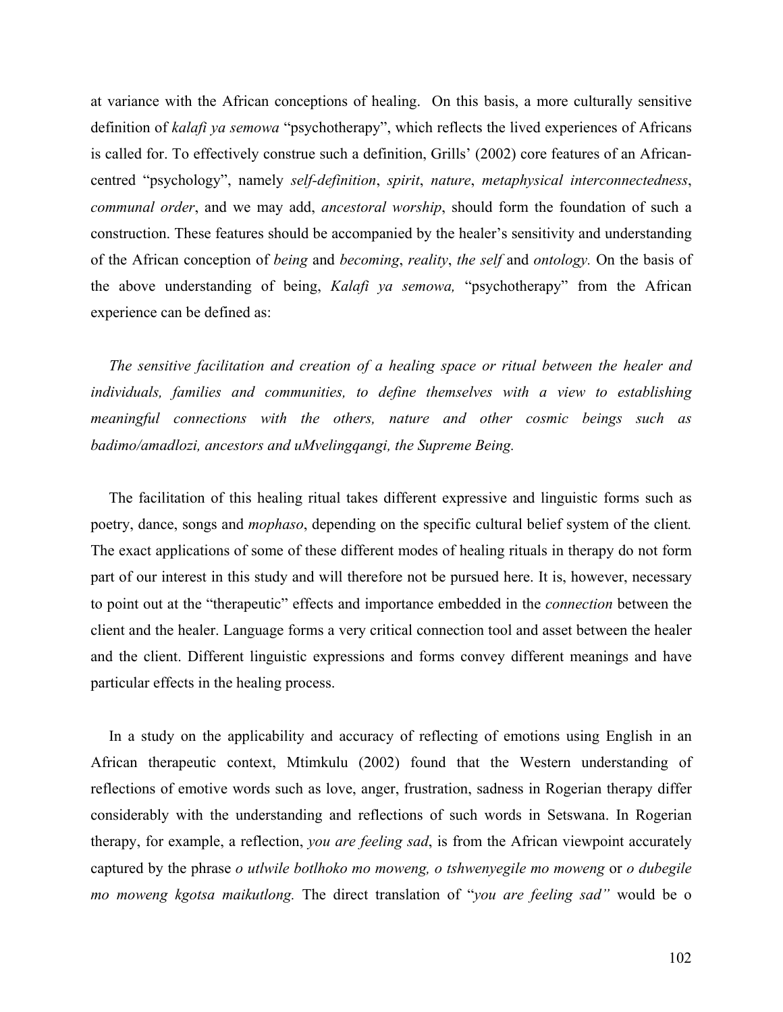at variance with the African conceptions of healing. On this basis, a more culturally sensitive definition of *kalafi ya semowa* "psychotherapy", which reflects the lived experiences of Africans is called for. To effectively construe such a definition, Grills' (2002) core features of an Africancentred "psychology", namely *self-definition*, *spirit*, *nature*, *metaphysical interconnectedness*, *communal order*, and we may add, *ancestoral worship*, should form the foundation of such a construction. These features should be accompanied by the healer's sensitivity and understanding of the African conception of *being* and *becoming*, *reality*, *the self* and *ontology.* On the basis of the above understanding of being, *Kalafi ya semowa,* "psychotherapy" from the African experience can be defined as:

*The sensitive facilitation and creation of a healing space or ritual between the healer and individuals, families and communities, to define themselves with a view to establishing meaningful connections with the others, nature and other cosmic beings such as badimo/amadlozi, ancestors and uMvelingqangi, the Supreme Being.* 

The facilitation of this healing ritual takes different expressive and linguistic forms such as poetry, dance, songs and *mophaso*, depending on the specific cultural belief system of the client*.* The exact applications of some of these different modes of healing rituals in therapy do not form part of our interest in this study and will therefore not be pursued here. It is, however, necessary to point out at the "therapeutic" effects and importance embedded in the *connection* between the client and the healer. Language forms a very critical connection tool and asset between the healer and the client. Different linguistic expressions and forms convey different meanings and have particular effects in the healing process.

In a study on the applicability and accuracy of reflecting of emotions using English in an African therapeutic context, Mtimkulu (2002) found that the Western understanding of reflections of emotive words such as love, anger, frustration, sadness in Rogerian therapy differ considerably with the understanding and reflections of such words in Setswana. In Rogerian therapy, for example, a reflection, *you are feeling sad*, is from the African viewpoint accurately captured by the phrase *o utlwile botlhoko mo moweng, o tshwenyegile mo moweng* or *o dubegile mo moweng kgotsa maikutlong.* The direct translation of "*you are feeling sad"* would be o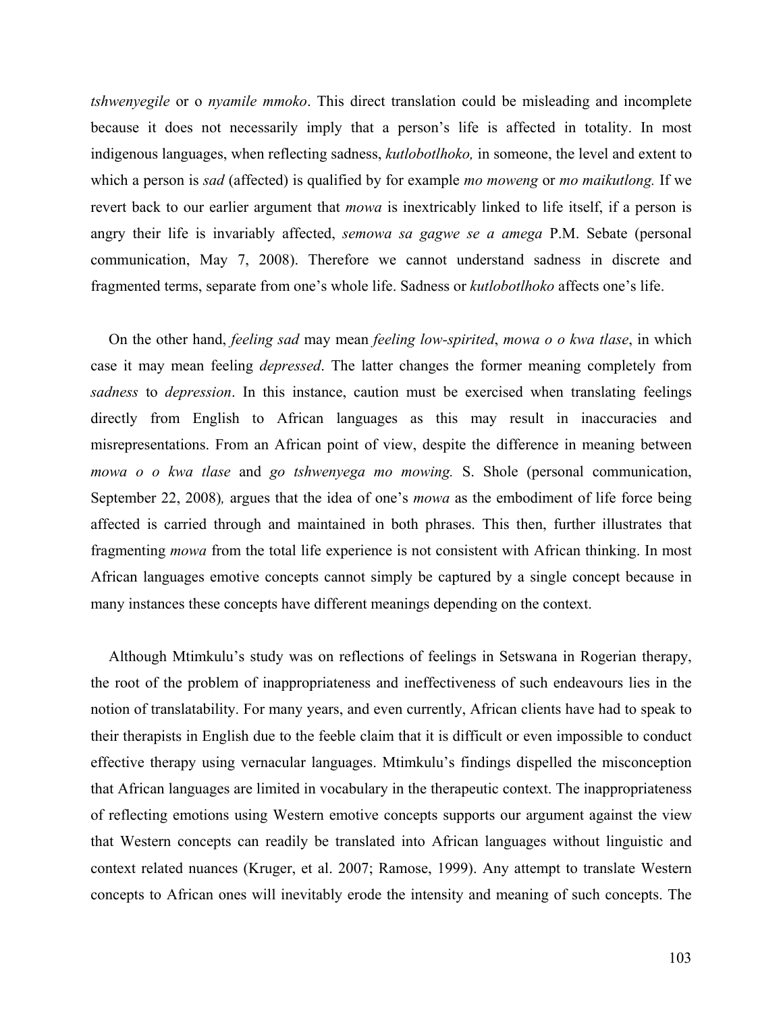*tshwenyegile* or o *nyamile mmoko*. This direct translation could be misleading and incomplete because it does not necessarily imply that a person's life is affected in totality. In most indigenous languages, when reflecting sadness, *kutlobotlhoko,* in someone, the level and extent to which a person is *sad* (affected) is qualified by for example *mo moweng* or *mo maikutlong.* If we revert back to our earlier argument that *mowa* is inextricably linked to life itself, if a person is angry their life is invariably affected, *semowa sa gagwe se a amega* P.M. Sebate (personal communication, May 7, 2008). Therefore we cannot understand sadness in discrete and fragmented terms, separate from one's whole life. Sadness or *kutlobotlhoko* affects one's life.

On the other hand, *feeling sad* may mean *feeling low-spirited*, *mowa o o kwa tlase*, in which case it may mean feeling *depressed*. The latter changes the former meaning completely from *sadness* to *depression*. In this instance, caution must be exercised when translating feelings directly from English to African languages as this may result in inaccuracies and misrepresentations. From an African point of view, despite the difference in meaning between *mowa o o kwa tlase* and *go tshwenyega mo mowing.* S. Shole (personal communication, September 22, 2008)*,* argues that the idea of one's *mowa* as the embodiment of life force being affected is carried through and maintained in both phrases. This then, further illustrates that fragmenting *mowa* from the total life experience is not consistent with African thinking. In most African languages emotive concepts cannot simply be captured by a single concept because in many instances these concepts have different meanings depending on the context.

Although Mtimkulu's study was on reflections of feelings in Setswana in Rogerian therapy, the root of the problem of inappropriateness and ineffectiveness of such endeavours lies in the notion of translatability. For many years, and even currently, African clients have had to speak to their therapists in English due to the feeble claim that it is difficult or even impossible to conduct effective therapy using vernacular languages. Mtimkulu's findings dispelled the misconception that African languages are limited in vocabulary in the therapeutic context. The inappropriateness of reflecting emotions using Western emotive concepts supports our argument against the view that Western concepts can readily be translated into African languages without linguistic and context related nuances (Kruger, et al. 2007; Ramose, 1999). Any attempt to translate Western concepts to African ones will inevitably erode the intensity and meaning of such concepts. The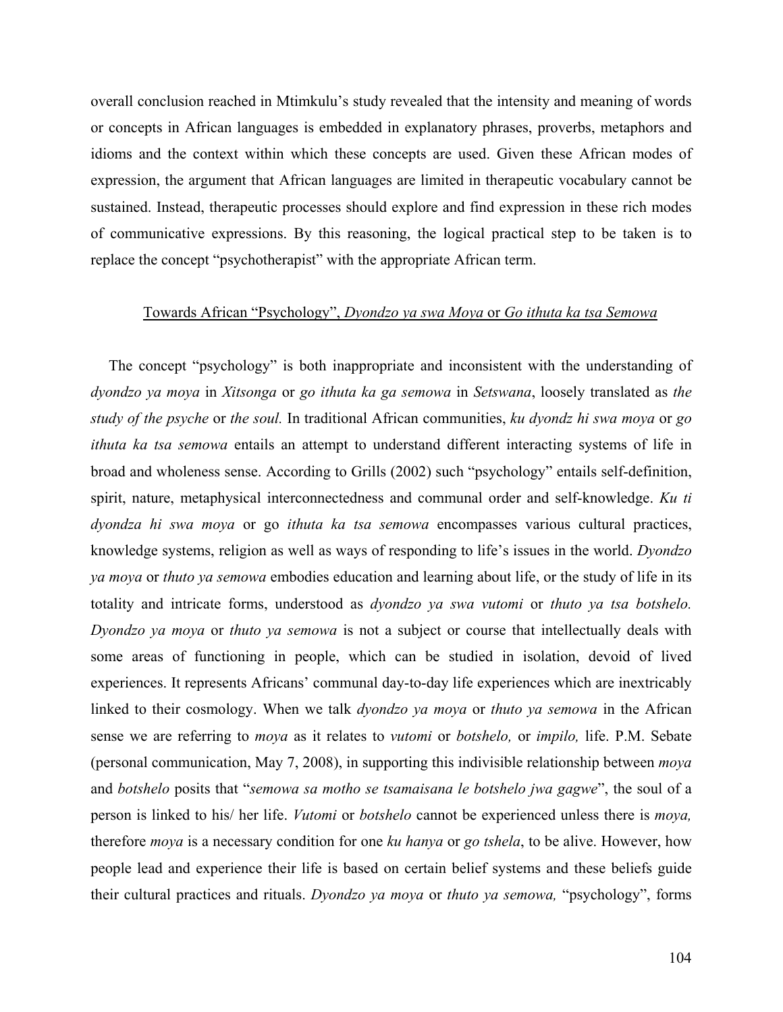overall conclusion reached in Mtimkulu's study revealed that the intensity and meaning of words or concepts in African languages is embedded in explanatory phrases, proverbs, metaphors and idioms and the context within which these concepts are used. Given these African modes of expression, the argument that African languages are limited in therapeutic vocabulary cannot be sustained. Instead, therapeutic processes should explore and find expression in these rich modes of communicative expressions. By this reasoning, the logical practical step to be taken is to replace the concept "psychotherapist" with the appropriate African term.

### Towards African "Psychology", *Dyondzo ya swa Moya* or *Go ithuta ka tsa Semowa*

The concept "psychology" is both inappropriate and inconsistent with the understanding of *dyondzo ya moya* in *Xitsonga* or *go ithuta ka ga semowa* in *Setswana*, loosely translated as *the study of the psyche* or *the soul.* In traditional African communities, *ku dyondz hi swa moya* or *go ithuta ka tsa semowa* entails an attempt to understand different interacting systems of life in broad and wholeness sense. According to Grills (2002) such "psychology" entails self-definition, spirit, nature, metaphysical interconnectedness and communal order and self-knowledge. *Ku ti dyondza hi swa moya* or go *ithuta ka tsa semowa* encompasses various cultural practices, knowledge systems, religion as well as ways of responding to life's issues in the world. *Dyondzo ya moya* or *thuto ya semowa* embodies education and learning about life, or the study of life in its totality and intricate forms, understood as *dyondzo ya swa vutomi* or *thuto ya tsa botshelo. Dyondzo ya moya* or *thuto ya semowa* is not a subject or course that intellectually deals with some areas of functioning in people, which can be studied in isolation, devoid of lived experiences. It represents Africans' communal day-to-day life experiences which are inextricably linked to their cosmology. When we talk *dyondzo ya moya* or *thuto ya semowa* in the African sense we are referring to *moya* as it relates to *vutomi* or *botshelo,* or *impilo,* life. P.M. Sebate (personal communication, May 7, 2008), in supporting this indivisible relationship between *moya* and *botshelo* posits that "*semowa sa motho se tsamaisana le botshelo jwa gagwe*", the soul of a person is linked to his/ her life. *Vutomi* or *botshelo* cannot be experienced unless there is *moya,* therefore *moya* is a necessary condition for one *ku hanya* or *go tshela*, to be alive. However, how people lead and experience their life is based on certain belief systems and these beliefs guide their cultural practices and rituals. *Dyondzo ya moya* or *thuto ya semowa,* "psychology", forms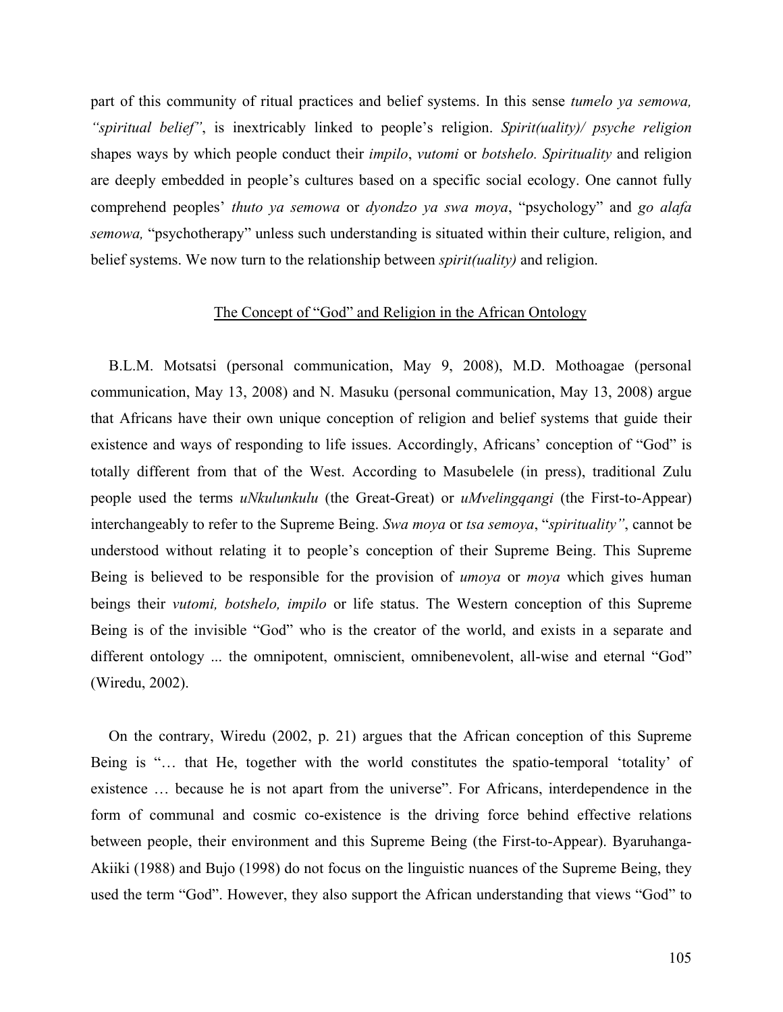part of this community of ritual practices and belief systems. In this sense *tumelo ya semowa, "spiritual belief"*, is inextricably linked to people's religion. *Spirit(uality)/ psyche religion*  shapes ways by which people conduct their *impilo*, *vutomi* or *botshelo. Spirituality* and religion are deeply embedded in people's cultures based on a specific social ecology. One cannot fully comprehend peoples' *thuto ya semowa* or *dyondzo ya swa moya*, "psychology" and *go alafa semowa,* "psychotherapy" unless such understanding is situated within their culture, religion, and belief systems. We now turn to the relationship between *spirit(uality)* and religion.

### The Concept of "God" and Religion in the African Ontology

B.L.M. Motsatsi (personal communication, May 9, 2008), M.D. Mothoagae (personal communication, May 13, 2008) and N. Masuku (personal communication, May 13, 2008) argue that Africans have their own unique conception of religion and belief systems that guide their existence and ways of responding to life issues. Accordingly, Africans' conception of "God" is totally different from that of the West. According to Masubelele (in press), traditional Zulu people used the terms *uNkulunkulu* (the Great-Great) or *uMvelingqangi* (the First-to-Appear) interchangeably to refer to the Supreme Being. *Swa moya* or *tsa semoya*, "*spirituality"*, cannot be understood without relating it to people's conception of their Supreme Being. This Supreme Being is believed to be responsible for the provision of *umoya* or *moya* which gives human beings their *vutomi, botshelo, impilo* or life status. The Western conception of this Supreme Being is of the invisible "God" who is the creator of the world, and exists in a separate and different ontology ... the omnipotent, omniscient, omnibenevolent, all-wise and eternal "God" (Wiredu, 2002).

On the contrary, Wiredu (2002, p. 21) argues that the African conception of this Supreme Being is "… that He, together with the world constitutes the spatio-temporal 'totality' of existence … because he is not apart from the universe". For Africans, interdependence in the form of communal and cosmic co-existence is the driving force behind effective relations between people, their environment and this Supreme Being (the First-to-Appear). Byaruhanga-Akiiki (1988) and Bujo (1998) do not focus on the linguistic nuances of the Supreme Being, they used the term "God". However, they also support the African understanding that views "God" to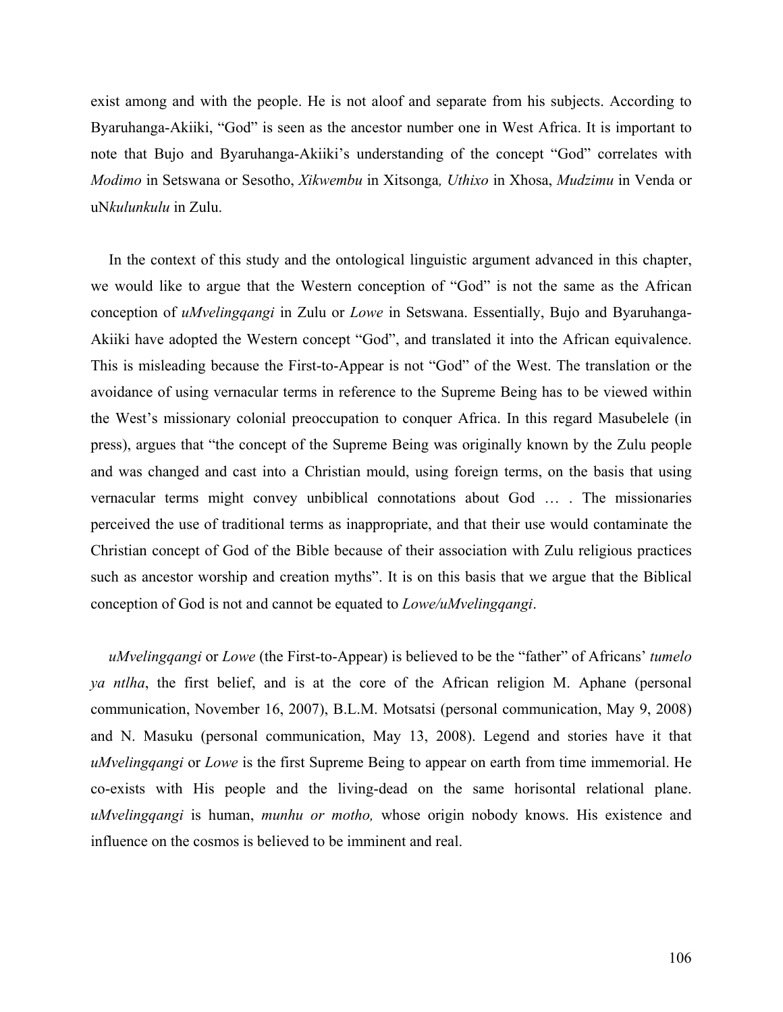exist among and with the people. He is not aloof and separate from his subjects. According to Byaruhanga-Akiiki, "God" is seen as the ancestor number one in West Africa. It is important to note that Bujo and Byaruhanga-Akiiki's understanding of the concept "God" correlates with *Modimo* in Setswana or Sesotho, *Xikwembu* in Xitsonga*, Uthixo* in Xhosa, *Mudzimu* in Venda or uN*kulunkulu* in Zulu.

In the context of this study and the ontological linguistic argument advanced in this chapter, we would like to argue that the Western conception of "God" is not the same as the African conception of *uMvelingqangi* in Zulu or *Lowe* in Setswana. Essentially, Bujo and Byaruhanga-Akiiki have adopted the Western concept "God", and translated it into the African equivalence. This is misleading because the First-to-Appear is not "God" of the West. The translation or the avoidance of using vernacular terms in reference to the Supreme Being has to be viewed within the West's missionary colonial preoccupation to conquer Africa. In this regard Masubelele (in press), argues that "the concept of the Supreme Being was originally known by the Zulu people and was changed and cast into a Christian mould, using foreign terms, on the basis that using vernacular terms might convey unbiblical connotations about God … . The missionaries perceived the use of traditional terms as inappropriate, and that their use would contaminate the Christian concept of God of the Bible because of their association with Zulu religious practices such as ancestor worship and creation myths". It is on this basis that we argue that the Biblical conception of God is not and cannot be equated to *Lowe/uMvelingqangi*.

*uMvelingqangi* or *Lowe* (the First-to-Appear) is believed to be the "father" of Africans' *tumelo ya ntlha*, the first belief, and is at the core of the African religion M. Aphane (personal communication, November 16, 2007), B.L.M. Motsatsi (personal communication, May 9, 2008) and N. Masuku (personal communication, May 13, 2008). Legend and stories have it that *uMvelingqangi* or *Lowe* is the first Supreme Being to appear on earth from time immemorial. He co-exists with His people and the living-dead on the same horisontal relational plane. *uMvelingqangi* is human, *munhu or motho,* whose origin nobody knows. His existence and influence on the cosmos is believed to be imminent and real.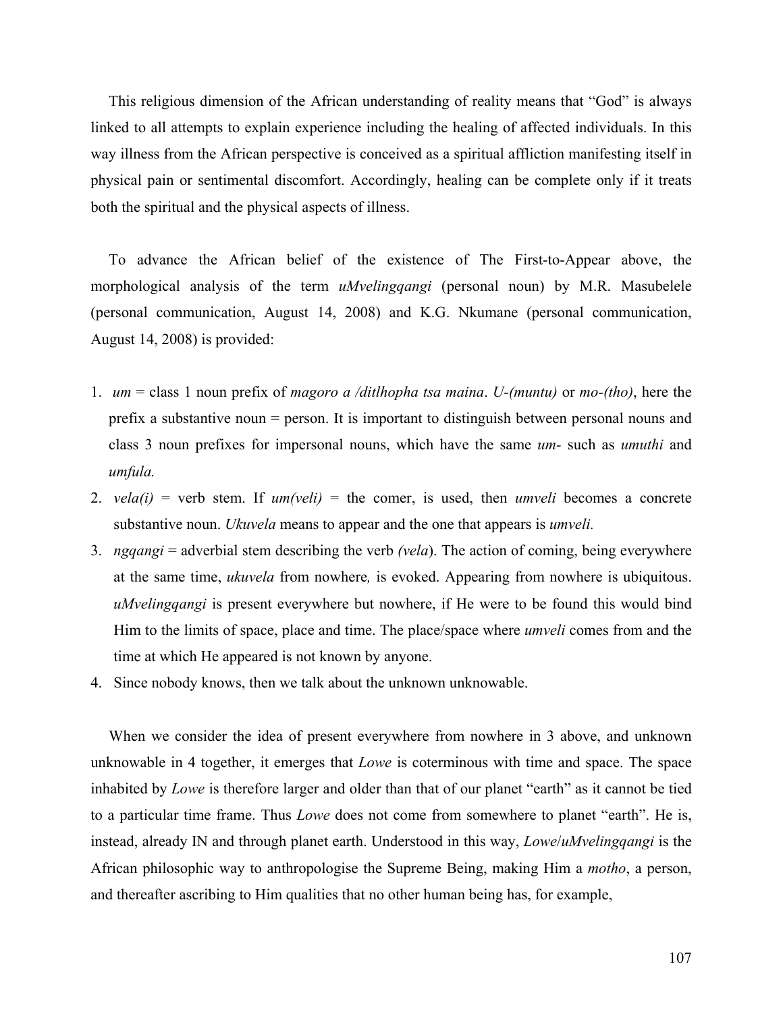This religious dimension of the African understanding of reality means that "God" is always linked to all attempts to explain experience including the healing of affected individuals. In this way illness from the African perspective is conceived as a spiritual affliction manifesting itself in physical pain or sentimental discomfort. Accordingly, healing can be complete only if it treats both the spiritual and the physical aspects of illness.

To advance the African belief of the existence of The First-to-Appear above, the morphological analysis of the term *uMvelingqangi* (personal noun) by M.R. Masubelele (personal communication, August 14, 2008) and K.G. Nkumane (personal communication, August 14, 2008) is provided:

- 1. *um* = class 1 noun prefix of *magoro a /ditlhopha tsa maina*. *U-(muntu)* or *mo-(tho)*, here the prefix a substantive noun = person. It is important to distinguish between personal nouns and class 3 noun prefixes for impersonal nouns, which have the same *um-* such as *umuthi* and *umfula.*
- 2.  $vela(i)$  = verb stem. If  $um(veli)$  = the comer, is used, then *umveli* becomes a concrete substantive noun. *Ukuvela* means to appear and the one that appears is *umveli.*
- 3. *ngqangi* = adverbial stem describing the verb *(vela*). The action of coming, being everywhere at the same time, *ukuvela* from nowhere*,* is evoked. Appearing from nowhere is ubiquitous. *uMvelingqangi* is present everywhere but nowhere, if He were to be found this would bind Him to the limits of space, place and time. The place/space where *umveli* comes from and the time at which He appeared is not known by anyone.
- 4. Since nobody knows, then we talk about the unknown unknowable.

When we consider the idea of present everywhere from nowhere in 3 above, and unknown unknowable in 4 together, it emerges that *Lowe* is coterminous with time and space. The space inhabited by *Lowe* is therefore larger and older than that of our planet "earth" as it cannot be tied to a particular time frame. Thus *Lowe* does not come from somewhere to planet "earth". He is, instead, already IN and through planet earth. Understood in this way, *Lowe*/*uMvelingqangi* is the African philosophic way to anthropologise the Supreme Being, making Him a *motho*, a person, and thereafter ascribing to Him qualities that no other human being has, for example,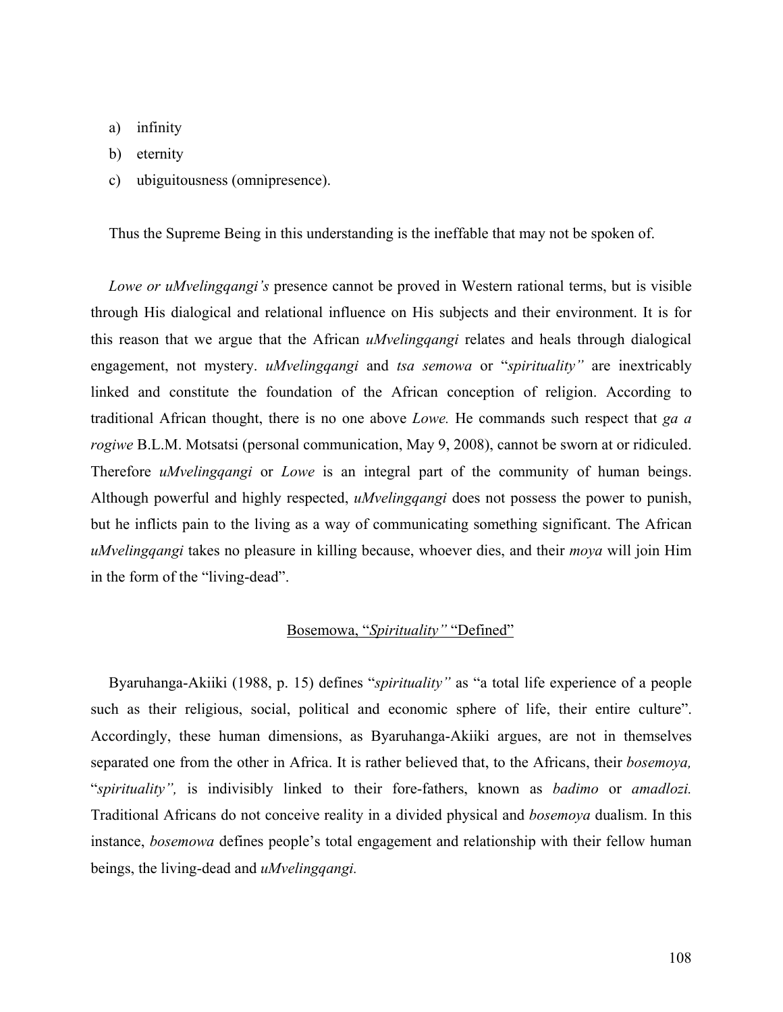- a) infinity
- b) eternity
- c) ubiguitousness (omnipresence).

Thus the Supreme Being in this understanding is the ineffable that may not be spoken of.

*Lowe or uMvelingqangi's* presence cannot be proved in Western rational terms, but is visible through His dialogical and relational influence on His subjects and their environment. It is for this reason that we argue that the African *uMvelingqangi* relates and heals through dialogical engagement, not mystery. *uMvelingqangi* and *tsa semowa* or "*spirituality"* are inextricably linked and constitute the foundation of the African conception of religion. According to traditional African thought, there is no one above *Lowe.* He commands such respect that *ga a rogiwe* B.L.M. Motsatsi (personal communication, May 9, 2008), cannot be sworn at or ridiculed. Therefore *uMvelingqangi* or *Lowe* is an integral part of the community of human beings. Although powerful and highly respected, *uMvelingqangi* does not possess the power to punish, but he inflicts pain to the living as a way of communicating something significant. The African *uMvelingqangi* takes no pleasure in killing because, whoever dies, and their *moya* will join Him in the form of the "living-dead".

## Bosemowa, "*Spirituality"* "Defined"

Byaruhanga-Akiiki (1988, p. 15) defines "*spirituality"* as "a total life experience of a people such as their religious, social, political and economic sphere of life, their entire culture". Accordingly, these human dimensions, as Byaruhanga-Akiiki argues, are not in themselves separated one from the other in Africa. It is rather believed that, to the Africans, their *bosemoya,* "*spirituality",* is indivisibly linked to their fore-fathers, known as *badimo* or *amadlozi.* Traditional Africans do not conceive reality in a divided physical and *bosemoya* dualism. In this instance, *bosemowa* defines people's total engagement and relationship with their fellow human beings, the living-dead and *uMvelingqangi.*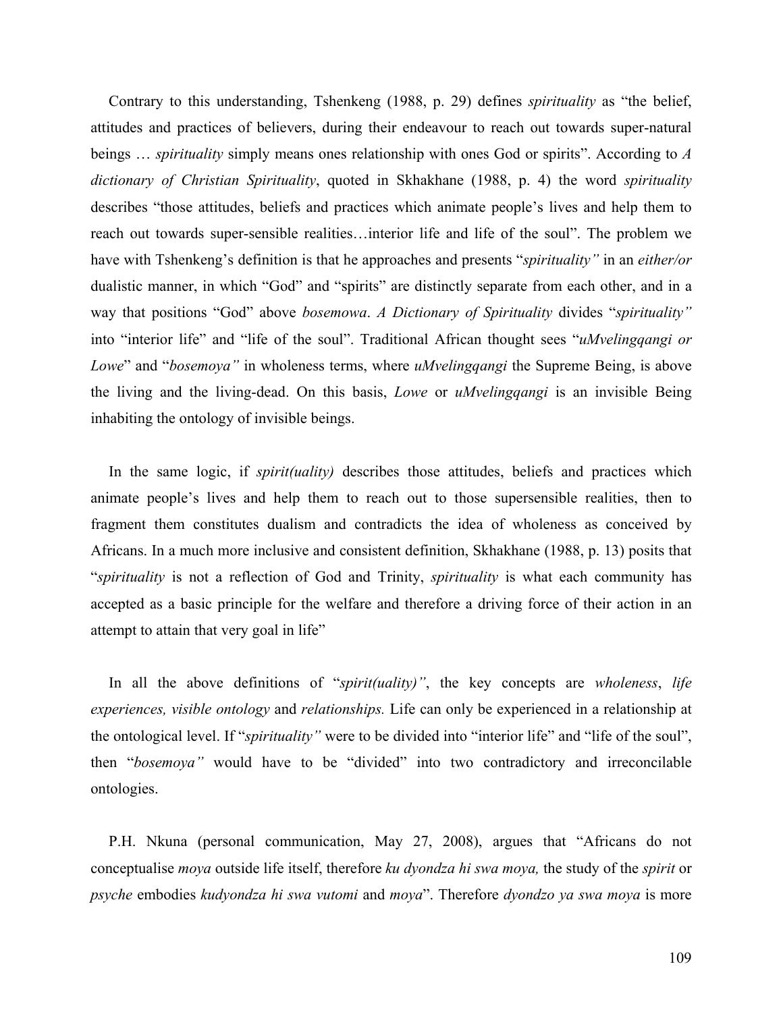Contrary to this understanding, Tshenkeng (1988, p. 29) defines *spirituality* as "the belief, attitudes and practices of believers, during their endeavour to reach out towards super-natural beings … *spirituality* simply means ones relationship with ones God or spirits". According to *A dictionary of Christian Spirituality*, quoted in Skhakhane (1988, p. 4) the word *spirituality* describes "those attitudes, beliefs and practices which animate people's lives and help them to reach out towards super-sensible realities…interior life and life of the soul". The problem we have with Tshenkeng's definition is that he approaches and presents "*spirituality"* in an *either/or* dualistic manner, in which "God" and "spirits" are distinctly separate from each other, and in a way that positions "God" above *bosemowa*. *A Dictionary of Spirituality* divides "*spirituality"* into "interior life" and "life of the soul". Traditional African thought sees "*uMvelingqangi or Lowe*" and "*bosemoya"* in wholeness terms, where *uMvelingqangi* the Supreme Being, is above the living and the living-dead. On this basis, *Lowe* or *uMvelingqangi* is an invisible Being inhabiting the ontology of invisible beings.

In the same logic, if *spirit(uality)* describes those attitudes, beliefs and practices which animate people's lives and help them to reach out to those supersensible realities, then to fragment them constitutes dualism and contradicts the idea of wholeness as conceived by Africans. In a much more inclusive and consistent definition, Skhakhane (1988, p. 13) posits that "*spirituality* is not a reflection of God and Trinity, *spirituality* is what each community has accepted as a basic principle for the welfare and therefore a driving force of their action in an attempt to attain that very goal in life"

In all the above definitions of "*spirit(uality)"*, the key concepts are *wholeness*, *life experiences, visible ontology* and *relationships.* Life can only be experienced in a relationship at the ontological level. If "*spirituality"* were to be divided into "interior life" and "life of the soul", then "*bosemoya"* would have to be "divided" into two contradictory and irreconcilable ontologies.

P.H. Nkuna (personal communication, May 27, 2008), argues that "Africans do not conceptualise *moya* outside life itself, therefore *ku dyondza hi swa moya,* the study of the *spirit* or *psyche* embodies *kudyondza hi swa vutomi* and *moya*". Therefore *dyondzo ya swa moya* is more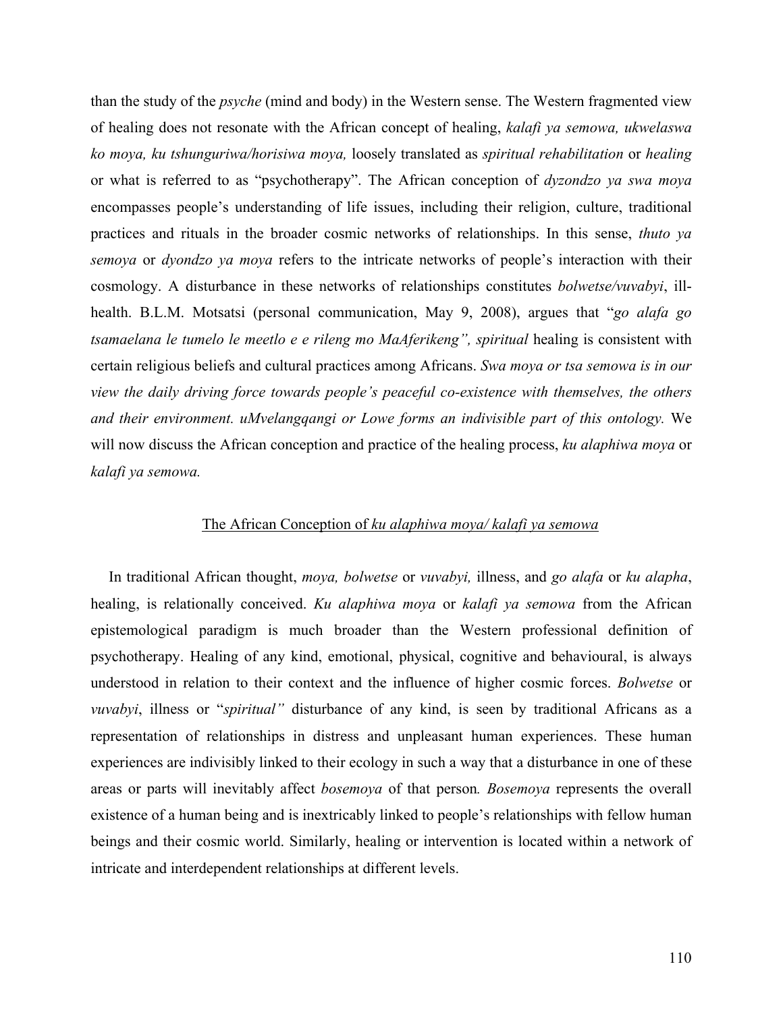than the study of the *psyche* (mind and body) in the Western sense. The Western fragmented view of healing does not resonate with the African concept of healing, *kalafi ya semowa, ukwelaswa ko moya, ku tshunguriwa/horisiwa moya,* loosely translated as *spiritual rehabilitation* or *healing* or what is referred to as "psychotherapy". The African conception of *dyzondzo ya swa moya*  encompasses people's understanding of life issues, including their religion, culture, traditional practices and rituals in the broader cosmic networks of relationships. In this sense, *thuto ya semoya* or *dyondzo ya moya* refers to the intricate networks of people's interaction with their cosmology. A disturbance in these networks of relationships constitutes *bolwetse/vuvabyi*, illhealth. B.L.M. Motsatsi (personal communication, May 9, 2008), argues that "*go alafa go tsamaelana le tumelo le meetlo e e rileng mo MaAferikeng", spiritual* healing is consistent with certain religious beliefs and cultural practices among Africans. *Swa moya or tsa semowa is in our view the daily driving force towards people's peaceful co-existence with themselves, the others and their environment. uMvelangqangi or Lowe forms an indivisible part of this ontology.* We will now discuss the African conception and practice of the healing process, *ku alaphiwa moya* or *kalafi ya semowa.* 

## The African Conception of *ku alaphiwa moya/ kalafi ya semowa*

In traditional African thought, *moya, bolwetse* or *vuvabyi,* illness, and *go alafa* or *ku alapha*, healing, is relationally conceived. *Ku alaphiwa moya* or *kalafi ya semowa* from the African epistemological paradigm is much broader than the Western professional definition of psychotherapy. Healing of any kind, emotional, physical, cognitive and behavioural, is always understood in relation to their context and the influence of higher cosmic forces. *Bolwetse* or *vuvabyi*, illness or "*spiritual"* disturbance of any kind, is seen by traditional Africans as a representation of relationships in distress and unpleasant human experiences. These human experiences are indivisibly linked to their ecology in such a way that a disturbance in one of these areas or parts will inevitably affect *bosemoya* of that person*. Bosemoya* represents the overall existence of a human being and is inextricably linked to people's relationships with fellow human beings and their cosmic world. Similarly, healing or intervention is located within a network of intricate and interdependent relationships at different levels.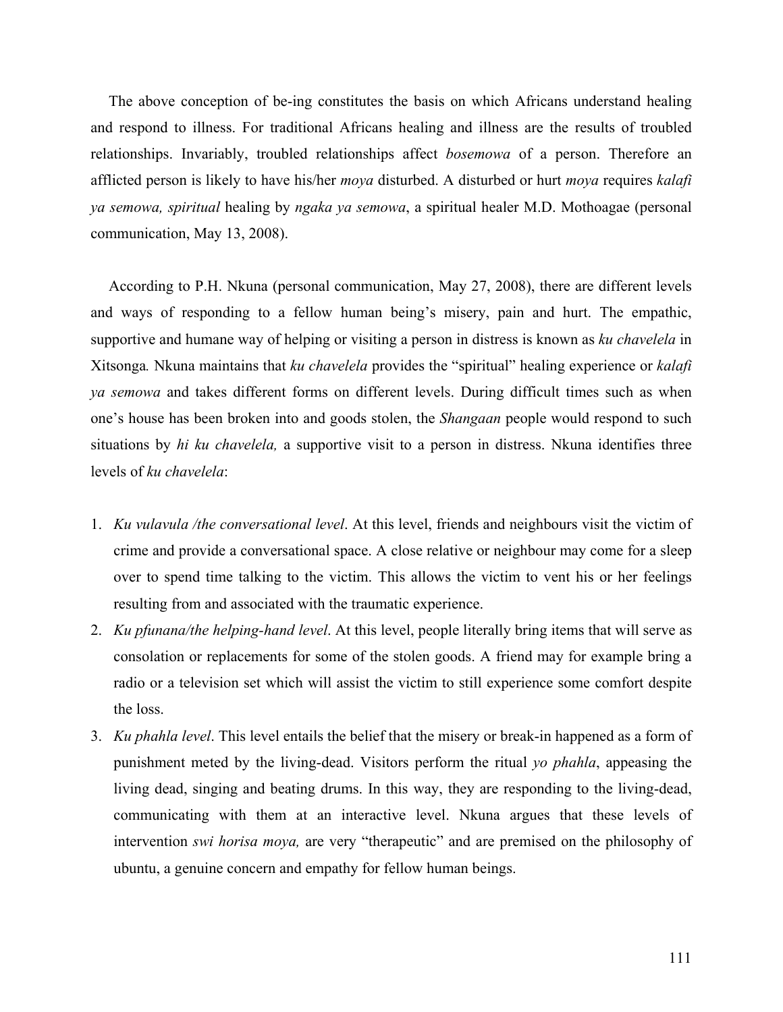The above conception of be-ing constitutes the basis on which Africans understand healing and respond to illness. For traditional Africans healing and illness are the results of troubled relationships. Invariably, troubled relationships affect *bosemowa* of a person. Therefore an afflicted person is likely to have his/her *moya* disturbed. A disturbed or hurt *moya* requires *kalafi ya semowa, spiritual* healing by *ngaka ya semowa*, a spiritual healer M.D. Mothoagae (personal communication, May 13, 2008).

According to P.H. Nkuna (personal communication, May 27, 2008), there are different levels and ways of responding to a fellow human being's misery, pain and hurt. The empathic, supportive and humane way of helping or visiting a person in distress is known as *ku chavelela* in Xitsonga*.* Nkuna maintains that *ku chavelela* provides the "spiritual" healing experience or *kalafi ya semowa* and takes different forms on different levels. During difficult times such as when one's house has been broken into and goods stolen, the *Shangaan* people would respond to such situations by *hi ku chavelela,* a supportive visit to a person in distress. Nkuna identifies three levels of *ku chavelela*:

- 1. *Ku vulavula /the conversational level*. At this level, friends and neighbours visit the victim of crime and provide a conversational space. A close relative or neighbour may come for a sleep over to spend time talking to the victim. This allows the victim to vent his or her feelings resulting from and associated with the traumatic experience.
- 2. *Ku pfunana/the helping-hand level*. At this level, people literally bring items that will serve as consolation or replacements for some of the stolen goods. A friend may for example bring a radio or a television set which will assist the victim to still experience some comfort despite the loss.
- 3. *Ku phahla level*. This level entails the belief that the misery or break-in happened as a form of punishment meted by the living-dead. Visitors perform the ritual *yo phahla*, appeasing the living dead, singing and beating drums. In this way, they are responding to the living-dead, communicating with them at an interactive level. Nkuna argues that these levels of intervention *swi horisa moya,* are very "therapeutic" and are premised on the philosophy of ubuntu, a genuine concern and empathy for fellow human beings.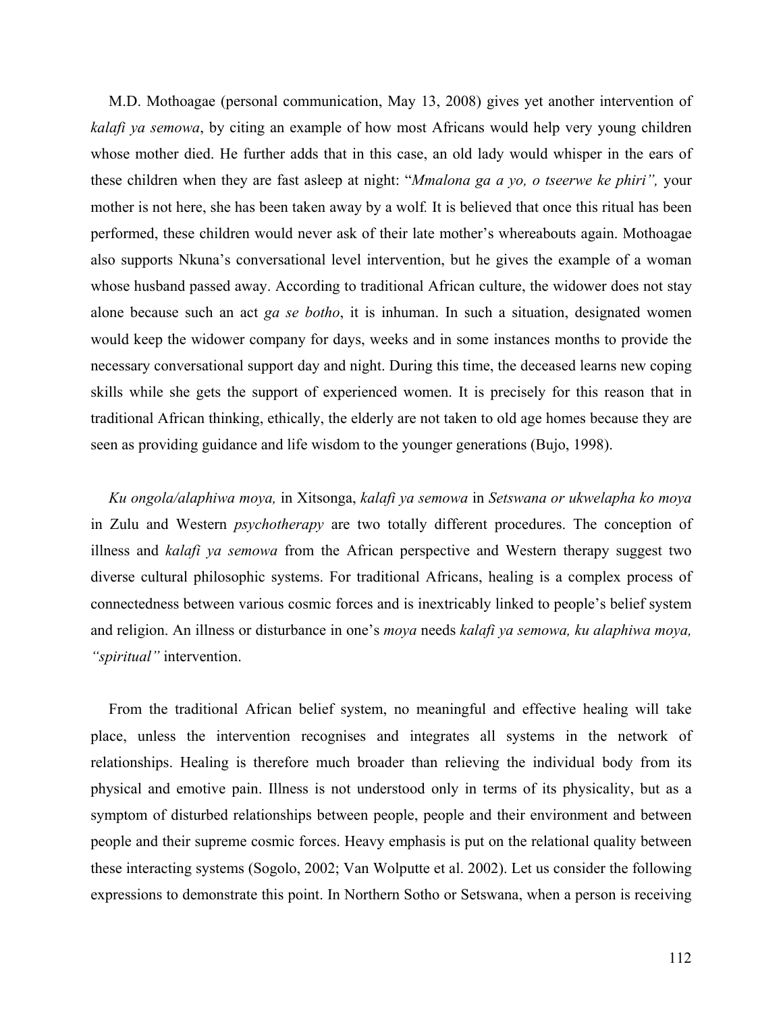M.D. Mothoagae (personal communication, May 13, 2008) gives yet another intervention of *kalafi ya semowa*, by citing an example of how most Africans would help very young children whose mother died. He further adds that in this case, an old lady would whisper in the ears of these children when they are fast asleep at night: "*Mmalona ga a yo, o tseerwe ke phiri",* your mother is not here, she has been taken away by a wolf*.* It is believed that once this ritual has been performed, these children would never ask of their late mother's whereabouts again. Mothoagae also supports Nkuna's conversational level intervention, but he gives the example of a woman whose husband passed away. According to traditional African culture, the widower does not stay alone because such an act *ga se botho*, it is inhuman. In such a situation, designated women would keep the widower company for days, weeks and in some instances months to provide the necessary conversational support day and night. During this time, the deceased learns new coping skills while she gets the support of experienced women. It is precisely for this reason that in traditional African thinking, ethically, the elderly are not taken to old age homes because they are seen as providing guidance and life wisdom to the younger generations (Bujo, 1998).

*Ku ongola/alaphiwa moya,* in Xitsonga, *kalafi ya semowa* in *Setswana or ukwelapha ko moya*  in Zulu and Western *psychotherapy* are two totally different procedures. The conception of illness and *kalafi ya semowa* from the African perspective and Western therapy suggest two diverse cultural philosophic systems. For traditional Africans, healing is a complex process of connectedness between various cosmic forces and is inextricably linked to people's belief system and religion. An illness or disturbance in one's *moya* needs *kalafi ya semowa, ku alaphiwa moya, "spiritual"* intervention.

From the traditional African belief system, no meaningful and effective healing will take place, unless the intervention recognises and integrates all systems in the network of relationships. Healing is therefore much broader than relieving the individual body from its physical and emotive pain. Illness is not understood only in terms of its physicality, but as a symptom of disturbed relationships between people, people and their environment and between people and their supreme cosmic forces. Heavy emphasis is put on the relational quality between these interacting systems (Sogolo, 2002; Van Wolputte et al. 2002). Let us consider the following expressions to demonstrate this point. In Northern Sotho or Setswana, when a person is receiving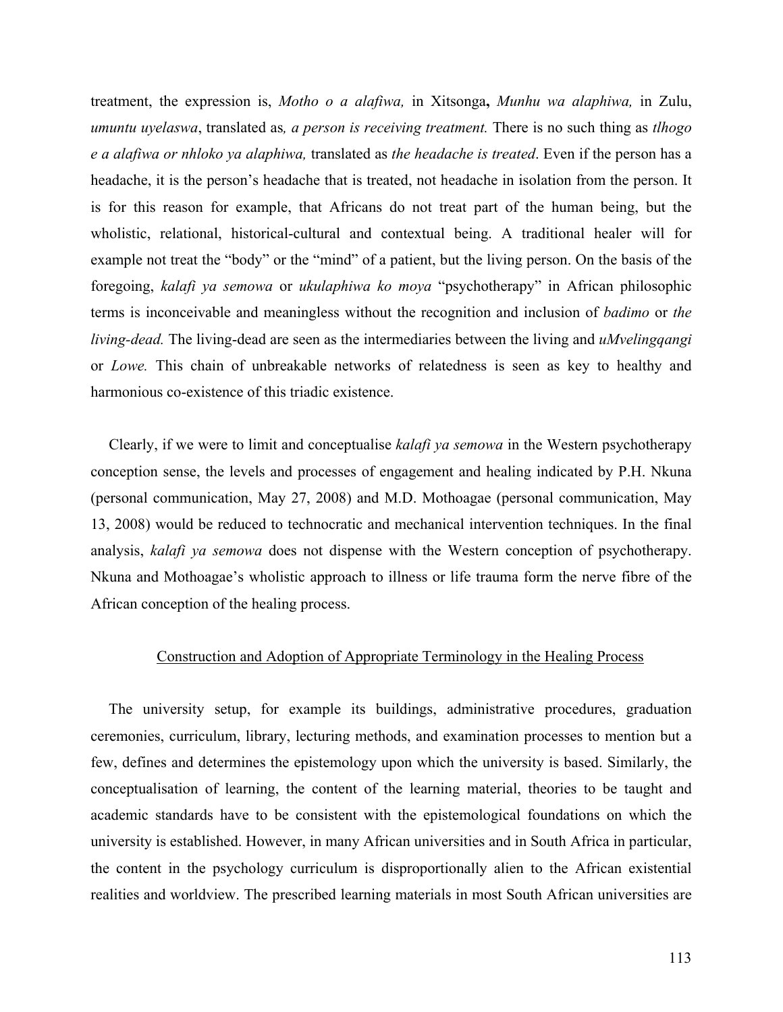treatment, the expression is, *Motho o a alafiwa,* in Xitsonga**,** *Munhu wa alaphiwa,* in Zulu, *umuntu uyelaswa*, translated as*, a person is receiving treatment.* There is no such thing as *tlhogo e a alafiwa or nhloko ya alaphiwa,* translated as *the headache is treated*. Even if the person has a headache, it is the person's headache that is treated, not headache in isolation from the person. It is for this reason for example, that Africans do not treat part of the human being, but the wholistic, relational, historical-cultural and contextual being. A traditional healer will for example not treat the "body" or the "mind" of a patient, but the living person. On the basis of the foregoing, *kalafi ya semowa* or *ukulaphiwa ko moya* "psychotherapy" in African philosophic terms is inconceivable and meaningless without the recognition and inclusion of *badimo* or *the living-dead.* The living-dead are seen as the intermediaries between the living and *uMvelingqangi* or *Lowe.* This chain of unbreakable networks of relatedness is seen as key to healthy and harmonious co-existence of this triadic existence.

Clearly, if we were to limit and conceptualise *kalafi ya semowa* in the Western psychotherapy conception sense, the levels and processes of engagement and healing indicated by P.H. Nkuna (personal communication, May 27, 2008) and M.D. Mothoagae (personal communication, May 13, 2008) would be reduced to technocratic and mechanical intervention techniques. In the final analysis, *kalafi ya semowa* does not dispense with the Western conception of psychotherapy. Nkuna and Mothoagae's wholistic approach to illness or life trauma form the nerve fibre of the African conception of the healing process.

## Construction and Adoption of Appropriate Terminology in the Healing Process

The university setup, for example its buildings, administrative procedures, graduation ceremonies, curriculum, library, lecturing methods, and examination processes to mention but a few, defines and determines the epistemology upon which the university is based. Similarly, the conceptualisation of learning, the content of the learning material, theories to be taught and academic standards have to be consistent with the epistemological foundations on which the university is established. However, in many African universities and in South Africa in particular, the content in the psychology curriculum is disproportionally alien to the African existential realities and worldview. The prescribed learning materials in most South African universities are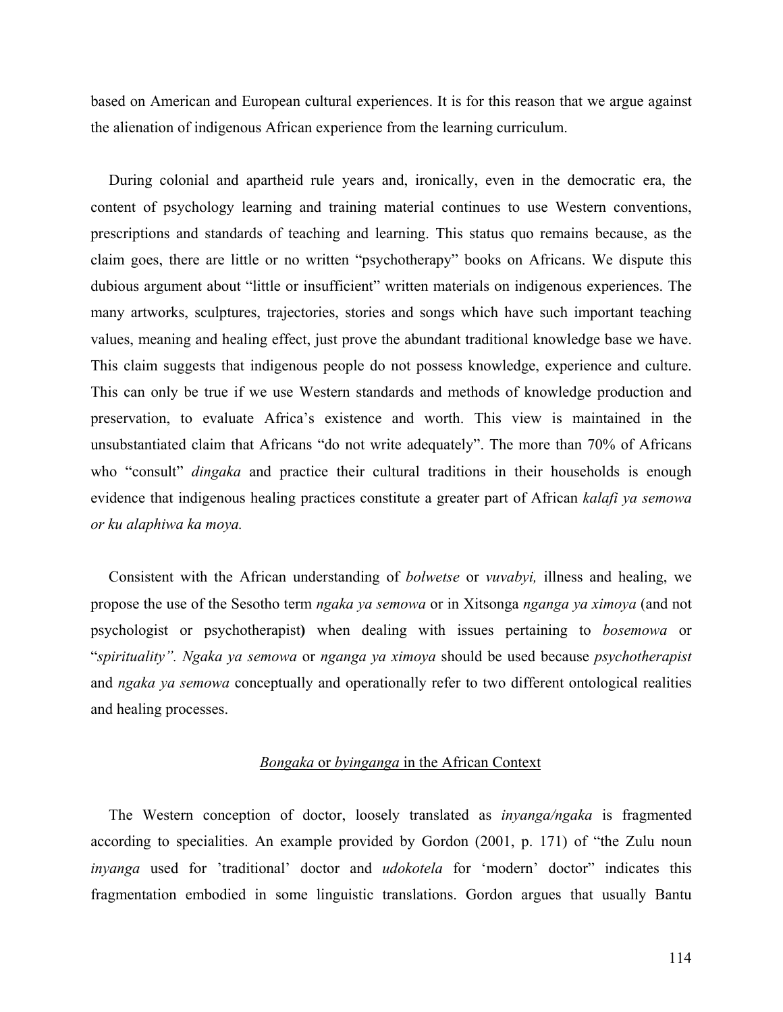based on American and European cultural experiences. It is for this reason that we argue against the alienation of indigenous African experience from the learning curriculum.

During colonial and apartheid rule years and, ironically, even in the democratic era, the content of psychology learning and training material continues to use Western conventions, prescriptions and standards of teaching and learning. This status quo remains because, as the claim goes, there are little or no written "psychotherapy" books on Africans. We dispute this dubious argument about "little or insufficient" written materials on indigenous experiences. The many artworks, sculptures, trajectories, stories and songs which have such important teaching values, meaning and healing effect, just prove the abundant traditional knowledge base we have. This claim suggests that indigenous people do not possess knowledge, experience and culture. This can only be true if we use Western standards and methods of knowledge production and preservation, to evaluate Africa's existence and worth. This view is maintained in the unsubstantiated claim that Africans "do not write adequately". The more than 70% of Africans who "consult" *dingaka* and practice their cultural traditions in their households is enough evidence that indigenous healing practices constitute a greater part of African *kalafi ya semowa or ku alaphiwa ka moya.* 

Consistent with the African understanding of *bolwetse* or *vuvabyi,* illness and healing, we propose the use of the Sesotho term *ngaka ya semowa* or in Xitsonga *nganga ya ximoya* (and not psychologist or psychotherapist**)** when dealing with issues pertaining to *bosemowa* or "*spirituality". Ngaka ya semowa* or *nganga ya ximoya* should be used because *psychotherapist* and *ngaka ya semowa* conceptually and operationally refer to two different ontological realities and healing processes.

### *Bongaka* or *byinganga* in the African Context

The Western conception of doctor, loosely translated as *inyanga/ngaka* is fragmented according to specialities. An example provided by Gordon (2001, p. 171) of "the Zulu noun *inyanga* used for 'traditional' doctor and *udokotela* for 'modern' doctor" indicates this fragmentation embodied in some linguistic translations. Gordon argues that usually Bantu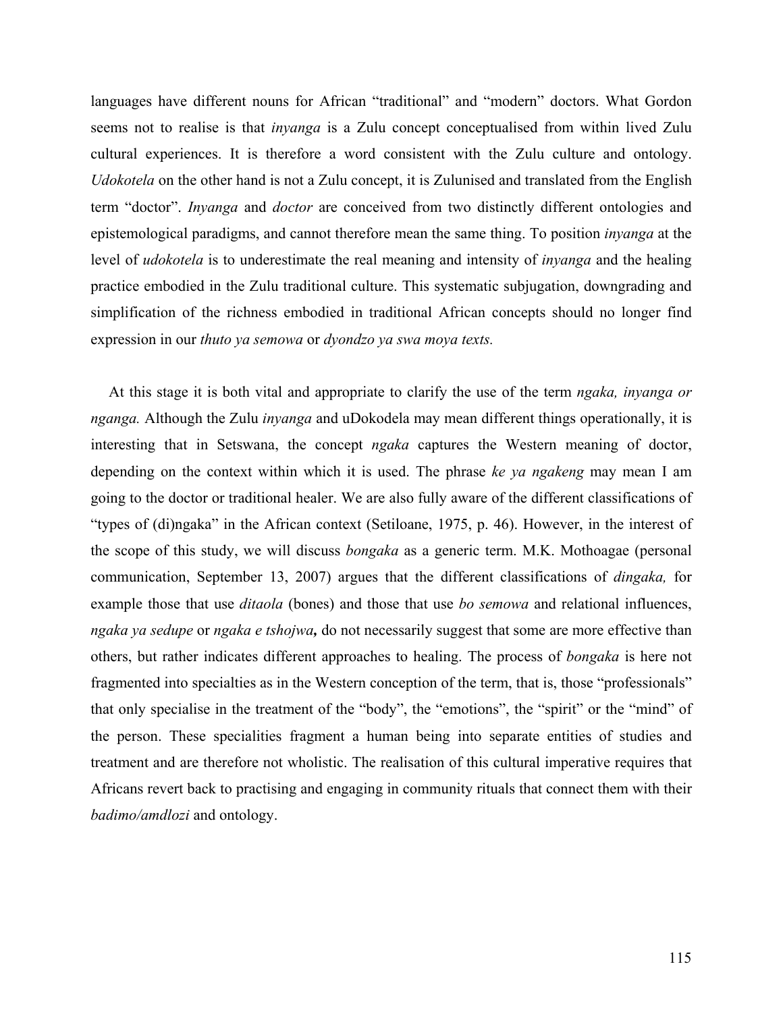languages have different nouns for African "traditional" and "modern" doctors. What Gordon seems not to realise is that *inyanga* is a Zulu concept conceptualised from within lived Zulu cultural experiences. It is therefore a word consistent with the Zulu culture and ontology. *Udokotela* on the other hand is not a Zulu concept, it is Zulunised and translated from the English term "doctor". *Inyanga* and *doctor* are conceived from two distinctly different ontologies and epistemological paradigms, and cannot therefore mean the same thing. To position *inyanga* at the level of *udokotela* is to underestimate the real meaning and intensity of *inyanga* and the healing practice embodied in the Zulu traditional culture. This systematic subjugation, downgrading and simplification of the richness embodied in traditional African concepts should no longer find expression in our *thuto ya semowa* or *dyondzo ya swa moya texts.* 

At this stage it is both vital and appropriate to clarify the use of the term *ngaka, inyanga or nganga.* Although the Zulu *inyanga* and uDokodela may mean different things operationally, it is interesting that in Setswana, the concept *ngaka* captures the Western meaning of doctor, depending on the context within which it is used. The phrase *ke ya ngakeng* may mean I am going to the doctor or traditional healer. We are also fully aware of the different classifications of "types of (di)ngaka" in the African context (Setiloane, 1975, p. 46). However, in the interest of the scope of this study, we will discuss *bongaka* as a generic term. M.K. Mothoagae (personal communication, September 13, 2007) argues that the different classifications of *dingaka,* for example those that use *ditaola* (bones) and those that use *bo semowa* and relational influences, *ngaka ya sedupe* or *ngaka e tshojwa,* do not necessarily suggest that some are more effective than others, but rather indicates different approaches to healing. The process of *bongaka* is here not fragmented into specialties as in the Western conception of the term, that is, those "professionals" that only specialise in the treatment of the "body", the "emotions", the "spirit" or the "mind" of the person. These specialities fragment a human being into separate entities of studies and treatment and are therefore not wholistic. The realisation of this cultural imperative requires that Africans revert back to practising and engaging in community rituals that connect them with their *badimo/amdlozi* and ontology.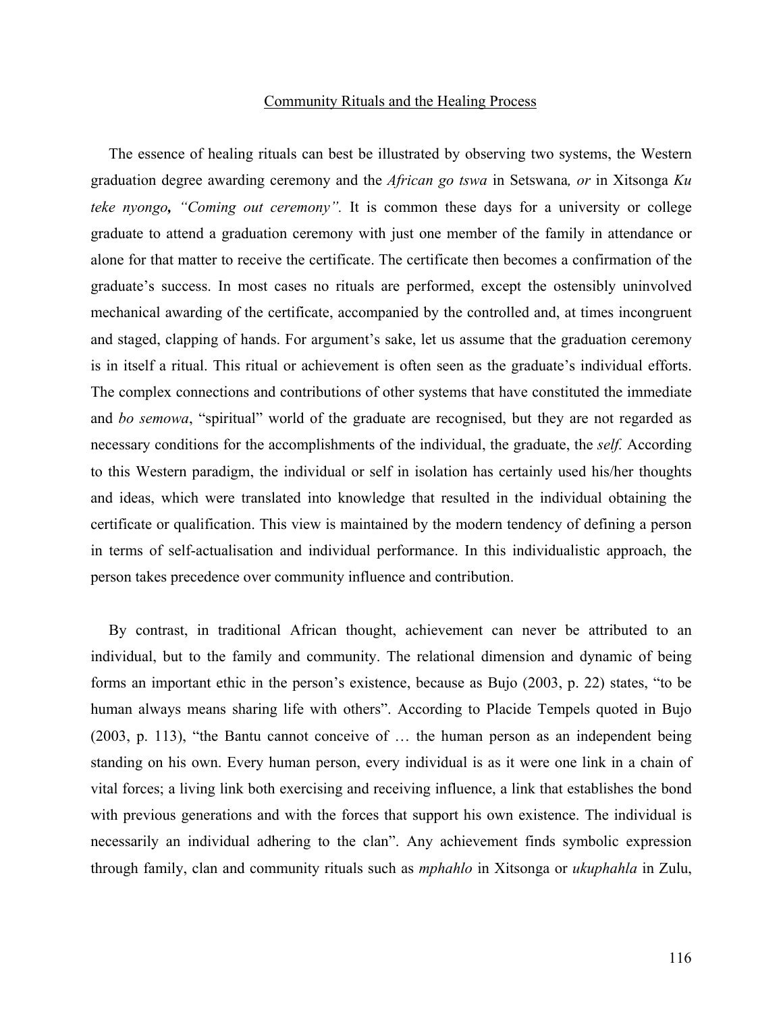### Community Rituals and the Healing Process

The essence of healing rituals can best be illustrated by observing two systems, the Western graduation degree awarding ceremony and the *African go tswa* in Setswana*, or* in Xitsonga *Ku teke nyongo, "Coming out ceremony".* It is common these days for a university or college graduate to attend a graduation ceremony with just one member of the family in attendance or alone for that matter to receive the certificate. The certificate then becomes a confirmation of the graduate's success. In most cases no rituals are performed, except the ostensibly uninvolved mechanical awarding of the certificate, accompanied by the controlled and, at times incongruent and staged, clapping of hands. For argument's sake, let us assume that the graduation ceremony is in itself a ritual. This ritual or achievement is often seen as the graduate's individual efforts. The complex connections and contributions of other systems that have constituted the immediate and *bo semowa*, "spiritual" world of the graduate are recognised, but they are not regarded as necessary conditions for the accomplishments of the individual, the graduate, the *self.* According to this Western paradigm, the individual or self in isolation has certainly used his/her thoughts and ideas, which were translated into knowledge that resulted in the individual obtaining the certificate or qualification. This view is maintained by the modern tendency of defining a person in terms of self-actualisation and individual performance. In this individualistic approach, the person takes precedence over community influence and contribution.

By contrast, in traditional African thought, achievement can never be attributed to an individual, but to the family and community. The relational dimension and dynamic of being forms an important ethic in the person's existence, because as Bujo (2003, p. 22) states, "to be human always means sharing life with others". According to Placide Tempels quoted in Bujo (2003, p. 113), "the Bantu cannot conceive of … the human person as an independent being standing on his own. Every human person, every individual is as it were one link in a chain of vital forces; a living link both exercising and receiving influence, a link that establishes the bond with previous generations and with the forces that support his own existence. The individual is necessarily an individual adhering to the clan". Any achievement finds symbolic expression through family, clan and community rituals such as *mphahlo* in Xitsonga or *ukuphahla* in Zulu,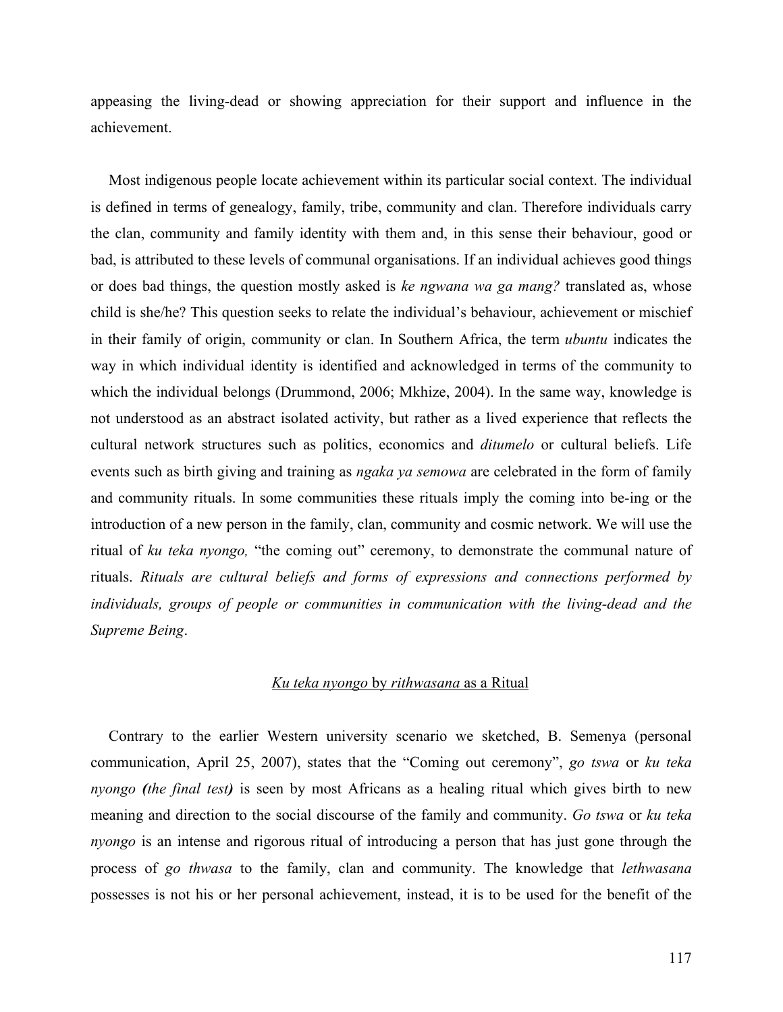appeasing the living-dead or showing appreciation for their support and influence in the achievement.

Most indigenous people locate achievement within its particular social context. The individual is defined in terms of genealogy, family, tribe, community and clan. Therefore individuals carry the clan, community and family identity with them and, in this sense their behaviour, good or bad, is attributed to these levels of communal organisations. If an individual achieves good things or does bad things, the question mostly asked is *ke ngwana wa ga mang?* translated as, whose child is she/he? This question seeks to relate the individual's behaviour, achievement or mischief in their family of origin, community or clan. In Southern Africa, the term *ubuntu* indicates the way in which individual identity is identified and acknowledged in terms of the community to which the individual belongs (Drummond, 2006; Mkhize, 2004). In the same way, knowledge is not understood as an abstract isolated activity, but rather as a lived experience that reflects the cultural network structures such as politics, economics and *ditumelo* or cultural beliefs. Life events such as birth giving and training as *ngaka ya semowa* are celebrated in the form of family and community rituals. In some communities these rituals imply the coming into be-ing or the introduction of a new person in the family, clan, community and cosmic network. We will use the ritual of *ku teka nyongo,* "the coming out" ceremony, to demonstrate the communal nature of rituals. *Rituals are cultural beliefs and forms of expressions and connections performed by individuals, groups of people or communities in communication with the living-dead and the Supreme Being*.

## *Ku teka nyongo* by *rithwasana* as a Ritual

Contrary to the earlier Western university scenario we sketched, B. Semenya (personal communication, April 25, 2007), states that the "Coming out ceremony", *go tswa* or *ku teka nyongo (the final test)* is seen by most Africans as a healing ritual which gives birth to new meaning and direction to the social discourse of the family and community. *Go tswa* or *ku teka nyongo* is an intense and rigorous ritual of introducing a person that has just gone through the process of *go thwasa* to the family, clan and community. The knowledge that *lethwasana* possesses is not his or her personal achievement, instead, it is to be used for the benefit of the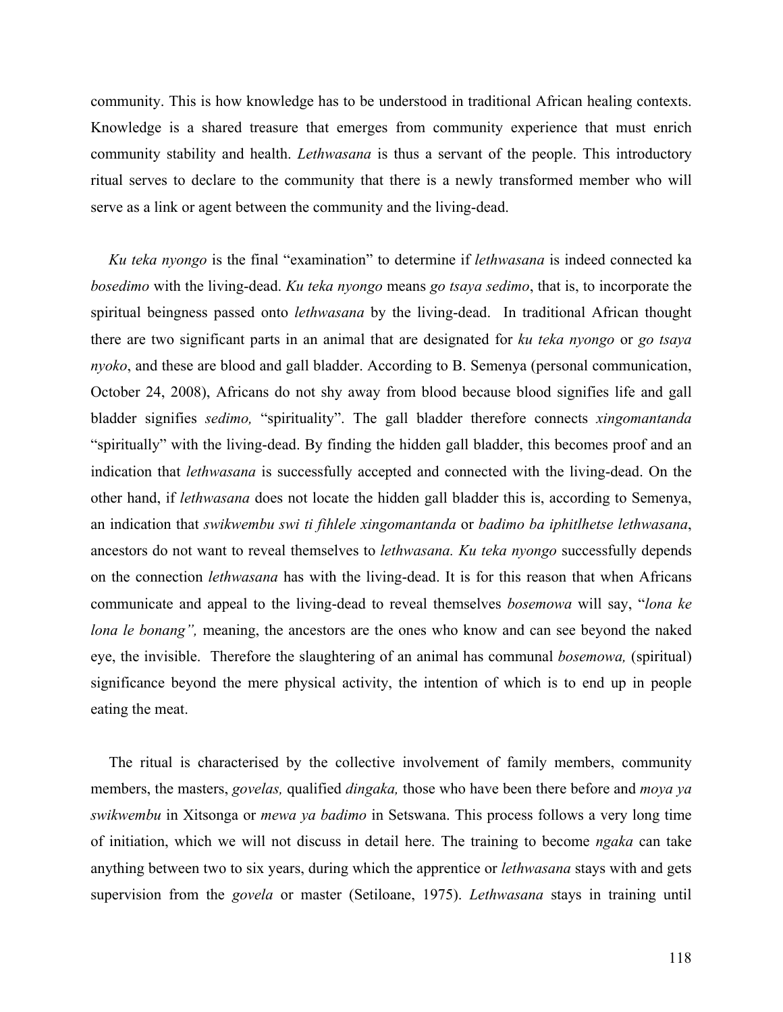community. This is how knowledge has to be understood in traditional African healing contexts. Knowledge is a shared treasure that emerges from community experience that must enrich community stability and health. *Lethwasana* is thus a servant of the people. This introductory ritual serves to declare to the community that there is a newly transformed member who will serve as a link or agent between the community and the living-dead.

*Ku teka nyongo* is the final "examination" to determine if *lethwasana* is indeed connected ka *bosedimo* with the living-dead. *Ku teka nyongo* means *go tsaya sedimo*, that is, to incorporate the spiritual beingness passed onto *lethwasana* by the living-dead. In traditional African thought there are two significant parts in an animal that are designated for *ku teka nyongo* or *go tsaya nyoko*, and these are blood and gall bladder. According to B. Semenya (personal communication, October 24, 2008), Africans do not shy away from blood because blood signifies life and gall bladder signifies *sedimo,* "spirituality". The gall bladder therefore connects *xingomantanda*  "spiritually" with the living-dead. By finding the hidden gall bladder, this becomes proof and an indication that *lethwasana* is successfully accepted and connected with the living-dead. On the other hand, if *lethwasana* does not locate the hidden gall bladder this is, according to Semenya, an indication that *swikwembu swi ti fihlele xingomantanda* or *badimo ba iphitlhetse lethwasana*, ancestors do not want to reveal themselves to *lethwasana. Ku teka nyongo* successfully depends on the connection *lethwasana* has with the living-dead. It is for this reason that when Africans communicate and appeal to the living-dead to reveal themselves *bosemowa* will say, "*lona ke lona le bonang",* meaning, the ancestors are the ones who know and can see beyond the naked eye, the invisible. Therefore the slaughtering of an animal has communal *bosemowa,* (spiritual) significance beyond the mere physical activity, the intention of which is to end up in people eating the meat.

The ritual is characterised by the collective involvement of family members, community members, the masters, *govelas,* qualified *dingaka,* those who have been there before and *moya ya swikwembu* in Xitsonga or *mewa ya badimo* in Setswana. This process follows a very long time of initiation, which we will not discuss in detail here. The training to become *ngaka* can take anything between two to six years, during which the apprentice or *lethwasana* stays with and gets supervision from the *govela* or master (Setiloane, 1975). *Lethwasana* stays in training until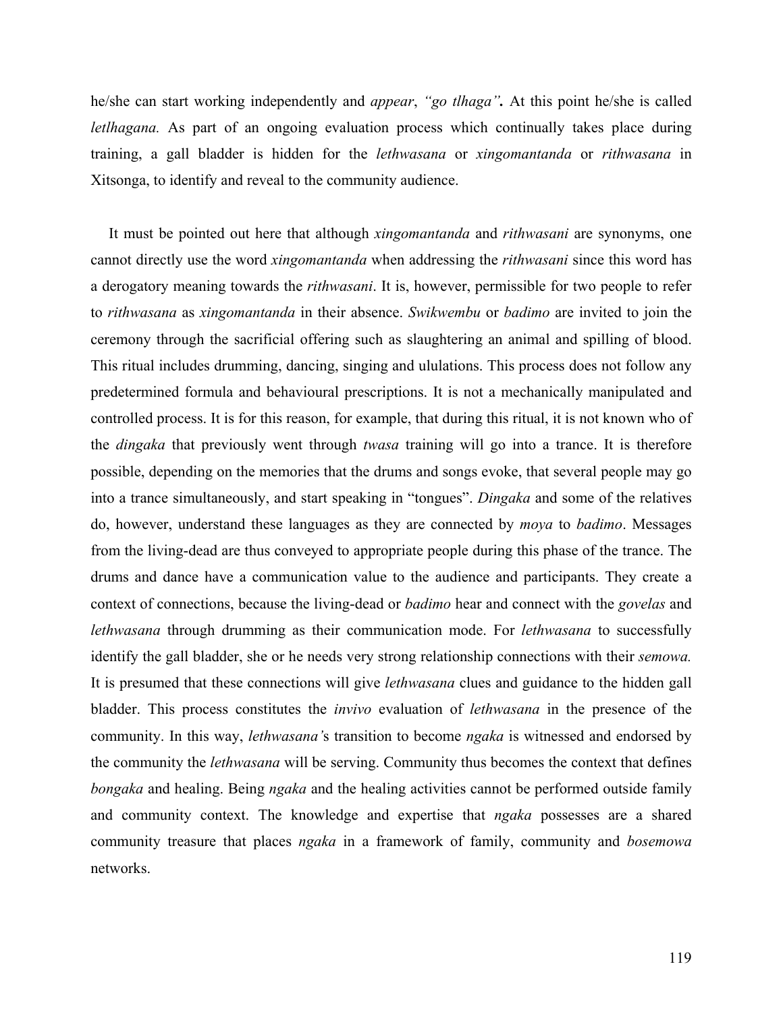he/she can start working independently and *appear*, *"go tlhaga".* At this point he/she is called *letlhagana.* As part of an ongoing evaluation process which continually takes place during training, a gall bladder is hidden for the *lethwasana* or *xingomantanda* or *rithwasana* in Xitsonga, to identify and reveal to the community audience.

It must be pointed out here that although *xingomantanda* and *rithwasani* are synonyms, one cannot directly use the word *xingomantanda* when addressing the *rithwasani* since this word has a derogatory meaning towards the *rithwasani*. It is, however, permissible for two people to refer to *rithwasana* as *xingomantanda* in their absence. *Swikwembu* or *badimo* are invited to join the ceremony through the sacrificial offering such as slaughtering an animal and spilling of blood. This ritual includes drumming, dancing, singing and ululations. This process does not follow any predetermined formula and behavioural prescriptions. It is not a mechanically manipulated and controlled process. It is for this reason, for example, that during this ritual, it is not known who of the *dingaka* that previously went through *twasa* training will go into a trance. It is therefore possible, depending on the memories that the drums and songs evoke, that several people may go into a trance simultaneously, and start speaking in "tongues". *Dingaka* and some of the relatives do, however, understand these languages as they are connected by *moya* to *badimo*. Messages from the living-dead are thus conveyed to appropriate people during this phase of the trance. The drums and dance have a communication value to the audience and participants. They create a context of connections, because the living-dead or *badimo* hear and connect with the *govelas* and *lethwasana* through drumming as their communication mode. For *lethwasana* to successfully identify the gall bladder, she or he needs very strong relationship connections with their *semowa.*  It is presumed that these connections will give *lethwasana* clues and guidance to the hidden gall bladder. This process constitutes the *invivo* evaluation of *lethwasana* in the presence of the community. In this way, *lethwasana'*s transition to become *ngaka* is witnessed and endorsed by the community the *lethwasana* will be serving. Community thus becomes the context that defines *bongaka* and healing. Being *ngaka* and the healing activities cannot be performed outside family and community context. The knowledge and expertise that *ngaka* possesses are a shared community treasure that places *ngaka* in a framework of family, community and *bosemowa* networks.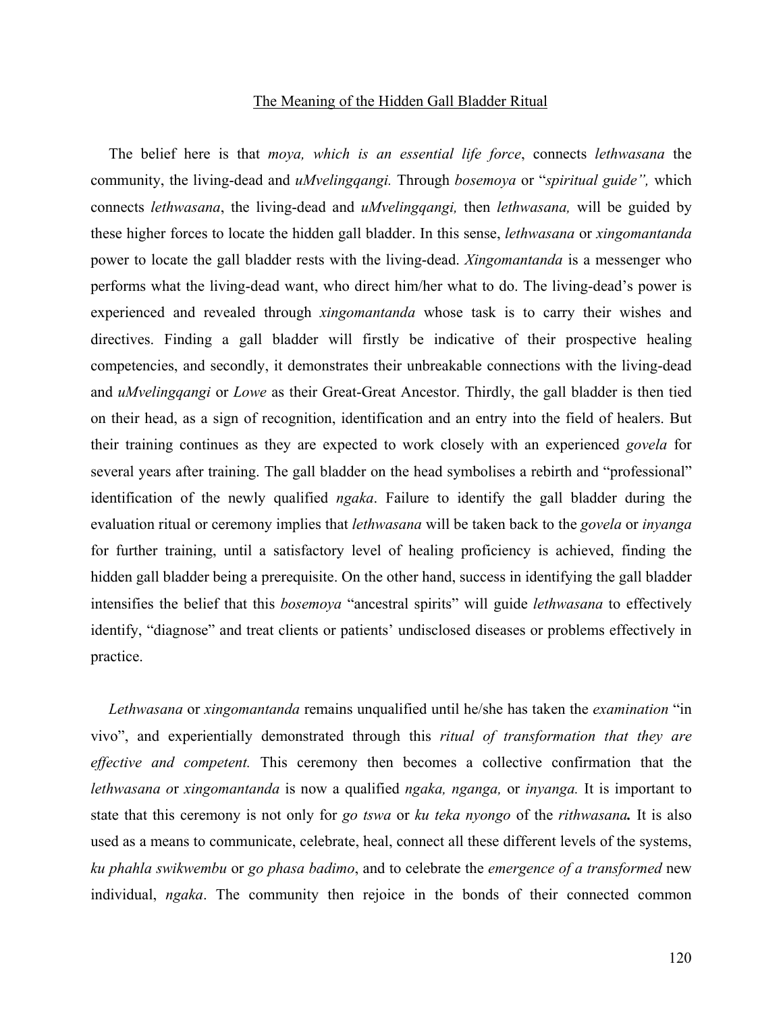#### The Meaning of the Hidden Gall Bladder Ritual

The belief here is that *moya, which is an essential life force*, connects *lethwasana* the community, the living-dead and *uMvelingqangi.* Through *bosemoya* or "*spiritual guide",* which connects *lethwasana*, the living-dead and *uMvelingqangi,* then *lethwasana,* will be guided by these higher forces to locate the hidden gall bladder. In this sense, *lethwasana* or *xingomantanda* power to locate the gall bladder rests with the living-dead. *Xingomantanda* is a messenger who performs what the living-dead want, who direct him/her what to do. The living-dead's power is experienced and revealed through *xingomantanda* whose task is to carry their wishes and directives. Finding a gall bladder will firstly be indicative of their prospective healing competencies, and secondly, it demonstrates their unbreakable connections with the living-dead and *uMvelingqangi* or *Lowe* as their Great-Great Ancestor. Thirdly, the gall bladder is then tied on their head, as a sign of recognition, identification and an entry into the field of healers. But their training continues as they are expected to work closely with an experienced *govela* for several years after training. The gall bladder on the head symbolises a rebirth and "professional" identification of the newly qualified *ngaka*. Failure to identify the gall bladder during the evaluation ritual or ceremony implies that *lethwasana* will be taken back to the *govela* or *inyanga* for further training, until a satisfactory level of healing proficiency is achieved, finding the hidden gall bladder being a prerequisite. On the other hand, success in identifying the gall bladder intensifies the belief that this *bosemoya* "ancestral spirits" will guide *lethwasana* to effectively identify, "diagnose" and treat clients or patients' undisclosed diseases or problems effectively in practice.

*Lethwasana* or *xingomantanda* remains unqualified until he/she has taken the *examination* "in vivo", and experientially demonstrated through this *ritual of transformation that they are effective and competent.* This ceremony then becomes a collective confirmation that the *lethwasana o*r *xingomantanda* is now a qualified *ngaka, nganga,* or *inyanga.* It is important to state that this ceremony is not only for *go tswa* or *ku teka nyongo* of the *rithwasana.* It is also used as a means to communicate, celebrate, heal, connect all these different levels of the systems, *ku phahla swikwembu* or *go phasa badimo*, and to celebrate the *emergence of a transformed* new individual, *ngaka*. The community then rejoice in the bonds of their connected common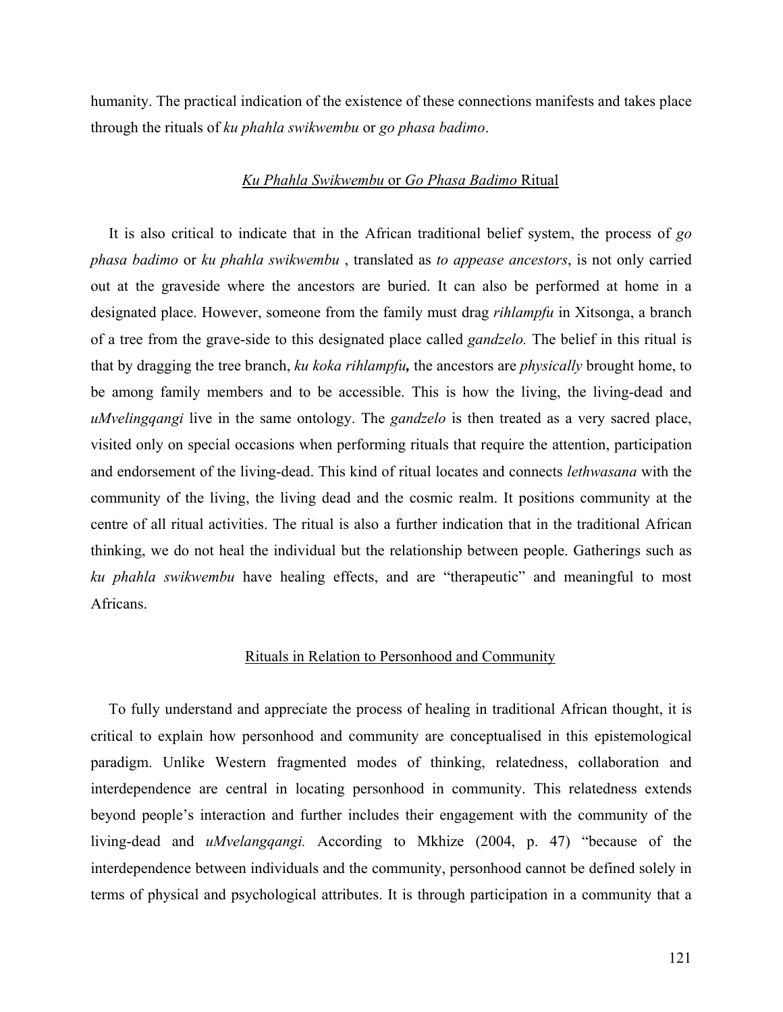humanity. The practical indication of the existence of these connections manifests and takes place through the rituals of *ku phahla swikwembu* or *go phasa badimo*.

### *Ku Phahla Swikwembu* or *Go Phasa Badimo* Ritual

It is also critical to indicate that in the African traditional belief system, the process of *go phasa badimo* or *ku phahla swikwembu* , translated as *to appease ancestors*, is not only carried out at the graveside where the ancestors are buried. It can also be performed at home in a designated place. However, someone from the family must drag *rihlampfu* in Xitsonga, a branch of a tree from the grave-side to this designated place called *gandzelo.* The belief in this ritual is that by dragging the tree branch, *ku koka rihlampfu,* the ancestors are *physically* brought home, to be among family members and to be accessible. This is how the living, the living-dead and *uMvelingqangi* live in the same ontology. The *gandzelo* is then treated as a very sacred place, visited only on special occasions when performing rituals that require the attention, participation and endorsement of the living-dead. This kind of ritual locates and connects *lethwasana* with the community of the living, the living dead and the cosmic realm. It positions community at the centre of all ritual activities. The ritual is also a further indication that in the traditional African thinking, we do not heal the individual but the relationship between people. Gatherings such as *ku phahla swikwembu* have healing effects, and are "therapeutic" and meaningful to most Africans.

## Rituals in Relation to Personhood and Community

To fully understand and appreciate the process of healing in traditional African thought, it is critical to explain how personhood and community are conceptualised in this epistemological paradigm. Unlike Western fragmented modes of thinking, relatedness, collaboration and interdependence are central in locating personhood in community. This relatedness extends beyond people's interaction and further includes their engagement with the community of the living-dead and *uMvelangqangi.* According to Mkhize (2004, p. 47) "because of the interdependence between individuals and the community, personhood cannot be defined solely in terms of physical and psychological attributes. It is through participation in a community that a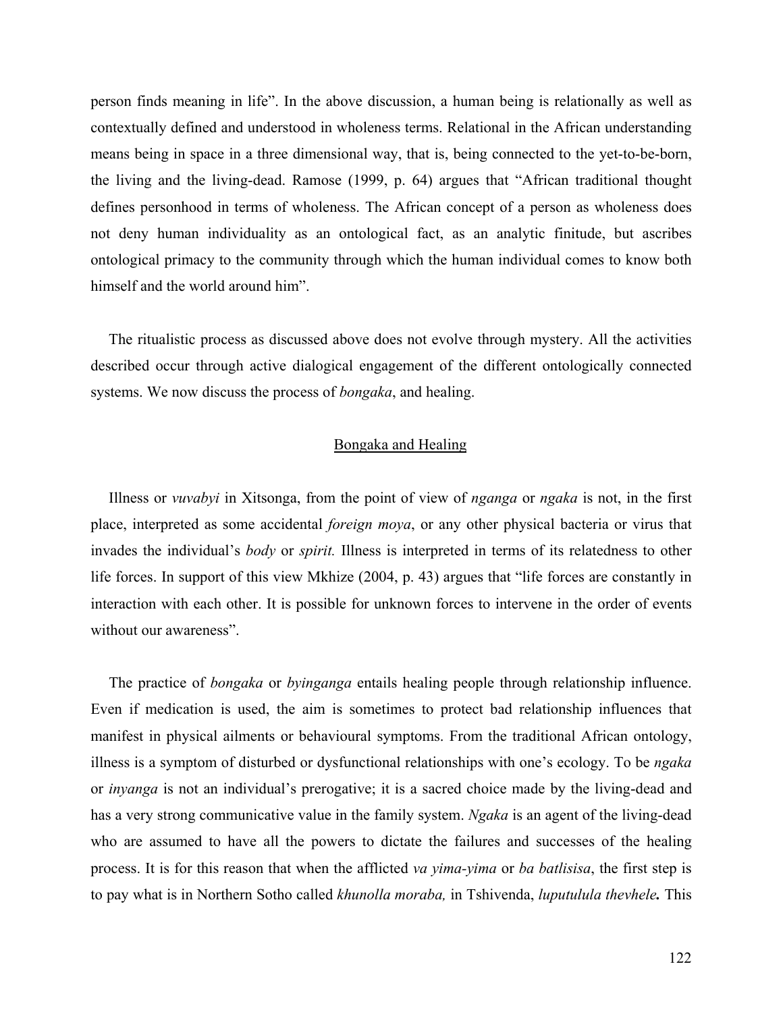person finds meaning in life". In the above discussion, a human being is relationally as well as contextually defined and understood in wholeness terms. Relational in the African understanding means being in space in a three dimensional way, that is, being connected to the yet-to-be-born, the living and the living-dead. Ramose (1999, p. 64) argues that "African traditional thought defines personhood in terms of wholeness. The African concept of a person as wholeness does not deny human individuality as an ontological fact, as an analytic finitude, but ascribes ontological primacy to the community through which the human individual comes to know both himself and the world around him".

The ritualistic process as discussed above does not evolve through mystery. All the activities described occur through active dialogical engagement of the different ontologically connected systems. We now discuss the process of *bongaka*, and healing.

## Bongaka and Healing

Illness or *vuvabyi* in Xitsonga, from the point of view of *nganga* or *ngaka* is not, in the first place, interpreted as some accidental *foreign moya*, or any other physical bacteria or virus that invades the individual's *body* or *spirit.* Illness is interpreted in terms of its relatedness to other life forces. In support of this view Mkhize (2004, p. 43) argues that "life forces are constantly in interaction with each other. It is possible for unknown forces to intervene in the order of events without our awareness".

The practice of *bongaka* or *byinganga* entails healing people through relationship influence. Even if medication is used, the aim is sometimes to protect bad relationship influences that manifest in physical ailments or behavioural symptoms. From the traditional African ontology, illness is a symptom of disturbed or dysfunctional relationships with one's ecology. To be *ngaka* or *inyanga* is not an individual's prerogative; it is a sacred choice made by the living-dead and has a very strong communicative value in the family system. *Ngaka* is an agent of the living-dead who are assumed to have all the powers to dictate the failures and successes of the healing process. It is for this reason that when the afflicted *va yima-yima* or *ba batlisisa*, the first step is to pay what is in Northern Sotho called *khunolla moraba,* in Tshivenda, *luputulula thevhele.* This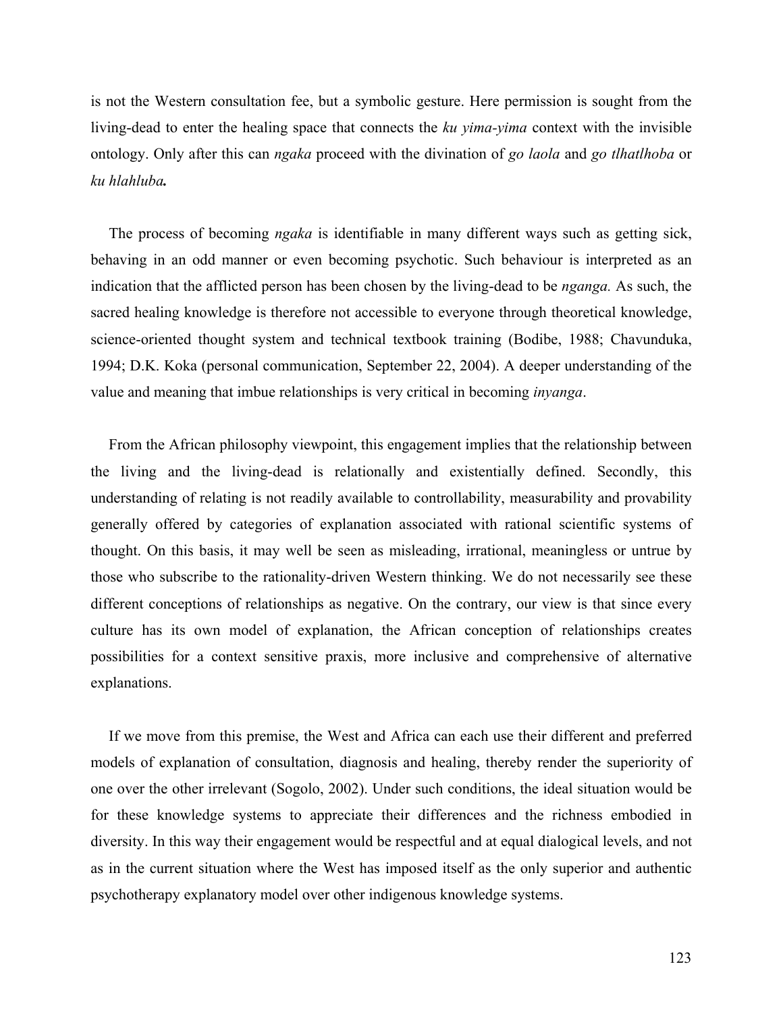is not the Western consultation fee, but a symbolic gesture. Here permission is sought from the living-dead to enter the healing space that connects the *ku yima-yima* context with the invisible ontology. Only after this can *ngaka* proceed with the divination of *go laola* and *go tlhatlhoba* or *ku hlahluba.*

The process of becoming *ngaka* is identifiable in many different ways such as getting sick, behaving in an odd manner or even becoming psychotic. Such behaviour is interpreted as an indication that the afflicted person has been chosen by the living-dead to be *nganga.* As such, the sacred healing knowledge is therefore not accessible to everyone through theoretical knowledge, science-oriented thought system and technical textbook training (Bodibe, 1988; Chavunduka, 1994; D.K. Koka (personal communication, September 22, 2004). A deeper understanding of the value and meaning that imbue relationships is very critical in becoming *inyanga*.

From the African philosophy viewpoint, this engagement implies that the relationship between the living and the living-dead is relationally and existentially defined. Secondly, this understanding of relating is not readily available to controllability, measurability and provability generally offered by categories of explanation associated with rational scientific systems of thought. On this basis, it may well be seen as misleading, irrational, meaningless or untrue by those who subscribe to the rationality-driven Western thinking. We do not necessarily see these different conceptions of relationships as negative. On the contrary, our view is that since every culture has its own model of explanation, the African conception of relationships creates possibilities for a context sensitive praxis, more inclusive and comprehensive of alternative explanations.

If we move from this premise, the West and Africa can each use their different and preferred models of explanation of consultation, diagnosis and healing, thereby render the superiority of one over the other irrelevant (Sogolo, 2002). Under such conditions, the ideal situation would be for these knowledge systems to appreciate their differences and the richness embodied in diversity. In this way their engagement would be respectful and at equal dialogical levels, and not as in the current situation where the West has imposed itself as the only superior and authentic psychotherapy explanatory model over other indigenous knowledge systems.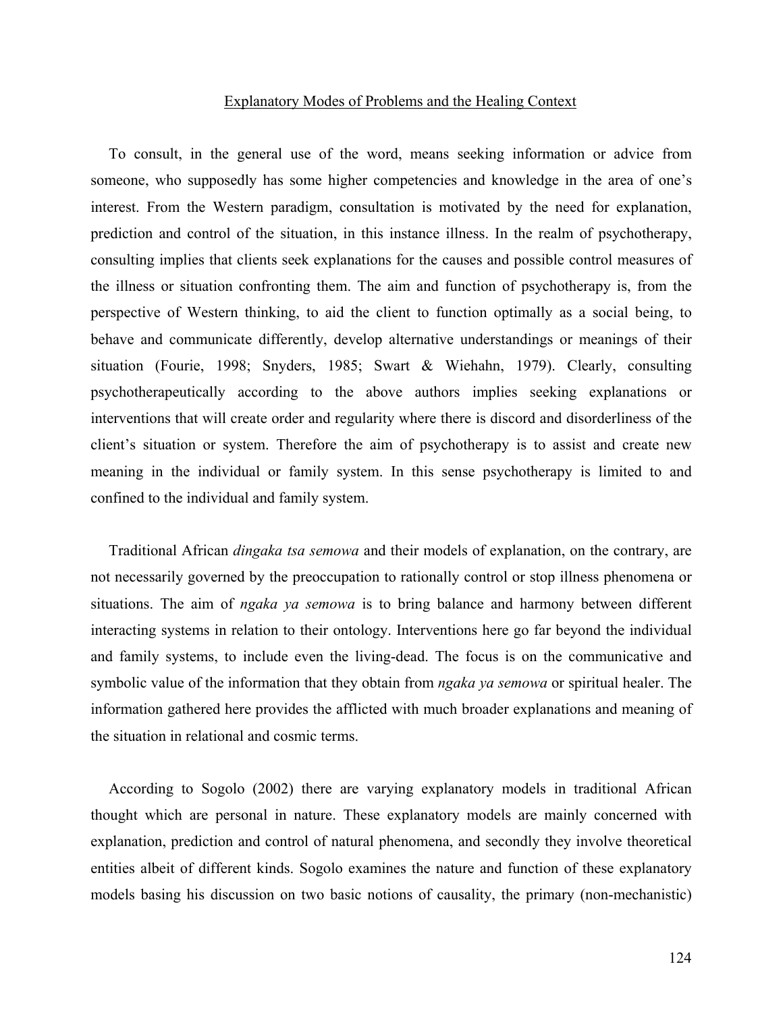### Explanatory Modes of Problems and the Healing Context

To consult, in the general use of the word, means seeking information or advice from someone, who supposedly has some higher competencies and knowledge in the area of one's interest. From the Western paradigm, consultation is motivated by the need for explanation, prediction and control of the situation, in this instance illness. In the realm of psychotherapy, consulting implies that clients seek explanations for the causes and possible control measures of the illness or situation confronting them. The aim and function of psychotherapy is, from the perspective of Western thinking, to aid the client to function optimally as a social being, to behave and communicate differently, develop alternative understandings or meanings of their situation (Fourie, 1998; Snyders, 1985; Swart & Wiehahn, 1979). Clearly, consulting psychotherapeutically according to the above authors implies seeking explanations or interventions that will create order and regularity where there is discord and disorderliness of the client's situation or system. Therefore the aim of psychotherapy is to assist and create new meaning in the individual or family system. In this sense psychotherapy is limited to and confined to the individual and family system.

Traditional African *dingaka tsa semowa* and their models of explanation, on the contrary, are not necessarily governed by the preoccupation to rationally control or stop illness phenomena or situations. The aim of *ngaka ya semowa* is to bring balance and harmony between different interacting systems in relation to their ontology. Interventions here go far beyond the individual and family systems, to include even the living-dead. The focus is on the communicative and symbolic value of the information that they obtain from *ngaka ya semowa* or spiritual healer. The information gathered here provides the afflicted with much broader explanations and meaning of the situation in relational and cosmic terms.

According to Sogolo (2002) there are varying explanatory models in traditional African thought which are personal in nature. These explanatory models are mainly concerned with explanation, prediction and control of natural phenomena, and secondly they involve theoretical entities albeit of different kinds. Sogolo examines the nature and function of these explanatory models basing his discussion on two basic notions of causality, the primary (non-mechanistic)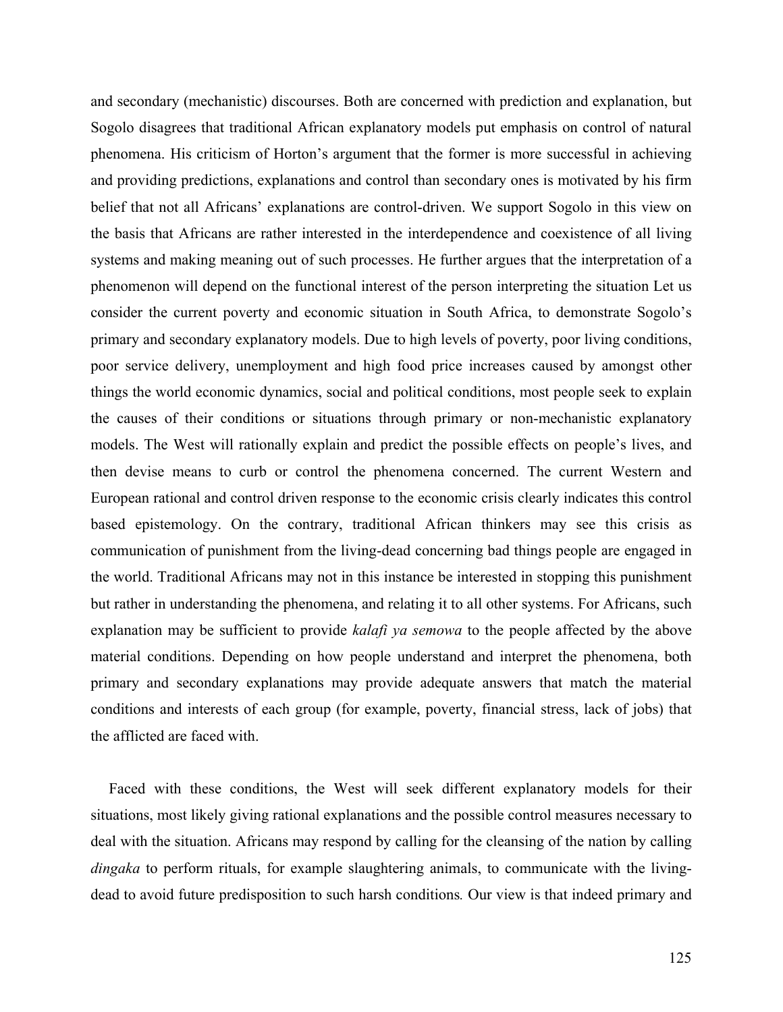and secondary (mechanistic) discourses. Both are concerned with prediction and explanation, but Sogolo disagrees that traditional African explanatory models put emphasis on control of natural phenomena. His criticism of Horton's argument that the former is more successful in achieving and providing predictions, explanations and control than secondary ones is motivated by his firm belief that not all Africans' explanations are control-driven. We support Sogolo in this view on the basis that Africans are rather interested in the interdependence and coexistence of all living systems and making meaning out of such processes. He further argues that the interpretation of a phenomenon will depend on the functional interest of the person interpreting the situation Let us consider the current poverty and economic situation in South Africa, to demonstrate Sogolo's primary and secondary explanatory models. Due to high levels of poverty, poor living conditions, poor service delivery, unemployment and high food price increases caused by amongst other things the world economic dynamics, social and political conditions, most people seek to explain the causes of their conditions or situations through primary or non-mechanistic explanatory models. The West will rationally explain and predict the possible effects on people's lives, and then devise means to curb or control the phenomena concerned. The current Western and European rational and control driven response to the economic crisis clearly indicates this control based epistemology. On the contrary, traditional African thinkers may see this crisis as communication of punishment from the living-dead concerning bad things people are engaged in the world. Traditional Africans may not in this instance be interested in stopping this punishment but rather in understanding the phenomena, and relating it to all other systems. For Africans, such explanation may be sufficient to provide *kalafi ya semowa* to the people affected by the above material conditions. Depending on how people understand and interpret the phenomena, both primary and secondary explanations may provide adequate answers that match the material conditions and interests of each group (for example, poverty, financial stress, lack of jobs) that the afflicted are faced with.

Faced with these conditions, the West will seek different explanatory models for their situations, most likely giving rational explanations and the possible control measures necessary to deal with the situation. Africans may respond by calling for the cleansing of the nation by calling *dingaka* to perform rituals, for example slaughtering animals, to communicate with the livingdead to avoid future predisposition to such harsh conditions*.* Our view is that indeed primary and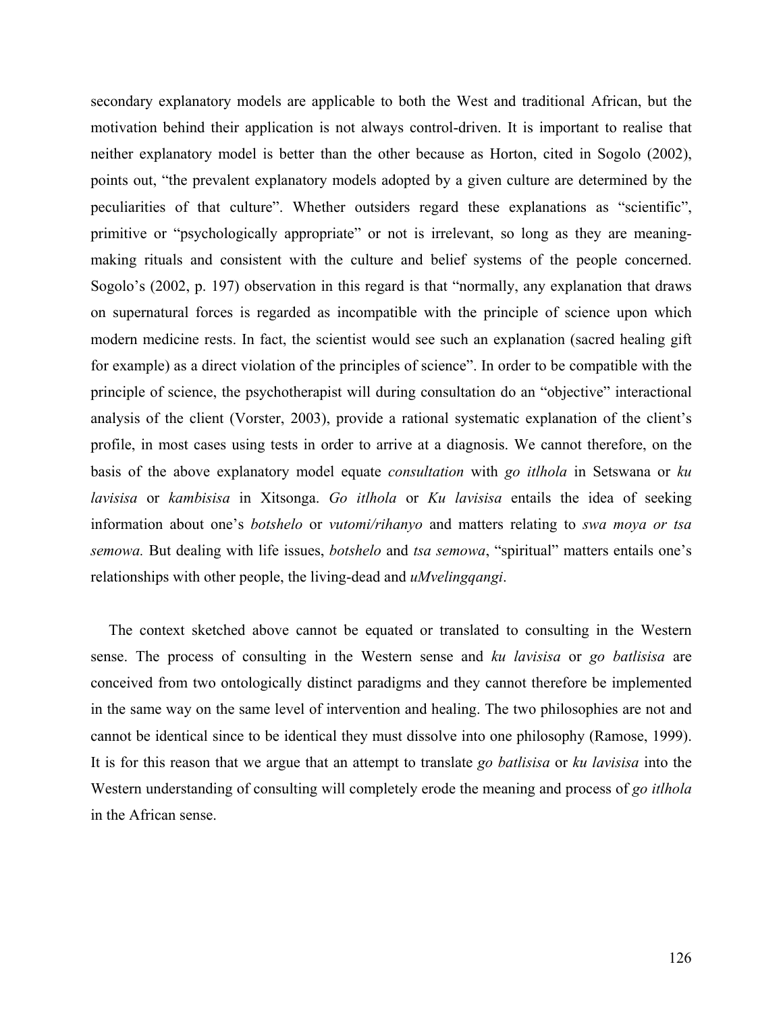secondary explanatory models are applicable to both the West and traditional African, but the motivation behind their application is not always control-driven. It is important to realise that neither explanatory model is better than the other because as Horton, cited in Sogolo (2002), points out, "the prevalent explanatory models adopted by a given culture are determined by the peculiarities of that culture". Whether outsiders regard these explanations as "scientific", primitive or "psychologically appropriate" or not is irrelevant, so long as they are meaningmaking rituals and consistent with the culture and belief systems of the people concerned. Sogolo's (2002, p. 197) observation in this regard is that "normally, any explanation that draws on supernatural forces is regarded as incompatible with the principle of science upon which modern medicine rests. In fact, the scientist would see such an explanation (sacred healing gift for example) as a direct violation of the principles of science". In order to be compatible with the principle of science, the psychotherapist will during consultation do an "objective" interactional analysis of the client (Vorster, 2003), provide a rational systematic explanation of the client's profile, in most cases using tests in order to arrive at a diagnosis. We cannot therefore, on the basis of the above explanatory model equate *consultation* with *go itlhola* in Setswana or *ku lavisisa* or *kambisisa* in Xitsonga. *Go itlhola* or *Ku lavisisa* entails the idea of seeking information about one's *botshelo* or *vutomi/rihanyo* and matters relating to *swa moya or tsa semowa.* But dealing with life issues, *botshelo* and *tsa semowa*, "spiritual" matters entails one's relationships with other people, the living-dead and *uMvelingqangi*.

The context sketched above cannot be equated or translated to consulting in the Western sense. The process of consulting in the Western sense and *ku lavisisa* or *go batlisisa* are conceived from two ontologically distinct paradigms and they cannot therefore be implemented in the same way on the same level of intervention and healing. The two philosophies are not and cannot be identical since to be identical they must dissolve into one philosophy (Ramose, 1999). It is for this reason that we argue that an attempt to translate *go batlisisa* or *ku lavisisa* into the Western understanding of consulting will completely erode the meaning and process of *go itlhola* in the African sense.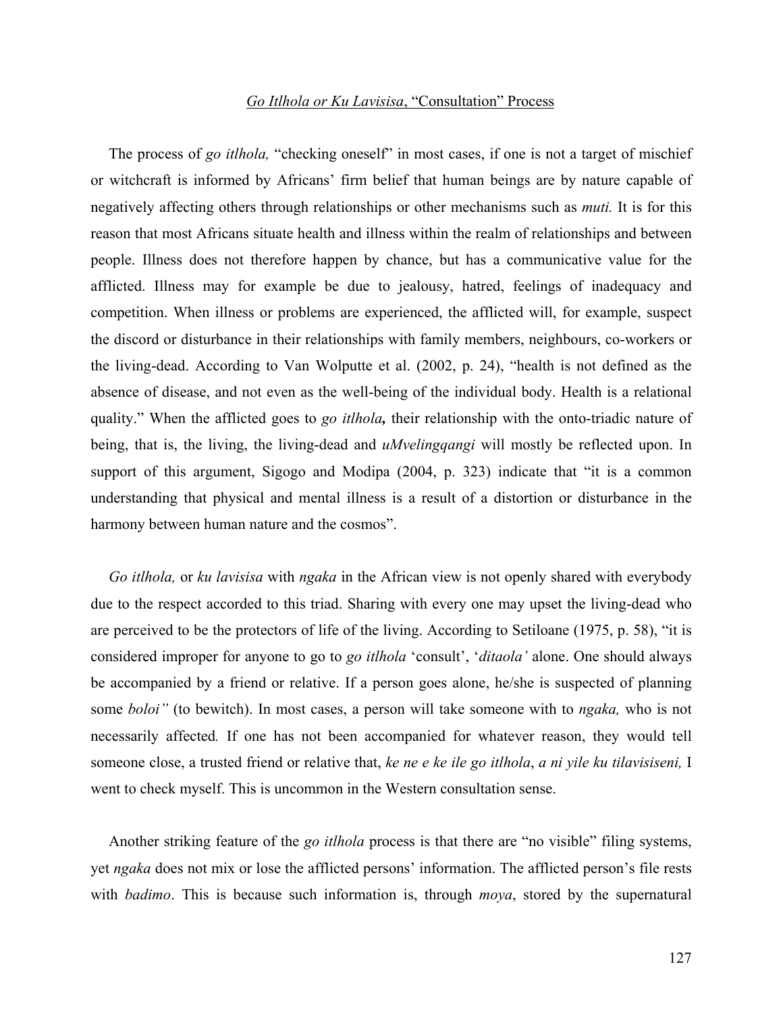## *Go Itlhola or Ku Lavisisa*, "Consultation" Process

The process of *go itlhola,* "checking oneself" in most cases, if one is not a target of mischief or witchcraft is informed by Africans' firm belief that human beings are by nature capable of negatively affecting others through relationships or other mechanisms such as *muti.* It is for this reason that most Africans situate health and illness within the realm of relationships and between people. Illness does not therefore happen by chance, but has a communicative value for the afflicted. Illness may for example be due to jealousy, hatred, feelings of inadequacy and competition. When illness or problems are experienced, the afflicted will, for example, suspect the discord or disturbance in their relationships with family members, neighbours, co-workers or the living-dead. According to Van Wolputte et al. (2002, p. 24), "health is not defined as the absence of disease, and not even as the well-being of the individual body. Health is a relational quality." When the afflicted goes to *go itlhola,* their relationship with the onto-triadic nature of being, that is, the living, the living-dead and *uMvelingqangi* will mostly be reflected upon. In support of this argument, Sigogo and Modipa (2004, p. 323) indicate that "it is a common understanding that physical and mental illness is a result of a distortion or disturbance in the harmony between human nature and the cosmos".

*Go itlhola,* or *ku lavisisa* with *ngaka* in the African view is not openly shared with everybody due to the respect accorded to this triad. Sharing with every one may upset the living-dead who are perceived to be the protectors of life of the living. According to Setiloane (1975, p. 58), "it is considered improper for anyone to go to *go itlhola* 'consult', '*ditaola'* alone. One should always be accompanied by a friend or relative. If a person goes alone, he/she is suspected of planning some *boloi"* (to bewitch). In most cases, a person will take someone with to *ngaka,* who is not necessarily affected*.* If one has not been accompanied for whatever reason, they would tell someone close, a trusted friend or relative that, *ke ne e ke ile go itlhola*, *a ni yile ku tilavisiseni,* I went to check myself. This is uncommon in the Western consultation sense.

Another striking feature of the *go itlhola* process is that there are "no visible" filing systems, yet *ngaka* does not mix or lose the afflicted persons' information. The afflicted person's file rests with *badimo*. This is because such information is, through *moya*, stored by the supernatural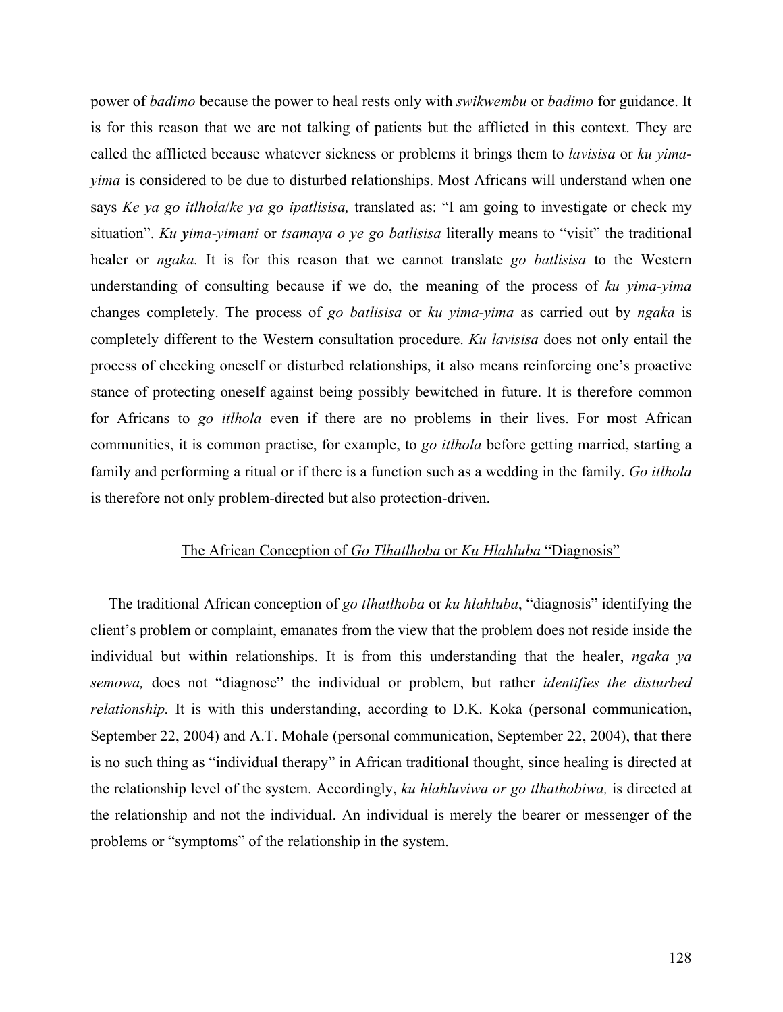power of *badimo* because the power to heal rests only with *swikwembu* or *badimo* for guidance. It is for this reason that we are not talking of patients but the afflicted in this context. They are called the afflicted because whatever sickness or problems it brings them to *lavisisa* or *ku yimayima* is considered to be due to disturbed relationships. Most Africans will understand when one says *Ke ya go itlhola*/*ke ya go ipatlisisa,* translated as: "I am going to investigate or check my situation". *Ku yima-yimani* or *tsamaya o ye go batlisisa* literally means to "visit" the traditional healer or *ngaka.* It is for this reason that we cannot translate *go batlisisa* to the Western understanding of consulting because if we do, the meaning of the process of *ku yima-yima* changes completely. The process of *go batlisisa* or *ku yima-yima* as carried out by *ngaka* is completely different to the Western consultation procedure. *Ku lavisisa* does not only entail the process of checking oneself or disturbed relationships, it also means reinforcing one's proactive stance of protecting oneself against being possibly bewitched in future. It is therefore common for Africans to *go itlhola* even if there are no problems in their lives. For most African communities, it is common practise, for example, to *go itlhola* before getting married, starting a family and performing a ritual or if there is a function such as a wedding in the family. *Go itlhola* is therefore not only problem-directed but also protection-driven.

## The African Conception of *Go Tlhatlhoba* or *Ku Hlahluba* "Diagnosis"

The traditional African conception of *go tlhatlhoba* or *ku hlahluba*, "diagnosis" identifying the client's problem or complaint, emanates from the view that the problem does not reside inside the individual but within relationships. It is from this understanding that the healer, *ngaka ya semowa,* does not "diagnose" the individual or problem, but rather *identifies the disturbed relationship*. It is with this understanding, according to D.K. Koka (personal communication, September 22, 2004) and A.T. Mohale (personal communication, September 22, 2004), that there is no such thing as "individual therapy" in African traditional thought, since healing is directed at the relationship level of the system. Accordingly, *ku hlahluviwa or go tlhathobiwa,* is directed at the relationship and not the individual. An individual is merely the bearer or messenger of the problems or "symptoms" of the relationship in the system.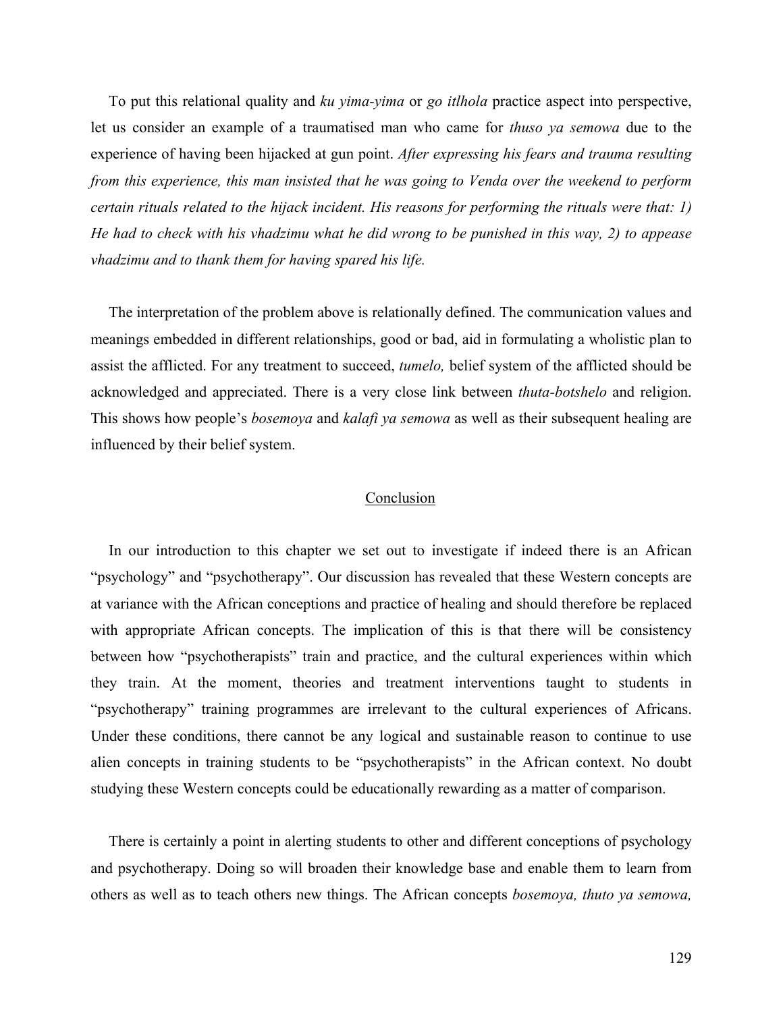To put this relational quality and *ku yima-yima* or *go itlhola* practice aspect into perspective, let us consider an example of a traumatised man who came for *thuso ya semowa* due to the experience of having been hijacked at gun point. *After expressing his fears and trauma resulting from this experience, this man insisted that he was going to Venda over the weekend to perform certain rituals related to the hijack incident. His reasons for performing the rituals were that: 1) He had to check with his vhadzimu what he did wrong to be punished in this way, 2) to appease vhadzimu and to thank them for having spared his life.*

The interpretation of the problem above is relationally defined. The communication values and meanings embedded in different relationships, good or bad, aid in formulating a wholistic plan to assist the afflicted. For any treatment to succeed, *tumelo,* belief system of the afflicted should be acknowledged and appreciated. There is a very close link between *thuta-botshelo* and religion. This shows how people's *bosemoya* and *kalafi ya semowa* as well as their subsequent healing are influenced by their belief system.

## Conclusion

In our introduction to this chapter we set out to investigate if indeed there is an African "psychology" and "psychotherapy". Our discussion has revealed that these Western concepts are at variance with the African conceptions and practice of healing and should therefore be replaced with appropriate African concepts. The implication of this is that there will be consistency between how "psychotherapists" train and practice, and the cultural experiences within which they train. At the moment, theories and treatment interventions taught to students in "psychotherapy" training programmes are irrelevant to the cultural experiences of Africans. Under these conditions, there cannot be any logical and sustainable reason to continue to use alien concepts in training students to be "psychotherapists" in the African context. No doubt studying these Western concepts could be educationally rewarding as a matter of comparison.

There is certainly a point in alerting students to other and different conceptions of psychology and psychotherapy. Doing so will broaden their knowledge base and enable them to learn from others as well as to teach others new things. The African concepts *bosemoya, thuto ya semowa,*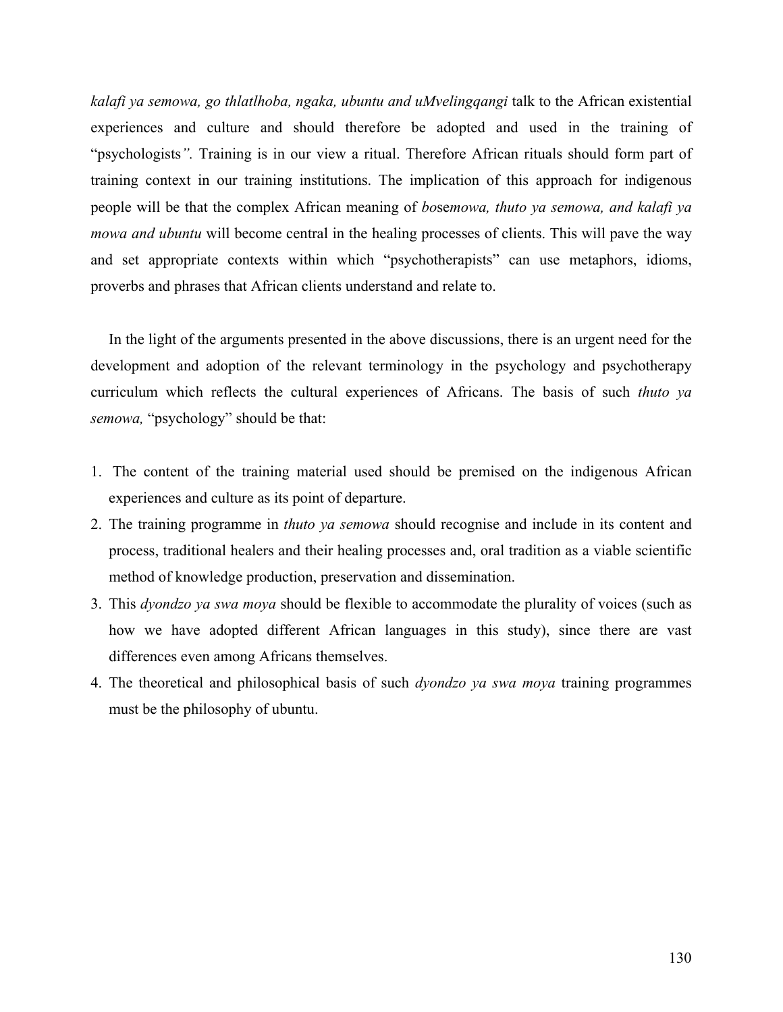*kalafi ya semowa, go thlatlhoba, ngaka, ubuntu and uMvelingqangi* talk to the African existential experiences and culture and should therefore be adopted and used in the training of "psychologists*".* Training is in our view a ritual. Therefore African rituals should form part of training context in our training institutions. The implication of this approach for indigenous people will be that the complex African meaning of *bo*se*mowa, thuto ya semowa, and kalafi ya mowa and ubuntu* will become central in the healing processes of clients. This will pave the way and set appropriate contexts within which "psychotherapists" can use metaphors, idioms, proverbs and phrases that African clients understand and relate to.

In the light of the arguments presented in the above discussions, there is an urgent need for the development and adoption of the relevant terminology in the psychology and psychotherapy curriculum which reflects the cultural experiences of Africans. The basis of such *thuto ya semowa,* "psychology" should be that:

- 1. The content of the training material used should be premised on the indigenous African experiences and culture as its point of departure.
- 2. The training programme in *thuto ya semowa* should recognise and include in its content and process, traditional healers and their healing processes and, oral tradition as a viable scientific method of knowledge production, preservation and dissemination.
- 3. This *dyondzo ya swa moya* should be flexible to accommodate the plurality of voices (such as how we have adopted different African languages in this study), since there are vast differences even among Africans themselves.
- 4. The theoretical and philosophical basis of such *dyondzo ya swa moya* training programmes must be the philosophy of ubuntu.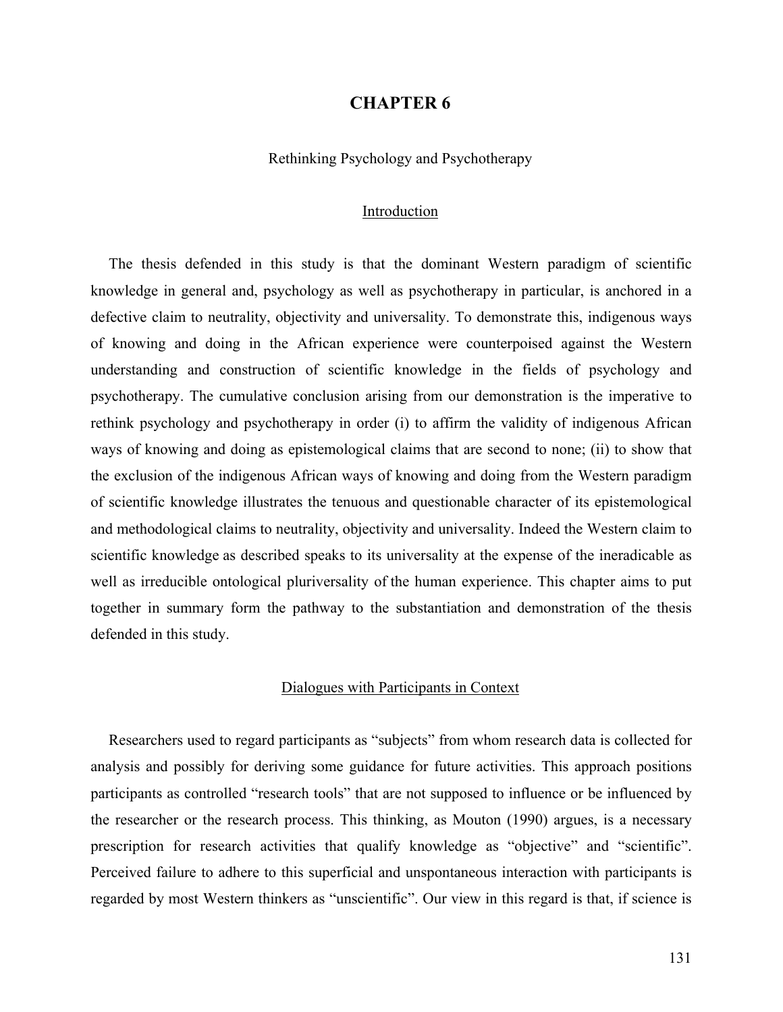## **CHAPTER 6**

Rethinking Psychology and Psychotherapy

#### Introduction

The thesis defended in this study is that the dominant Western paradigm of scientific knowledge in general and, psychology as well as psychotherapy in particular, is anchored in a defective claim to neutrality, objectivity and universality. To demonstrate this, indigenous ways of knowing and doing in the African experience were counterpoised against the Western understanding and construction of scientific knowledge in the fields of psychology and psychotherapy. The cumulative conclusion arising from our demonstration is the imperative to rethink psychology and psychotherapy in order (i) to affirm the validity of indigenous African ways of knowing and doing as epistemological claims that are second to none; (ii) to show that the exclusion of the indigenous African ways of knowing and doing from the Western paradigm of scientific knowledge illustrates the tenuous and questionable character of its epistemological and methodological claims to neutrality, objectivity and universality. Indeed the Western claim to scientific knowledge as described speaks to its universality at the expense of the ineradicable as well as irreducible ontological pluriversality of the human experience. This chapter aims to put together in summary form the pathway to the substantiation and demonstration of the thesis defended in this study.

### Dialogues with Participants in Context

Researchers used to regard participants as "subjects" from whom research data is collected for analysis and possibly for deriving some guidance for future activities. This approach positions participants as controlled "research tools" that are not supposed to influence or be influenced by the researcher or the research process. This thinking, as Mouton (1990) argues, is a necessary prescription for research activities that qualify knowledge as "objective" and "scientific". Perceived failure to adhere to this superficial and unspontaneous interaction with participants is regarded by most Western thinkers as "unscientific". Our view in this regard is that, if science is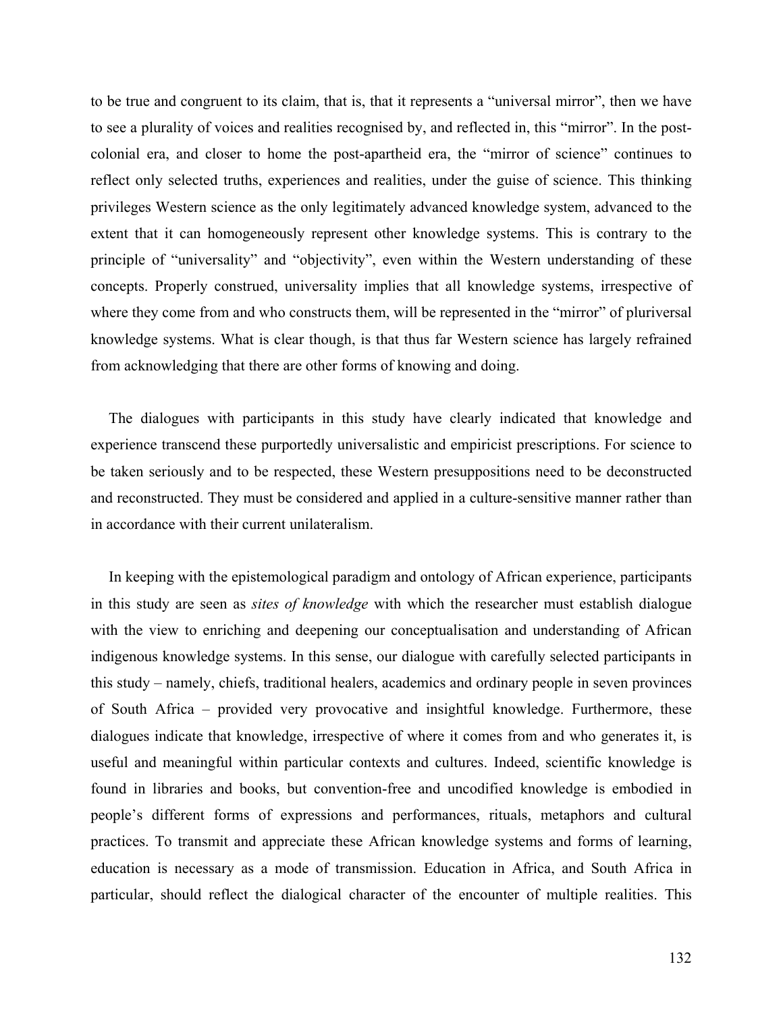to be true and congruent to its claim, that is, that it represents a "universal mirror", then we have to see a plurality of voices and realities recognised by, and reflected in, this "mirror". In the postcolonial era, and closer to home the post-apartheid era, the "mirror of science" continues to reflect only selected truths, experiences and realities, under the guise of science. This thinking privileges Western science as the only legitimately advanced knowledge system, advanced to the extent that it can homogeneously represent other knowledge systems. This is contrary to the principle of "universality" and "objectivity", even within the Western understanding of these concepts. Properly construed, universality implies that all knowledge systems, irrespective of where they come from and who constructs them, will be represented in the "mirror" of pluriversal knowledge systems. What is clear though, is that thus far Western science has largely refrained from acknowledging that there are other forms of knowing and doing.

The dialogues with participants in this study have clearly indicated that knowledge and experience transcend these purportedly universalistic and empiricist prescriptions. For science to be taken seriously and to be respected, these Western presuppositions need to be deconstructed and reconstructed. They must be considered and applied in a culture-sensitive manner rather than in accordance with their current unilateralism.

In keeping with the epistemological paradigm and ontology of African experience, participants in this study are seen as *sites of knowledge* with which the researcher must establish dialogue with the view to enriching and deepening our conceptualisation and understanding of African indigenous knowledge systems. In this sense, our dialogue with carefully selected participants in this study – namely, chiefs, traditional healers, academics and ordinary people in seven provinces of South Africa – provided very provocative and insightful knowledge. Furthermore, these dialogues indicate that knowledge, irrespective of where it comes from and who generates it, is useful and meaningful within particular contexts and cultures. Indeed, scientific knowledge is found in libraries and books, but convention-free and uncodified knowledge is embodied in people's different forms of expressions and performances, rituals, metaphors and cultural practices. To transmit and appreciate these African knowledge systems and forms of learning, education is necessary as a mode of transmission. Education in Africa, and South Africa in particular, should reflect the dialogical character of the encounter of multiple realities. This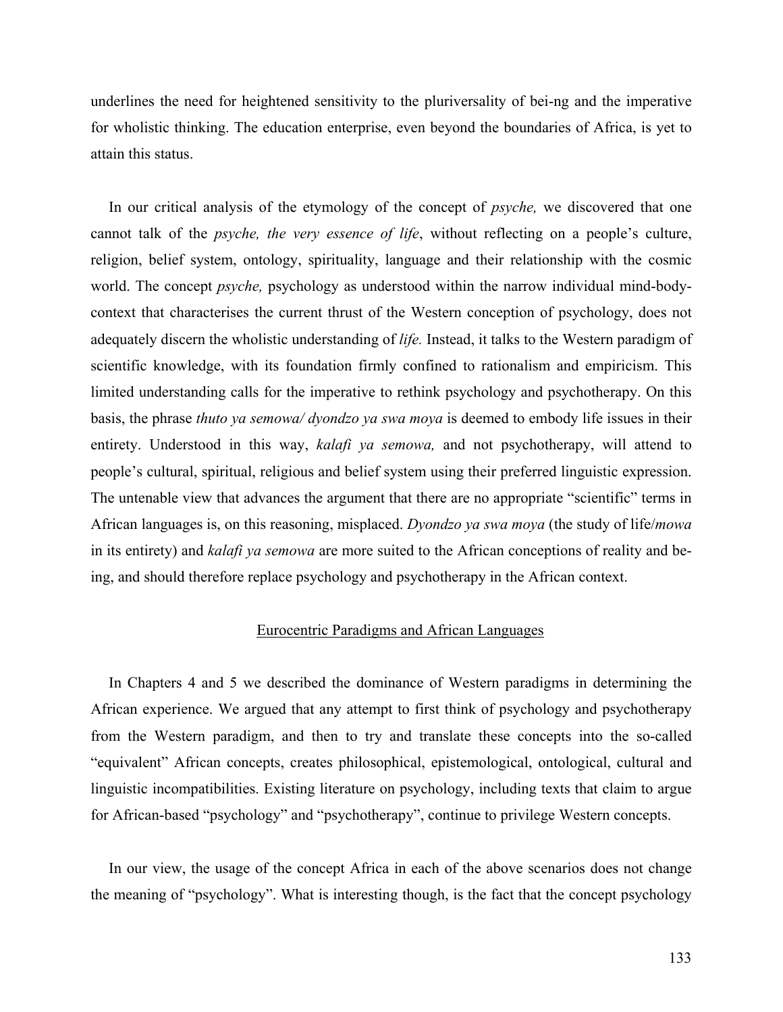underlines the need for heightened sensitivity to the pluriversality of bei-ng and the imperative for wholistic thinking. The education enterprise, even beyond the boundaries of Africa, is yet to attain this status.

In our critical analysis of the etymology of the concept of *psyche,* we discovered that one cannot talk of the *psyche, the very essence of life*, without reflecting on a people's culture, religion, belief system, ontology, spirituality, language and their relationship with the cosmic world. The concept *psyche,* psychology as understood within the narrow individual mind-bodycontext that characterises the current thrust of the Western conception of psychology, does not adequately discern the wholistic understanding of *life.* Instead, it talks to the Western paradigm of scientific knowledge, with its foundation firmly confined to rationalism and empiricism. This limited understanding calls for the imperative to rethink psychology and psychotherapy. On this basis, the phrase *thuto ya semowa/ dyondzo ya swa moya* is deemed to embody life issues in their entirety. Understood in this way, *kalafi ya semowa,* and not psychotherapy, will attend to people's cultural, spiritual, religious and belief system using their preferred linguistic expression. The untenable view that advances the argument that there are no appropriate "scientific" terms in African languages is, on this reasoning, misplaced. *Dyondzo ya swa moya* (the study of life/*mowa* in its entirety) and *kalafi ya semowa* are more suited to the African conceptions of reality and being, and should therefore replace psychology and psychotherapy in the African context.

### Eurocentric Paradigms and African Languages

In Chapters 4 and 5 we described the dominance of Western paradigms in determining the African experience. We argued that any attempt to first think of psychology and psychotherapy from the Western paradigm, and then to try and translate these concepts into the so-called "equivalent" African concepts, creates philosophical, epistemological, ontological, cultural and linguistic incompatibilities. Existing literature on psychology, including texts that claim to argue for African-based "psychology" and "psychotherapy", continue to privilege Western concepts.

In our view, the usage of the concept Africa in each of the above scenarios does not change the meaning of "psychology". What is interesting though, is the fact that the concept psychology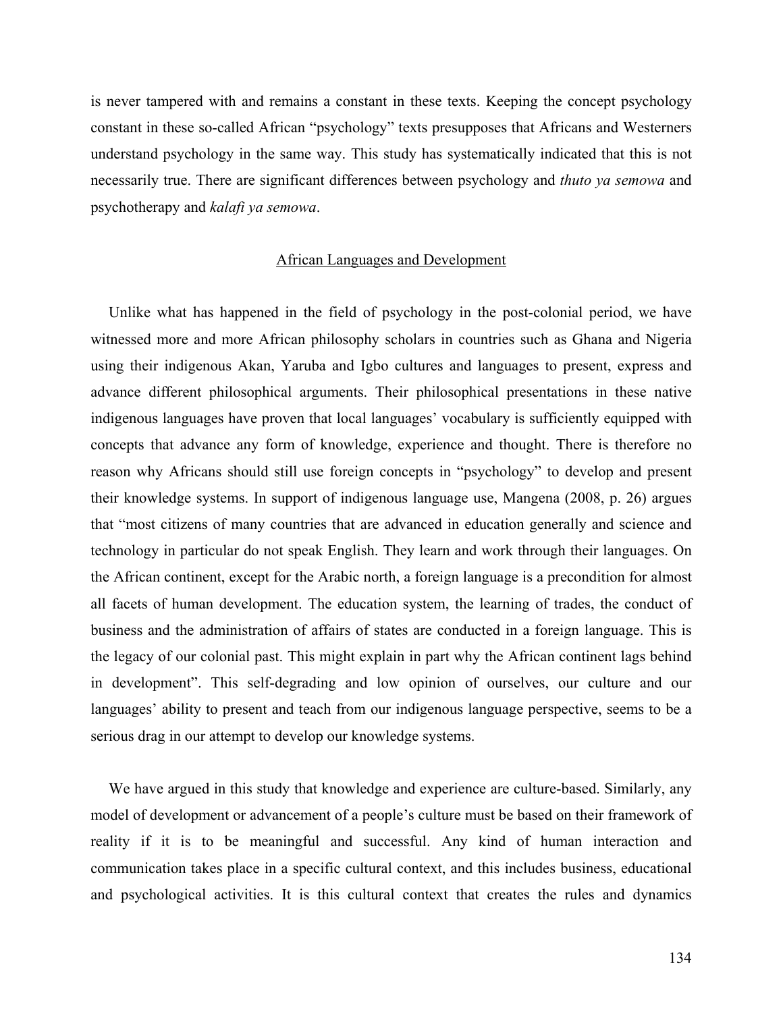is never tampered with and remains a constant in these texts. Keeping the concept psychology constant in these so-called African "psychology" texts presupposes that Africans and Westerners understand psychology in the same way. This study has systematically indicated that this is not necessarily true. There are significant differences between psychology and *thuto ya semowa* and psychotherapy and *kalafi ya semowa*.

#### African Languages and Development

Unlike what has happened in the field of psychology in the post-colonial period, we have witnessed more and more African philosophy scholars in countries such as Ghana and Nigeria using their indigenous Akan, Yaruba and Igbo cultures and languages to present, express and advance different philosophical arguments. Their philosophical presentations in these native indigenous languages have proven that local languages' vocabulary is sufficiently equipped with concepts that advance any form of knowledge, experience and thought. There is therefore no reason why Africans should still use foreign concepts in "psychology" to develop and present their knowledge systems. In support of indigenous language use, Mangena (2008, p. 26) argues that "most citizens of many countries that are advanced in education generally and science and technology in particular do not speak English. They learn and work through their languages. On the African continent, except for the Arabic north, a foreign language is a precondition for almost all facets of human development. The education system, the learning of trades, the conduct of business and the administration of affairs of states are conducted in a foreign language. This is the legacy of our colonial past. This might explain in part why the African continent lags behind in development". This self-degrading and low opinion of ourselves, our culture and our languages' ability to present and teach from our indigenous language perspective, seems to be a serious drag in our attempt to develop our knowledge systems.

We have argued in this study that knowledge and experience are culture-based. Similarly, any model of development or advancement of a people's culture must be based on their framework of reality if it is to be meaningful and successful. Any kind of human interaction and communication takes place in a specific cultural context, and this includes business, educational and psychological activities. It is this cultural context that creates the rules and dynamics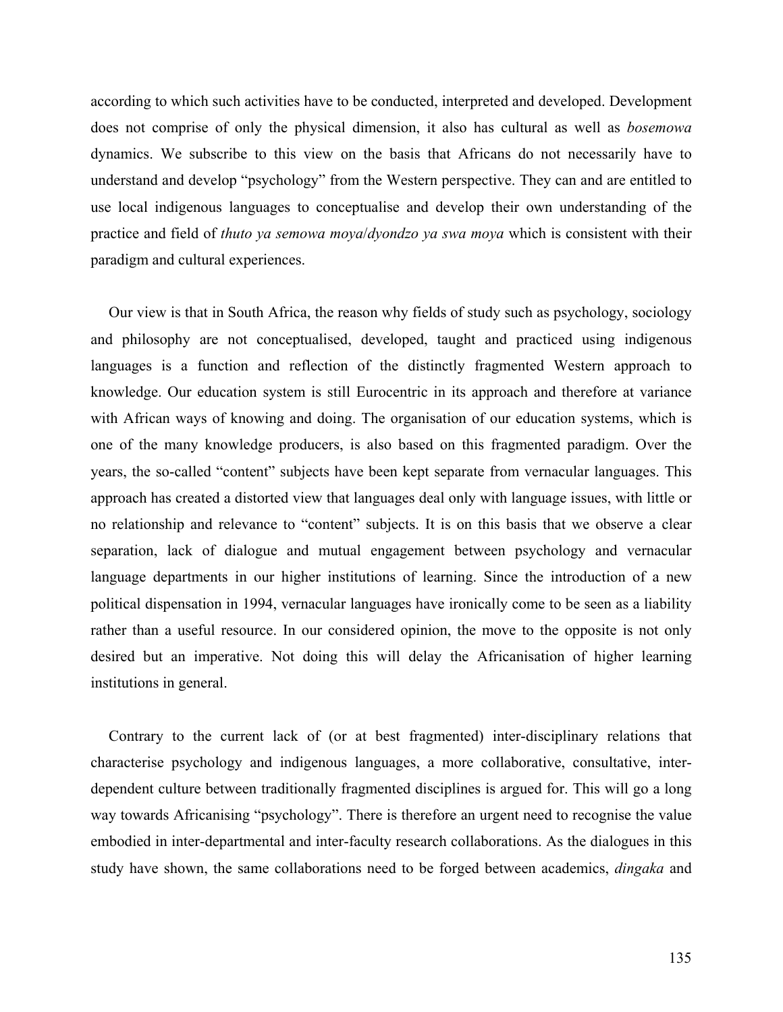according to which such activities have to be conducted, interpreted and developed. Development does not comprise of only the physical dimension, it also has cultural as well as *bosemowa*  dynamics. We subscribe to this view on the basis that Africans do not necessarily have to understand and develop "psychology" from the Western perspective. They can and are entitled to use local indigenous languages to conceptualise and develop their own understanding of the practice and field of *thuto ya semowa moya*/*dyondzo ya swa moya* which is consistent with their paradigm and cultural experiences.

Our view is that in South Africa, the reason why fields of study such as psychology, sociology and philosophy are not conceptualised, developed, taught and practiced using indigenous languages is a function and reflection of the distinctly fragmented Western approach to knowledge. Our education system is still Eurocentric in its approach and therefore at variance with African ways of knowing and doing. The organisation of our education systems, which is one of the many knowledge producers, is also based on this fragmented paradigm. Over the years, the so-called "content" subjects have been kept separate from vernacular languages. This approach has created a distorted view that languages deal only with language issues, with little or no relationship and relevance to "content" subjects. It is on this basis that we observe a clear separation, lack of dialogue and mutual engagement between psychology and vernacular language departments in our higher institutions of learning. Since the introduction of a new political dispensation in 1994, vernacular languages have ironically come to be seen as a liability rather than a useful resource. In our considered opinion, the move to the opposite is not only desired but an imperative. Not doing this will delay the Africanisation of higher learning institutions in general.

Contrary to the current lack of (or at best fragmented) inter-disciplinary relations that characterise psychology and indigenous languages, a more collaborative, consultative, interdependent culture between traditionally fragmented disciplines is argued for. This will go a long way towards Africanising "psychology". There is therefore an urgent need to recognise the value embodied in inter-departmental and inter-faculty research collaborations. As the dialogues in this study have shown, the same collaborations need to be forged between academics, *dingaka* and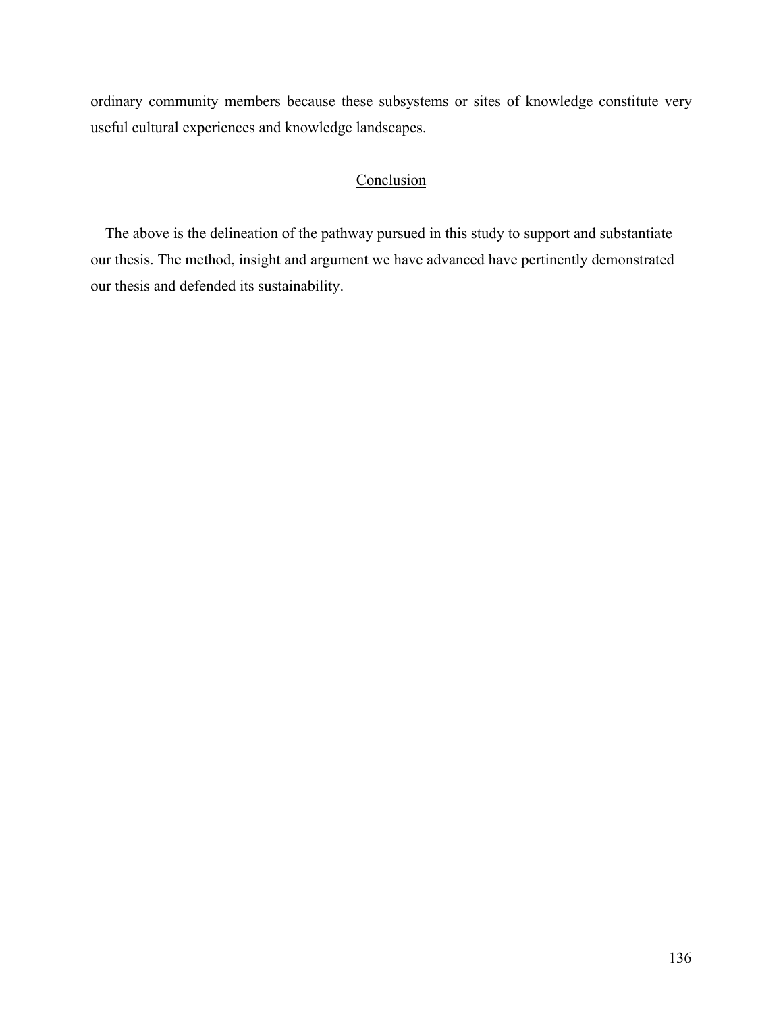ordinary community members because these subsystems or sites of knowledge constitute very useful cultural experiences and knowledge landscapes.

# **Conclusion**

The above is the delineation of the pathway pursued in this study to support and substantiate our thesis. The method, insight and argument we have advanced have pertinently demonstrated our thesis and defended its sustainability.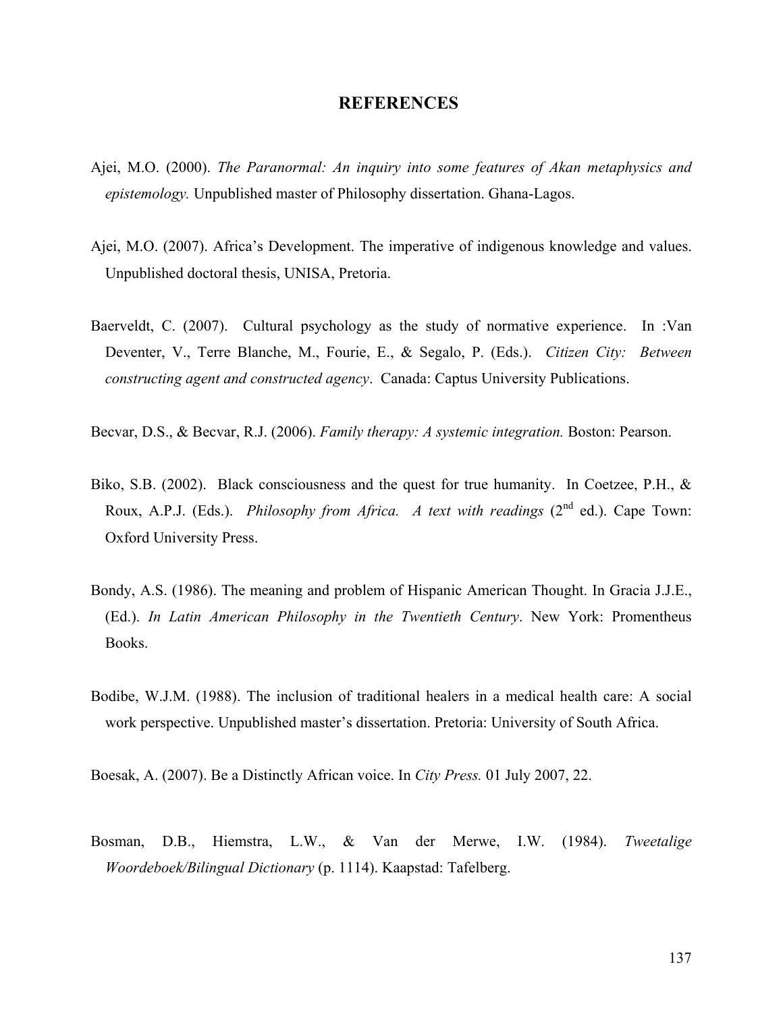## **REFERENCES**

- Ajei, M.O. (2000). *The Paranormal: An inquiry into some features of Akan metaphysics and epistemology.* Unpublished master of Philosophy dissertation. Ghana-Lagos.
- Ajei, M.O. (2007). Africa's Development. The imperative of indigenous knowledge and values. Unpublished doctoral thesis, UNISA, Pretoria.
- Baerveldt, C. (2007). Cultural psychology as the study of normative experience. In :Van Deventer, V., Terre Blanche, M., Fourie, E., & Segalo, P. (Eds.). *Citizen City: Between constructing agent and constructed agency*. Canada: Captus University Publications.
- Becvar, D.S., & Becvar, R.J. (2006). *Family therapy: A systemic integration.* Boston: Pearson.
- Biko, S.B. (2002). Black consciousness and the quest for true humanity. In Coetzee, P.H., & Roux, A.P.J. (Eds.). *Philosophy from Africa. A text with readings* (2<sup>nd</sup> ed.). Cape Town: Oxford University Press.
- Bondy, A.S. (1986). The meaning and problem of Hispanic American Thought. In Gracia J.J.E., (Ed.). *In Latin American Philosophy in the Twentieth Century*. New York: Promentheus Books.
- Bodibe, W.J.M. (1988). The inclusion of traditional healers in a medical health care: A social work perspective. Unpublished master's dissertation. Pretoria: University of South Africa.
- Boesak, A. (2007). Be a Distinctly African voice. In *City Press.* 01 July 2007, 22.
- Bosman, D.B., Hiemstra, L.W., & Van der Merwe, I.W. (1984). *Tweetalige Woordeboek/Bilingual Dictionary* (p. 1114). Kaapstad: Tafelberg.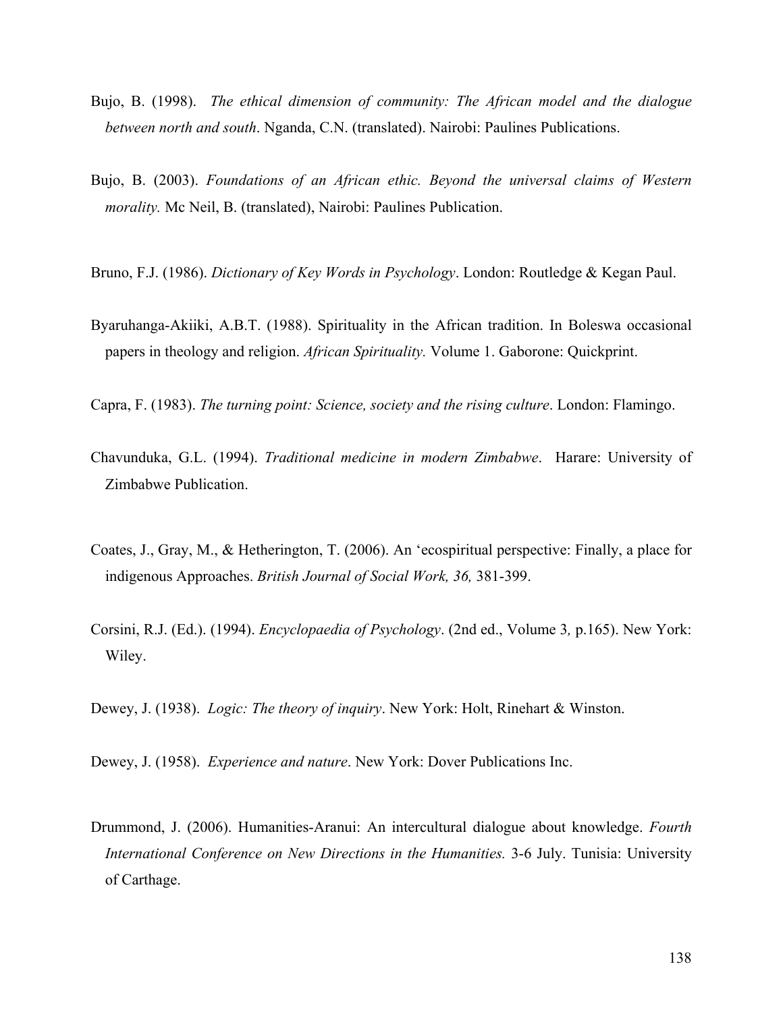- Bujo, B. (1998). *The ethical dimension of community: The African model and the dialogue between north and south*. Nganda, C.N. (translated). Nairobi: Paulines Publications.
- Bujo, B. (2003). *Foundations of an African ethic. Beyond the universal claims of Western morality.* Mc Neil, B. (translated), Nairobi: Paulines Publication.
- Bruno, F.J. (1986). *Dictionary of Key Words in Psychology*. London: Routledge & Kegan Paul.
- Byaruhanga-Akiiki, A.B.T. (1988). Spirituality in the African tradition. In Boleswa occasional papers in theology and religion. *African Spirituality.* Volume 1. Gaborone: Quickprint.
- Capra, F. (1983). *The turning point: Science, society and the rising culture*. London: Flamingo.
- Chavunduka, G.L. (1994). *Traditional medicine in modern Zimbabwe*. Harare: University of Zimbabwe Publication.
- Coates, J., Gray, M., & Hetherington, T. (2006). An 'ecospiritual perspective: Finally, a place for indigenous Approaches. *British Journal of Social Work, 36,* 381-399.
- Corsini, R.J. (Ed.). (1994). *Encyclopaedia of Psychology*. (2nd ed., Volume 3*,* p.165). New York: Wiley.
- Dewey, J. (1938). *Logic: The theory of inquiry*. New York: Holt, Rinehart & Winston.

Dewey, J. (1958). *Experience and nature*. New York: Dover Publications Inc.

Drummond, J. (2006). Humanities-Aranui: An intercultural dialogue about knowledge. *Fourth International Conference on New Directions in the Humanities.* 3-6 July. Tunisia: University of Carthage.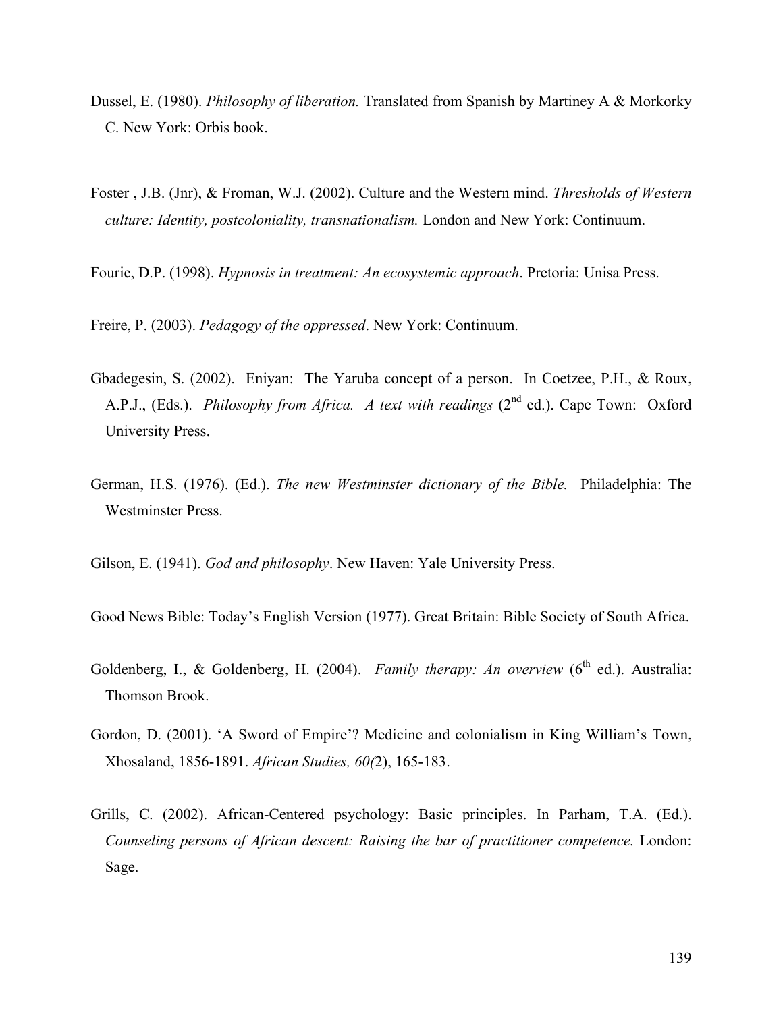- Dussel, E. (1980). *Philosophy of liberation.* Translated from Spanish by Martiney A & Morkorky C. New York: Orbis book.
- Foster , J.B. (Jnr), & Froman, W.J. (2002). Culture and the Western mind. *Thresholds of Western culture: Identity, postcoloniality, transnationalism.* London and New York: Continuum.
- Fourie, D.P. (1998). *Hypnosis in treatment: An ecosystemic approach*. Pretoria: Unisa Press.

Freire, P. (2003). *Pedagogy of the oppressed*. New York: Continuum.

- Gbadegesin, S. (2002). Eniyan: The Yaruba concept of a person. In Coetzee, P.H., & Roux, A.P.J., (Eds.). *Philosophy from Africa. A text with readings* (2<sup>nd</sup> ed.). Cape Town: Oxford University Press.
- German, H.S. (1976). (Ed.). *The new Westminster dictionary of the Bible.* Philadelphia: The Westminster Press.

Gilson, E. (1941). *God and philosophy*. New Haven: Yale University Press.

Good News Bible: Today's English Version (1977). Great Britain: Bible Society of South Africa.

- Goldenberg, I., & Goldenberg, H. (2004). *Family therapy: An overview* (6<sup>th</sup> ed.). Australia: Thomson Brook.
- Gordon, D. (2001). 'A Sword of Empire'? Medicine and colonialism in King William's Town, Xhosaland, 1856-1891. *African Studies, 60(*2), 165-183.
- Grills, C. (2002). African-Centered psychology: Basic principles. In Parham, T.A. (Ed.). *Counseling persons of African descent: Raising the bar of practitioner competence.* London: Sage.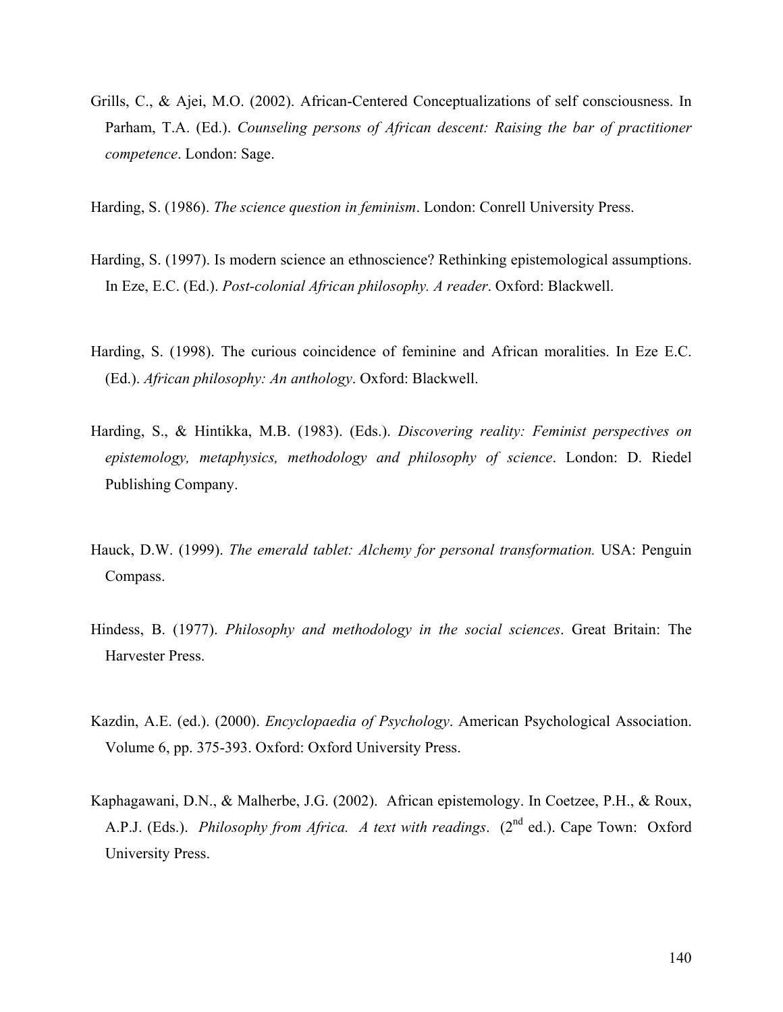Grills, C., & Ajei, M.O. (2002). African-Centered Conceptualizations of self consciousness. In Parham, T.A. (Ed.). *Counseling persons of African descent: Raising the bar of practitioner competence*. London: Sage.

Harding, S. (1986). *The science question in feminism*. London: Conrell University Press.

- Harding, S. (1997). Is modern science an ethnoscience? Rethinking epistemological assumptions. In Eze, E.C. (Ed.). *Post-colonial African philosophy. A reader*. Oxford: Blackwell.
- Harding, S. (1998). The curious coincidence of feminine and African moralities. In Eze E.C. (Ed.). *African philosophy: An anthology*. Oxford: Blackwell.
- Harding, S., & Hintikka, M.B. (1983). (Eds.). *Discovering reality: Feminist perspectives on epistemology, metaphysics, methodology and philosophy of science*. London: D. Riedel Publishing Company.
- Hauck, D.W. (1999). *The emerald tablet: Alchemy for personal transformation.* USA: Penguin Compass.
- Hindess, B. (1977). *Philosophy and methodology in the social sciences*. Great Britain: The Harvester Press.
- Kazdin, A.E. (ed.). (2000). *Encyclopaedia of Psychology*. American Psychological Association. Volume 6, pp. 375-393. Oxford: Oxford University Press.
- Kaphagawani, D.N., & Malherbe, J.G. (2002). African epistemology. In Coetzee, P.H., & Roux, A.P.J. (Eds.). *Philosophy from Africa. A text with readings.* (2<sup>nd</sup> ed.). Cape Town: Oxford University Press.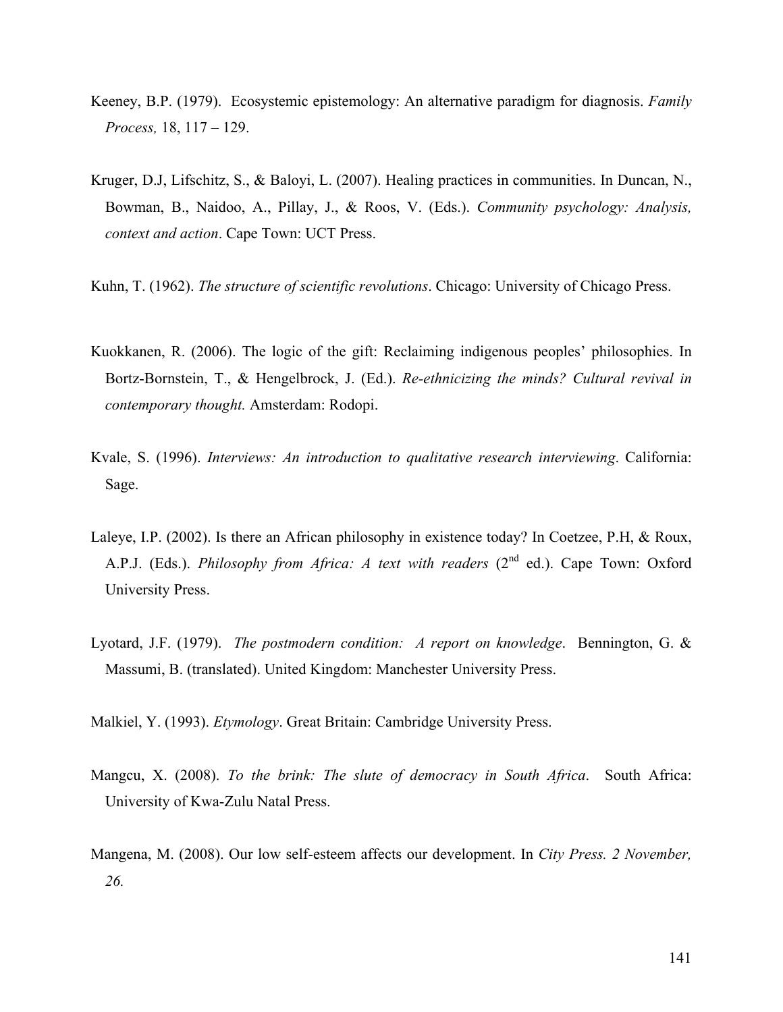- Keeney, B.P. (1979). Ecosystemic epistemology: An alternative paradigm for diagnosis. *Family Process,* 18, 117 – 129.
- Kruger, D.J, Lifschitz, S., & Baloyi, L. (2007). Healing practices in communities. In Duncan, N., Bowman, B., Naidoo, A., Pillay, J., & Roos, V. (Eds.). *Community psychology: Analysis, context and action*. Cape Town: UCT Press.
- Kuhn, T. (1962). *The structure of scientific revolutions*. Chicago: University of Chicago Press.
- Kuokkanen, R. (2006). The logic of the gift: Reclaiming indigenous peoples' philosophies. In Bortz-Bornstein, T., & Hengelbrock, J. (Ed.). *Re-ethnicizing the minds? Cultural revival in contemporary thought.* Amsterdam: Rodopi.
- Kvale, S. (1996). *Interviews: An introduction to qualitative research interviewing*. California: Sage.
- Laleye, I.P. (2002). Is there an African philosophy in existence today? In Coetzee, P.H, & Roux, A.P.J. (Eds.). *Philosophy from Africa: A text with readers* (2<sup>nd</sup> ed.). Cape Town: Oxford University Press.
- Lyotard, J.F. (1979). *The postmodern condition: A report on knowledge*. Bennington, G. & Massumi, B. (translated). United Kingdom: Manchester University Press.

Malkiel, Y. (1993). *Etymology*. Great Britain: Cambridge University Press.

- Mangcu, X. (2008). *To the brink: The slute of democracy in South Africa*. South Africa: University of Kwa-Zulu Natal Press.
- Mangena, M. (2008). Our low self-esteem affects our development. In *City Press. 2 November, 26.*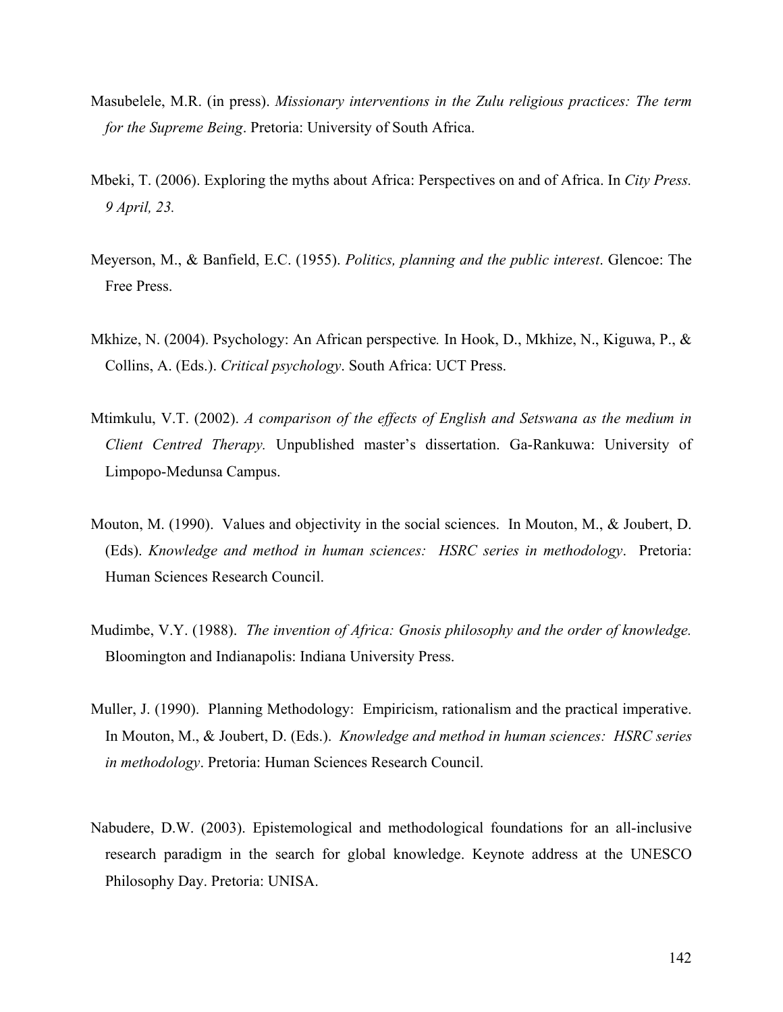- Masubelele, M.R. (in press). *Missionary interventions in the Zulu religious practices: The term for the Supreme Being*. Pretoria: University of South Africa.
- Mbeki, T. (2006). Exploring the myths about Africa: Perspectives on and of Africa. In *City Press. 9 April, 23.*
- Meyerson, M., & Banfield, E.C. (1955). *Politics, planning and the public interest*. Glencoe: The Free Press.
- Mkhize, N. (2004). Psychology: An African perspective*.* In Hook, D., Mkhize, N., Kiguwa, P., & Collins, A. (Eds.). *Critical psychology*. South Africa: UCT Press.
- Mtimkulu, V.T. (2002). *A comparison of the effects of English and Setswana as the medium in Client Centred Therapy.* Unpublished master's dissertation. Ga-Rankuwa: University of Limpopo-Medunsa Campus.
- Mouton, M. (1990). Values and objectivity in the social sciences. In Mouton, M., & Joubert, D. (Eds). *Knowledge and method in human sciences: HSRC series in methodology*. Pretoria: Human Sciences Research Council.
- Mudimbe, V.Y. (1988). *The invention of Africa: Gnosis philosophy and the order of knowledge.* Bloomington and Indianapolis: Indiana University Press.
- Muller, J. (1990). Planning Methodology: Empiricism, rationalism and the practical imperative. In Mouton, M., & Joubert, D. (Eds.). *Knowledge and method in human sciences: HSRC series in methodology*. Pretoria: Human Sciences Research Council.
- Nabudere, D.W. (2003). Epistemological and methodological foundations for an all-inclusive research paradigm in the search for global knowledge. Keynote address at the UNESCO Philosophy Day. Pretoria: UNISA.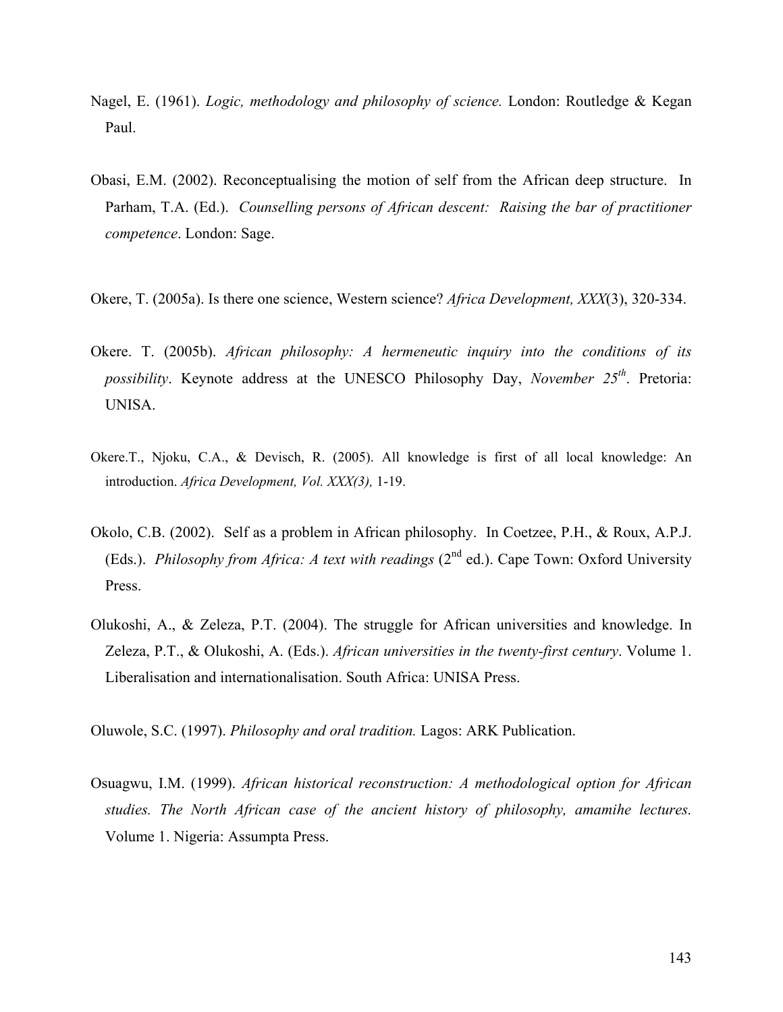- Nagel, E. (1961). *Logic, methodology and philosophy of science.* London: Routledge & Kegan Paul.
- Obasi, E.M. (2002). Reconceptualising the motion of self from the African deep structure. In Parham, T.A. (Ed.). *Counselling persons of African descent: Raising the bar of practitioner competence*. London: Sage.
- Okere, T. (2005a). Is there one science, Western science? *Africa Development, XXX*(3), 320-334.
- Okere. T. (2005b). *African philosophy: A hermeneutic inquiry into the conditions of its possibility*. Keynote address at the UNESCO Philosophy Day, *November 25th*. Pretoria: UNISA.
- Okere.T., Njoku, C.A., & Devisch, R. (2005). All knowledge is first of all local knowledge: An introduction. *Africa Development, Vol. XXX(3),* 1-19.
- Okolo, C.B. (2002). Self as a problem in African philosophy. In Coetzee, P.H., & Roux, A.P.J. (Eds.). *Philosophy from Africa: A text with readings* (2<sup>nd</sup> ed.). Cape Town: Oxford University Press.
- Olukoshi, A., & Zeleza, P.T. (2004). The struggle for African universities and knowledge. In Zeleza, P.T., & Olukoshi, A. (Eds.). *African universities in the twenty-first century*. Volume 1. Liberalisation and internationalisation. South Africa: UNISA Press.

Oluwole, S.C. (1997). *Philosophy and oral tradition.* Lagos: ARK Publication.

Osuagwu, I.M. (1999). *African historical reconstruction: A methodological option for African studies. The North African case of the ancient history of philosophy, amamihe lectures.*  Volume 1. Nigeria: Assumpta Press.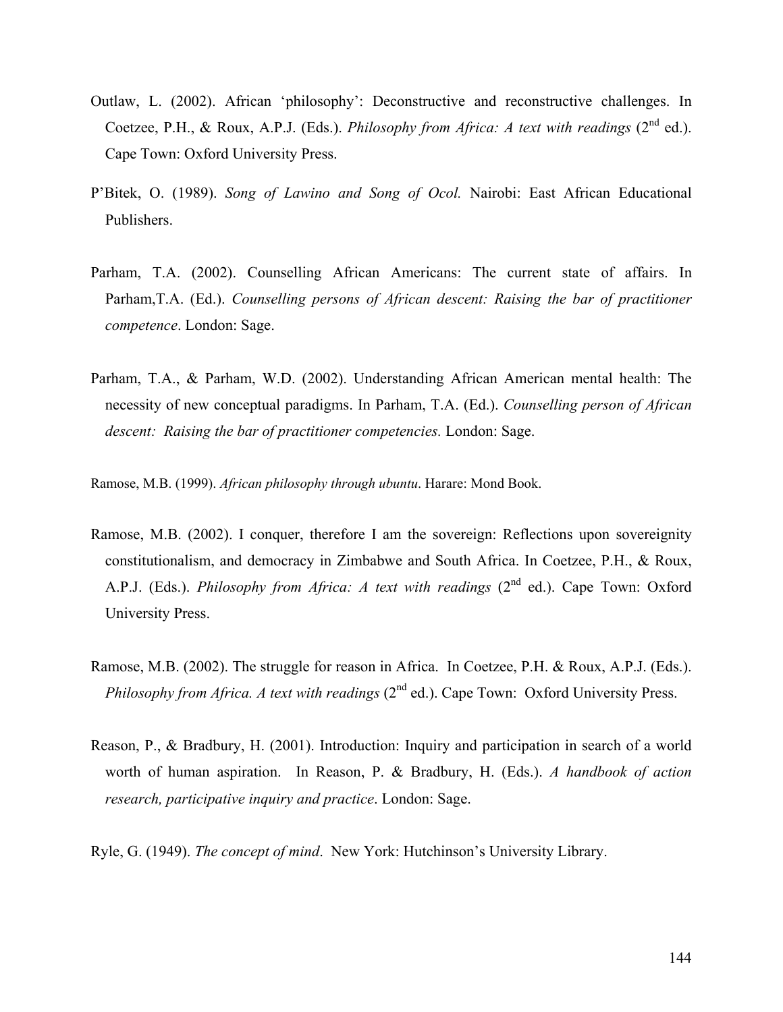- Outlaw, L. (2002). African 'philosophy': Deconstructive and reconstructive challenges. In Coetzee, P.H., & Roux, A.P.J. (Eds.). *Philosophy from Africa: A text with readings* (2<sup>nd</sup> ed.). Cape Town: Oxford University Press.
- P'Bitek, O. (1989). *Song of Lawino and Song of Ocol.* Nairobi: East African Educational Publishers.
- Parham, T.A. (2002). Counselling African Americans: The current state of affairs. In Parham,T.A. (Ed.). *Counselling persons of African descent: Raising the bar of practitioner competence*. London: Sage.
- Parham, T.A., & Parham, W.D. (2002). Understanding African American mental health: The necessity of new conceptual paradigms. In Parham, T.A. (Ed.). *Counselling person of African descent: Raising the bar of practitioner competencies.* London: Sage.

Ramose, M.B. (1999). *African philosophy through ubuntu*. Harare: Mond Book.

- Ramose, M.B. (2002). I conquer, therefore I am the sovereign: Reflections upon sovereignity constitutionalism, and democracy in Zimbabwe and South Africa. In Coetzee, P.H., & Roux, A.P.J. (Eds.). *Philosophy from Africa: A text with readings* (2<sup>nd</sup> ed.). Cape Town: Oxford University Press.
- Ramose, M.B. (2002). The struggle for reason in Africa. In Coetzee, P.H. & Roux, A.P.J. (Eds.). *Philosophy from Africa. A text with readings* (2<sup>nd</sup> ed.). Cape Town: Oxford University Press.
- Reason, P., & Bradbury, H. (2001). Introduction: Inquiry and participation in search of a world worth of human aspiration. In Reason, P. & Bradbury, H. (Eds.). *A handbook of action research, participative inquiry and practice*. London: Sage.
- Ryle, G. (1949). *The concept of mind*. New York: Hutchinson's University Library.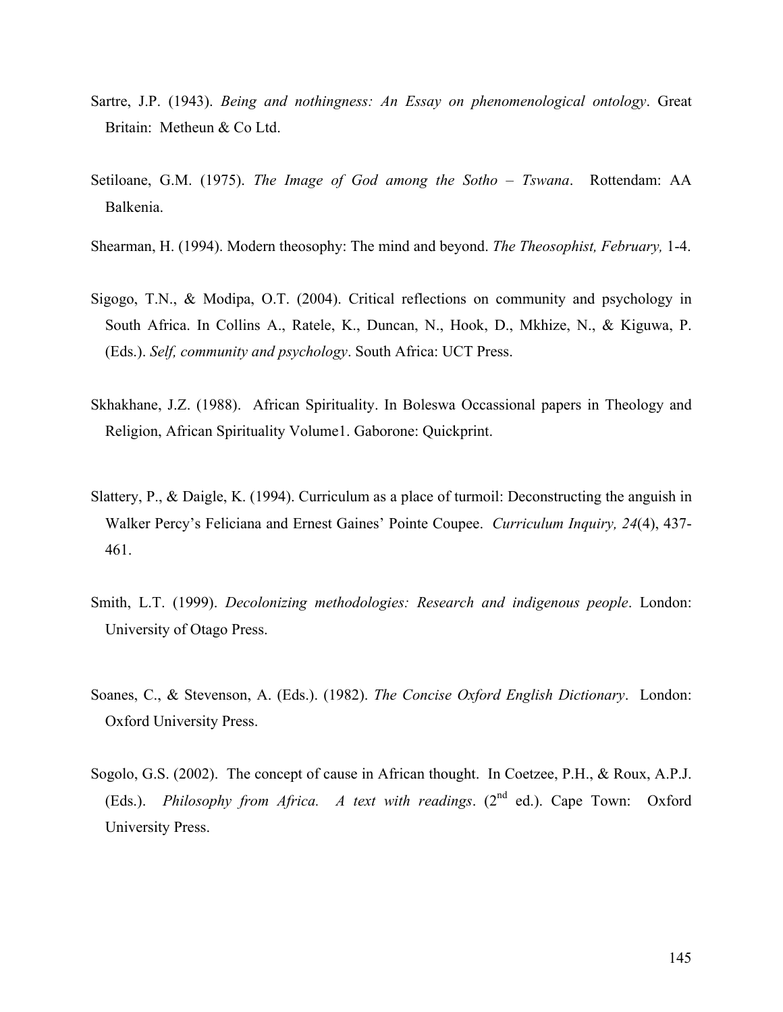- Sartre, J.P. (1943). *Being and nothingness: An Essay on phenomenological ontology*. Great Britain: Metheun & Co Ltd.
- Setiloane, G.M. (1975). *The Image of God among the Sotho Tswana*. Rottendam: AA Balkenia.
- Shearman, H. (1994). Modern theosophy: The mind and beyond. *The Theosophist, February,* 1-4.
- Sigogo, T.N., & Modipa, O.T. (2004). Critical reflections on community and psychology in South Africa. In Collins A., Ratele, K., Duncan, N., Hook, D., Mkhize, N., & Kiguwa, P. (Eds.). *Self, community and psychology*. South Africa: UCT Press.
- Skhakhane, J.Z. (1988). African Spirituality. In Boleswa Occassional papers in Theology and Religion, African Spirituality Volume1. Gaborone: Quickprint.
- Slattery, P., & Daigle, K. (1994). Curriculum as a place of turmoil: Deconstructing the anguish in Walker Percy's Feliciana and Ernest Gaines' Pointe Coupee. *Curriculum Inquiry, 24*(4), 437- 461.
- Smith, L.T. (1999). *Decolonizing methodologies: Research and indigenous people*. London: University of Otago Press.
- Soanes, C., & Stevenson, A. (Eds.). (1982). *The Concise Oxford English Dictionary*. London: Oxford University Press.
- Sogolo, G.S. (2002). The concept of cause in African thought. In Coetzee, P.H., & Roux, A.P.J. (Eds.). *Philosophy from Africa. A text with readings.* (2<sup>nd</sup> ed.). Cape Town: Oxford University Press.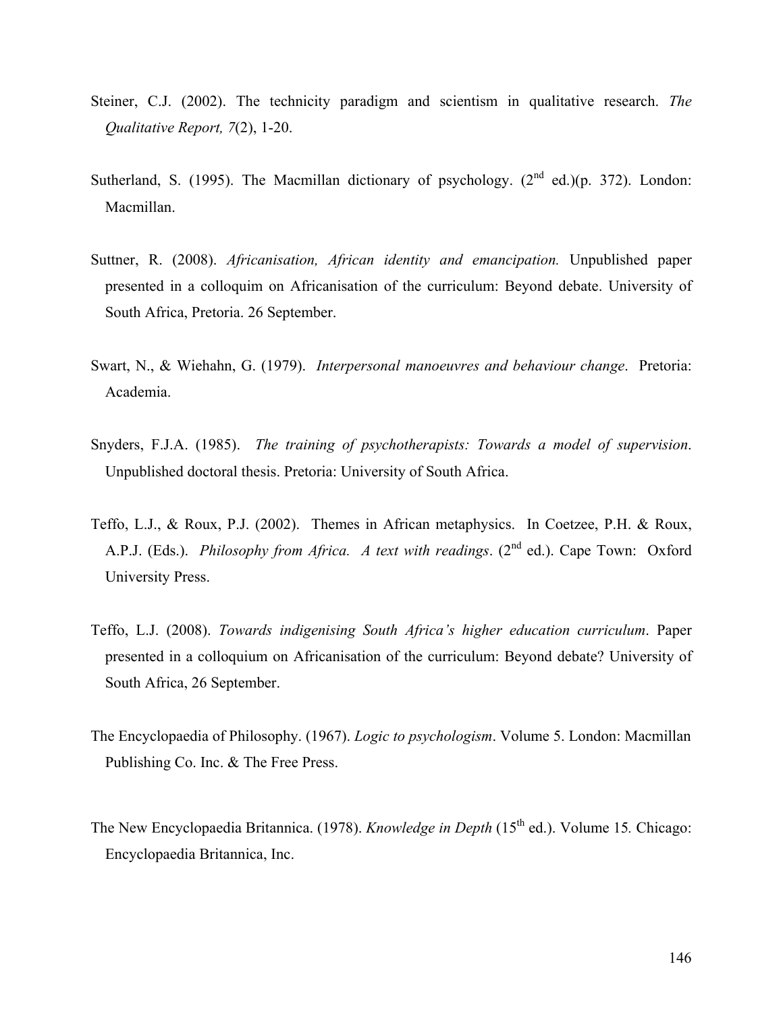- Steiner, C.J. (2002). The technicity paradigm and scientism in qualitative research. *The Qualitative Report, 7*(2), 1-20.
- Sutherland, S. (1995). The Macmillan dictionary of psychology.  $(2^{nd}$  ed.)(p. 372). London: Macmillan.
- Suttner, R. (2008). *Africanisation, African identity and emancipation.* Unpublished paper presented in a colloquim on Africanisation of the curriculum: Beyond debate. University of South Africa, Pretoria. 26 September.
- Swart, N., & Wiehahn, G. (1979). *Interpersonal manoeuvres and behaviour change*. Pretoria: Academia.
- Snyders, F.J.A. (1985). *The training of psychotherapists: Towards a model of supervision*. Unpublished doctoral thesis. Pretoria: University of South Africa.
- Teffo, L.J., & Roux, P.J. (2002). Themes in African metaphysics. In Coetzee, P.H. & Roux, A.P.J. (Eds.). *Philosophy from Africa. A text with readings.* (2<sup>nd</sup> ed.). Cape Town: Oxford University Press.
- Teffo, L.J. (2008). *Towards indigenising South Africa's higher education curriculum*. Paper presented in a colloquium on Africanisation of the curriculum: Beyond debate? University of South Africa, 26 September.
- The Encyclopaedia of Philosophy. (1967). *Logic to psychologism*. Volume 5. London: Macmillan Publishing Co. Inc. & The Free Press.
- The New Encyclopaedia Britannica. (1978). *Knowledge in Depth* (15<sup>th</sup> ed.). Volume 15. Chicago: Encyclopaedia Britannica, Inc.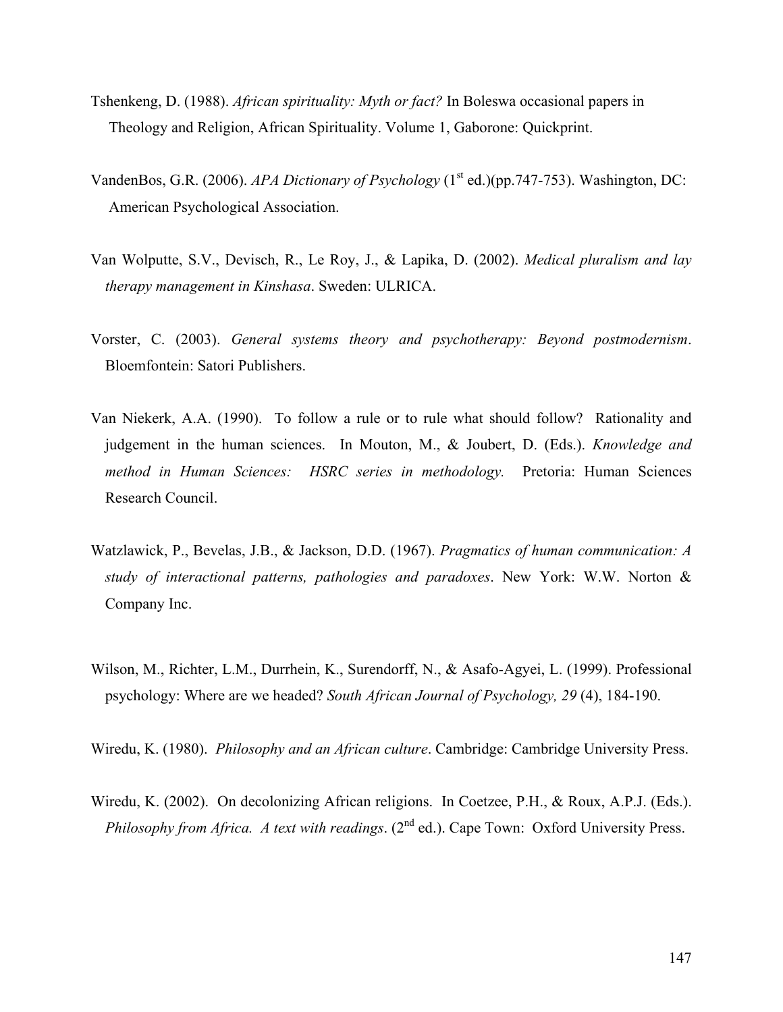- Tshenkeng, D. (1988). *African spirituality: Myth or fact?* In Boleswa occasional papers in Theology and Religion, African Spirituality. Volume 1, Gaborone: Quickprint.
- VandenBos, G.R. (2006). *APA Dictionary of Psychology* (1<sup>st</sup> ed.)(pp.747-753). Washington, DC: American Psychological Association.
- Van Wolputte, S.V., Devisch, R., Le Roy, J., & Lapika, D. (2002). *Medical pluralism and lay therapy management in Kinshasa*. Sweden: ULRICA.
- Vorster, C. (2003). *General systems theory and psychotherapy: Beyond postmodernism*. Bloemfontein: Satori Publishers.
- Van Niekerk, A.A. (1990). To follow a rule or to rule what should follow? Rationality and judgement in the human sciences. In Mouton, M., & Joubert, D. (Eds.). *Knowledge and method in Human Sciences: HSRC series in methodology.* Pretoria: Human Sciences Research Council.
- Watzlawick, P., Bevelas, J.B., & Jackson, D.D. (1967). *Pragmatics of human communication: A study of interactional patterns, pathologies and paradoxes*. New York: W.W. Norton & Company Inc.
- Wilson, M., Richter, L.M., Durrhein, K., Surendorff, N., & Asafo-Agyei, L. (1999). Professional psychology: Where are we headed? *South African Journal of Psychology, 29* (4), 184-190.

Wiredu, K. (1980). *Philosophy and an African culture*. Cambridge: Cambridge University Press.

Wiredu, K. (2002). On decolonizing African religions. In Coetzee, P.H., & Roux, A.P.J. (Eds.). *Philosophy from Africa. A text with readings.* (2<sup>nd</sup> ed.). Cape Town: Oxford University Press.